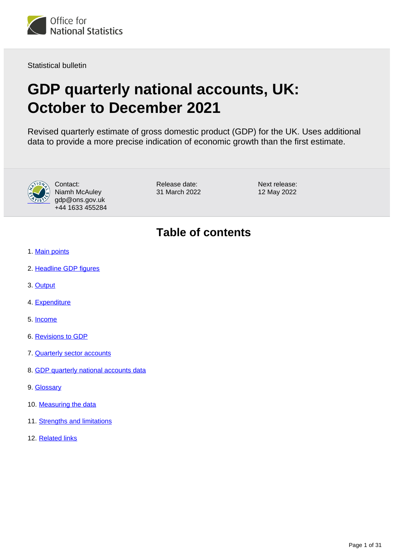

Statistical bulletin

# **GDP quarterly national accounts, UK: October to December 2021**

Revised quarterly estimate of gross domestic product (GDP) for the UK. Uses additional data to provide a more precise indication of economic growth than the first estimate.



Contact: Niamh McAuley gdp@ons.gov.uk +44 1633 455284 Release date: 31 March 2022 Next release: 12 May 2022

# **Table of contents**

- 1. [Main points](#page-1-0)
- 2. [Headline GDP figures](#page-2-0)
- 3. [Output](#page-5-0)
- 4. [Expenditure](#page-6-0)
- 5. [Income](#page-12-0)
- 6. [Revisions to GDP](#page-14-0)
- 7. [Quarterly sector accounts](#page-15-0)
- 8. [GDP quarterly national accounts data](#page-26-0)
- 9. [Glossary](#page-26-1)
- 10. [Measuring the data](#page-26-2)
- 11. [Strengths and limitations](#page-29-0)
- 12. [Related links](#page-30-0)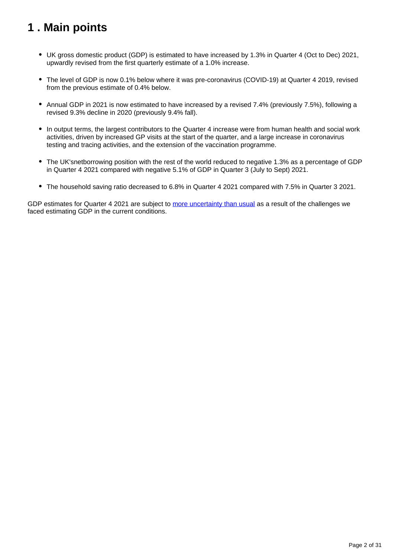# <span id="page-1-0"></span>**1 . Main points**

- UK gross domestic product (GDP) is estimated to have increased by 1.3% in Quarter 4 (Oct to Dec) 2021, upwardly revised from the first quarterly estimate of a 1.0% increase.
- The level of GDP is now 0.1% below where it was pre-coronavirus (COVID-19) at Quarter 4 2019, revised from the previous estimate of 0.4% below.
- Annual GDP in 2021 is now estimated to have increased by a revised 7.4% (previously 7.5%), following a revised 9.3% decline in 2020 (previously 9.4% fall).
- In output terms, the largest contributors to the Quarter 4 increase were from human health and social work activities, driven by increased GP visits at the start of the quarter, and a large increase in coronavirus testing and tracing activities, and the extension of the vaccination programme.
- The UK'snetborrowing position with the rest of the world reduced to negative 1.3% as a percentage of GDP in Quarter 4 2021 compared with negative 5.1% of GDP in Quarter 3 (July to Sept) 2021.
- The household saving ratio decreased to 6.8% in Quarter 4 2021 compared with 7.5% in Quarter 3 2021.

GDP estimates for Quarter 4 2021 are subject to [more uncertainty than usual](https://www.ons.gov.uk/economy/nationalaccounts/uksectoraccounts/articles/coronavirusandtheeffectsonukgdp/2020-05-06#practical-challenges) as a result of the challenges we faced estimating GDP in the current conditions.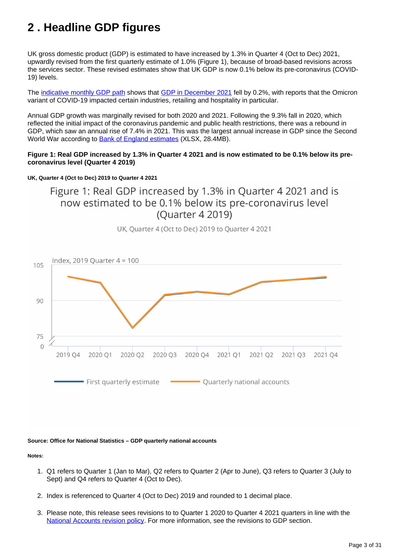# <span id="page-2-0"></span>**2 . Headline GDP figures**

UK gross domestic product (GDP) is estimated to have increased by 1.3% in Quarter 4 (Oct to Dec) 2021, upwardly revised from the first quarterly estimate of 1.0% (Figure 1), because of broad-based revisions across the services sector. These revised estimates show that UK GDP is now 0.1% below its pre-coronavirus (COVID-19) levels.

The [indicative monthly GDP path](https://www.ons.gov.uk/economy/grossdomesticproductgdp/datasets/indicativemonthlygdpconsistentwithquarterlynationalaccounts) shows that [GDP in December 2021](https://www.ons.gov.uk/economy/grossdomesticproductgdp/bulletins/gdpmonthlyestimateuk/december2021) fell by 0.2%, with reports that the Omicron variant of COVID-19 impacted certain industries, retailing and hospitality in particular.

Annual GDP growth was marginally revised for both 2020 and 2021. Following the 9.3% fall in 2020, which reflected the initial impact of the coronavirus pandemic and public health restrictions, there was a rebound in GDP, which saw an annual rise of 7.4% in 2021. This was the largest annual increase in GDP since the Second World War according to [Bank of England estimates](https://www.bankofengland.co.uk/-/media/boe/files/statistics/research-datasets/a-millennium-of-macroeconomic-data-for-the-uk.xlsx?la=en&hash=73ABBFB603A709FEEB1FD349B1C61F11527F1DE4) (XLSX, 28.4MB).

#### **Figure 1: Real GDP increased by 1.3% in Quarter 4 2021 and is now estimated to be 0.1% below its precoronavirus level (Quarter 4 2019)**

#### **UK, Quarter 4 (Oct to Dec) 2019 to Quarter 4 2021**

Figure 1: Real GDP increased by 1.3% in Ouarter 4 2021 and is now estimated to be 0.1% below its pre-coronavirus level (Quarter 4 2019)



UK, Ouarter 4 (Oct to Dec) 2019 to Ouarter 4 2021

#### **Source: Office for National Statistics – GDP quarterly national accounts**

#### **Notes:**

- 1. Q1 refers to Quarter 1 (Jan to Mar), Q2 refers to Quarter 2 (Apr to June), Q3 refers to Quarter 3 (July to Sept) and Q4 refers to Quarter 4 (Oct to Dec).
- 2. Index is referenced to Quarter 4 (Oct to Dec) 2019 and rounded to 1 decimal place.
- 3. Please note, this release sees revisions to to Quarter 1 2020 to Quarter 4 2021 quarters in line with the [National Accounts revision policy.](https://www.ons.gov.uk/methodology/methodologytopicsandstatisticalconcepts/revisions/revisionspoliciesforeconomicstatistics/nationalaccountsrevisionspolicyupdateddecember2017#:~:text=The%20National%20Accounts%20Revisions%20Policy,is%20not%20a%20simple%20matter.) For more information, see the revisions to GDP section.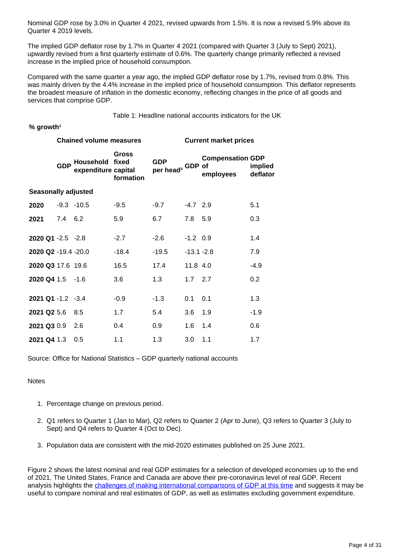Nominal GDP rose by 3.0% in Quarter 4 2021, revised upwards from 1.5%. It is now a revised 5.9% above its Quarter 4 2019 levels.

The implied GDP deflator rose by 1.7% in Quarter 4 2021 (compared with Quarter 3 (July to Sept) 2021), upwardly revised from a first quarterly estimate of 0.6%. The quarterly change primarily reflected a revised increase in the implied price of household consumption.

Compared with the same quarter a year ago, the implied GDP deflator rose by 1.7%, revised from 0.8%. This was mainly driven by the 4.4% increase in the implied price of household consumption. This deflator represents the broadest measure of inflation in the domestic economy, reflecting changes in the price of all goods and services that comprise GDP.

Table 1: Headline national accounts indicators for the UK

#### % growth<sup>1</sup>

|                            |            | <b>Chained volume measures</b>   |                             | <b>Current market prices</b>               |               |                                      |                     |  |
|----------------------------|------------|----------------------------------|-----------------------------|--------------------------------------------|---------------|--------------------------------------|---------------------|--|
|                            | <b>GDP</b> | Household<br>expenditure capital | Gross<br>fixed<br>formation | <b>GDP</b><br>per head <sup>3</sup> GDP of |               | <b>Compensation GDP</b><br>employees | implied<br>deflator |  |
| <b>Seasonally adjusted</b> |            |                                  |                             |                                            |               |                                      |                     |  |
| 2020                       |            | $-9.3 - 10.5$                    | $-9.5$                      | $-9.7$                                     | $-4.7$ 2.9    |                                      | 5.1                 |  |
| 2021                       | 7.4 6.2    |                                  | 5.9                         | 6.7                                        | 7.8 5.9       |                                      | 0.3                 |  |
| $2020$ Q1 -2.5 -2.8        |            |                                  | $-2.7$                      | $-2.6$                                     | $-1.2$ 0.9    |                                      | 1.4                 |  |
| 2020 Q2 -19.4 -20.0        |            |                                  | $-18.4$                     | $-19.5$                                    | $-13.1 - 2.8$ |                                      | 7.9                 |  |
| 2020 Q3 17.6 19.6          |            |                                  | 16.5                        | 17.4                                       | 11.8 4.0      |                                      | $-4.9$              |  |
| 2020 Q4 1.5 -1.6           |            |                                  | 3.6                         | 1.3                                        | $1.7$ 2.7     |                                      | 0.2                 |  |
| 2021 Q1 -1.2 -3.4          |            |                                  | $-0.9$                      | $-1.3$                                     | 0.1           | 0.1                                  | 1.3                 |  |
| 2021 Q2 5.6                |            | 8.5                              | 1.7                         | 5.4                                        | 3.6           | 1.9                                  | $-1.9$              |  |
| 2021 Q3 0.9                |            | 2.6                              | 0.4                         | 0.9                                        | 1.6           | 1.4                                  | 0.6                 |  |
| 2021 Q4 1.3                |            | 0.5                              | 1.1                         | 1.3                                        | 3.0           | 1.1                                  | 1.7                 |  |

Source: Office for National Statistics – GDP quarterly national accounts

#### **Notes**

- 1. Percentage change on previous period.
- 2. Q1 refers to Quarter 1 (Jan to Mar), Q2 refers to Quarter 2 (Apr to June), Q3 refers to Quarter 3 (July to Sept) and Q4 refers to Quarter 4 (Oct to Dec).
- 3. Population data are consistent with the mid-2020 estimates published on 25 June 2021.

Figure 2 shows the latest nominal and real GDP estimates for a selection of developed economies up to the end of 2021. The United States, France and Canada are above their pre-coronavirus level of real GDP. Recent analysis highlights the [challenges of making international comparisons of GDP at this time](https://www.ons.gov.uk/economy/grossdomesticproductgdp/articles/internationalcomparisonsofgdpduringthecoronaviruscovid19pandemic/2021-02-01) and suggests it may be useful to compare nominal and real estimates of GDP, as well as estimates excluding government expenditure.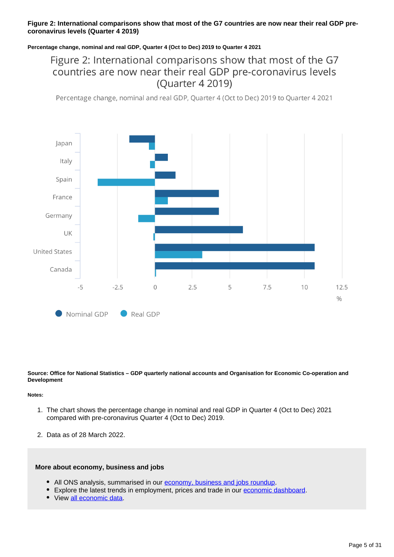#### **Figure 2: International comparisons show that most of the G7 countries are now near their real GDP precoronavirus levels (Quarter 4 2019)**

#### **Percentage change, nominal and real GDP, Quarter 4 (Oct to Dec) 2019 to Quarter 4 2021**

# Figure 2: International comparisons show that most of the G7 countries are now near their real GDP pre-coronavirus levels (Quarter 4 2019)

Percentage change, nominal and real GDP, Quarter 4 (Oct to Dec) 2019 to Quarter 4 2021



**Source: Office for National Statistics – GDP quarterly national accounts and Organisation for Economic Co-operation and Development**

#### **Notes:**

- 1. The chart shows the percentage change in nominal and real GDP in Quarter 4 (Oct to Dec) 2021 compared with pre-coronavirus Quarter 4 (Oct to Dec) 2019.
- 2. Data as of 28 March 2022.

#### **More about economy, business and jobs**

- All ONS analysis, summarised in our [economy, business and jobs roundup.](https://www.ons.gov.uk/economy/economicoutputandproductivity/output/articles/ukeconomylatest/2021-01-25)
- Explore the latest trends in employment, prices and trade in our [economic dashboard.](https://www.ons.gov.uk/economy/nationalaccounts/articles/dashboardunderstandingtheukeconomy/2017-02-22)
- View [all economic data](https://www.ons.gov.uk/economy/datalist?filter=datasets).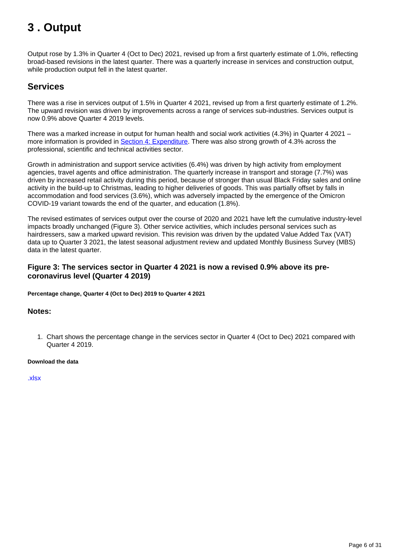# <span id="page-5-0"></span>**3 . Output**

Output rose by 1.3% in Quarter 4 (Oct to Dec) 2021, revised up from a first quarterly estimate of 1.0%, reflecting broad-based revisions in the latest quarter. There was a quarterly increase in services and construction output, while production output fell in the latest quarter.

## **Services**

There was a rise in services output of 1.5% in Quarter 4 2021, revised up from a first quarterly estimate of 1.2%. The upward revision was driven by improvements across a range of services sub-industries. Services output is now 0.9% above Quarter 4 2019 levels.

There was a marked increase in output for human health and social work activities (4.3%) in Quarter 4 2021 – more information is provided in [Section 4: Expenditure.](https://www.dp-prod.aws.onsdigital.uk/economy/grossdomesticproductgdp/bulletins/quarterlynationalaccounts/octobertodecember2021#expenditure) There was also strong growth of 4.3% across the professional, scientific and technical activities sector.

Growth in administration and support service activities (6.4%) was driven by high activity from employment agencies, travel agents and office administration. The quarterly increase in transport and storage (7.7%) was driven by increased retail activity during this period, because of stronger than usual Black Friday sales and online activity in the build-up to Christmas, leading to higher deliveries of goods. This was partially offset by falls in accommodation and food services (3.6%), which was adversely impacted by the emergence of the Omicron COVID-19 variant towards the end of the quarter, and education (1.8%).

The revised estimates of services output over the course of 2020 and 2021 have left the cumulative industry-level impacts broadly unchanged (Figure 3). Other service activities, which includes personal services such as hairdressers, saw a marked upward revision. This revision was driven by the updated Value Added Tax (VAT) data up to Quarter 3 2021, the latest seasonal adjustment review and updated Monthly Business Survey (MBS) data in the latest quarter.

#### **Figure 3: The services sector in Quarter 4 2021 is now a revised 0.9% above its precoronavirus level (Quarter 4 2019)**

**Percentage change, Quarter 4 (Oct to Dec) 2019 to Quarter 4 2021**

#### **Notes:**

1. Chart shows the percentage change in the services sector in Quarter 4 (Oct to Dec) 2021 compared with Quarter 4 2019.

#### **Download the data**

[.xlsx](https://www.ons.gov.uk/visualisations/dvc1895/fig3/datadownload.xls)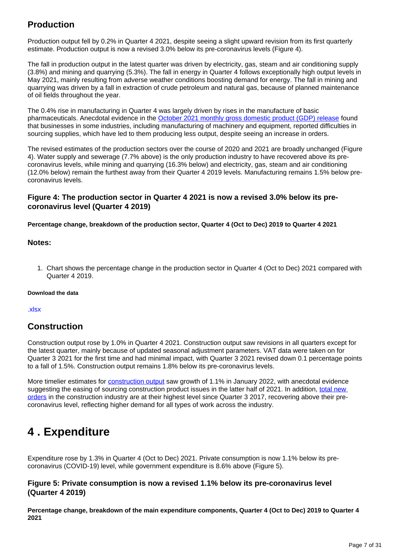# **Production**

Production output fell by 0.2% in Quarter 4 2021, despite seeing a slight upward revision from its first quarterly estimate. Production output is now a revised 3.0% below its pre-coronavirus levels (Figure 4).

The fall in production output in the latest quarter was driven by electricity, gas, steam and air conditioning supply (3.8%) and mining and quarrying (5.3%). The fall in energy in Quarter 4 follows exceptionally high output levels in May 2021, mainly resulting from adverse weather conditions boosting demand for energy. The fall in mining and quarrying was driven by a fall in extraction of crude petroleum and natural gas, because of planned maintenance of oil fields throughout the year.

The 0.4% rise in manufacturing in Quarter 4 was largely driven by rises in the manufacture of basic pharmaceuticals. Anecdotal evidence in the [October 2021 monthly gross domestic product \(GDP\) release](https://www.ons.gov.uk/economy/grossdomesticproductgdp/bulletins/gdpmonthlyestimateuk/october2021) found that businesses in some industries, including manufacturing of machinery and equipment, reported difficulties in sourcing supplies, which have led to them producing less output, despite seeing an increase in orders.

The revised estimates of the production sectors over the course of 2020 and 2021 are broadly unchanged (Figure 4). Water supply and sewerage (7.7% above) is the only production industry to have recovered above its precoronavirus levels, while mining and quarrying (16.3% below) and electricity, gas, steam and air conditioning (12.0% below) remain the furthest away from their Quarter 4 2019 levels. Manufacturing remains 1.5% below precoronavirus levels.

#### **Figure 4: The production sector in Quarter 4 2021 is now a revised 3.0% below its precoronavirus level (Quarter 4 2019)**

#### **Percentage change, breakdown of the production sector, Quarter 4 (Oct to Dec) 2019 to Quarter 4 2021**

#### **Notes:**

1. Chart shows the percentage change in the production sector in Quarter 4 (Oct to Dec) 2021 compared with Quarter 4 2019.

#### **Download the data**

[.xlsx](https://www.ons.gov.uk/visualisations/dvc1895/fig4/datadownload.xls)

### **Construction**

Construction output rose by 1.0% in Quarter 4 2021. Construction output saw revisions in all quarters except for the latest quarter, mainly because of updated seasonal adjustment parameters. VAT data were taken on for Quarter 3 2021 for the first time and had minimal impact, with Quarter 3 2021 revised down 0.1 percentage points to a fall of 1.5%. Construction output remains 1.8% below its pre-coronavirus levels.

More timelier estimates for [construction output](https://www.ons.gov.uk/businessindustryandtrade/constructionindustry/bulletins/constructionoutputingreatbritain/january2022) saw growth of 1.1% in January 2022, with anecdotal evidence suggesting the easing of sourcing construction product issues in the latter half of 2021. In addition, total new [orders](https://www.ons.gov.uk/businessindustryandtrade/constructionindustry/bulletins/constructionoutputingreatbritain/december2021) in the construction industry are at their highest level since Quarter 3 2017, recovering above their precoronavirus level, reflecting higher demand for all types of work across the industry.

# <span id="page-6-0"></span>**4 . Expenditure**

Expenditure rose by 1.3% in Quarter 4 (Oct to Dec) 2021. Private consumption is now 1.1% below its precoronavirus (COVID-19) level, while government expenditure is 8.6% above (Figure 5).

#### **Figure 5: Private consumption is now a revised 1.1% below its pre-coronavirus level (Quarter 4 2019)**

**Percentage change, breakdown of the main expenditure components, Quarter 4 (Oct to Dec) 2019 to Quarter 4 2021**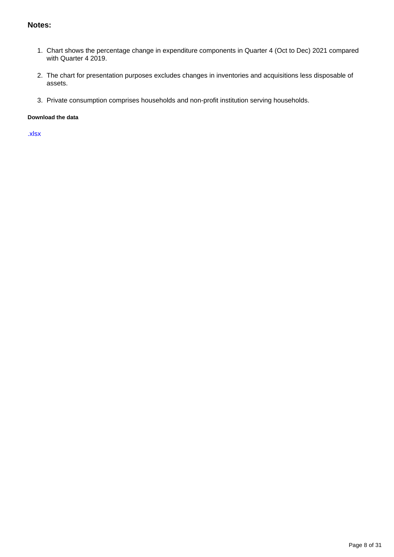#### **Notes:**

- 1. Chart shows the percentage change in expenditure components in Quarter 4 (Oct to Dec) 2021 compared with Quarter 4 2019.
- 2. The chart for presentation purposes excludes changes in inventories and acquisitions less disposable of assets.
- 3. Private consumption comprises households and non-profit institution serving households.

#### **Download the data**

[.xlsx](https://www.ons.gov.uk/visualisations/dvc1895/fig5/datadownload.xlsx)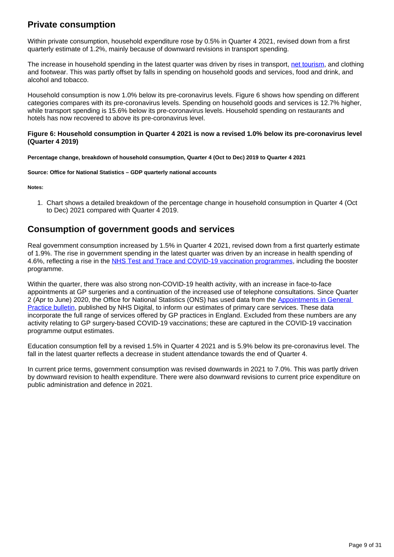## **Private consumption**

Within private consumption, household expenditure rose by 0.5% in Quarter 4 2021, revised down from a first quarterly estimate of 1.2%, mainly because of downward revisions in transport spending.

The increase in household spending in the latest quarter was driven by rises in transport, [net tourism](https://www.ons.gov.uk/economy/nationalaccounts/uksectoraccounts/articles/nationalaccountsarticles/treatmentoftourismintheuknationalaccounts), and clothing and footwear. This was partly offset by falls in spending on household goods and services, food and drink, and alcohol and tobacco.

Household consumption is now 1.0% below its pre-coronavirus levels. Figure 6 shows how spending on different categories compares with its pre-coronavirus levels. Spending on household goods and services is 12.7% higher, while transport spending is 15.6% below its pre-coronavirus levels. Household spending on restaurants and hotels has now recovered to above its pre-coronavirus level.

#### **Figure 6: Household consumption in Quarter 4 2021 is now a revised 1.0% below its pre-coronavirus level (Quarter 4 2019)**

**Percentage change, breakdown of household consumption, Quarter 4 (Oct to Dec) 2019 to Quarter 4 2021**

**Source: Office for National Statistics – GDP quarterly national accounts**

**Notes:**

1. Chart shows a detailed breakdown of the percentage change in household consumption in Quarter 4 (Oct to Dec) 2021 compared with Quarter 4 2019.

## **Consumption of government goods and services**

Real government consumption increased by 1.5% in Quarter 4 2021, revised down from a first quarterly estimate of 1.9%. The rise in government spending in the latest quarter was driven by an increase in health spending of 4.6%, reflecting a rise in the [NHS Test and Trace and COVID-19 vaccination programmes,](https://www.ons.gov.uk/releases/measuringtheeconomicoutputofcovid19testingtracingandvaccinations) including the booster programme.

Within the quarter, there was also strong non-COVID-19 health activity, with an increase in face-to-face appointments at GP surgeries and a continuation of the increased use of telephone consultations. Since Quarter 2 (Apr to June) 2020, the Office for National Statistics (ONS) has used data from the [Appointments in General](https://digital.nhs.uk/data-and-information/publications/statistical/appointments-in-general-practice)  [Practice bulletin](https://digital.nhs.uk/data-and-information/publications/statistical/appointments-in-general-practice), published by NHS Digital, to inform our estimates of primary care services. These data incorporate the full range of services offered by GP practices in England. Excluded from these numbers are any activity relating to GP surgery-based COVID-19 vaccinations; these are captured in the COVID-19 vaccination programme output estimates.

Education consumption fell by a revised 1.5% in Quarter 4 2021 and is 5.9% below its pre-coronavirus level. The fall in the latest quarter reflects a decrease in student attendance towards the end of Quarter 4.

In current price terms, government consumption was revised downwards in 2021 to 7.0%. This was partly driven by downward revision to health expenditure. There were also downward revisions to current price expenditure on public administration and defence in 2021.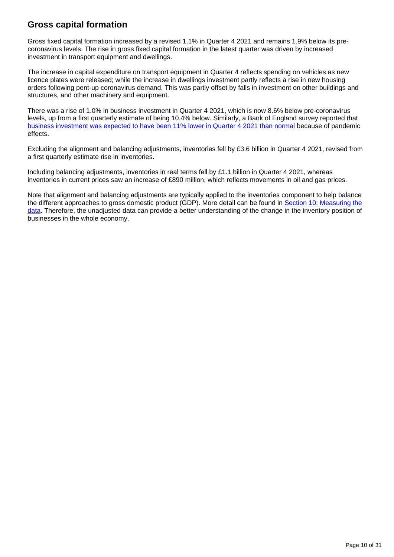## **Gross capital formation**

Gross fixed capital formation increased by a revised 1.1% in Quarter 4 2021 and remains 1.9% below its precoronavirus levels. The rise in gross fixed capital formation in the latest quarter was driven by increased investment in transport equipment and dwellings.

The increase in capital expenditure on transport equipment in Quarter 4 reflects spending on vehicles as new licence plates were released; while the increase in dwellings investment partly reflects a rise in new housing orders following pent-up coronavirus demand. This was partly offset by falls in investment on other buildings and structures, and other machinery and equipment.

There was a rise of 1.0% in business investment in Quarter 4 2021, which is now 8.6% below pre-coronavirus levels, up from a first quarterly estimate of being 10.4% below. Similarly, a Bank of England survey reported that [business investment was expected to have been 11% lower in Quarter 4 2021 than normal](https://www.bankofengland.co.uk/decision-maker-panel/2021/december-2021) because of pandemic effects.

Excluding the alignment and balancing adjustments, inventories fell by £3.6 billion in Quarter 4 2021, revised from a first quarterly estimate rise in inventories.

Including balancing adjustments, inventories in real terms fell by £1.1 billion in Quarter 4 2021, whereas inventories in current prices saw an increase of £890 million, which reflects movements in oil and gas prices.

Note that alignment and balancing adjustments are typically applied to the inventories component to help balance the different approaches to gross domestic product (GDP). More detail can be found in Section 10: Measuring the [data](https://www.ons.gov.uk/economy/grossdomesticproductgdp/bulletins/quarterlynationalaccounts/octobertodecember2021#measuring-the-data). Therefore, the unadjusted data can provide a better understanding of the change in the inventory position of businesses in the whole economy.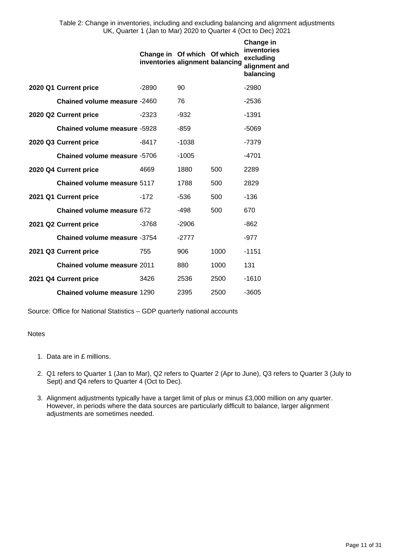Table 2: Change in inventories, including and excluding balancing and alignment adjustments UK, Quarter 1 (Jan to Mar) 2020 to Quarter 4 (Oct to Dec) 2021

|                                     | Change in Of which Of which<br>inventories alignment balancing |         |      | Change in<br>inventories<br>excluding<br>alignment and<br>balancing |
|-------------------------------------|----------------------------------------------------------------|---------|------|---------------------------------------------------------------------|
| 2020 Q1 Current price               | -2890                                                          | 90      |      | -2980                                                               |
| Chained volume measure -2460        |                                                                | 76      |      | $-2536$                                                             |
| 2020 Q2 Current price               | $-2323$                                                        | $-932$  |      | $-1391$                                                             |
| <b>Chained volume measure -5928</b> |                                                                | $-859$  |      | -5069                                                               |
| 2020 Q3 Current price               | -8417                                                          | $-1038$ |      | $-7379$                                                             |
| Chained volume measure -5706        |                                                                | $-1005$ |      | -4701                                                               |
| 2020 Q4 Current price               | 4669                                                           | 1880    | 500  | 2289                                                                |
| Chained volume measure 5117         |                                                                | 1788    | 500  | 2829                                                                |
| 2021 Q1 Current price               | $-172$                                                         | $-536$  | 500  | $-136$                                                              |
| Chained volume measure 672          |                                                                | -498    | 500  | 670                                                                 |
| 2021 Q2 Current price               | -3768                                                          | $-2906$ |      | $-862$                                                              |
| Chained volume measure -3754        |                                                                | $-2777$ |      | $-977$                                                              |
| 2021 Q3 Current price               | 755                                                            | 906     | 1000 | -1151                                                               |
| Chained volume measure 2011         |                                                                | 880     | 1000 | 131                                                                 |
| 2021 Q4 Current price               | 3426                                                           | 2536    | 2500 | $-1610$                                                             |
| Chained volume measure 1290         |                                                                | 2395    | 2500 | $-3605$                                                             |

Source: Office for National Statistics – GDP quarterly national accounts

#### Notes

- 1. Data are in £ millions.
- 2. Q1 refers to Quarter 1 (Jan to Mar), Q2 refers to Quarter 2 (Apr to June), Q3 refers to Quarter 3 (July to Sept) and Q4 refers to Quarter 4 (Oct to Dec).
- 3. Alignment adjustments typically have a target limit of plus or minus £3,000 million on any quarter. However, in periods where the data sources are particularly difficult to balance, larger alignment adjustments are sometimes needed.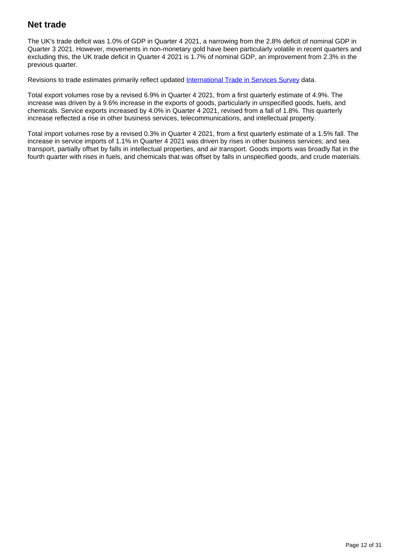## **Net trade**

The UK's trade deficit was 1.0% of GDP in Quarter 4 2021, a narrowing from the 2.8% deficit of nominal GDP in Quarter 3 2021. However, movements in non-monetary gold have been particularly volatile in recent quarters and excluding this, the UK trade deficit in Quarter 4 2021 is 1.7% of nominal GDP, an improvement from 2.3% in the previous quarter.

Revisions to trade estimates primarily reflect updated [International Trade in Services Survey](https://www.ons.gov.uk/businessindustryandtrade/internationaltrade/methodologies/internationaltradeinservicesqmi) data.

Total export volumes rose by a revised 6.9% in Quarter 4 2021, from a first quarterly estimate of 4.9%. The increase was driven by a 9.6% increase in the exports of goods, particularly in unspecified goods, fuels, and chemicals. Service exports increased by 4.0% in Quarter 4 2021, revised from a fall of 1.8%. This quarterly increase reflected a rise in other business services, telecommunications, and intellectual property.

Total import volumes rose by a revised 0.3% in Quarter 4 2021, from a first quarterly estimate of a 1.5% fall. The increase in service imports of 1.1% in Quarter 4 2021 was driven by rises in other business services; and sea transport, partially offset by falls in intellectual properties, and air transport. Goods imports was broadly flat in the fourth quarter with rises in fuels, and chemicals that was offset by falls in unspecified goods, and crude materials.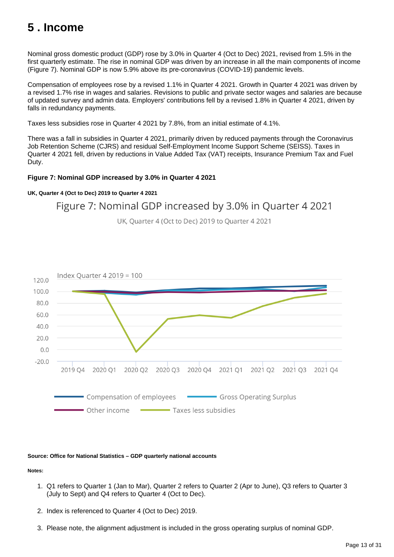# <span id="page-12-0"></span>**5 . Income**

Nominal gross domestic product (GDP) rose by 3.0% in Quarter 4 (Oct to Dec) 2021, revised from 1.5% in the first quarterly estimate. The rise in nominal GDP was driven by an increase in all the main components of income (Figure 7). Nominal GDP is now 5.9% above its pre-coronavirus (COVID-19) pandemic levels.

Compensation of employees rose by a revised 1.1% in Quarter 4 2021. Growth in Quarter 4 2021 was driven by a revised 1.7% rise in wages and salaries. Revisions to public and private sector wages and salaries are because of updated survey and admin data. Employers' contributions fell by a revised 1.8% in Quarter 4 2021, driven by falls in redundancy payments.

Taxes less subsidies rose in Quarter 4 2021 by 7.8%, from an initial estimate of 4.1%.

There was a fall in subsidies in Quarter 4 2021, primarily driven by reduced payments through the Coronavirus Job Retention Scheme (CJRS) and residual Self-Employment Income Support Scheme (SEISS). Taxes in Quarter 4 2021 fell, driven by reductions in Value Added Tax (VAT) receipts, Insurance Premium Tax and Fuel Duty.

#### **Figure 7: Nominal GDP increased by 3.0% in Quarter 4 2021**

#### **UK, Quarter 4 (Oct to Dec) 2019 to Quarter 4 2021**

## Figure 7: Nominal GDP increased by 3.0% in Quarter 4 2021

UK, Quarter 4 (Oct to Dec) 2019 to Quarter 4 2021



#### **Source: Office for National Statistics – GDP quarterly national accounts**

**Notes:**

- 1. Q1 refers to Quarter 1 (Jan to Mar), Quarter 2 refers to Quarter 2 (Apr to June), Q3 refers to Quarter 3 (July to Sept) and Q4 refers to Quarter 4 (Oct to Dec).
- 2. Index is referenced to Quarter 4 (Oct to Dec) 2019.
- 3. Please note, the alignment adjustment is included in the gross operating surplus of nominal GDP.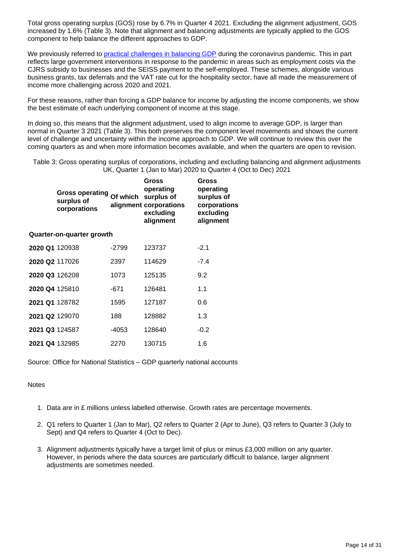Total gross operating surplus (GOS) rose by 6.7% in Quarter 4 2021. Excluding the alignment adjustment, GOS increased by 1.6% (Table 3). Note that alignment and balancing adjustments are typically applied to the GOS component to help balance the different approaches to GDP.

We previously referred to [practical challenges in balancing GDP](https://www.ons.gov.uk/economy/nationalaccounts/uksectoraccounts/articles/coronavirusandtheeffectsonukgdp/2020-05-06) during the coronavirus pandemic. This in part reflects large government interventions in response to the pandemic in areas such as employment costs via the CJRS subsidy to businesses and the SEISS payment to the self-employed. These schemes, alongside various business grants, tax deferrals and the VAT rate cut for the hospitality sector, have all made the measurement of income more challenging across 2020 and 2021.

For these reasons, rather than forcing a GDP balance for income by adjusting the income components, we show the best estimate of each underlying component of income at this stage.

In doing so, this means that the alignment adjustment, used to align income to average GDP, is larger than normal in Quarter 3 2021 (Table 3). This both preserves the component level movements and shows the current level of challenge and uncertainty within the income approach to GDP. We will continue to review this over the coming quarters as and when more information becomes available, and when the quarters are open to revision.

Table 3: Gross operating surplus of corporations, including and excluding balancing and alignment adjustments UK, Quarter 1 (Jan to Mar) 2020 to Quarter 4 (Oct to Dec) 2021

|                       | <b>Gross operating</b><br>surplus of<br>corporations | Of which | Gross<br>operating<br>surplus of<br>alignment corporations<br>excluding<br>alignment | Gross<br>operating<br>surplus of<br>corporations<br>excluding<br>alignment |
|-----------------------|------------------------------------------------------|----------|--------------------------------------------------------------------------------------|----------------------------------------------------------------------------|
|                       | Quarter-on-quarter growth                            |          |                                                                                      |                                                                            |
| 2020 Q1 120938        |                                                      | $-2799$  | 123737                                                                               | $-2.1$                                                                     |
| 2020 Q2 117026        |                                                      | 2397     | 114629                                                                               | $-7.4$                                                                     |
| 2020 Q3 126208        |                                                      | 1073     | 125135                                                                               | 9.2                                                                        |
| 2020 Q4 125810        |                                                      | -671     | 126481                                                                               | 1.1                                                                        |
| <b>2021 Q1</b> 128782 |                                                      | 1595     | 127187                                                                               | 0.6                                                                        |
| 2021 Q2 129070        |                                                      | 188      | 128882                                                                               | 1.3                                                                        |
| 2021 Q3 124587        |                                                      | -4053    | 128640                                                                               | $-0.2$                                                                     |
| 2021 Q4 132985        |                                                      | 2270     | 130715                                                                               | 1.6                                                                        |

Source: Office for National Statistics – GDP quarterly national accounts

#### **Notes**

- 1. Data are in £ millions unless labelled otherwise. Growth rates are percentage movements.
- 2. Q1 refers to Quarter 1 (Jan to Mar), Q2 refers to Quarter 2 (Apr to June), Q3 refers to Quarter 3 (July to Sept) and Q4 refers to Quarter 4 (Oct to Dec).
- 3. Alignment adjustments typically have a target limit of plus or minus £3,000 million on any quarter. However, in periods where the data sources are particularly difficult to balance, larger alignment adjustments are sometimes needed.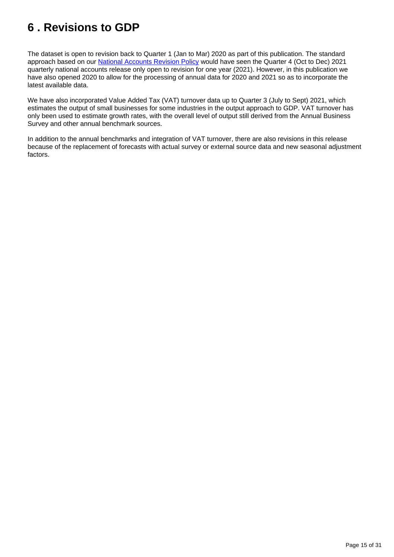# <span id="page-14-0"></span>**6 . Revisions to GDP**

The dataset is open to revision back to Quarter 1 (Jan to Mar) 2020 as part of this publication. The standard approach based on our **National Accounts Revision Policy** would have seen the Quarter 4 (Oct to Dec) 2021 quarterly national accounts release only open to revision for one year (2021). However, in this publication we have also opened 2020 to allow for the processing of annual data for 2020 and 2021 so as to incorporate the latest available data.

We have also incorporated Value Added Tax (VAT) turnover data up to Quarter 3 (July to Sept) 2021, which estimates the output of small businesses for some industries in the output approach to GDP. VAT turnover has only been used to estimate growth rates, with the overall level of output still derived from the Annual Business Survey and other annual benchmark sources.

In addition to the annual benchmarks and integration of VAT turnover, there are also revisions in this release because of the replacement of forecasts with actual survey or external source data and new seasonal adjustment factors.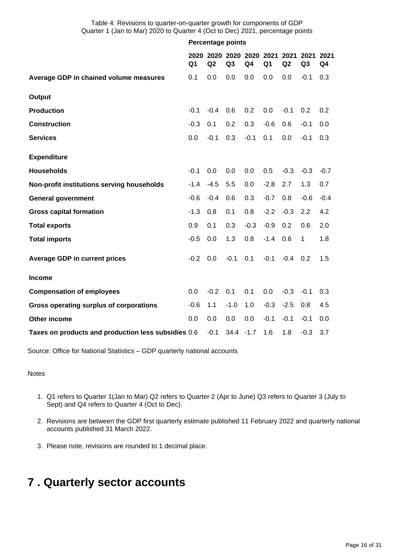Table 4: Revisions to quarter-on-quarter growth for components of GDP Quarter 1 (Jan to Mar) 2020 to Quarter 4 (Oct to Dec) 2021, percentage points

|                                                     | <b>Percentage points</b> |        |                                |        |                |        |                                  |                |  |
|-----------------------------------------------------|--------------------------|--------|--------------------------------|--------|----------------|--------|----------------------------------|----------------|--|
|                                                     | Q <sub>1</sub>           | Q2     | 2020 2020 2020 2020 2021<br>Q3 | Q4     | Q <sub>1</sub> | Q2     | 2021 2021 2021<br>Q <sub>3</sub> | Q <sub>4</sub> |  |
| Average GDP in chained volume measures              | 0.1                      | 0.0    | 0.0                            | 0.0    | 0.0            | 0.0    | $-0.1$                           | 0.3            |  |
| Output                                              |                          |        |                                |        |                |        |                                  |                |  |
| <b>Production</b>                                   | $-0.1$                   | $-0.4$ | 0.6                            | 0.2    | 0.0            | $-0.1$ | 0.2                              | 0.2            |  |
| <b>Construction</b>                                 | $-0.3$                   | 0.1    | 0.2                            | 0.3    | $-0.6$         | 0.6    | $-0.1$                           | 0.0            |  |
| <b>Services</b>                                     | 0.0                      | $-0.1$ | 0.3                            | $-0.1$ | 0.1            | 0.0    | $-0.1$                           | 0.3            |  |
| <b>Expenditure</b>                                  |                          |        |                                |        |                |        |                                  |                |  |
| <b>Households</b>                                   | $-0.1$                   | 0.0    | 0.0                            | 0.0    | 0.5            | $-0.3$ | $-0.3$                           | $-0.7$         |  |
| Non-profit institutions serving households          | $-1.4$                   | $-4.5$ | 5.5                            | 0.0    | $-2.8$         | 2.7    | 1.3                              | 0.7            |  |
| <b>General government</b>                           | $-0.6$                   | $-0.4$ | 0.6                            | 0.3    | $-0.7$         | 0.8    | $-0.6$                           | $-0.4$         |  |
| <b>Gross capital formation</b>                      | $-1.3$                   | 0.8    | 0.1                            | 0.8    | $-2.2$         | $-0.3$ | 2.2                              | 4.2            |  |
| <b>Total exports</b>                                | 0.9                      | 0.1    | 0.3                            | $-0.3$ | $-0.9$         | 0.2    | 0.6                              | 2.0            |  |
| <b>Total imports</b>                                | $-0.5$                   | 0.0    | 1.3                            | 0.8    | $-1.4$         | 0.6    | 1                                | 1.8            |  |
| <b>Average GDP in current prices</b>                | $-0.2$                   | 0.0    | $-0.1$                         | 0.1    | $-0.1$         | $-0.4$ | 0.2                              | 1.5            |  |
| <b>Income</b>                                       |                          |        |                                |        |                |        |                                  |                |  |
| <b>Compensation of employees</b>                    | 0.0                      | $-0.2$ | 0.1                            | 0.1    | 0.0            | $-0.3$ | $-0.1$                           | 0.3            |  |
| Gross operating surplus of corporations             | $-0.6$                   | 1.1    | $-1.0$                         | 1.0    | $-0.3$         | $-2.5$ | 0.8                              | 4.5            |  |
| <b>Other income</b>                                 | 0.0                      | 0.0    | 0.0                            | 0.0    | $-0.1$         | $-0.1$ | $-0.1$                           | 0.0            |  |
| Taxes on products and production less subsidies 0.6 |                          | $-0.1$ | 34.4                           | $-1.7$ | 1.6            | 1.8    | $-0.3$                           | 3.7            |  |

Source: Office for National Statistics – GDP quarterly national accounts

Notes

- 1. Q1 refers to Quarter 1(Jan to Mar) Q2 refers to Quarter 2 (Apr to June) Q3 refers to Quarter 3 (July to Sept) and Q4 refers to Quarter 4 (Oct to Dec).
- 2. Revisions are between the GDP first quarterly estimate published 11 February 2022 and quarterly national accounts published 31 March 2022.
- 3. Please note, revisions are rounded to 1 decimal place.

# <span id="page-15-0"></span>**7 . Quarterly sector accounts**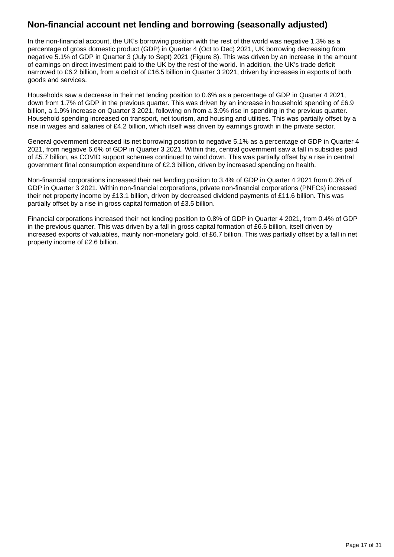## **Non-financial account net lending and borrowing (seasonally adjusted)**

In the non-financial account, the UK's borrowing position with the rest of the world was negative 1.3% as a percentage of gross domestic product (GDP) in Quarter 4 (Oct to Dec) 2021, UK borrowing decreasing from negative 5.1% of GDP in Quarter 3 (July to Sept) 2021 (Figure 8). This was driven by an increase in the amount of earnings on direct investment paid to the UK by the rest of the world. In addition, the UK's trade deficit narrowed to £6.2 billion, from a deficit of £16.5 billion in Quarter 3 2021, driven by increases in exports of both goods and services.

Households saw a decrease in their net lending position to 0.6% as a percentage of GDP in Quarter 4 2021, down from 1.7% of GDP in the previous quarter. This was driven by an increase in household spending of £6.9 billion, a 1.9% increase on Quarter 3 2021, following on from a 3.9% rise in spending in the previous quarter. Household spending increased on transport, net tourism, and housing and utilities. This was partially offset by a rise in wages and salaries of £4.2 billion, which itself was driven by earnings growth in the private sector.

General government decreased its net borrowing position to negative 5.1% as a percentage of GDP in Quarter 4 2021, from negative 6.6% of GDP in Quarter 3 2021. Within this, central government saw a fall in subsidies paid of £5.7 billion, as COVID support schemes continued to wind down. This was partially offset by a rise in central government final consumption expenditure of £2.3 billion, driven by increased spending on health.

Non-financial corporations increased their net lending position to 3.4% of GDP in Quarter 4 2021 from 0.3% of GDP in Quarter 3 2021. Within non-financial corporations, private non-financial corporations (PNFCs) increased their net property income by £13.1 billion, driven by decreased dividend payments of £11.6 billion. This was partially offset by a rise in gross capital formation of £3.5 billion.

Financial corporations increased their net lending position to 0.8% of GDP in Quarter 4 2021, from 0.4% of GDP in the previous quarter. This was driven by a fall in gross capital formation of £6.6 billion, itself driven by increased exports of valuables, mainly non-monetary gold, of £6.7 billion. This was partially offset by a fall in net property income of £2.6 billion.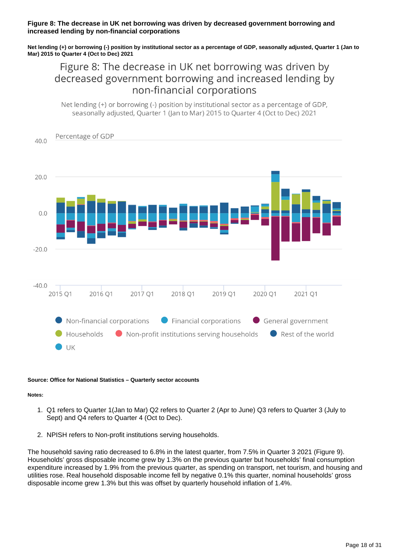#### **Figure 8: The decrease in UK net borrowing was driven by decreased government borrowing and increased lending by non-financial corporations**

**Net lending (+) or borrowing (-) position by institutional sector as a percentage of GDP, seasonally adjusted, Quarter 1 (Jan to Mar) 2015 to Quarter 4 (Oct to Dec) 2021**

Figure 8: The decrease in UK net borrowing was driven by decreased government borrowing and increased lending by non-financial corporations

Net lending (+) or borrowing (-) position by institutional sector as a percentage of GDP, seasonally adjusted, Ouarter 1 (Jan to Mar) 2015 to Ouarter 4 (Oct to Dec) 2021



#### **Source: Office for National Statistics – Quarterly sector accounts**

#### **Notes:**

- 1. Q1 refers to Quarter 1(Jan to Mar) Q2 refers to Quarter 2 (Apr to June) Q3 refers to Quarter 3 (July to Sept) and Q4 refers to Quarter 4 (Oct to Dec).
- 2. NPISH refers to Non-profit institutions serving households.

The household saving ratio decreased to 6.8% in the latest quarter, from 7.5% in Quarter 3 2021 (Figure 9). Households' gross disposable income grew by 1.3% on the previous quarter but households' final consumption expenditure increased by 1.9% from the previous quarter, as spending on transport, net tourism, and housing and utilities rose. Real household disposable income fell by negative 0.1% this quarter, nominal households' gross disposable income grew 1.3% but this was offset by quarterly household inflation of 1.4%.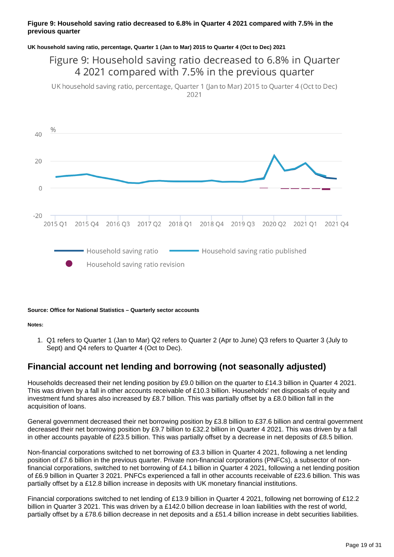#### **Figure 9: Household saving ratio decreased to 6.8% in Quarter 4 2021 compared with 7.5% in the previous quarter**

#### **UK household saving ratio, percentage, Quarter 1 (Jan to Mar) 2015 to Quarter 4 (Oct to Dec) 2021**

# Figure 9: Household saving ratio decreased to 6.8% in Quarter 4 2021 compared with 7.5% in the previous quarter

UK household saving ratio, percentage, Quarter 1 (Jan to Mar) 2015 to Quarter 4 (Oct to Dec) 2021



#### **Source: Office for National Statistics – Quarterly sector accounts**

**Notes:**

1. Q1 refers to Quarter 1 (Jan to Mar) Q2 refers to Quarter 2 (Apr to June) Q3 refers to Quarter 3 (July to Sept) and Q4 refers to Quarter 4 (Oct to Dec).

## **Financial account net lending and borrowing (not seasonally adjusted)**

Households decreased their net lending position by £9.0 billion on the quarter to £14.3 billion in Quarter 4 2021. This was driven by a fall in other accounts receivable of £10.3 billion. Households' net disposals of equity and investment fund shares also increased by £8.7 billion. This was partially offset by a £8.0 billion fall in the acquisition of loans.

General government decreased their net borrowing position by £3.8 billion to £37.6 billion and central government decreased their net borrowing position by £9.7 billion to £32.2 billion in Quarter 4 2021. This was driven by a fall in other accounts payable of £23.5 billion. This was partially offset by a decrease in net deposits of £8.5 billion.

Non-financial corporations switched to net borrowing of £3.3 billion in Quarter 4 2021, following a net lending position of £7.6 billion in the previous quarter. Private non-financial corporations (PNFCs), a subsector of nonfinancial corporations, switched to net borrowing of £4.1 billion in Quarter 4 2021, following a net lending position of £6.9 billion in Quarter 3 2021. PNFCs experienced a fall in other accounts receivable of £23.6 billion. This was partially offset by a £12.8 billion increase in deposits with UK monetary financial institutions.

Financial corporations switched to net lending of £13.9 billion in Quarter 4 2021, following net borrowing of £12.2 billion in Quarter 3 2021. This was driven by a £142.0 billion decrease in loan liabilities with the rest of world, partially offset by a £78.6 billion decrease in net deposits and a £51.4 billion increase in debt securities liabilities.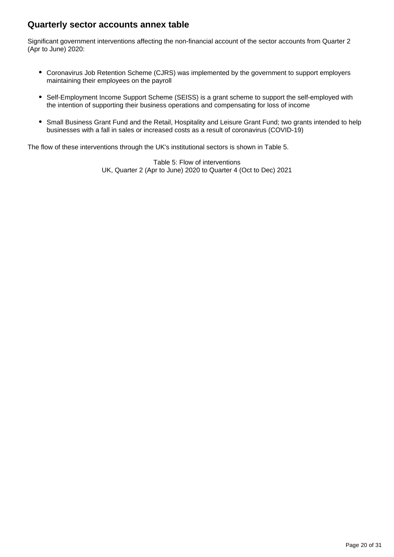## **Quarterly sector accounts annex table**

Significant government interventions affecting the non-financial account of the sector accounts from Quarter 2 (Apr to June) 2020:

- Coronavirus Job Retention Scheme (CJRS) was implemented by the government to support employers maintaining their employees on the payroll
- Self-Employment Income Support Scheme (SEISS) is a grant scheme to support the self-employed with the intention of supporting their business operations and compensating for loss of income
- Small Business Grant Fund and the Retail, Hospitality and Leisure Grant Fund; two grants intended to help businesses with a fall in sales or increased costs as a result of coronavirus (COVID-19)

The flow of these interventions through the UK's institutional sectors is shown in Table 5.

Table 5: Flow of interventions UK, Quarter 2 (Apr to June) 2020 to Quarter 4 (Oct to Dec) 2021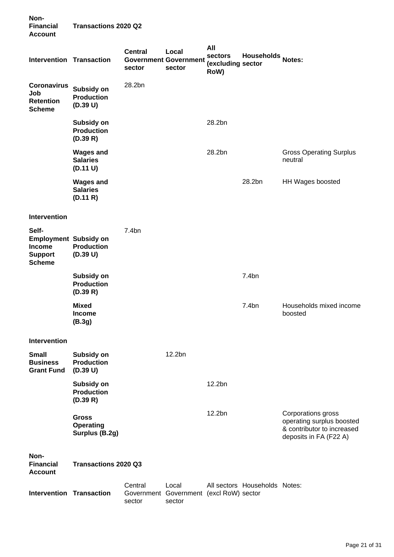| Non-<br><b>Financial</b><br><b>Account</b>                                         | <b>Transactions 2020 Q2</b>                        |                                 |                                                 |                                             |                               |                                                                                                         |
|------------------------------------------------------------------------------------|----------------------------------------------------|---------------------------------|-------------------------------------------------|---------------------------------------------|-------------------------------|---------------------------------------------------------------------------------------------------------|
| <b>Intervention Transaction</b>                                                    |                                                    | <b>Central</b><br>sector        | Local<br><b>Government Government</b><br>sector | All<br>sectors<br>(excluding sector<br>RoW) | Households Notes:             |                                                                                                         |
| <b>Coronavirus</b><br>Job<br><b>Retention</b><br><b>Scheme</b>                     | Subsidy on<br><b>Production</b><br>(D.39 U)        | 28.2bn                          |                                                 |                                             |                               |                                                                                                         |
|                                                                                    | Subsidy on<br><b>Production</b><br>(D.39 R)        |                                 |                                                 | 28.2bn                                      |                               |                                                                                                         |
|                                                                                    | <b>Wages and</b><br><b>Salaries</b><br>(D.11 U)    |                                 |                                                 | 28.2bn                                      |                               | <b>Gross Operating Surplus</b><br>neutral                                                               |
|                                                                                    | <b>Wages and</b><br><b>Salaries</b><br>(D.11 R)    |                                 |                                                 |                                             | 28.2bn                        | HH Wages boosted                                                                                        |
| Intervention                                                                       |                                                    |                                 |                                                 |                                             |                               |                                                                                                         |
| Self-<br><b>Employment Subsidy on</b><br>Income<br><b>Support</b><br><b>Scheme</b> | <b>Production</b><br>(D.39 U)                      | 7.4bn                           |                                                 |                                             |                               |                                                                                                         |
|                                                                                    | Subsidy on<br><b>Production</b><br>(D.39 R)        |                                 |                                                 |                                             | 7.4bn                         |                                                                                                         |
|                                                                                    | <b>Mixed</b><br>Income<br>(B.3g)                   |                                 |                                                 |                                             | 7.4bn                         | Households mixed income<br>boosted                                                                      |
| Intervention                                                                       |                                                    |                                 |                                                 |                                             |                               |                                                                                                         |
| <b>Small</b><br><b>Business</b><br><b>Grant Fund</b>                               | Subsidy on<br><b>Production</b><br>(D.39 U)        |                                 | 12.2bn                                          |                                             |                               |                                                                                                         |
|                                                                                    | Subsidy on<br><b>Production</b><br>(D.39 R)        |                                 |                                                 | 12.2bn                                      |                               |                                                                                                         |
|                                                                                    | <b>Gross</b><br><b>Operating</b><br>Surplus (B.2g) |                                 |                                                 | 12.2bn                                      |                               | Corporations gross<br>operating surplus boosted<br>& contributor to increased<br>deposits in FA (F22 A) |
| Non-<br><b>Financial</b><br><b>Account</b>                                         | <b>Transactions 2020 Q3</b>                        |                                 |                                                 |                                             |                               |                                                                                                         |
| <b>Intervention Transaction</b>                                                    |                                                    | Central<br>Government<br>sector | Local<br>Government (excl RoW) sector<br>sector |                                             | All sectors Households Notes: |                                                                                                         |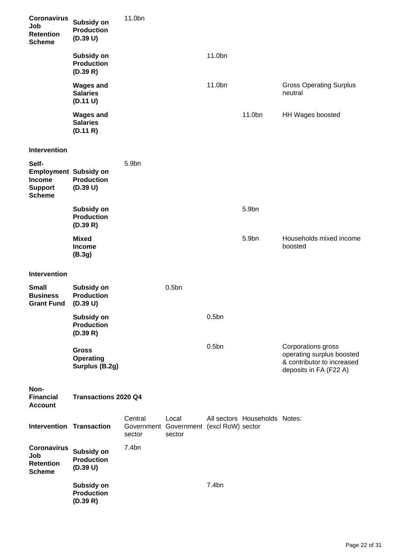| <b>Coronavirus</b><br>Job<br><b>Retention</b><br><b>Scheme</b>                            | Subsidy on<br><b>Production</b><br>(D.39 U)        | 11.0bn            |                                                            |                   |                               |                                                                                                         |
|-------------------------------------------------------------------------------------------|----------------------------------------------------|-------------------|------------------------------------------------------------|-------------------|-------------------------------|---------------------------------------------------------------------------------------------------------|
|                                                                                           | Subsidy on<br><b>Production</b><br>(D.39 R)        |                   |                                                            | 11.0bn            |                               |                                                                                                         |
|                                                                                           | <b>Wages and</b><br><b>Salaries</b><br>(D.11 U)    |                   |                                                            | 11.0bn            |                               | <b>Gross Operating Surplus</b><br>neutral                                                               |
|                                                                                           | <b>Wages and</b><br><b>Salaries</b><br>(D.11 R)    |                   |                                                            |                   | 11.0bn                        | HH Wages boosted                                                                                        |
| Intervention                                                                              |                                                    |                   |                                                            |                   |                               |                                                                                                         |
| Self-<br><b>Employment Subsidy on</b><br><b>Income</b><br><b>Support</b><br><b>Scheme</b> | <b>Production</b><br>(D.39 U)                      | 5.9bn             |                                                            |                   |                               |                                                                                                         |
|                                                                                           | Subsidy on<br><b>Production</b><br>(D.39 R)        |                   |                                                            |                   | 5.9bn                         |                                                                                                         |
|                                                                                           | <b>Mixed</b><br><b>Income</b><br>(B.3g)            |                   |                                                            |                   | 5.9bn                         | Households mixed income<br>boosted                                                                      |
| Intervention                                                                              |                                                    |                   |                                                            |                   |                               |                                                                                                         |
| <b>Small</b><br><b>Business</b><br><b>Grant Fund</b>                                      | Subsidy on<br><b>Production</b><br>(D.39 U)        |                   | 0.5 <sub>bn</sub>                                          |                   |                               |                                                                                                         |
|                                                                                           | Subsidy on<br><b>Production</b><br>(D.39 R)        |                   |                                                            | 0.5 <sub>bn</sub> |                               |                                                                                                         |
|                                                                                           | <b>Gross</b><br><b>Operating</b><br>Surplus (B.2g) |                   |                                                            | 0.5 <sub>bn</sub> |                               | Corporations gross<br>operating surplus boosted<br>& contributor to increased<br>deposits in FA (F22 A) |
| Non-<br><b>Financial</b><br><b>Account</b>                                                | <b>Transactions 2020 Q4</b>                        |                   |                                                            |                   |                               |                                                                                                         |
| <b>Intervention Transaction</b>                                                           |                                                    | Central<br>sector | Local<br>Government Government (excl RoW) sector<br>sector |                   | All sectors Households Notes: |                                                                                                         |
| <b>Coronavirus</b><br>Job<br><b>Retention</b><br><b>Scheme</b>                            | Subsidy on<br><b>Production</b><br>(D.39 U)        | 7.4bn             |                                                            |                   |                               |                                                                                                         |
|                                                                                           | Subsidy on<br><b>Production</b><br>(D.39 R)        |                   |                                                            | 7.4bn             |                               |                                                                                                         |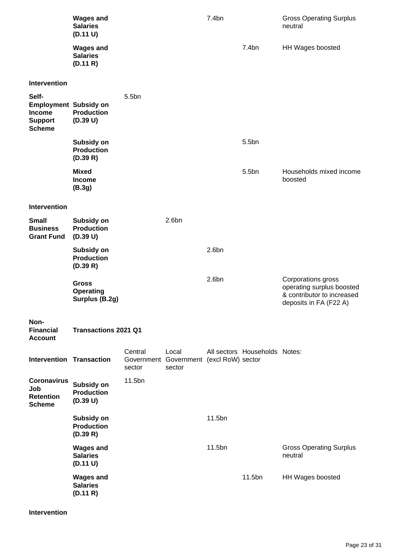|                                                                                           | <b>Wages and</b><br><b>Salaries</b><br>(D.11 U)    |                   |                                                            | 7.4bn             |                               | <b>Gross Operating Surplus</b><br>neutral                                                               |
|-------------------------------------------------------------------------------------------|----------------------------------------------------|-------------------|------------------------------------------------------------|-------------------|-------------------------------|---------------------------------------------------------------------------------------------------------|
|                                                                                           | <b>Wages and</b><br><b>Salaries</b><br>(D.11 R)    |                   |                                                            |                   | 7.4bn                         | HH Wages boosted                                                                                        |
| <b>Intervention</b>                                                                       |                                                    |                   |                                                            |                   |                               |                                                                                                         |
| Self-<br><b>Employment Subsidy on</b><br><b>Income</b><br><b>Support</b><br><b>Scheme</b> | <b>Production</b><br>(D.39 U)                      | 5.5bn             |                                                            |                   |                               |                                                                                                         |
|                                                                                           | Subsidy on<br><b>Production</b><br>(D.39 R)        |                   |                                                            |                   | 5.5bn                         |                                                                                                         |
|                                                                                           | <b>Mixed</b><br><b>Income</b><br>(B.3g)            |                   |                                                            |                   | 5.5bn                         | Households mixed income<br>boosted                                                                      |
| <b>Intervention</b>                                                                       |                                                    |                   |                                                            |                   |                               |                                                                                                         |
| <b>Small</b><br><b>Business</b><br><b>Grant Fund</b>                                      | Subsidy on<br><b>Production</b><br>(D.39 U)        |                   | 2.6 <sub>bn</sub>                                          |                   |                               |                                                                                                         |
|                                                                                           | Subsidy on<br><b>Production</b><br>(D.39 R)        |                   |                                                            | 2.6 <sub>bn</sub> |                               |                                                                                                         |
|                                                                                           | <b>Gross</b><br><b>Operating</b><br>Surplus (B.2g) |                   |                                                            | 2.6 <sub>bn</sub> |                               | Corporations gross<br>operating surplus boosted<br>& contributor to increased<br>deposits in FA (F22 A) |
| Non-<br><b>Financial</b><br><b>Account</b>                                                | <b>Transactions 2021 Q1</b>                        |                   |                                                            |                   |                               |                                                                                                         |
| <b>Intervention Transaction</b>                                                           |                                                    | Central<br>sector | Local<br>Government Government (excl RoW) sector<br>sector |                   | All sectors Households Notes: |                                                                                                         |
| <b>Coronavirus</b><br>Job<br><b>Retention</b><br><b>Scheme</b>                            | Subsidy on<br><b>Production</b><br>(D.39 U)        | 11.5bn            |                                                            |                   |                               |                                                                                                         |
|                                                                                           | Subsidy on<br><b>Production</b><br>(D.39 R)        |                   |                                                            | 11.5bn            |                               |                                                                                                         |
|                                                                                           | <b>Wages and</b><br><b>Salaries</b><br>(D.11 U)    |                   |                                                            | 11.5bn            |                               | <b>Gross Operating Surplus</b><br>neutral                                                               |
|                                                                                           | <b>Wages and</b><br><b>Salaries</b><br>(D.11 R)    |                   |                                                            |                   | 11.5bn                        | HH Wages boosted                                                                                        |

**Intervention**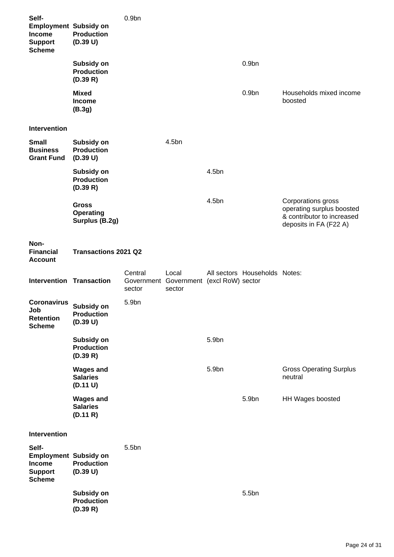| Self-<br><b>Employment Subsidy on</b><br><b>Income</b><br><b>Support</b><br><b>Scheme</b> | <b>Production</b><br>(D.39 U)                      | 0.9 <sub>bn</sub> |                                                            |       |                               |                                                                                                         |
|-------------------------------------------------------------------------------------------|----------------------------------------------------|-------------------|------------------------------------------------------------|-------|-------------------------------|---------------------------------------------------------------------------------------------------------|
|                                                                                           | Subsidy on<br><b>Production</b><br>(D.39 R)        |                   |                                                            |       | 0.9 <sub>bn</sub>             |                                                                                                         |
|                                                                                           | <b>Mixed</b><br>Income<br>(B.3g)                   |                   |                                                            |       | 0.9 <sub>bn</sub>             | Households mixed income<br>boosted                                                                      |
| <b>Intervention</b>                                                                       |                                                    |                   |                                                            |       |                               |                                                                                                         |
| <b>Small</b><br><b>Business</b><br><b>Grant Fund</b>                                      | Subsidy on<br><b>Production</b><br>(D.39 U)        |                   | 4.5bn                                                      |       |                               |                                                                                                         |
|                                                                                           | Subsidy on<br><b>Production</b><br>(D.39 R)        |                   |                                                            | 4.5bn |                               |                                                                                                         |
|                                                                                           | <b>Gross</b><br><b>Operating</b><br>Surplus (B.2g) |                   |                                                            | 4.5bn |                               | Corporations gross<br>operating surplus boosted<br>& contributor to increased<br>deposits in FA (F22 A) |
| Non-<br><b>Financial</b><br><b>Account</b>                                                | <b>Transactions 2021 Q2</b>                        |                   |                                                            |       |                               |                                                                                                         |
|                                                                                           |                                                    |                   |                                                            |       |                               |                                                                                                         |
| <b>Intervention Transaction</b>                                                           |                                                    | Central<br>sector | Local<br>Government Government (excl RoW) sector<br>sector |       | All sectors Households Notes: |                                                                                                         |
| <b>Coronavirus</b><br>Job<br><b>Retention</b><br><b>Scheme</b>                            | Subsidy on<br><b>Production</b><br>(D.39 U)        | 5.9bn             |                                                            |       |                               |                                                                                                         |
|                                                                                           | Subsidy on<br><b>Production</b><br>(D.39 R)        |                   |                                                            | 5.9bn |                               |                                                                                                         |
|                                                                                           | <b>Wages and</b><br><b>Salaries</b><br>(D.11 U)    |                   |                                                            | 5.9bn |                               | <b>Gross Operating Surplus</b><br>neutral                                                               |
|                                                                                           | <b>Wages and</b><br><b>Salaries</b><br>(D.11 R)    |                   |                                                            |       | 5.9bn                         | HH Wages boosted                                                                                        |
| Intervention                                                                              |                                                    |                   |                                                            |       |                               |                                                                                                         |
| Self-<br><b>Employment Subsidy on</b><br>Income<br><b>Support</b><br><b>Scheme</b>        | <b>Production</b><br>(D.39 U)                      | 5.5bn             |                                                            |       |                               |                                                                                                         |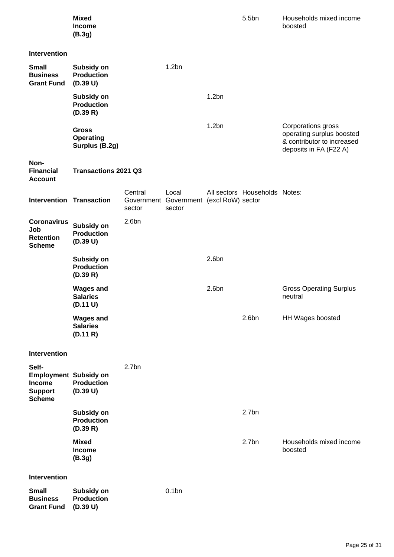|                                                                                    | <b>Mixed</b><br>Income<br>(B.3g)                   |                   |                                                            |                   | 5.5bn                         | Households mixed income<br>boosted                                                                      |
|------------------------------------------------------------------------------------|----------------------------------------------------|-------------------|------------------------------------------------------------|-------------------|-------------------------------|---------------------------------------------------------------------------------------------------------|
| <b>Intervention</b>                                                                |                                                    |                   |                                                            |                   |                               |                                                                                                         |
| <b>Small</b><br><b>Business</b><br><b>Grant Fund</b>                               | Subsidy on<br><b>Production</b><br>(D.39 U)        |                   | 1.2bn                                                      |                   |                               |                                                                                                         |
|                                                                                    | Subsidy on<br><b>Production</b><br>(D.39 R)        |                   |                                                            | 1.2bn             |                               |                                                                                                         |
|                                                                                    | <b>Gross</b><br><b>Operating</b><br>Surplus (B.2g) |                   |                                                            | 1.2bn             |                               | Corporations gross<br>operating surplus boosted<br>& contributor to increased<br>deposits in FA (F22 A) |
| Non-<br><b>Financial</b><br><b>Account</b>                                         | <b>Transactions 2021 Q3</b>                        |                   |                                                            |                   |                               |                                                                                                         |
| <b>Intervention Transaction</b>                                                    |                                                    | Central<br>sector | Local<br>Government Government (excl RoW) sector<br>sector |                   | All sectors Households Notes: |                                                                                                         |
| <b>Coronavirus</b><br>Job<br><b>Retention</b><br><b>Scheme</b>                     | Subsidy on<br><b>Production</b><br>(D.39 U)        | 2.6 <sub>bn</sub> |                                                            |                   |                               |                                                                                                         |
|                                                                                    | Subsidy on<br><b>Production</b><br>(D.39 R)        |                   |                                                            | 2.6 <sub>bn</sub> |                               |                                                                                                         |
|                                                                                    | <b>Wages and</b><br><b>Salaries</b><br>(D.11 U)    |                   |                                                            | 2.6 <sub>bn</sub> |                               | <b>Gross Operating Surplus</b><br>neutral                                                               |
|                                                                                    | <b>Wages and</b><br><b>Salaries</b><br>(D.11 R)    |                   |                                                            |                   | 2.6 <sub>bn</sub>             | HH Wages boosted                                                                                        |
| Intervention                                                                       |                                                    |                   |                                                            |                   |                               |                                                                                                         |
| Self-<br><b>Employment Subsidy on</b><br>Income<br><b>Support</b><br><b>Scheme</b> | <b>Production</b><br>(D.39 U)                      | 2.7 <sub>bn</sub> |                                                            |                   |                               |                                                                                                         |
|                                                                                    | Subsidy on<br><b>Production</b><br>(D.39 R)        |                   |                                                            |                   | 2.7 <sub>bn</sub>             |                                                                                                         |
|                                                                                    | <b>Mixed</b><br>Income<br>(B.3g)                   |                   |                                                            |                   | 2.7 <sub>bn</sub>             | Households mixed income<br>boosted                                                                      |
| Intervention                                                                       |                                                    |                   |                                                            |                   |                               |                                                                                                         |
| <b>Small</b><br><b>Business</b><br><b>Grant Fund</b>                               | Subsidy on<br><b>Production</b><br>(D.39 U)        |                   | 0.1bn                                                      |                   |                               |                                                                                                         |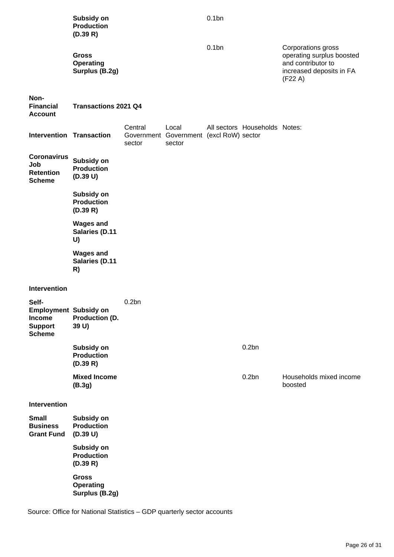|                                                                                           | Subsidy on<br><b>Production</b><br>(D.39 R)        |                   |                                                            | 0.1bn    |                               |                                                                                                              |
|-------------------------------------------------------------------------------------------|----------------------------------------------------|-------------------|------------------------------------------------------------|----------|-------------------------------|--------------------------------------------------------------------------------------------------------------|
|                                                                                           | <b>Gross</b><br><b>Operating</b><br>Surplus (B.2g) |                   |                                                            | $0.1$ bn |                               | Corporations gross<br>operating surplus boosted<br>and contributor to<br>increased deposits in FA<br>(F22 A) |
| Non-<br><b>Financial</b><br><b>Account</b>                                                | <b>Transactions 2021 Q4</b>                        |                   |                                                            |          |                               |                                                                                                              |
| <b>Intervention Transaction</b>                                                           |                                                    | Central<br>sector | Local<br>Government Government (excl RoW) sector<br>sector |          | All sectors Households Notes: |                                                                                                              |
| <b>Coronavirus</b><br>Job<br><b>Retention</b><br><b>Scheme</b>                            | Subsidy on<br><b>Production</b><br>(D.39 U)        |                   |                                                            |          |                               |                                                                                                              |
|                                                                                           | Subsidy on<br><b>Production</b><br>(D.39 R)        |                   |                                                            |          |                               |                                                                                                              |
|                                                                                           | <b>Wages and</b><br><b>Salaries (D.11</b><br>U)    |                   |                                                            |          |                               |                                                                                                              |
|                                                                                           | <b>Wages and</b><br><b>Salaries (D.11</b><br>R)    |                   |                                                            |          |                               |                                                                                                              |
| Intervention                                                                              |                                                    |                   |                                                            |          |                               |                                                                                                              |
| Self-<br><b>Employment Subsidy on</b><br><b>Income</b><br><b>Support</b><br><b>Scheme</b> | Production (D.<br>39 U)                            | 0.2bn             |                                                            |          |                               |                                                                                                              |
|                                                                                           | Subsidy on<br><b>Production</b><br>(D.39 R)        |                   |                                                            |          | 0.2bn                         |                                                                                                              |
|                                                                                           | <b>Mixed Income</b><br>(B.3g)                      |                   |                                                            |          | 0.2bn                         | Households mixed income<br>boosted                                                                           |
| <b>Intervention</b>                                                                       |                                                    |                   |                                                            |          |                               |                                                                                                              |
| <b>Small</b><br><b>Business</b><br><b>Grant Fund</b>                                      | Subsidy on<br><b>Production</b><br>(D.39 U)        |                   |                                                            |          |                               |                                                                                                              |
|                                                                                           | Subsidy on<br><b>Production</b><br>(D.39 R)        |                   |                                                            |          |                               |                                                                                                              |
|                                                                                           | <b>Gross</b><br><b>Operating</b><br>Surplus (B.2g) |                   |                                                            |          |                               |                                                                                                              |

Source: Office for National Statistics – GDP quarterly sector accounts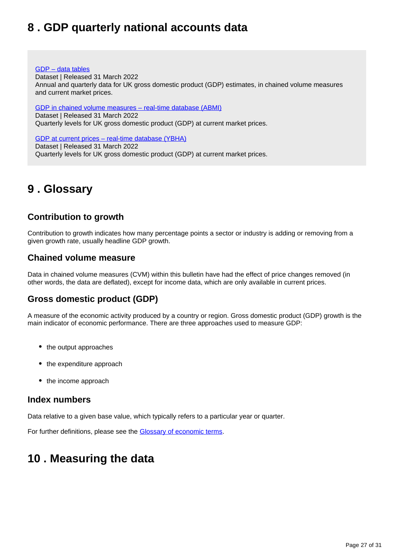# <span id="page-26-0"></span>**8 . GDP quarterly national accounts data**

#### [GDP – data tables](https://www.ons.gov.uk/economy/grossdomesticproductgdp/datasets/uksecondestimateofgdpdatatables)

Dataset | Released 31 March 2022 Annual and quarterly data for UK gross domestic product (GDP) estimates, in chained volume measures and current market prices.

[GDP in chained volume measures – real-time database \(ABMI\)](https://www.ons.gov.uk/economy/grossdomesticproductgdp/datasets/realtimedatabaseforukgdpabmi) Dataset | Released 31 March 2022 Quarterly levels for UK gross domestic product (GDP) at current market prices.

[GDP at current prices – real-time database \(YBHA\)](https://www.ons.gov.uk/economy/grossdomesticproductgdp/datasets/realtimedatabaseforukgdpybha) Dataset | Released 31 March 2022 Quarterly levels for UK gross domestic product (GDP) at current market prices.

# <span id="page-26-1"></span>**9 . Glossary**

## **Contribution to growth**

Contribution to growth indicates how many percentage points a sector or industry is adding or removing from a given growth rate, usually headline GDP growth.

### **Chained volume measure**

Data in chained volume measures (CVM) within this bulletin have had the effect of price changes removed (in other words, the data are deflated), except for income data, which are only available in current prices.

## **Gross domestic product (GDP)**

A measure of the economic activity produced by a country or region. Gross domestic product (GDP) growth is the main indicator of economic performance. There are three approaches used to measure GDP:

- the output approaches
- the expenditure approach
- the income approach

#### **Index numbers**

Data relative to a given base value, which typically refers to a particular year or quarter.

For further definitions, please see the **[Glossary of economic terms](https://www.ons.gov.uk/economy/nationalaccounts/uksectoraccounts/methodologies/glossaryofeconomicterms)**.

# <span id="page-26-2"></span>**10 . Measuring the data**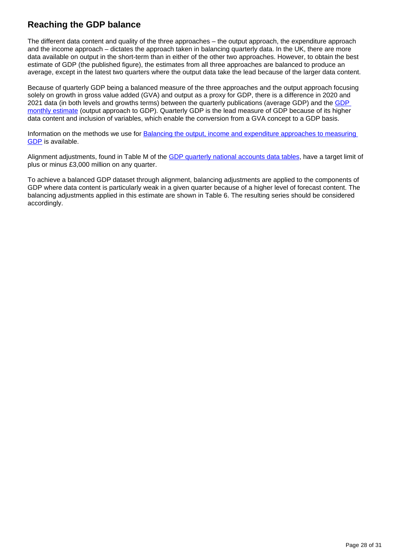# **Reaching the GDP balance**

The different data content and quality of the three approaches – the output approach, the expenditure approach and the income approach – dictates the approach taken in balancing quarterly data. In the UK, there are more data available on output in the short-term than in either of the other two approaches. However, to obtain the best estimate of GDP (the published figure), the estimates from all three approaches are balanced to produce an average, except in the latest two quarters where the output data take the lead because of the larger data content.

Because of quarterly GDP being a balanced measure of the three approaches and the output approach focusing solely on growth in gross value added (GVA) and output as a proxy for GDP, there is a difference in 2020 and 2021 data (in both levels and growths terms) between the quarterly publications (average GDP) and the GDP [monthly estimate](https://www.ons.gov.uk/economy/grossdomesticproductgdp/bulletins/gdpmonthlyestimateuk/latest) (output approach to GDP). Quarterly GDP is the lead measure of GDP because of its higher data content and inclusion of variables, which enable the conversion from a GVA concept to a GDP basis.

Information on the methods we use for **Balancing the output, income and expenditure approaches to measuring** [GDP](http://webarchive.nationalarchives.gov.uk/20160105160709/http:/www.ons.gov.uk/ons/rel/naa1-rd/united-kingdom-national-accounts/the-blue-book--2012-edition/art---balancing-the-three-approaches-to-measuring-gdp.html) is available.

Alignment adjustments, found in Table M of the [GDP quarterly national accounts data tables,](https://www.ons.gov.uk/economy/grossdomesticproductgdp/datasets/uksecondestimateofgdpdatatables) have a target limit of plus or minus £3,000 million on any quarter.

To achieve a balanced GDP dataset through alignment, balancing adjustments are applied to the components of GDP where data content is particularly weak in a given quarter because of a higher level of forecast content. The balancing adjustments applied in this estimate are shown in Table 6. The resulting series should be considered accordingly.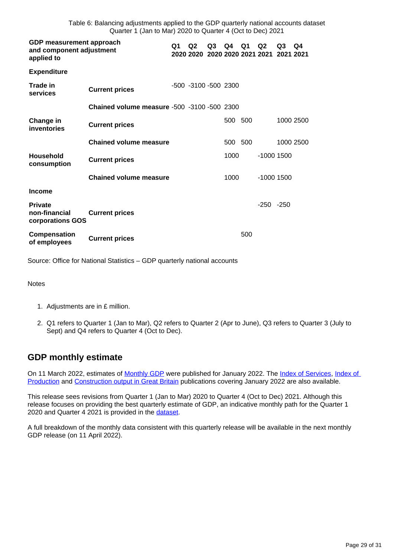Table 6: Balancing adjustments applied to the GDP quarterly national accounts dataset Quarter 1 (Jan to Mar) 2020 to Quarter 4 (Oct to Dec) 2021

| GDP measurement approach<br>and component adjustment<br>applied to |                                                    |  | Q <sub>2</sub><br>2020 2020 2020 2020 2021 2021 | Q3 | Q4      | Q1  | Q <sub>2</sub> | Q3<br>2021 2021 | Q4        |
|--------------------------------------------------------------------|----------------------------------------------------|--|-------------------------------------------------|----|---------|-----|----------------|-----------------|-----------|
| <b>Expenditure</b>                                                 |                                                    |  |                                                 |    |         |     |                |                 |           |
| <b>Trade in</b><br>services                                        | <b>Current prices</b>                              |  | -500 -3100 -500 2300                            |    |         |     |                |                 |           |
|                                                                    | <b>Chained volume measure -500 -3100 -500 2300</b> |  |                                                 |    |         |     |                |                 |           |
| Change in<br>inventories                                           | <b>Current prices</b>                              |  |                                                 |    | 500 500 |     |                |                 | 1000 2500 |
|                                                                    | <b>Chained volume measure</b>                      |  |                                                 |    | 500 500 |     |                |                 | 1000 2500 |
| Household<br>consumption                                           | <b>Current prices</b>                              |  |                                                 |    | 1000    |     | $-1000$ 1500   |                 |           |
|                                                                    | <b>Chained volume measure</b>                      |  |                                                 |    | 1000    |     | $-1000$ 1500   |                 |           |
| <b>Income</b>                                                      |                                                    |  |                                                 |    |         |     |                |                 |           |
| <b>Private</b><br>non-financial<br>corporations GOS                | <b>Current prices</b>                              |  |                                                 |    |         |     | $-250 - 250$   |                 |           |
| Compensation<br>of employees                                       | <b>Current prices</b>                              |  |                                                 |    |         | 500 |                |                 |           |

Source: Office for National Statistics – GDP quarterly national accounts

Notes

- 1. Adjustments are in £ million.
- 2. Q1 refers to Quarter 1 (Jan to Mar), Q2 refers to Quarter 2 (Apr to June), Q3 refers to Quarter 3 (July to Sept) and Q4 refers to Quarter 4 (Oct to Dec).

### **GDP monthly estimate**

On 11 March 2022, estimates of [Monthly GDP](https://www.ons.gov.uk/economy/grossdomesticproductgdp/bulletins/gdpmonthlyestimateuk/previousReleases) were published for January 2022. The [Index of Services,](https://www.ons.gov.uk/economy/economicoutputandproductivity/output/bulletins/indexofservices/previousReleases) Index of [Production](https://www.ons.gov.uk/economy/economicoutputandproductivity/output/bulletins/indexofproduction/previousReleases) and [Construction output in Great Britain](https://www.ons.gov.uk/businessindustryandtrade/constructionindustry/bulletins/constructionoutputingreatbritain/previousReleases) publications covering January 2022 are also available.

This release sees revisions from Quarter 1 (Jan to Mar) 2020 to Quarter 4 (Oct to Dec) 2021. Although this release focuses on providing the best quarterly estimate of GDP, an indicative monthly path for the Quarter 1 2020 and Quarter 4 2021 is provided in the [dataset.](https://www.ons.gov.uk/economy/grossdomesticproductgdp/datasets/indicativemonthlygdpconsistentwithquarterlynationalaccounts)

A full breakdown of the monthly data consistent with this quarterly release will be available in the next monthly GDP release (on 11 April 2022).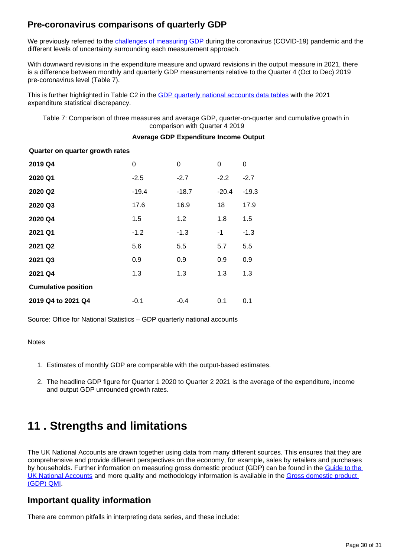## **Pre-coronavirus comparisons of quarterly GDP**

We previously referred to the [challenges of measuring GDP](https://www.ons.gov.uk/economy/grossdomesticproductgdp/articles/measuringmonthlyandquarterlyukgrossdomesticproductduringthecoronaviruscovid19pandemic/2021-11-11) during the coronavirus (COVID-19) pandemic and the different levels of uncertainty surrounding each measurement approach.

With downward revisions in the expenditure measure and upward revisions in the output measure in 2021, there is a difference between monthly and quarterly GDP measurements relative to the Quarter 4 (Oct to Dec) 2019 pre-coronavirus level (Table 7).

This is further highlighted in Table C2 in the [GDP quarterly national accounts data tables](https://www.ons.gov.uk/economy/grossdomesticproductgdp/datasets/uksecondestimateofgdpdatatables) with the 2021 expenditure statistical discrepancy.

Table 7: Comparison of three measures and average GDP, quarter-on-quarter and cumulative growth in comparison with Quarter 4 2019

#### **Average GDP Expenditure Income Output**

#### **Quarter on quarter growth rates**

| 2019 Q4                    | 0       | 0       | $\Omega$ | 0       |
|----------------------------|---------|---------|----------|---------|
| 2020 Q1                    | $-2.5$  | $-2.7$  | $-2.2$   | $-2.7$  |
| 2020 Q2                    | $-19.4$ | $-18.7$ | $-20.4$  | $-19.3$ |
| 2020 Q3                    | 17.6    | 16.9    | 18       | 17.9    |
| 2020 Q4                    | 1.5     | 1.2     | 1.8      | 1.5     |
| 2021 Q1                    | $-1.2$  | $-1.3$  | -1       | $-1.3$  |
| 2021 Q2                    | 5.6     | 5.5     | 5.7      | 5.5     |
| 2021 Q3                    | 0.9     | 0.9     | 0.9      | 0.9     |
| 2021 Q4                    | 1.3     | 1.3     | 1.3      | 1.3     |
| <b>Cumulative position</b> |         |         |          |         |
| 2019 Q4 to 2021 Q4         | $-0.1$  | $-0.4$  | 0.1      | 0.1     |

Source: Office for National Statistics – GDP quarterly national accounts

**Notes** 

- 1. Estimates of monthly GDP are comparable with the output-based estimates.
- 2. The headline GDP figure for Quarter 1 2020 to Quarter 2 2021 is the average of the expenditure, income and output GDP unrounded growth rates.

# <span id="page-29-0"></span>**11 . Strengths and limitations**

The UK National Accounts are drawn together using data from many different sources. This ensures that they are comprehensive and provide different perspectives on the economy, for example, sales by retailers and purchases by households. Further information on measuring gross domestic product (GDP) can be found in the Guide to the [UK National Accounts](https://www.ons.gov.uk/economy/nationalaccounts/uksectoraccounts/methodologies/aguidetotheuknationalaccountsmarch2020) and more quality and methodology information is available in the [Gross domestic product](https://www.ons.gov.uk/economy/grossdomesticproductgdp/qmis/grossdomesticproductgdpqmi)  [\(GDP\) QMI](https://www.ons.gov.uk/economy/grossdomesticproductgdp/qmis/grossdomesticproductgdpqmi).

### **Important quality information**

There are common pitfalls in interpreting data series, and these include: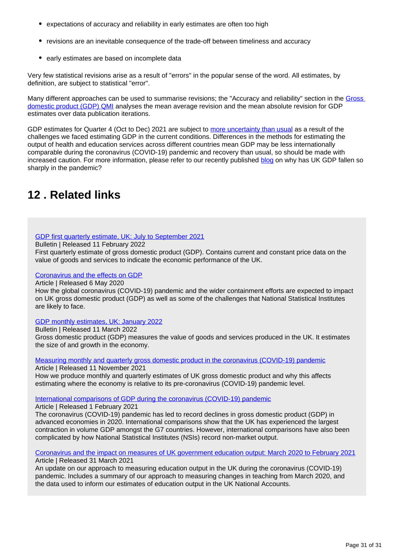- expectations of accuracy and reliability in early estimates are often too high
- revisions are an inevitable consequence of the trade-off between timeliness and accuracy
- early estimates are based on incomplete data

Very few statistical revisions arise as a result of "errors" in the popular sense of the word. All estimates, by definition, are subject to statistical "error".

Many different approaches can be used to summarise revisions; the "Accuracy and reliability" section in the [Gross](http://www.ons.gov.uk/economy/grossdomesticproductgdp/qmis/grossdomesticproductgdpqmi)  [domestic product \(GDP\) QMI](http://www.ons.gov.uk/economy/grossdomesticproductgdp/qmis/grossdomesticproductgdpqmi) analyses the mean average revision and the mean absolute revision for GDP estimates over data publication iterations.

GDP estimates for Quarter 4 (Oct to Dec) 2021 are subject to [more uncertainty than usual](https://www.ons.gov.uk/economy/nationalaccounts/uksectoraccounts/articles/coronavirusandtheeffectsonukgdp/2020-05-06#practical-challenges) as a result of the challenges we faced estimating GDP in the current conditions. Differences in the methods for estimating the output of health and education services across different countries mean GDP may be less internationally comparable during the coronavirus (COVID-19) pandemic and recovery than usual, so should be made with increased caution. For more information, please refer to our recently published [blog](https://blog.ons.gov.uk/2021/02/01/minding-the-gap-why-has-uk-gdp-fallen-so-sharply-in-the-pandemic/) on why has UK GDP fallen so sharply in the pandemic?

# <span id="page-30-0"></span>**12 . Related links**

#### [GDP first quarterly estimate, UK: July to September 2021](https://www.ons.gov.uk/economy/grossdomesticproductgdp/bulletins/gdpfirstquarterlyestimateuk/julytoseptember2021)

Bulletin | Released 11 February 2022

First quarterly estimate of gross domestic product (GDP). Contains current and constant price data on the value of goods and services to indicate the economic performance of the UK.

#### [Coronavirus and the effects on GDP](https://www.ons.gov.uk/economy/nationalaccounts/uksectoraccounts/articles/coronavirusandtheeffectsonukgdp/2020-05-06)

Article | Released 6 May 2020

How the global coronavirus (COVID-19) pandemic and the wider containment efforts are expected to impact on UK gross domestic product (GDP) as well as some of the challenges that National Statistical Institutes are likely to face.

#### [GDP monthly estimates, UK: January 2022](https://www.ons.gov.uk/economy/grossdomesticproductgdp/bulletins/gdpmonthlyestimateuk/january2022)

Bulletin | Released 11 March 2022 Gross domestic product (GDP) measures the value of goods and services produced in the UK. It estimates the size of and growth in the economy.

[Measuring monthly and quarterly gross domestic product in the coronavirus \(COVID-19\) pandemic](https://www.ons.gov.uk/economy/grossdomesticproductgdp/articles/measuringmonthlyandquarterlyukgrossdomesticproductduringthecoronaviruscovid19pandemic/2021-11-11) Article | Released 11 November 2021

How we produce monthly and quarterly estimates of UK gross domestic product and why this affects estimating where the economy is relative to its pre-coronavirus (COVID-19) pandemic level.

[International comparisons of GDP during the coronavirus \(COVID-19\) pandemic](https://www.ons.gov.uk/economy/grossdomesticproductgdp/articles/internationalcomparisonsofgdpduringthecoronaviruscovid19pandemic/2021-02-01)

Article | Released 1 February 2021

The coronavirus (COVID-19) pandemic has led to record declines in gross domestic product (GDP) in advanced economies in 2020. International comparisons show that the UK has experienced the largest contraction in volume GDP amongst the G7 countries. However, international comparisons have also been complicated by how National Statistical Institutes (NSIs) record non-market output.

[Coronavirus and the impact on measures of UK government education output: March 2020 to February 2021](https://www.ons.gov.uk/economy/grossdomesticproductgdp/articles/coronavirusandtheimpactonmeasuresofukgovernmenteducationoutput/march2020tofebruary2021) Article | Released 31 March 2021

An update on our approach to measuring education output in the UK during the coronavirus (COVID-19) pandemic. Includes a summary of our approach to measuring changes in teaching from March 2020, and the data used to inform our estimates of education output in the UK National Accounts.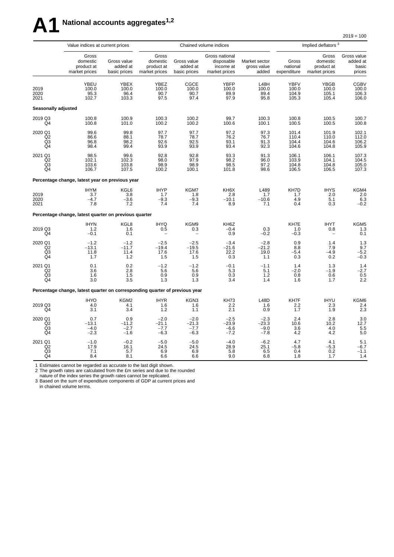# **A1 National accounts aggregates1,2**

|                                              | Value indices at current prices                                             |                                         |                                                  |                                         | Chained volume indices                                     |                                       | Implied deflators <sup>3</sup>         |                                                  |                                            |  |
|----------------------------------------------|-----------------------------------------------------------------------------|-----------------------------------------|--------------------------------------------------|-----------------------------------------|------------------------------------------------------------|---------------------------------------|----------------------------------------|--------------------------------------------------|--------------------------------------------|--|
|                                              | Gross<br>domestic<br>product at<br>market prices                            | Gross value<br>added at<br>basic prices | Gross<br>domestic<br>product at<br>market prices | Gross value<br>added at<br>basic prices | Gross national<br>disposable<br>income at<br>market prices | Market sector<br>gross value<br>added | Gross<br>national<br>expenditure       | Gross<br>domestic<br>product at<br>market prices | Gross value<br>added at<br>basic<br>prices |  |
| 2019<br>2020<br>2021                         | YBEU<br>100.0<br>95.3<br>102.7                                              | YBEX<br>100.0<br>96.4<br>103.3          | YBEZ<br>100.0<br>90.7<br>97.5                    | CGCE<br>100.0<br>90.7<br>97.4           | <b>YBFP</b><br>100.0<br>89.9<br>97.9                       | L48H<br>100.0<br>89.4<br>95.8         | <b>YBFV</b><br>100.0<br>104.9<br>105.3 | YBGB<br>100.0<br>105.1<br>105.4                  | <b>CGBV</b><br>100.0<br>106.3<br>106.0     |  |
| Seasonally adjusted                          |                                                                             |                                         |                                                  |                                         |                                                            |                                       |                                        |                                                  |                                            |  |
| 2019 Q3<br>Q4                                | 100.8<br>100.8                                                              | 100.9<br>101.0                          | 100.3<br>100.2                                   | 100.2<br>100.2                          | 99.7<br>100.6                                              | 100.3<br>100.1                        | 100.8<br>100.5                         | 100.5<br>100.5                                   | 100.7<br>100.8                             |  |
| 2020 Q1<br>Q2<br>Q <sub>3</sub><br>Q4        | 99.6<br>86.6<br>96.8<br>98.4                                                | 99.8<br>88.1<br>98.2<br>99.4            | 97.7<br>78.7<br>92.6<br>93.9                     | 97.7<br>78.7<br>92.5<br>93.9            | 97.2<br>76.2<br>93.1<br>93.4                               | 97.3<br>76.7<br>91.3<br>92.3          | 101.4<br>110.4<br>104.4<br>104.6       | 101.9<br>110.0<br>104.6<br>104.8                 | 102.1<br>112.0<br>106.2<br>105.9           |  |
| 2021 Q1<br>Q2<br>Q3<br>Q4                    | 98.5<br>102.1<br>103.6<br>106.7                                             | 99.6<br>102.3<br>103.8<br>107.5         | 92.8<br>98.0<br>98.9<br>100.2                    | 92.8<br>97.9<br>98.9<br>100.1           | 93.3<br>98.2<br>98.5<br>101.8                              | 91.3<br>96.0<br>97.2<br>98.6          | 106.1<br>103.9<br>104.8<br>106.5       | 106.1<br>104.1<br>104.8<br>106.5                 | 107.3<br>104.5<br>105.0<br>107.3           |  |
|                                              | Percentage change, latest year on previous year                             |                                         |                                                  |                                         |                                                            |                                       |                                        |                                                  |                                            |  |
| 2019<br>2020<br>2021                         | <b>IHYM</b><br>3.7<br>$-4.7$<br>7.8                                         | KGL6<br>3.8<br>$-3.6$<br>7.2            | <b>IHYP</b><br>1.7<br>$-9.3$<br>7.4              | KGM7<br>1.8<br>$-9.3$<br>7.4            | KH6X<br>2.8<br>$-10.1$<br>8.9                              | L489<br>1.7<br>$-10.6$<br>7.1         | KH7D<br>1.7<br>4.9<br>0.4              | <b>IHYS</b><br>2.0<br>5.1<br>0.3                 | KGM4<br>2.0<br>6.3<br>$-0.2$               |  |
|                                              | Percentage change, latest quarter on previous quarter                       |                                         |                                                  |                                         |                                                            |                                       |                                        |                                                  |                                            |  |
| 2019 Q3<br>Q4                                | <b>IHYN</b><br>1.2<br>$-0.1$                                                | KGL8<br>1.6<br>0.1                      | <b>IHYQ</b><br>0.5                               | KGM9<br>0.3                             | KH6Z<br>$-0.4$<br>0.9                                      | 0.3<br>$-0.2$                         | KH7E<br>1.0<br>$-0.3$                  | <b>IHYT</b><br>0.8<br>$\overline{\phantom{0}}$   | KGM5<br>1.3<br>0.1                         |  |
| 2020 Q1<br>Q <sub>2</sub><br>$\frac{Q3}{Q4}$ | $-1.2$<br>$-13.1$<br>11.8<br>1.7                                            | $-1.2$<br>$-11.7$<br>11.4<br>1.2        | $-2.5$<br>$-19.4$<br>17.6<br>1.5                 | $-2.5$<br>$-19.5$<br>17.6<br>1.5        | $-3.4$<br>$-21.6$<br>22.2<br>0.3                           | $-2.8$<br>$-21.2$<br>19.0<br>1.1      | 0.9<br>8.8<br>$-5.4$<br>0.3            | 1.4<br>7.9<br>$-4.9$<br>0.2                      | 1.3<br>9.7<br>$-5.2$<br>$-0.3$             |  |
| 2021 Q1<br>Q2<br>Q3<br>Q <sub>4</sub>        | 0.1<br>3.6<br>1.6<br>3.0                                                    | 0.2<br>2.8<br>1.5<br>3.5                | $-1.2$<br>5.6<br>0.9<br>1.3                      | $-1.2$<br>5.6<br>0.9<br>1.3             | $-0.1$<br>5.3<br>0.3<br>3.4                                | $-1.1$<br>5.1<br>$1.2$<br>1.4         | 1.4<br>$-2.0$<br>0.8<br>1.6            | 1.3<br>$-1.9$<br>0.6<br>1.7                      | 1.4<br>$-2.7$<br>0.5<br>2.2                |  |
|                                              | Percentage change, latest quarter on corresponding quarter of previous year |                                         |                                                  |                                         |                                                            |                                       |                                        |                                                  |                                            |  |
| 2019 Q3<br>Q4                                | <b>IHYO</b><br>4.0<br>3.1                                                   | KGM2<br>4.1<br>3.4                      | <b>IHYR</b><br>1.6<br>1.2                        | KGN3<br>1.6<br>1.1                      | <b>KH73</b><br>2.2<br>2.1                                  | L48D<br>1.6<br>0.9                    | KH7F<br>2.2<br>1.7                     | <b>IHYU</b><br>2.3<br>1.9                        | KGM6<br>2.4<br>2.3                         |  |
| 2020 Q1<br>Q2<br>Q3<br>Q4                    | 0.7<br>$-13.1$<br>$-4.0$<br>$-2.3$                                          | 0.9<br>$-11.2$<br>$-2.7$<br>$-1.6$      | $-2.0$<br>$-21.1$<br>$-7.7$<br>$-6.3$            | $-2.0$<br>$-21.3$<br>$-7.7$<br>$-6.3$   | $-2.5$<br>$-23.9$<br>$-6.6$<br>$-7.2$                      | $-2.3$<br>$-23.3$<br>$-9.0$<br>$-7.8$ | 2.4<br>10.6<br>3.6<br>4.2              | 2.8<br>10.2<br>4.0<br>4.2                        | $3.0$<br>12.7<br>5.5<br>5.0                |  |
| 2021 Q1<br>Q2<br>$\frac{Q3}{Q4}$             | $-1.0$<br>17.9<br>7.1<br>8.4                                                | $-0.2$<br>16.1<br>5.7<br>8.1            | -5.0<br>24.5<br>6.9<br>6.6                       | $-5.0$<br>24.5<br>6.9<br>6.6            | $-4.0$<br>28.9<br>5.8<br>9.0                               | $-6.2$<br>25.1<br>6.5<br>6.8          | 4.7<br>$-5.8$<br>0.4<br>1.8            | 4.1<br>$-5.3$<br>$0.2$<br>1.7                    | 5.1<br>$-6.7$<br>$-1.1$<br>1.4             |  |

 $2019 = 100$ 

1 Estimates cannot be regarded as accurate to the last digit shown.

2 The growth rates are calculated from the £m series and due to the rounded

nature of the index series the growth rates cannot be replicated.

3 Based on the sum of expenditure components of GDP at current prices and in chained volume terms.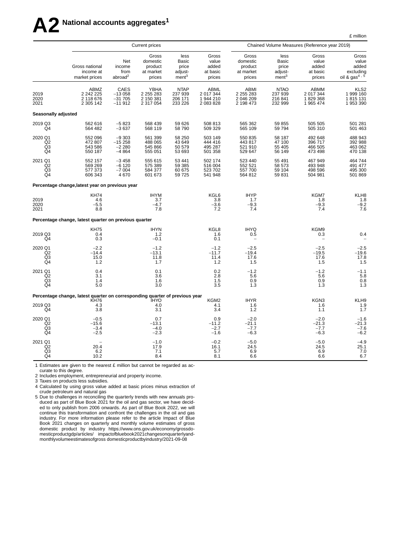# **A2 National accounts aggregates<sup>1</sup>**

£ million

|                                                   |                                                                                            |                                              | <b>Current prices</b>                                |                                                               |                                                  |                                                     |                                                               | Chained Volume Measures (Reference year 2019)    |                                                                   |
|---------------------------------------------------|--------------------------------------------------------------------------------------------|----------------------------------------------|------------------------------------------------------|---------------------------------------------------------------|--------------------------------------------------|-----------------------------------------------------|---------------------------------------------------------------|--------------------------------------------------|-------------------------------------------------------------------|
|                                                   | Gross national<br>income at<br>market prices                                               | Net<br>income<br>from<br>abroad <sup>2</sup> | Gross<br>domestic<br>product<br>at market<br>prices  | less<br><b>Basic</b><br>price<br>adjust-<br>ment <sup>3</sup> | Gross<br>value<br>added<br>at basic<br>prices    | Gross<br>domestic<br>product<br>at market<br>prices | less<br><b>Basic</b><br>price<br>adjust-<br>ment <sup>3</sup> | Gross<br>value<br>added<br>at basic<br>prices    | Gross<br>value<br>added<br>excluding<br>oil & gas <sup>4, 5</sup> |
| 2019<br>2020<br>2021                              | ABMZ<br>2 242 225<br>2 118 676<br>2 305 142                                                | CAES<br>$-13058$<br>$-31705$<br>$-11912$     | <b>YBHA</b><br>2 2 5 2 8 3<br>2 150 381<br>2 317 054 | <b>NTAP</b><br>237 939<br>206 171<br>233 226                  | <b>ABML</b><br>2 017 344<br>1944210<br>2 083 828 | ABMI<br>2 2 5 2 8 3<br>2 046 209<br>2 198 473       | <b>NTAO</b><br>237 939<br>216 841<br>232 999                  | <b>ABMM</b><br>2 017 344<br>1829368<br>1 965 474 | KLS2<br>1 999 160<br>1815131<br>1953390                           |
| Seasonally adjusted                               |                                                                                            |                                              |                                                      |                                                               |                                                  |                                                     |                                                               |                                                  |                                                                   |
| 2019 Q3<br>Q4                                     | 562 616<br>564 482                                                                         | $-5823$<br>$-3637$                           | 568 439<br>568 119                                   | 59 626<br>58 790                                              | 508 813<br>509 329                               | 565 362<br>565 109                                  | 59 855<br>59 794                                              | 505 505<br>505 310                               | 501 281<br>501 463                                                |
| 2020 Q1<br>Q2<br>Q3<br>Q4                         | 552 096<br>472 807<br>543 586<br>550 187                                                   | $-9303$<br>$-15258$<br>$-2280$<br>$-4864$    | 561 399<br>488 065<br>545 866<br>555 051             | 58 250<br>43 649<br>50 579<br>53 693                          | 503 149<br>444 416<br>495 287<br>501 358         | 550 835<br>443 817<br>521 910<br>529 647            | 58 187<br>47 100<br>55 405<br>56 149                          | 492 648<br>396 717<br>466 505<br>473 498         | 488 943<br>392 988<br>463 062<br>470 138                          |
| 2021 Q1<br>Q2<br>Q3<br>Q4                         | 552 157<br>569 269<br>577 373<br>606 343                                                   | $-3458$<br>$-6120$<br>$-7004$<br>4670        | 555 615<br>575 389<br>584 377<br>601 673             | 53 441<br>59 385<br>60 675<br>59 725                          | 502 174<br>516 004<br>523 702<br>541 948         | 523 440<br>552 521<br>557 700<br>564 812            | 55 491<br>58 573<br>59 104<br>59 831                          | 467 949<br>493 948<br>498 596<br>504 981         | 464 744<br>491 477<br>495 300<br>501 869                          |
|                                                   | Percentage change, latest year on previous year                                            |                                              |                                                      |                                                               |                                                  |                                                     |                                                               |                                                  |                                                                   |
| 2019<br>2020<br>2021                              | <b>KH74</b><br>4.6<br>$-5.5$<br>8.8                                                        |                                              | <b>IHYM</b><br>3.7<br>$-4.7$<br>7.8                  |                                                               | KGL6<br>3.8<br>$-3.6$<br>7.2                     | <b>IHYP</b><br>$1.7\,$<br>$-9.3$<br>7.4             |                                                               | KGM7<br>1.8<br>$-9.3$<br>7.4                     | KLH8<br>1.8<br>$-9.2$<br>7.6                                      |
|                                                   | Percentage change, latest quarter on previous quarter                                      |                                              |                                                      |                                                               |                                                  |                                                     |                                                               |                                                  |                                                                   |
| 2019 Q3<br>Q4                                     | <b>KH75</b><br>0.4<br>0.3                                                                  |                                              | <b>IHYN</b><br>1.2<br>$-0.1$                         |                                                               | KGL8<br>1.6<br>0.1                               | <b>IHYQ</b><br>0.5                                  |                                                               | KGM9<br>0.3                                      | 0.4                                                               |
| 2020 Q1<br>Q2<br>Q3<br>Q4                         | $-2.2$<br>$-14.4$<br>15.0<br>1.2                                                           |                                              | $-1.2$<br>$-13.1$<br>11.8<br>1.7                     |                                                               | $-1.2$<br>$-11.7$<br>11.4<br>1.2                 | $-2.5$<br>$-19.4$<br>17.6<br>1.5                    |                                                               | $-2.5$<br>$-19.5$<br>17.6<br>1.5                 | $-2.5$<br>$-19.6$<br>17.8<br>1.5                                  |
| 2021 Q1<br>Q2<br>Q <sub>3</sub><br>Q4             | 0.4<br>3.1<br>1.4<br>5.0                                                                   |                                              | 0.1<br>3.6<br>1.6<br>3.0                             |                                                               | 0.2<br>2.8<br>$1.\overline{5}$<br>3.5            | $-1.2$<br>5.6<br>0.9<br>1.3                         |                                                               | $-1.2$<br>5.6<br>0.9<br>1.3                      | $-1.1$<br>5.8<br>0.8<br>1.3                                       |
|                                                   | Percentage change, latest quarter on corresponding quarter of previous year<br><b>KH76</b> |                                              | ÌHYO                                                 |                                                               | KGM2                                             | <b>IHYR</b>                                         |                                                               | KGN3                                             | KLH9                                                              |
| 2019 Q3<br>Q4                                     | 4.3<br>3.8                                                                                 |                                              | 4.0<br>3.1                                           |                                                               | 4.1<br>3.4                                       | 1.6<br>$1.2$                                        |                                                               | 1.6<br>1.1                                       | 1.9<br>1.7                                                        |
| 2020 Q1<br>Q <sub>2</sub><br>Q <sub>3</sub><br>Q4 | $-0.5$<br>$-15.6$<br>$-3.4$<br>$-2.5$                                                      |                                              | 0.7<br>$-13.1$<br>$-4.0$<br>$-2.3$                   |                                                               | 0.9<br>$-11.2$<br>$-2.7$<br>$-1.6$               | $-2.0$<br>$-21.1$<br>$-7.7$<br>$-6.3$               |                                                               | $-2.0$<br>$-21.3$<br>$-7.7$<br>$-6.3$            | $-1.6$<br>$-21.3$<br>$-7.6$<br>$-6.2$                             |
| 2021 Q1<br>Q2<br>Q3<br>Q4                         | 20.4<br>6.2<br>10.2                                                                        |                                              | $-1.0$<br>17.9<br>7.1<br>8.4                         |                                                               | $-0.2$<br>16.1<br>5.7<br>8.1                     | $-5.0$<br>24.5<br>6.9<br>6.6                        |                                                               | $-5.0$<br>24.5<br>6.9<br>6.6                     | $-4.9$<br>25.1<br>7.0<br>6.7                                      |

1 Estimates are given to the nearest £ million but cannot be regarded as ac-

curate to this degree.

2 Includes employment, entrepreneurial and property income. 3 Taxes on products less subsidies.

4 Calculated by using gross value added at basic prices minus extraction of cr ude petroleum and natural gas

5 Due to challenges in reconciling the quarterly trends with new annuals produced as part of Blue Book 2021 for the oil and gas sector, we have decided to only publish from 2006 onwards. As part of Blue Book 2022, we will continue this transformation and confront the challenges in the oil and gas industry. For more information please refer to the article Impact of Blue Book 2021 changes on quarterly and monthly volume estimates of gross domestic product by industry https://www.ons.gov.uk/economy/grossdomesticproductgdp/articles/ impactofbluebook2021changesonquarterlyandmonthlyvolumeestimatesofgross domesticproductbyindustr y/2021-09-08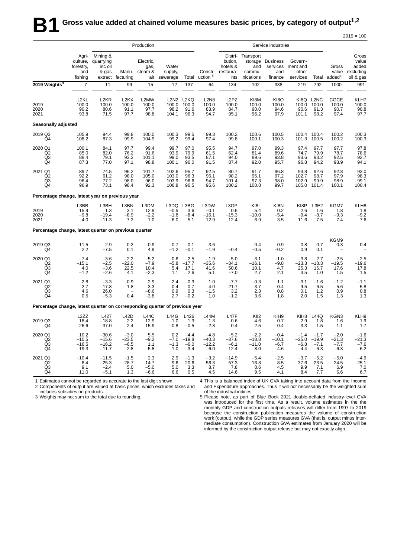|                                                                             |                                                  |                                                      |                                            | Production                          |                                  |                                       |                                        |                                                    |                                                    | Service industries                            |                                          |                                                        |                                       |                                                   |
|-----------------------------------------------------------------------------|--------------------------------------------------|------------------------------------------------------|--------------------------------------------|-------------------------------------|----------------------------------|---------------------------------------|----------------------------------------|----------------------------------------------------|----------------------------------------------------|-----------------------------------------------|------------------------------------------|--------------------------------------------------------|---------------------------------------|---------------------------------------------------|
|                                                                             | Agri-<br>culture,<br>forestry,<br>and<br>fishing | Mining &<br>quarrying<br>inc oil<br>& gas<br>extract | Manu-<br>facturing                         | Electric,<br>gas,<br>steam &<br>air | Water<br>supply,<br>sewerage     | Total                                 | Constr-<br>uction <sup>5</sup>         | Distri-<br>bution,<br>hotels &<br>restaura-<br>nts | Transport<br>storage<br>and<br>commu-<br>nications | <b>Business</b><br>services<br>and<br>finance | Govern-<br>ment and<br>other<br>services | Total                                                  | Gross<br>value<br>added <sup>4</sup>  | Gross<br>value<br>added<br>excluding<br>oil & gas |
| 2019 Weights <sup>3</sup>                                                   | $\overline{7}$                                   | 11                                                   | 99                                         | 15                                  | 12                               | 137                                   | 64                                     | 134                                                | 102                                                | 338                                           | 219                                      | 792                                                    | 1000                                  | 991                                               |
| 2019<br>2020<br>2021                                                        | L <sub>2KL</sub><br>100.0<br>90.2<br>93.8        | L <sub>2</sub> KR<br>100.0<br>80.6<br>71.5           | L <sub>2</sub> KX<br>100.0<br>91.1<br>97.7 | L2MW<br>100.0<br>97.7<br>98.8       | 100.0<br>98.2<br>104.1           | L2N2 L2KQ<br>100.0<br>91.6<br>96.3    | <b>L2N8</b><br>100.0<br>83.9<br>94.7   | L <sub>2</sub> PZ<br>100.0<br>84.7<br>95.1         | KI8M<br>100.0<br>90.0<br>96.2                      | <b>KI8O</b><br>100.0<br>94.6<br>97.9          | KI8Q<br>100.0<br>90.6<br>101.1           | L <sub>2</sub> N <sub>C</sub><br>100.0<br>91.3<br>98.2 | CGCE<br>100.0<br>90.7<br>97.4         | KLH7<br>100.0<br>90.8<br>97.7                     |
| Seasonally adjusted                                                         |                                                  |                                                      |                                            |                                     |                                  |                                       |                                        |                                                    |                                                    |                                               |                                          |                                                        |                                       |                                                   |
| 2019 Q3<br>Q4                                                               | 105.9<br>108.2                                   | 94.4<br>87.3                                         | 99.8<br>99.9                               | 100.0<br>104.9                      | 100.3<br>99.2                    | 99.5<br>99.4                          | 99.3<br>97.4                           | 100.2<br>99.8                                      | 100.6<br>100.1                                     | 100.5<br>100.3                                | 100.4<br>101.3                           | 100.4<br>100.5                                         | 100.2<br>100.2                        | 100.3<br>100.3                                    |
| 2020 Q1<br>Q <sub>2</sub><br>Q3<br>Q4                                       | 100.1<br>85.0<br>88.4<br>87.3                    | 84.1<br>82.0<br>79.1<br>77.0                         | 97.7<br>76.2<br>93.3<br>97.1               | 99.4<br>91.6<br>101.1<br>98.8       | 99.7<br>93.9<br>99.0<br>100.1    | 97.0<br>79.9<br>93.5<br>96.0          | 95.5<br>61.5<br>87.1<br>91.5           | 94.7<br>62.4<br>94.0<br>87.4                       | 97.0<br>81.4<br>89.6<br>92.0                       | 99.3<br>89.6<br>93.8<br>95.7                  | 97.4<br>74.7<br>93.6<br>96.8             | 97.7<br>79.9<br>93.2<br>94.2                           | 97.7<br>78.7<br>92.5<br>93.9          | 97.8<br>78.6<br>92.7<br>94.1                      |
| 2021 Q1<br>$^{Q2}_{Q3}$<br>Q4                                               | 89.7<br>92.2<br>96.4<br>96.9                     | 74.5<br>61.2<br>77.2<br>73.1                         | 96.2<br>98.0<br>98.0<br>98.4               | 101.7<br>105.0<br>96.0<br>92.3      | 102.6<br>103.0<br>103.9<br>106.8 | 95.7<br>96.3<br>96.6<br>96.5          | 92.5<br>96.1<br>94.7<br>95.6           | 80.7<br>98.2<br>101.4<br>100.2                     | 91.7<br>95.1<br>97.3<br>100.8                      | 96.8<br>97.2<br>98.0<br>99.7                  | 93.8<br>102.7<br>102.9<br>105.0          | 92.6<br>98.7<br>99.9<br>101.4                          | 92.8<br>97.9<br>98.9<br>100.1         | 93.0<br>98.3<br>99.1<br>100.4                     |
| Percentage change, latest year on previous year                             |                                                  |                                                      |                                            |                                     |                                  |                                       |                                        |                                                    |                                                    |                                               |                                          |                                                        |                                       |                                                   |
| 2019<br>2020<br>2021                                                        | L3BB<br>15.9<br>$-9.8$<br>4.0                    | L3BH<br>1.3<br>$-19.4$<br>$-11.3$                    | L3BN<br>3.1<br>$-8.9$<br>7.2               | L3DM<br>12.9<br>$-2.2$<br>1.0       | L3DQ<br>$-0.5$<br>$-1.8$<br>6.0  | L3BG<br>3.6<br>$-8.4$<br>5.1          | L3DW<br>$-0.1$<br>$-16.1$<br>12.9      | L3GP<br>0.6<br>$-15.3$<br>12.4                     | KI8L<br>5.4<br>$-10.0$<br>6.9                      | KI8N<br>0.2<br>$-5.4$<br>3.5                  | KI8P<br>2.6<br>$-9.4$<br>11.6            | L3E2<br>1.6<br>$-8.7$<br>7.5                           | KGM7<br>1.8<br>$-9.3$<br>7.4          | KLH8<br>1.8<br>$-9.2$<br>7.6                      |
| Percentage change, latest quarter on previous quarter                       |                                                  |                                                      |                                            |                                     |                                  |                                       |                                        |                                                    |                                                    |                                               |                                          |                                                        |                                       |                                                   |
| 2019 Q3<br>Q4                                                               | 11.5<br>2.2                                      | $-2.9$<br>$-7.5$                                     | 0.2<br>0.1                                 | $-0.9$<br>4.9                       | $-0.7$<br>$-1.2$                 | $-0.1$<br>$-0.1$                      | $-3.6$<br>$-1.9$                       | $-0.4$                                             | 0.4<br>$-0.5$                                      | 0.9<br>$-0.2$                                 | 0.8<br>0.9                               | 0.7<br>0.1                                             | KGM9<br>0.3                           | 0.4                                               |
| 2020 Q1<br>Q2<br>$^{Q3}_{Q4}$                                               | $-7.4$<br>$-15.1$<br>4.0<br>$-1.2$               | $-3.6$<br>$-2.5$<br>$-3.6$<br>-2.6                   | $-2.2$<br>$-22.0$<br>22.5<br>4.1           | $-5.2$<br>$-7.9$<br>10.4<br>$-2.3$  | 0.6<br>$-5.8$<br>5.4<br>1.1      | $-2.5$<br>$-17.7$<br>17.1<br>2.6      | $-1.9$<br>-35.6<br>41.6<br>5.1         | $-5.0$<br>$-34.1$<br>50.6<br>$-7.0$                | $-3.1$<br>$-16.1$<br>10.1<br>2.7                   | $-1.0$<br>$-9.8$<br>4.7<br>2.1                | $-3.8$<br>$-23.3$<br>25.3<br>3.5         | $-2.7$<br>$-18.3$<br>16.7<br>1.0                       | $-2.5$<br>$-19.5$<br>17.6<br>1.5      | $-2.5$<br>$-19.6$<br>17.8<br>1.5                  |
| 2021 Q1<br>Q <sub>2</sub><br>Q3<br>Q4                                       | 2.8<br>2.7<br>4.6<br>0.5                         | $-3.3$<br>$-17.8$<br>26.0<br>$-5.3$                  | $-0.9$<br>1.8<br>0.4                       | 2.9<br>3.3<br>$-8.6$<br>$-3.8$      | 2.4<br>0.4<br>0.9<br>2.7         | $-0.3$<br>0.7<br>0.3<br>$-0.2$        | 1.0<br>4.0<br>$-1.5$<br>1.0            | $-7.7$<br>21.7<br>3.2<br>$-1.2$                    | $-0.3$<br>3.7<br>2.3<br>3.6                        | 1.1<br>0.4<br>0.8<br>1.8                      | $-3.1$<br>9.5<br>0.1<br>2.0              | $-1.6$<br>6.5<br>1.2<br>1.5                            | $-1.2$<br>5.6<br>0.9<br>1.3           | $-1.1$<br>5.8<br>0.8<br>1.3                       |
| Percentage change, latest quarter on corresponding quarter of previous year |                                                  |                                                      |                                            |                                     |                                  |                                       |                                        |                                                    |                                                    |                                               |                                          |                                                        |                                       |                                                   |
| 2019 Q3<br>Q4                                                               | L3ZZ<br>18.4<br>26.6                             | L427<br>$-18.8$<br>$-37.0$                           | <b>L42D</b><br>2.2<br>2.4                  | <b>L44C</b><br>12.9<br>15.9         | <b>L44G</b><br>$-1.0$<br>$-0.8$  | L426<br>1.3<br>$-0.5$                 | <b>L44M</b><br>$-1.3$<br>$-2.8$        | L47F<br>0.6<br>0.4                                 | KII <sub>2</sub><br>4.6<br>2.5                     | KIH9<br>0.7<br>0.4                            | KIH <sub>8</sub><br>2.9<br>3.3           | <b>L44Q</b><br>1.8<br>1.5                              | KGN3<br>1.6<br>1.1                    | KLH9<br>1.9<br>1.7                                |
| 2020 Q1<br>Q2<br>Q3<br>Q4                                                   | 10.2<br>$-10.5$<br>$-16.5$<br>$-19.3$            | $-30.6$<br>$-15.6$<br>$-16.2$<br>$-11.7$             | $-3.0$<br>$-23.5$<br>$-6.5$<br>$-2.8$      | 5.5<br>$-9.2$<br>1.1<br>$-5.8$      | 0.2<br>$-7.0$<br>$-1.3$<br>1.0   | $-4.4$<br>$-19.8$<br>$-6.0$<br>$-3.4$ | $-4.8$<br>$-40.3$<br>$-12.2$<br>$-6.0$ | $-5.2$<br>$-37.6$<br>$-6.1$<br>–12.4               | $-2.2$<br>$-18.8$<br>$-11.0$<br>$-8.0$             | $-0.4$<br>$-10.1$<br>$-6.7$<br>$-4.6$         | $-1.4$<br>$-25.0$<br>$-6.8$<br>$-4.4$    | $-1.7$<br>$-19.9$<br>$-7.1$<br>$-6.3$                  | $-2.0$<br>$-21.3$<br>$-7.7$<br>$-6.3$ | $-1.6$<br>$-21.3$<br>$-7.6$<br>$-6.2$             |
| 2021 Q1<br>Q <sub>2</sub><br>Q3<br>Q4                                       | $-10.4$<br>8.4<br>9.1<br>11.0                    | $-11.5$<br>$-25.3$<br>$-2.4$<br>$-5.1$               | $-1.5$<br>28.7<br>5.0<br>1.3               | 2.3<br>14.7<br>$-5.0$<br>$-6.6$     | 2.9<br>9.6<br>5.0<br>6.6         | $-1.3$<br>20.6<br>3.3<br>0.5          | $-3.2$<br>56.3<br>8.7<br>4.5           | $-14.9$<br>57.3<br>7.8<br>14.6                     | $-5.4$<br>16.8<br>8.6<br>9.5                       | $-2.5$<br>8.5<br>4.5<br>4.1                   | $-3.7$<br>37.6<br>9.9<br>8.4             | $-5.2$<br>23.5<br>7.1<br>7.7                           | $-5.0$<br>24.5<br>6.9<br>6.6          | $-4.9$<br>25.1<br>7.0<br>6.7                      |

1 Estimates cannot be regarded as accurate to the last digit shown. 2 Components of output are valued at basic prices, which excludes taxes and includes subsidies on products.

4 This is a balanced index of UK GVA taking into account data from the Income and Expenditure approaches. Thus it will not necessarily be the weighted sum of the industrial indices.

 $2019 = 100$ 

3 Weights may not sum to the total due to rounding.

5 Please note, as part of Blue Book 2021 double-deflated industry-level GVA was introduced for the first time. As a result, volume estimates in the the monthly GDP and construction outputs releases will differ from 1997 to 2019 because the construction publication measures the volume of construction work (output), while the GDP series measures GVA (that is, output minus intermediate consumption). Construction GVA estimates from January 2020 will be informed by the construction output release but may not exactly align.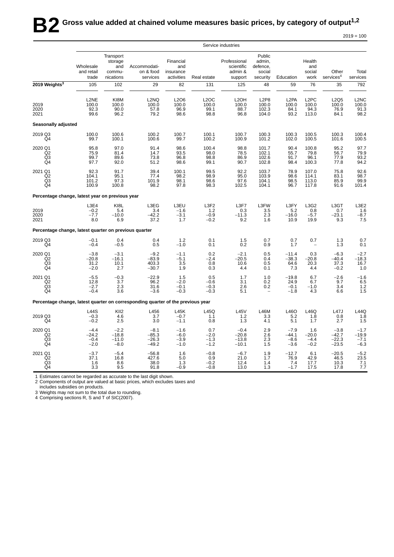|                                                       |                                       |                                                    |                                                                                 |                                             |                                      | Service industries                               |                                                          |                                            |                                             |                                         |                                                   |
|-------------------------------------------------------|---------------------------------------|----------------------------------------------------|---------------------------------------------------------------------------------|---------------------------------------------|--------------------------------------|--------------------------------------------------|----------------------------------------------------------|--------------------------------------------|---------------------------------------------|-----------------------------------------|---------------------------------------------------|
|                                                       | Wholesale<br>and retail<br>trade      | Transport<br>storage<br>and<br>commu-<br>nications | Accommodati-<br>on & food<br>services                                           | Financial<br>and<br>insurance<br>activities | Real estate                          | Professional<br>scientific<br>admin &<br>support | Public<br>admin,<br>defence.<br>social<br>security       | Education                                  | Health<br>and<br>social<br>work             | Other<br>services <sup>4</sup>          | Total<br>services                                 |
| 2019 Weights <sup>3</sup>                             | 105                                   | 102                                                | 29                                                                              | 82                                          | 131                                  | 125                                              | 48                                                       | 59                                         | 76                                          | 35                                      | 792                                               |
| 2019<br>2020<br>2021                                  | L2NE<br>100.0<br>92.3<br>99.6         | KI8M<br>100.0<br>90.0<br>96.2                      | L <sub>2</sub> NQ<br>100.0<br>57.8<br>79.2                                      | L2O6<br>100.0<br>96.9<br>98.6               | <b>L2OC</b><br>100.0<br>99.1<br>98.8 | L <sub>2</sub> OH<br>100.0<br>88.7<br>96.8       | L <sub>2</sub> P <sub>8</sub><br>100.0<br>102.3<br>104.0 | L <sub>2</sub> PA<br>100.0<br>84.1<br>93.2 | L <sub>2</sub> PC<br>100.0<br>94.3<br>113.0 | L2Q5<br>100.0<br>76.9<br>84.1           | L <sub>2</sub> NC<br>$\frac{100.0}{91.3}$<br>98.2 |
| Seasonally adjusted                                   |                                       |                                                    |                                                                                 |                                             |                                      |                                                  |                                                          |                                            |                                             |                                         |                                                   |
| 2019 Q3<br>Q4                                         | 100.0<br>99.7                         | 100.6<br>100.1                                     | 100.2<br>100.6                                                                  | 100.7<br>99.7                               | 100.1<br>100.2                       | 100.7<br>100.9                                   | 100.3<br>101.2                                           | 100.3<br>102.0                             | 100.5<br>100.5                              | 100.3<br>101.6                          | 100.4<br>100.5                                    |
| 2020 Q1<br>Q2<br>Q3<br>Q4                             | 95.8<br>75.9<br>99.7<br>97.7          | 97.0<br>81.4<br>89.6<br>92.0                       | 91.4<br>14.7<br>73.8<br>51.2                                                    | 98.6<br>93.5<br>96.8<br>98.6                | 100.4<br>98.0<br>98.8<br>99.1        | 98.8<br>78.5<br>86.9<br>90.7                     | 101.7<br>102.1<br>102.6<br>102.8                         | 90.4<br>55.7<br>91.7<br>98.4               | 100.8<br>79.8<br>96.1<br>100.3              | 95.2<br>56.7<br>77.9<br>77.8            | 97.7<br>79.9<br>93.2<br>94.2                      |
| 2021 Q1<br>Q2<br>Q3<br>Q4                             | 92.3<br>104.1<br>101.2<br>100.9       | 91.7<br>95.1<br>97.3<br>100.8                      | 39.4<br>77.4<br>101.9<br>98.2                                                   | 100.1<br>98.2<br>98.1<br>97.8               | 99.5<br>98.9<br>98.6<br>98.3         | 92.2<br>95.0<br>97.6<br>102.5                    | 103.7<br>103.9<br>104.1<br>104.1                         | 78.9<br>98.6<br>98.5<br>96.7               | 107.0<br>114.1<br>113.0<br>117.8            | 75.8<br>83.1<br>85.9<br>91.6            | 92.6<br>98.7<br>99.9<br>101.4                     |
| Percentage change, latest year on previous year       |                                       |                                                    |                                                                                 |                                             |                                      |                                                  |                                                          |                                            |                                             |                                         |                                                   |
| 2019<br>2020<br>2021                                  | L3E4<br>$-0.2$<br>$-7.7$<br>8.0       | KI8L<br>5.4<br>$-10.0$<br>6.9                      | L3EG<br>3.4<br>$-42.2$<br>37.2                                                  | L3EU<br>$-1.6$<br>$-3.1$<br>1.7             | L3F2<br>1.2<br>$-0.9$<br>$-0.2$      | L3F7<br>0.3<br>$-11.3$<br>9.2                    | L3FW<br>3.5<br>2.3<br>1.6                                | L3FY<br>5.2<br>$-16.0$<br>10.9             | L3G2<br>0.8<br>$-5.7$<br>19.9               | L3GT<br>0.7<br>$-23.1$<br>9.3           | L3E2<br>1.6<br>$-8.7$<br>7.5                      |
| Percentage change, latest quarter on previous quarter |                                       |                                                    |                                                                                 |                                             |                                      |                                                  |                                                          |                                            |                                             |                                         |                                                   |
| 2019 Q3<br>Q4                                         | $-0.1$<br>$-0.4$                      | 0.4<br>$-0.5$                                      | 0.4<br>0.5                                                                      | 1.2<br>$-1.0$                               | 0.1<br>0.1                           | 1.5<br>0.2                                       | 0.7<br>0.9                                               | 0.7<br>1.7                                 | 0.7                                         | 1.3<br>1.3                              | 0.7<br>0.1                                        |
| 2020 Q1<br>Q2<br>Q3<br>Q4                             | $-3.8$<br>$-20.8$<br>31.2<br>$-2.0$   | $-3.1$<br>$-16.1$<br>10.1<br>2.7                   | $-9.2$<br>$-83.9$<br>403.3<br>$-30.7$                                           | $-1.1$<br>$-5.1$<br>3.5<br>1.9              | 0.2<br>$-2.4$<br>0.8<br>0.3          | $-2.1$<br>$-20.5$<br>10.6<br>4.4                 | 0.5<br>0.4<br>0.5<br>0.1                                 | $-11.4$<br>$-38.3$<br>64.6<br>7.3          | 0.3<br>$-20.8$<br>20.3<br>4.4               | $-6.3$<br>$-40.4$<br>37.3<br>$-0.2$     | $-2.7$<br>$-18.3$<br>16.7<br>1.0                  |
| 2021 Q1<br>Q2<br>Q3<br>Q4                             | $-5.5$<br>12.8<br>$-2.7$<br>$-0.4$    | $-0.3$<br>3.7<br>2.3<br>3.6                        | $-22.9$<br>96.2<br>31.6<br>$-3.6$                                               | 1.5<br>$-2.0$<br>$-0.1$<br>$-0.3$           | 0.5<br>$-0.6$<br>$-0.3$<br>$-0.3$    | 1.7<br>3.1<br>2.6<br>5.1                         | 1.0<br>0.2<br>0.2                                        | $-19.8$<br>24.9<br>$-0.1$<br>$-1.8$        | 6.7<br>6.7<br>$-1.0$<br>4.3                 | $-2.6$<br>9.7<br>3.4<br>6.6             | $-1.6$<br>6.5<br>1.2<br>1.5                       |
|                                                       |                                       |                                                    | Percentage change, latest quarter on corresponding quarter of the previous year |                                             |                                      |                                                  |                                                          |                                            |                                             |                                         |                                                   |
| 2019 Q3<br>Q4                                         | <b>L44S</b><br>$-0.3$<br>$-0.2$       | KII <sub>2</sub><br>4.6<br>2.5                     | L456<br>3.7<br>3.0                                                              | L45K<br>$-0.7$<br>$-1.1$                    | L45Q<br>1.1<br>0.8                   | L45V<br>1.2<br>1.3                               | <b>L46M</b><br>3.3<br>4.1                                | L46O<br>5.2<br>5.1                         | L46Q<br>1.8<br>1.7                          | <b>L47J</b><br>0.8<br>2.7               | L44Q<br>1.8<br>1.5                                |
| 2020 Q1<br>Q2<br>Q3<br>$\overline{Q4}$                | $-4.4$<br>$-24.2$<br>$-0.4$<br>$-2.0$ | $-2.2$<br>$-18.8$<br>$-11.0$<br>$-8.0$             | $-8.1$<br>$-85.3$<br>$-26.3$<br>$-49.2$                                         | $-1.6$<br>$-6.0$<br>$-3.9$<br>$-1.0$        | 0.7<br>$-2.0$<br>$-1.3$<br>$-1.2$    | $-0.4$<br>$-20.8$<br>$-13.8$<br>$-10.1$          | 2.9<br>2.6<br>2.3<br>1.5                                 | $-7.9$<br>$-44.1$<br>$-8.6$<br>$-3.6$      | 1.6<br>$-20.0$<br>$-4.4$<br>$-0.2$          | $-3.8$<br>$-42.7$<br>$-22.3$<br>$-23.5$ | $-1.7$<br>$-19.9$<br>$-7.1$<br>$-6.3$             |
| 2021 Q1<br>Q2<br>Q3<br>Q4                             | $-3.7$<br>37.1<br>1.6<br>3.3          | $-5.4$<br>16.8<br>8.6<br>9.5                       | $-56.8$<br>427.6<br>38.0<br>91.8                                                | 1.6<br>5.0<br>1.3<br>$-0.9$                 | $-0.8$<br>0.9<br>$-0.2$<br>$-0.8$    | $-6.7$<br>21.0<br>12.4<br>13.0                   | 1.9<br>1.7<br>1.4<br>1.3                                 | $-12.7$<br>76.9<br>7.4<br>$-1.7$           | 6.1<br>42.9<br>17.7<br>17.5                 | $-20.5$<br>46.5<br>10.3<br>17.8         | $\frac{-5.2}{23.5}$<br>7.1<br>7.7                 |

1 Estimates cannot be regarded as accurate to the last digit shown.

2 Components of output are valued at basic prices, which excludes taxes and

includes subsidies on products.

3 Weights may not sum to the total due to rounding. 4 Comprising sections R, S and T of SIC(2007).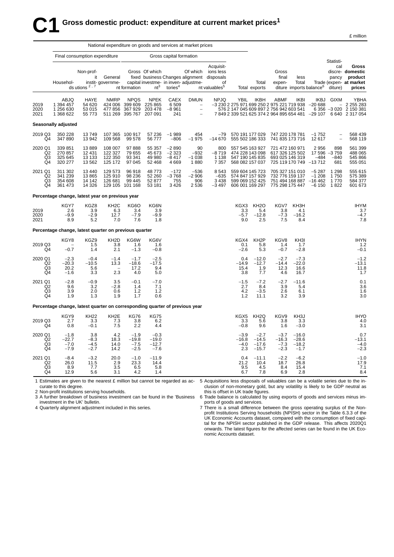|                                                   |                                                                             |                                             | National expenditure on goods and services at market prices |                                               |                                              |                                          |                                                                                              |                                                                                                         |                                                                                                      |                                                                          |                                                                                          |                                         |                                           |                                      |                                                                                                           |
|---------------------------------------------------|-----------------------------------------------------------------------------|---------------------------------------------|-------------------------------------------------------------|-----------------------------------------------|----------------------------------------------|------------------------------------------|----------------------------------------------------------------------------------------------|---------------------------------------------------------------------------------------------------------|------------------------------------------------------------------------------------------------------|--------------------------------------------------------------------------|------------------------------------------------------------------------------------------|-----------------------------------------|-------------------------------------------|--------------------------------------|-----------------------------------------------------------------------------------------------------------|
|                                                   |                                                                             | Final consumption expenditure               |                                                             |                                               |                                              | Gross capital formation                  |                                                                                              |                                                                                                         |                                                                                                      |                                                                          |                                                                                          |                                         |                                           |                                      |                                                                                                           |
|                                                   | Househol-                                                                   | Non-prof-<br>it<br>ds utions <sup>2,7</sup> | General<br>instit- governme-                                | nt formation                                  | Gross Of which<br>$nt^3$                     | tories $4$                               | Of which<br>capital investme- in inven-adjustme-                                             | Acquisit-<br>ions less<br>fixed business Changes alignment disposals<br>οf<br>nt valuables <sup>5</sup> |                                                                                                      | Total<br>Total exports                                                   | Gross<br>final<br>expen-                                                                 | less<br>Total                           | diture imports balance <sup>6</sup>       | Statisti-<br>cal<br>pancy<br>diture) | Gross<br>discre- domestic<br>product<br>Trade (expen- at market<br>prices                                 |
| 2019<br>2020<br>2021                              | ABJQ<br>1 394 457<br>1 256 630<br>1 368 622                                 | HAYE<br>54 620<br>53 015<br>55 7 7 3        | <b>NMRP</b><br>424 006<br>477 856<br>511 269                | <b>NPQS</b><br>399 609<br>367 929<br>395 767  | <b>NPEK</b><br>225 865<br>203 478<br>207 091 | CAEX<br>6 5 0 9<br>$-8961$<br>241        | <b>DMUN</b><br>$\hspace{0.1mm}-\hspace{0.1mm}$<br>$\overline{\phantom{a}}$<br>$\overline{a}$ | <b>NPJQ</b>                                                                                             | <b>YBIL</b><br>-3 230 2 275 971 699 250 2 975 221 719 938<br>576 2 147 045 609 897 2 756 942 603 541 | <b>IKBH</b>                                                              | ABMF                                                                                     | <b>IKBI</b>                             | IKBJ<br>$-20688$                          | <b>GIXM</b>                          | YBHA<br>20 688 - 2 255 283<br>6 356 -3 020 2 150 381<br>784923395216253742964895654481-29107 6640 2317054 |
|                                                   | Seasonally adjusted                                                         |                                             |                                                             |                                               |                                              |                                          |                                                                                              |                                                                                                         |                                                                                                      |                                                                          |                                                                                          |                                         |                                           |                                      |                                                                                                           |
| 2019 Q3<br>Q4                                     | 350 228<br>347 890                                                          | 13749<br>13942                              | 109 568                                                     | 107 365 100 917<br>99 578                     | 57 236<br>56 777                             | $-1989$<br>$-806$                        | 454<br>$-1975$                                                                               | $-79$<br>$-14670$                                                                                       |                                                                                                      | 570 191 177 029<br>555 502 186 333                                       | 747 220 178 781<br>741 835 173 716                                                       |                                         | $-1752$<br>12617                          |                                      | 568 439<br>568 119                                                                                        |
| 2020 Q1<br>Q <sub>2</sub><br>Q <sub>3</sub><br>Q4 | 339 851<br>270 857<br>325 645<br>320 277                                    | 13889<br>12 4 31<br>13 133<br>13562         | 108 007<br>122 327<br>122 350<br>125 172                    | 97 888<br>79 655<br>93 341<br>97 045          | 55 357<br>45 673<br>49 980<br>52 468         | $-2890$<br>$-2323$<br>$-8417$<br>4 6 6 9 | 90<br>$-932$<br>$-1038$<br>1880                                                              | 800<br>$-8719$<br>1 1 3 8<br>7 3 5 7                                                                    |                                                                                                      | 557 545 163 927<br>474 228 143 098<br>547 190 145 835<br>568 082 157 037 | 721 472 160 971<br>617 326 125 502<br>693 025 146 319<br>725 119 170 749                 |                                         | 2956<br>17596<br>$-484$<br>$-13712$       | 898<br>$-3759$<br>$-840$<br>681      | 561 399<br>488 065<br>545 866<br>555 051                                                                  |
| 2021 Q1<br>Q2<br>Q3<br>Q <sub>4</sub>             | 311 302<br>341 239<br>354 608<br>361 473                                    | 13 4 40<br>13865<br>14 142<br>14 3 26       | 129 573<br>125 910<br>126 681                               | 96 918<br>98 236<br>99 445<br>129 105 101 168 | 48773<br>52 260<br>52 877<br>53 181          | $-172$<br>$-3768$<br>755<br>3 4 2 6      | $-536$<br>$-2906$<br>906<br>2 5 3 6                                                          | 8 5 4 3<br>$-635$<br>3 4 3 8<br>$-3497$                                                                 | 599 069 152 425                                                                                      | 559 604 145 723<br>574 847 157 929                                       | 705 327 151 010<br>732 776 159 137<br>751 494 168 887<br>606 001 169 297 775 298 175 447 |                                         | $-5287$<br>$-1208$<br>$-16462$<br>$-6150$ | 1 2 9 8<br>1750<br>1770<br>1822      | 555 615<br>575 389<br>584 377<br>601 673                                                                  |
|                                                   | Percentage change, latest year on previous year                             |                                             |                                                             |                                               |                                              |                                          |                                                                                              |                                                                                                         |                                                                                                      |                                                                          |                                                                                          |                                         |                                           |                                      |                                                                                                           |
| 2019<br>2020<br>2021                              | KGY7<br>2.6<br>$-9.9$<br>8.9                                                | KGZ8<br>3.9<br>$-2.9$<br>5.2                | KH <sub>2</sub> C<br>6.3<br>12.7<br>7.0                     | KG6O<br>3.4<br>$-7.9$<br>7.6                  | KG6N<br>3.9<br>$-9.9$<br>1.8                 |                                          |                                                                                              |                                                                                                         | KGX3<br>3.3<br>-5.7<br>9.0                                                                           | KH <sub>2</sub> O<br>5.4<br>$-12.8$<br>2.5                               | KGV7<br>3.8<br>$-7.3$<br>7.5                                                             | KH3H<br>4.1<br>$-16.2$<br>8.4           |                                           |                                      | <b>IHYM</b><br>3.7<br>$-4.7$<br>7.8                                                                       |
|                                                   | Percentage change, latest quarter on previous quarter                       |                                             |                                                             |                                               |                                              |                                          |                                                                                              |                                                                                                         |                                                                                                      |                                                                          |                                                                                          |                                         |                                           |                                      |                                                                                                           |
| 2019 Q3<br>Q4                                     | KGY8<br>$-0.7$                                                              | KGZ9<br>1.5<br>1.4                          | KH <sub>2</sub> D<br>3.8<br>2.1                             | KG6W<br>1.6<br>$-1.3$                         | KG6V<br>1.6<br>$-0.8$                        |                                          |                                                                                              |                                                                                                         | KGX4<br>0.1<br>$-2.6$                                                                                | KH <sub>2</sub> P<br>5.8<br>5.3                                          | KGV8<br>1.4<br>$-0.7$                                                                    | KH3I<br>1.7<br>$-2.8$                   |                                           |                                      | <b>IHYN</b><br>1.2<br>$-0.1$                                                                              |
| 2020 Q1<br>Q <sub>2</sub><br>Q3<br>Q <sub>4</sub> | $-2.3$<br>$-20.3$<br>20.2<br>$-1.6$                                         | $-0.4$<br>$-10.5$<br>5.6<br>3.3             | $-1.4$<br>13.3<br>$\overline{\phantom{a}}$<br>2.3           | $-1.7$<br>$-18.6$<br>17.2<br>4.0              | $-2.5$<br>$-17.5$<br>9.4<br>5.0              |                                          |                                                                                              |                                                                                                         | 0.4<br>$-14.9$<br>15.4<br>3.8                                                                        | $-12.0$<br>$-12.7$<br>1.9<br>7.7                                         | $-2.7$<br>$-14.4$<br>12.3<br>4.6                                                         | $-7.3$<br>$-22.0$<br>16.6<br>16.7       |                                           |                                      | $-1.2$<br>$-13.1$<br>11.8<br>1.7                                                                          |
| 2021 Q1<br>Q2<br>Q3<br>Q4                         | $-2.8$<br>9.6<br>3.9<br>1.9                                                 | $-0.9$<br>3.2<br>2.0<br>1.3                 | 3.5<br>$-2.8$<br>0.6<br>1.9                                 | $-0.1$<br>1.4<br>$1.2$<br>1.7                 | $-7.0$<br>7.1<br>1.2<br>0.6                  |                                          |                                                                                              |                                                                                                         | $-1.5$<br>2.7<br>4.2<br>1.2                                                                          | $-7.2$<br>8.4<br>$-3.5$<br>11.1                                          | $-2.7$<br>3.9<br>2.6<br>3.2                                                              | $-11.6$<br>5.4<br>6.1<br>3.9            |                                           |                                      | 0.1<br>3.6<br>1.6<br>3.0                                                                                  |
|                                                   | Percentage change, latest quarter on corresponding quarter of previous year |                                             |                                                             |                                               |                                              |                                          |                                                                                              |                                                                                                         |                                                                                                      |                                                                          |                                                                                          |                                         |                                           |                                      |                                                                                                           |
| 2019 Q3<br>Q4                                     | KGY9<br>2.7<br>0.8                                                          | <b>KH22</b><br>3.3<br>$-0.1$                | KH <sub>2</sub> E<br>7.3<br>7.5                             | <b>KG76</b><br>3.8<br>2.2                     | <b>KG75</b><br>6.2<br>4.4                    |                                          |                                                                                              |                                                                                                         | KGX5<br>3.3<br>$-0.8$                                                                                | KH <sub>2</sub> Q<br>5.6<br>9.6                                          | KGV9<br>3.8<br>1.6                                                                       | KH <sub>3</sub> J<br>3.3<br>$-3.0$      |                                           |                                      | <b>IHYO</b><br>4.0<br>3.1                                                                                 |
| 2020 Q1<br>Q2<br>Q3<br>Q4                         | $-1.8$<br>-22.7<br>$-7.0$<br>$-7.9$                                         | 3.8<br>$-8.3$<br>$-4.5$<br>$-2.7$           | 4.2<br>18.3<br>14.0<br>14.2                                 | $-1.9$<br>$-19.8$<br>$-7.5$<br>$-2.5$         | $-0.3$<br>$-19.0$<br>$-12.7$<br>$-7.6$       |                                          |                                                                                              |                                                                                                         | $-3.9$<br>$-16.8$<br>-4.0<br>2.3                                                                     | $-2.7$<br>$-14.5$<br>$-17.6$<br>$-15.7$                                  | $-3.7$<br>$-16.3$<br>$-7.3$<br>$-2.3$                                                    | $-16.0$<br>$-28.6$<br>$-18.2$<br>$-1.7$ |                                           |                                      | 0.7<br>$-13.1$<br>$-4.0$<br>$-2.3$                                                                        |
| 2021 Q1<br>Q2<br>Q3<br>Q4                         | $-8.4$<br>26.0<br>8.9<br>12.9                                               | $-3.2$<br>11.5<br>7.7<br>5.6                | 20.0<br>2.9<br>3.5<br>3.1                                   | $-1.0$<br>23.3<br>6.5<br>4.2                  | $-11.9$<br>14.4<br>5.8<br>1.4                |                                          |                                                                                              |                                                                                                         | 0.4<br>21.2<br>95<br>6.7                                                                             | $-11.1$<br>10.4<br>4.5<br>7.8                                            | $-2.2$<br>18.7<br>8.4<br>6.9                                                             | $-6.2$<br>26.8<br>15.4<br>2.8           |                                           |                                      | $-1.0$<br>17.9<br>7.1<br>8.4                                                                              |

1 Estimates are given to the nearest £ million but cannot be regarded as ac- 5 Acquisitions less disposals of valuables can be a volatile series due to the incurate to this degree. clusion of non-monetary gold, but any volatility is likely to be GDP neutral as

2 Non-profit institutions serving households.

3 A further breakdown of business investment can be found in the 'Business 6 Trade balance is calculated by using exports of goods and services minus iminvestment in the UK' bulletin.

4 Quarterly alignment adjustment included in this series.

this is offset in UK trade figures.

ports of goods and services. 7 There is a small difference between the gross operating surplus of the Nonprofit Institutions Serving households (NPISH) sector in the Table 6.3.3 of the

UK Economic Accounts dataset, compared with the consumption of fixed capital for the NPISH sector published in the GDP release. This affects 2020Q1 onwards. The latest figures for the affected series can be found in the UK Economic Accounts dataset.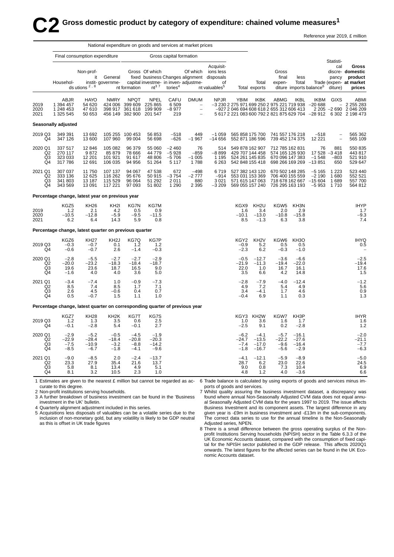# $\bullet$  Gross domestic product by category of expenditure: chained volume measures<sup>1</sup> Reference year 2019, £ million

|                                                   |                                                                             |                                          | National expenditure on goods and services at market prices |                                              |                                              |                                          |                                                                                                          |                                                                                                         |                                                                                                |                                                                          |                                                                          |                                         |                                           |                                      |                                                                                                                    |
|---------------------------------------------------|-----------------------------------------------------------------------------|------------------------------------------|-------------------------------------------------------------|----------------------------------------------|----------------------------------------------|------------------------------------------|----------------------------------------------------------------------------------------------------------|---------------------------------------------------------------------------------------------------------|------------------------------------------------------------------------------------------------|--------------------------------------------------------------------------|--------------------------------------------------------------------------|-----------------------------------------|-------------------------------------------|--------------------------------------|--------------------------------------------------------------------------------------------------------------------|
|                                                   |                                                                             | Final consumption expenditure            |                                                             |                                              |                                              | Gross capital formation                  |                                                                                                          |                                                                                                         |                                                                                                |                                                                          |                                                                          |                                         |                                           |                                      |                                                                                                                    |
|                                                   | Househol-                                                                   | Non-prof-<br>it<br>ds utions $2, 8$      | General<br>instit- governme-                                | nt formation                                 | Gross Of which<br>$nt^3$ $^7$                | tories $4$                               | Of which<br>capital investme- in inven- adjustme-                                                        | Acquisit-<br>ions less<br>fixed business Changes alignment disposals<br>of<br>nt valuables <sup>5</sup> |                                                                                                | Total<br>Total exports                                                   | Gross<br>final<br>expen-                                                 | less<br>Total                           | diture imports balance <sup>6</sup>       | Statisti-<br>cal<br>pancy<br>diture) | Gross<br>discre- domestic<br>product<br>Trade (expen- at market<br>prices                                          |
| 2019<br>2020<br>2021                              | ABJR<br>1 394 457<br>1 248 453<br>1 325 545                                 | <b>HAYO</b><br>54 620<br>47610<br>50 653 | <b>NMRY</b><br>424 006<br>398 917<br>456 149                | <b>NPQT</b><br>399 609<br>361 618<br>382 900 | <b>NPEL</b><br>225 865<br>199 909<br>201 547 | CAFU<br>6 5 0 9<br>$-8977$<br>219        | <b>DMUM</b><br>$\hspace{1.0cm} - \hspace{1.0cm}$<br>$\overline{\phantom{0}}$<br>$\overline{\phantom{a}}$ | <b>NPJR</b>                                                                                             | YBIM<br>-3 230 2 275 971 699 250 2 975 221 719 938<br>-927 2 046 694 608 618 2 655 312 606 413 | IKBK                                                                     | ABMG                                                                     | <b>IKBL</b>                             | IKBM<br>$-20688$                          | GIXS                                 | ABMI<br>2 2 5 2 8 3<br>2 205 -2 690 2 046 209<br>5 617 2 221 083 600 792 2 821 875 629 704 -28 912 6 302 2 198 473 |
|                                                   | <b>Seasonally adjusted</b>                                                  |                                          |                                                             |                                              |                                              |                                          |                                                                                                          |                                                                                                         |                                                                                                |                                                                          |                                                                          |                                         |                                           |                                      |                                                                                                                    |
| 2019 Q3<br>Q4                                     | 349 391<br>347 126                                                          | 13692<br>13 600                          | 107 960                                                     | 105 255 100 453<br>99 004                    | 56 853<br>56 698                             | $-518$<br>$-626$                         | 449<br>$-1967$                                                                                           | $-1059$<br>$-14656$                                                                                     |                                                                                                | 565 858 175 700<br>552 871 186 596                                       | 741 557 176 218<br>739 452 174 375                                       |                                         | $-518$<br>12 2 2 1                        | $\qquad \qquad -$<br>$\overline{a}$  | 565 362<br>565 109                                                                                                 |
| 2020 Q1<br>Q <sub>2</sub><br>Q3<br>Q4             | 337 517<br>270 117<br>323 033<br>317 786                                    | 12 846<br>9872<br>12 201<br>12 691       | 105 082<br>85 879<br>101 921<br>106 035                     | 96 379<br>78 666<br>91 617<br>94 956         | 55 060<br>44 779<br>48 806<br>51 264         | $-2460$<br>$-5928$<br>$-5706$<br>5 1 1 7 | 76<br>$-859$<br>$-1005$<br>1788                                                                          | 514<br>$-8899$<br>1 1 9 5<br>6 2 6 3                                                                    |                                                                                                | 549 878 162 907<br>429 707 144 458<br>524 261 145 835<br>542 848 155 418 | 712 785 162 831<br>574 165 126 930<br>670 096 147 383<br>698 266 169 269 |                                         | 76<br>17528<br>$-1548$<br>$-13851$        | 881<br>$-3418$<br>$-803$<br>650      | 550 835<br>443 817<br>521 910<br>529 647                                                                           |
| 2021 Q1<br>Q <sub>2</sub><br>Q <sub>3</sub><br>Q4 | 307 037<br>333 136<br>341 803<br>343 569                                    | 11750<br>12 6 25<br>13 187<br>13 091     | 107 137<br>116 262<br>115 529<br>117 221                    | 94 067<br>95 676<br>96 064<br>97 093         | 47 538<br>50 915<br>51 292<br>51 802         | 672<br>$-3754$<br>2011<br>1 2 9 0        | $-498$<br>$-2777$<br>880<br>2 3 9 5                                                                      | 6719<br>$-914$<br>3 0 21<br>$-3209$                                                                     |                                                                                                | 527 382 143 120<br>553 031 153 369<br>571 615 147 063<br>569 055 157 240 | 670 502 148 285<br>706 400 155 559<br>726 295 163 193                    | 718 678 162 667                         | $-5165$<br>$-2190$<br>$-15604$<br>$-5953$ | 1 2 2 3<br>1680<br>1689<br>1710      | 523 440<br>552 521<br>557700<br>564 812                                                                            |
|                                                   | Percentage change, latest year on previous year                             |                                          |                                                             |                                              |                                              |                                          |                                                                                                          |                                                                                                         |                                                                                                |                                                                          |                                                                          |                                         |                                           |                                      |                                                                                                                    |
| 2019<br>2020<br>2021                              | KGZ5<br>1.2<br>$-10.5$<br>6.2                                               | <b>KH26</b><br>2.1<br>$-12.8$<br>6.4     | KH <sub>2</sub><br>4.2<br>$-5.9$<br>14.3                    | KG7N<br>0.5<br>$-9.5$<br>5.9                 | KG7M<br>0.9<br>$-11.5$<br>0.8                |                                          |                                                                                                          |                                                                                                         | KGX9<br>1.6<br>$-10.1$<br>8.5                                                                  | KH <sub>2U</sub><br>3.4<br>$-13.0$<br>$-1.3$                             | KGW5<br>2.0<br>$-10.8$<br>6.3                                            | KH3N<br>2.9<br>$-15.8$<br>3.8           |                                           |                                      | <b>IHYP</b><br>1.7<br>$-9.3$<br>7.4                                                                                |
|                                                   | Percentage change, latest quarter on previous quarter                       |                                          |                                                             |                                              |                                              |                                          |                                                                                                          |                                                                                                         |                                                                                                |                                                                          |                                                                          |                                         |                                           |                                      |                                                                                                                    |
| 2019 Q3<br>Q4                                     | KGZ6<br>$-0.3$<br>$-0.6$                                                    | <b>KH27</b><br>$-0.7$<br>$-0.7$          | KH <sub>2</sub> J<br>0.1<br>2.6                             | KG7Q<br>1.2<br>$-1.4$                        | KG7P<br>1.2<br>$-0.3$                        |                                          |                                                                                                          |                                                                                                         | KGY2<br>$-0.9$<br>$-2.3$                                                                       | KH <sub>2</sub> V<br>5.2<br>6.2                                          | KGW6<br>0.5<br>$-0.3$                                                    | KH <sub>3</sub> O<br>0.5<br>$-1.0$      |                                           |                                      | <b>IHYQ</b><br>0.5                                                                                                 |
| 2020 Q1<br>Q2<br>Q3<br>Q <sub>4</sub>             | $-2.8$<br>$-20.0$<br>19.6<br>$-1.6$                                         | $-5.5$<br>$-23.2$<br>23.6<br>4.0         | $-2.7$<br>$-18.3$<br>18.7<br>4.0                            | $-2.7$<br>$-18.4$<br>16.5<br>3.6             | $-2.9$<br>$-18.7$<br>9.0<br>5.0              |                                          |                                                                                                          |                                                                                                         | $-0.5$<br>$-21.9$<br>22.0<br>3.5                                                               | $-12.7$<br>$-11.3$<br>1.0<br>6.6                                         | $-3.6$<br>$-19.4$<br>16.7<br>4.2                                         | $-6.6$<br>$-22.0$<br>16.1<br>14.8       |                                           |                                      | $-2.5$<br>$-19.4$<br>17.6<br>1.5                                                                                   |
| 2021 Q1<br>Q2<br>Q3<br>Q <sub>4</sub>             | $-3.4$<br>8.5<br>2.6<br>0.5                                                 | $-7.4$<br>7.4<br>4.5<br>$-0.7$           | 1.0<br>8.5<br>$-0.6$<br>1.5                                 | $-0.9$<br>1.7<br>0.4<br>1.1                  | $-7.3$<br>7.1<br>0.7<br>1.0                  |                                          |                                                                                                          |                                                                                                         | $-2.8$<br>4.9<br>3.4<br>$-0.4$                                                                 | $-7.9$<br>7.2<br>$-4.1$<br>6.9                                           | $-4.0$<br>5.4<br>1.7<br>1.1                                              | $-12.4$<br>4.9<br>4.6<br>0.3            |                                           |                                      | $-1.2$<br>5.6<br>0.9<br>1.3                                                                                        |
|                                                   | Percentage change, latest quarter on corresponding quarter of previous year |                                          |                                                             |                                              |                                              |                                          |                                                                                                          |                                                                                                         |                                                                                                |                                                                          |                                                                          |                                         |                                           |                                      |                                                                                                                    |
| 2019 Q3<br>Q4                                     | KGZ7<br>1.2<br>$-0.1$                                                       | <b>KH28</b><br>1.3<br>$-2.8$             | KH <sub>2</sub> K<br>3.5<br>5.4                             | KG7T<br>0.6<br>$-0.1$                        | KG7S<br>2.5<br>2.7                           |                                          |                                                                                                          |                                                                                                         | KGY3<br>1.0<br>$-2.5$                                                                          | KH <sub>2</sub> W<br>3.6<br>9.1                                          | KGW7<br>1.6<br>0.2                                                       | KH <sub>3</sub> P<br>1.7<br>$-2.8$      |                                           |                                      | <b>IHYR</b><br>1.6<br>1.2                                                                                          |
| 2020 Q1<br>Q2<br>Q <sub>3</sub><br>Q <sub>4</sub> | $-2.9$<br>$-22.9$<br>-7.5<br>$-8.5$                                         | $-5.2$<br>$-28.4$<br>$-10.9$<br>$-6.7$   | $-0.5$<br>$-18.4$<br>$-3.2$<br>$-1.8$                       | $-4.5$<br>$-20.8$<br>$-8.8$<br>$-4.1$        | $-1.9$<br>$-20.3$<br>$-14.2$<br>$-9.6$       |                                          |                                                                                                          |                                                                                                         | $-6.2$<br>$-24.7$<br>$-7.4$<br>$-1.8$                                                          | $-4.1$<br>$-13.5$<br>$-17.0$<br>$-16.7$                                  | $-5.7$<br>$-22.2$<br>$-9.6$<br>$-5.6$                                    | $-16.1$<br>$-27.6$<br>$-16.4$<br>$-2.9$ |                                           |                                      | $-2.0$<br>$-21.1$<br>-7.7<br>$-6.3$                                                                                |
| 2021 Q1<br>Q <sub>2</sub><br>$^{Q3}_{Q4}$         | $-9.0$<br>23.3<br>5.8<br>8.1                                                | $-8.5$<br>27.9<br>8.1<br>3.2             | 2.0<br>35.4<br>13.4<br>10.5                                 | $-2.4$<br>21.6<br>4.9<br>2.3                 | $-13.7$<br>13.7<br>5.1<br>1.0                |                                          |                                                                                                          |                                                                                                         | $-4.1$<br>28.7<br>9.0<br>4.8                                                                   | $-12.1$<br>6.2<br>0.8<br>1.2                                             | $-5.9$<br>23.0<br>7.3<br>4.0                                             | $-8.9$<br>22.6<br>10.4<br>$-3.6$        |                                           |                                      | $-5.0$<br>24.5<br>6.9<br>6.6                                                                                       |

1 Estimates are given to the nearest £ million but cannot be regarded as ac- 6 Trade balance is calculated by using exports of goods and services minus imcurate to this degree. ports of goods and services.

2 Non-profit institutions serving households.

3 A further breakdown of business investment can be found in the 'Business' investment in the UK' bulletin.

4 Quarterly alignment adjustment included in this series.

5 Acquisitions less disposals of valuables can be a volatile series due to the inclusion of non-monetary gold, but any volatility is likely to be GDP neutral as this is offset in UK trade figures

7 Whilst quality assuring the business investment dataset, a discrepancy was found where annual Non-Seasonally Adjusted CVM data does not equal annual Seasonally Adjusted CVM data for the years 1997 to 2019. The issue affects Business Investment and its component assets. The largest difference in any given year is -£9m in business investment and -£13m in the sub-components. The correct data series to use for the annual timeline is the Non-Seasonally Adjusted series, NPEN.

8 There is a small difference between the gross operating surplus of the Nonprofit Institutions Serving households (NPISH) sector in the Table 6.3.3 of the UK Economic Accounts dataset, compared with the consumption of fixed capital for the NPISH sector published in the GDP release. This affects 2020Q1 onwards. The latest figures for the affected series can be found in the UK Economic Accounts dataset.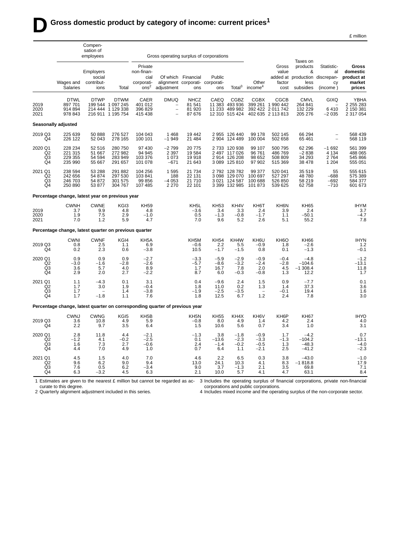Compen-

|  | £ million |
|--|-----------|
|  |           |

|                                       | sation of<br>employees                                                      |                                           |                                                                            | Gross operating surplus of corporations                         |                                                           |                                                              |                                     |                                                                  |                                         |                                                     |                                                                                  |                                     |                                                     |
|---------------------------------------|-----------------------------------------------------------------------------|-------------------------------------------|----------------------------------------------------------------------------|-----------------------------------------------------------------|-----------------------------------------------------------|--------------------------------------------------------------|-------------------------------------|------------------------------------------------------------------|-----------------------------------------|-----------------------------------------------------|----------------------------------------------------------------------------------|-------------------------------------|-----------------------------------------------------|
|                                       | Wages and<br><b>Salaries</b>                                                | Employers<br>social<br>contribut-<br>ions | Total                                                                      | Private<br>non-finan-<br>cial<br>corporati-<br>ons <sup>2</sup> | adjustment                                                | Of which Financial<br>alignment corporati- corporati-<br>ons | Public<br>ons                       | Total $3$                                                        | Other<br>income <sup>4</sup>            | Gross<br>value<br>factor<br>cost                    | Taxes on<br>products<br>&<br>added at production discrepan-<br>less<br>subsidies | Statistic-<br>al<br>CV<br>(income)  | Gross<br>domestic<br>product at<br>market<br>prices |
| 2019<br>2020<br>2021                  | <b>DTWL</b><br>897701<br>914 894<br>978 843                                 | <b>DTWP</b>                               | <b>DTWM</b><br>199 544 1 097 245<br>214 444 1 129 338<br>216 911 1 195 754 | CAER<br>401 012<br>396 829<br>415 438                           | <b>DMUQ</b><br>$\overline{a}$<br>$\overline{\phantom{0}}$ | <b>NHCZ</b><br>81 541<br>81 920<br>87 676                    | CAEQ<br>11 383                      | <b>CGBZ</b><br>493 936<br>11 233 489 982<br>12 310 515 424       | <b>CGBX</b><br>399 261<br>392 422       | CGCB<br>1 990 442<br>2 011 742<br>402 635 2 113 813 | <b>CMVL</b><br>264 841<br>132 229<br>205 276                                     | GIXQ<br>6410<br>$-2035$             | YBHA<br>2 2 5 2 8 3<br>2 150 381<br>2 317 054       |
|                                       | Seasonally adjusted                                                         |                                           |                                                                            |                                                                 |                                                           |                                                              |                                     |                                                                  |                                         |                                                     |                                                                                  |                                     |                                                     |
| 2019 Q3<br>Q4                         | 225 639<br>226 122                                                          | 50 888<br>52 043                          | 276 527<br>278 165                                                         | 104 043<br>100 101                                              | 1468<br>$-1949$                                           | 19442<br>21 4 8 4                                            |                                     | 2 955 126 440<br>2 904 124 489                                   | 99 178<br>100 004                       | 502 145<br>502 658                                  | 66 294<br>65 4 61                                                                | $\overline{\phantom{a}}$            | 568 439<br>568 119                                  |
| 2020 Q1<br>Q2<br>Q3<br>Q4             | 228 234<br>221 315<br>229 355<br>235 990                                    | 52 516<br>51 667<br>54 594<br>55 667      | 280 750<br>272 982<br>283 949<br>291 657                                   | 97 430<br>94 945<br>103 376<br>101 078                          | $-2799$<br>2 3 9 7<br>1073<br>$-671$                      | 20775<br>19584<br>19918<br>21 643                            |                                     | 2 733 120 938<br>2 497 117 026<br>2 914 126 208<br>3 089 125 810 | 99 107<br>96761<br>98 652<br>97 902     | 500 795<br>486769<br>508 809<br>515 369             | 62 296<br>$-2838$<br>34 293<br>38 478                                            | $-1692$<br>4 1 3 4<br>2764<br>1 204 | 561 399<br>488 065<br>545 866<br>555 051            |
| 2021 Q1<br>Q2<br>Q3<br>Q4             | 238 594<br>242 656<br>246 703<br>250 890                                    | 53 288<br>54 874<br>54 872<br>53 877      | 291 882<br>297 530<br>301 575<br>304 767                                   | 104 256<br>103 841<br>99 856<br>107 485                         | 1595<br>188<br>$-4053$<br>2 2 7 0                         | 21 7 34<br>22 131<br>21710<br>22 101                         | 3 0 21                              | 2 792 128 782<br>3 098 129 070<br>124 587<br>3 399 132 985       | 99 377<br>100 697<br>100 688<br>101 873 | 520 041<br>527 297<br>526 850<br>539 625            | 35 519<br>48 780<br>58 219<br>62 758                                             | 55<br>$-688$<br>$-692$<br>$-710$    | 555 615<br>575 389<br>584 377<br>601 673            |
|                                       | Percentage change, latest year on previous year                             |                                           |                                                                            |                                                                 |                                                           |                                                              |                                     |                                                                  |                                         |                                                     |                                                                                  |                                     |                                                     |
| 2019<br>2020<br>2021                  | <b>CWNH</b><br>3.7<br>1.9<br>7.0                                            | <b>CWNE</b><br>9.9<br>7.5<br>1.2          | KGI3<br>4.8<br>2.9<br>5.9                                                  | <b>KH59</b><br>4.8<br>$-1.0$<br>4.7                             |                                                           | KH5L<br>-3.6<br>0.5<br>7.0                                   | <b>KH53</b><br>3.4<br>$-1.3$<br>9.6 | KH4V<br>3.3<br>$-0.8$<br>5.2                                     | KH6T<br>2.4<br>$-1.7$<br>2.6            | KH6N<br>3.9<br>1.1<br>5.1                           | <b>KH65</b><br>2.4<br>$-50.1$<br>55.2                                            |                                     | <b>IHYM</b><br>3.7<br>$-4.7$<br>7.8                 |
|                                       | Percentage change, latest quarter on previous quarter                       |                                           |                                                                            |                                                                 |                                                           |                                                              |                                     |                                                                  |                                         |                                                     |                                                                                  |                                     |                                                     |
| 2019 Q3<br>Q4                         | <b>CWNI</b><br>0.8<br>0.2                                                   | <b>CWNF</b><br>2.5<br>2.3                 | KGI4<br>1.1<br>0.6                                                         | KH <sub>5</sub> A<br>6.9<br>$-3.8$                              |                                                           | KH5M<br>-0.6<br>10.5                                         | <b>KH54</b><br>2.2<br>$-1.7$        | KH4W<br>5.5<br>$-1.5$                                            | KH6U<br>$-0.9$<br>0.8                   | KH <sub>6</sub> O<br>1.8<br>0.1                     | <b>KH66</b><br>-2.6<br>$-1.3$                                                    |                                     | <b>IHYN</b><br>1.2<br>$-0.1$                        |
| 2020 Q1<br>Q2<br>Q3<br>Q4             | 0.9<br>$-3.0$<br>3.6<br>2.9                                                 | 0.9<br>$-1.6$<br>5.7<br>2.0               | 0.9<br>$-2.8$<br>4.0<br>2.7                                                | $-2.7$<br>$-2.6$<br>8.9<br>$-2.2$                               |                                                           | $-3.3$<br>$-5.7$<br>1.7<br>8.7                               | $-5.9$<br>$-8.6$<br>16.7<br>6.0     | $-2.9$<br>$-3.2$<br>7.8<br>$-0.3$                                | $-0.9$<br>$-2.4$<br>2.0<br>$-0.8$       | $-0.4$<br>$-2.8$<br>4.5<br>1.3                      | $-4.8$<br>$-104.6$<br>$-1308.4$<br>12.2                                          |                                     | $-1.2$<br>$-13.1$<br>11.8<br>1.7                    |
| 2021 Q1<br>Q <sub>2</sub><br>Q3<br>Q4 | 1.1<br>1.7<br>1.7<br>1.7                                                    | $-4.3$<br>3.0<br>$-1.8$                   | 0.1<br>1.9<br>1.4<br>1.1                                                   | 3.1<br>$-0.4$<br>$-3.8$<br>7.6                                  |                                                           | 0.4<br>1.8<br>$-1.9$<br>1.8                                  | $-9.6$<br>11.0<br>$-2.5$<br>12.5    | 2.4<br>0.2<br>$-3.5$<br>6.7                                      | 1.5<br>1.3<br>$\qquad \qquad -$<br>1.2  | 0.9<br>1.4<br>$-0.1$<br>2.4                         | $-7.7$<br>37.3<br>19.4<br>7.8                                                    |                                     | 0.1<br>3.6<br>1.6<br>3.0                            |
|                                       | Percentage change, latest quarter on corresponding quarter of previous year |                                           |                                                                            |                                                                 |                                                           |                                                              |                                     |                                                                  |                                         |                                                     |                                                                                  |                                     |                                                     |
| 2019 Q3<br>Q4                         | <b>CWNJ</b><br>3.6<br>2.2                                                   | <b>CWNG</b><br>10.8<br>9.7                | KG <sub>I5</sub><br>4.9<br>3.5                                             | KH <sub>5</sub> B<br>5.9<br>6.4                                 |                                                           | KH5N<br>$-0.8$<br>1.5                                        | <b>KH55</b><br>8.0<br>10.6          | KH4X<br>4.9<br>5.6                                               | KH <sub>6</sub> V<br>1.4<br>0.7         | KH <sub>6</sub> P<br>4.2<br>3.4                     | <b>KH67</b><br>2.4<br>1.0                                                        |                                     | <b>IHYO</b><br>4.0<br>3.1                           |
| 2020 Q1<br>Q2<br>Q3<br>Q4             | 2.8<br>$-1.2$<br>1.6<br>4.4                                                 | 11.8<br>4.1<br>7.3<br>7.0                 | 4.4<br>$-0.2$<br>2.7<br>4.9                                                | $-2.1$<br>$-2.5$<br>$-0.6$<br>1.0                               |                                                           | $-1.3$<br>0.1<br>2.4<br>0.7                                  | 3.8<br>$-13.6$<br>$-1.4$<br>6.4     | $-1.8$<br>$-2.3$<br>$-0.2$<br>1.1                                | $-0.9$<br>$-3.3$<br>$-0.5$<br>$-2.1$    | 1.7<br>$-1.3$<br>1.3<br>2.5                         | $-4.2$<br>$-104.2$<br>$-48.3$<br>$-41.2$                                         |                                     | 0.7<br>$-13.1$<br>$-4.0$<br>$-2.3$                  |
| 2021 Q1<br>Q2<br>Q3<br>Q <sub>4</sub> | 4.5<br>9.6<br>7.6<br>6.3                                                    | 1.5<br>6.2<br>0.5<br>$-3.2$               | 4.0<br>9.0<br>6.2<br>4.5                                                   | 7.0<br>9.4<br>$-3.4$<br>6.3                                     |                                                           | 4.6<br>13.0<br>9.0<br>2.1                                    | 2.2<br>24.1<br>3.7<br>10.0          | 6.5<br>10.3<br>$-1.3$<br>5.7                                     | 0.3<br>4.1<br>2.1<br>4.1                | 3.8<br>8.3<br>3.5<br>4.7                            | $-43.0$<br>$-1818.8$<br>69.8<br>63.1                                             |                                     | $-1.0$<br>17.9<br>7.1<br>8.4                        |

1 Estimates are given to the nearest  $E$  million but cannot be regarded as accurate to this degree. 3 Includes the operating surplus of financial corporations, private non-financial corporations and public corporations.

2 Quarterly alignment adjustment included in this series.

4 Includes mixed income and the operating surplus of the non-corporate sector.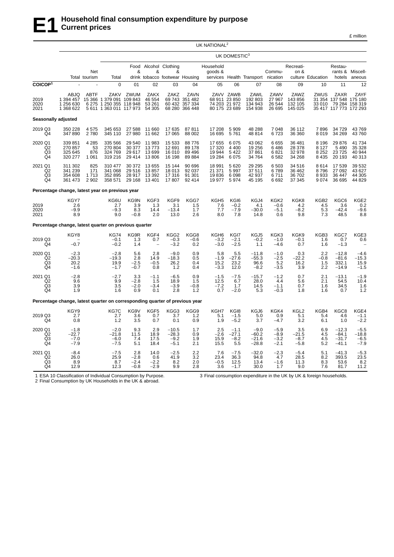| million<br>$\sim$<br>. . |
|--------------------------|
|--------------------------|

|                                       |                                                                             |                                  |                                                                                        |                                       |                                         |                                                         |                                                            | UK NATIONAL <sup>2</sup>              |                                                       |                                         |                                      |                                       |                                          |                                                                            |                                       |
|---------------------------------------|-----------------------------------------------------------------------------|----------------------------------|----------------------------------------------------------------------------------------|---------------------------------------|-----------------------------------------|---------------------------------------------------------|------------------------------------------------------------|---------------------------------------|-------------------------------------------------------|-----------------------------------------|--------------------------------------|---------------------------------------|------------------------------------------|----------------------------------------------------------------------------|---------------------------------------|
|                                       |                                                                             |                                  |                                                                                        |                                       |                                         |                                                         |                                                            |                                       | UK DOMESTIC <sup>3</sup>                              |                                         |                                      |                                       |                                          |                                                                            |                                       |
|                                       |                                                                             | Net<br>Total tourism             | Total                                                                                  | Food<br>&                             | &                                       | Alcohol Clothing<br>&<br>drink tobacco footwear Housing |                                                            | Household<br>goods &                  |                                                       | services Health Transport nication      | Commu-                               | Recreati-<br>on &                     | culture Education                        | Restau-<br>hotels                                                          | rants & Miscell-<br>aneous            |
| COICOP <sup>1</sup>                   |                                                                             |                                  | $\overline{0}$                                                                         | 01                                    | 02                                      | 03                                                      | 04                                                         | 05                                    | 06                                                    | 07                                      | 08                                   | 09                                    | 10                                       | 11                                                                         | 12                                    |
| 2019<br>2020<br>2021                  | ABJQ<br>1 394 457<br>1 256 630<br>1 368 622                                 | <b>ABTF</b>                      | ZAKV<br>15 366 1 379 091 109 843<br>6 275 1 250 355 118 948<br>5 611 1 363 011 117 973 | ZWUM                                  | ZAKX<br>46 554<br>53 261<br>54 30 5     | ZAKZ                                                    | ZAVN<br>69 743 351 482<br>60 432 357 334<br>68 280 366 448 | 68 911                                | ZAVV ZAWB<br>23 850<br>74 203 21 972<br>80 175 23 689 | ZAWL<br>192 803<br>134 943<br>154 938   | ZAWV<br>27 967<br>26 544<br>26 695   | ZAWZ<br>143 856<br>132 105<br>145 025 | ZWUS<br>33 010                           | ZAXR<br>31 354 137 548 175 180<br>79 284 158 319<br>35 417 117 773 172 293 | ZAYF                                  |
| Seasonally adjusted                   |                                                                             |                                  |                                                                                        |                                       |                                         |                                                         |                                                            |                                       |                                                       |                                         |                                      |                                       |                                          |                                                                            |                                       |
| 2019 Q3<br>Q4                         | 350 228<br>347 890                                                          | 4575<br>2780                     | 345 653<br>345 110                                                                     | 27 588<br>27 980                      | 11 660<br>11 662                        | 17 635<br>17 065                                        | 87811<br>88 002                                            | 17 208<br>16 695                      | 5 9 0 9<br>5761                                       | 48 288<br>48814                         | 7 0 48<br>6723                       | 36 112<br>36 360                      | 7896<br>8019                             | 34 729<br>34 269                                                           | 43769<br>43760                        |
| 2020 Q1<br>Q2<br>$^{Q3}_{Q4}$         | 339 851<br>270 857<br>325 645<br>320 277                                    | 4 2 8 5<br>53<br>876<br>1 0 6 1  | 335 566<br>270 804<br>324 769<br>319 216                                               | 29 540<br>30 377<br>29 617<br>29 4 14 | 11 983<br>13773<br>13 699<br>13 806     | 15 5 33<br>12 691<br>16 010<br>16 198                   | 88776<br>89 178<br>89 496<br>89 884                        | 17 655<br>17 320<br>19 944<br>19 284  | 6 0 7 5<br>4 4 0 0<br>5 4 2 2<br>6 0 7 5              | 43 062<br>19 25 6<br>37861<br>34 764    | 6655<br>6486<br>6821<br>6582         | 36 481<br>28 378<br>32 978<br>34 268  | 8 1 9 6<br>8 1 2 7<br>8 2 5 2<br>8 4 3 5 | 29 876<br>5 4 9 0<br>23725<br>20 193                                       | 41 734<br>35 328<br>40 944<br>40 313  |
| 2021 Q1<br>Q <sub>2</sub><br>Q3<br>Q4 | 311 302<br>341 239<br>354 608<br>361 473                                    | 825<br>171<br>1 7 1 3<br>2 9 0 2 | 310 477<br>341 068<br>352 895<br>358 571                                               | 30 372<br>29 516<br>28 917<br>29 1 68 | 13 655<br>13857<br>13 3 9 2<br>13 401   | 15 144<br>18 013<br>17 316<br>17807                     | 90 696<br>92 037<br>91 301<br>92 414                       | 18 991<br>21 371<br>19836<br>19 977   | 5 6 20<br>5 9 9 7<br>6 0 98<br>5974                   | 29 29 5<br>37511<br>42 937<br>45 195    | 6 5 0 3<br>6789<br>6711<br>6692      | 34 516<br>36 462<br>36 702<br>37 345  | 8614<br>8796<br>8933<br>9074             | 17 539<br>27 092<br>36 447<br>36 695                                       | 39 532<br>43 627<br>44 305<br>44 829  |
|                                       | Percentage change, latest year on previous year                             |                                  |                                                                                        |                                       |                                         |                                                         |                                                            |                                       |                                                       |                                         |                                      |                                       |                                          |                                                                            |                                       |
| 2019<br>2020<br>2021                  | KGY7<br>2.6<br>$-9.9$<br>8.9                                                |                                  | KG6U<br>2.7<br>-9.3<br>9.0                                                             | KG9N<br>3.9<br>8.3<br>$-0.8$          | KGF3<br>1.3<br>14.4<br>2.0              | KGF9<br>3.1<br>$-13.4$<br>13.0                          | KGG7<br>1.5<br>1.7<br>2.6                                  | KGH <sub>5</sub><br>7.6<br>7.7<br>8.0 | KGI6<br>$-0.2$<br>$-7.9$<br>7.8                       | KGJ4<br>4.1<br>$-30.0$<br>14.8          | KGK2<br>$-0.6$<br>$-5.1$<br>0.6      | KGK8<br>4.2<br>$-8.2$<br>9.8          | KGB2<br>4.5<br>5.3<br>7.3                | KGC6<br>3.6<br>$-42.4$<br>48.5                                             | $KGE2 0.2 -9.6$<br>8.8                |
|                                       | Percentage change, latest quarter on previous quarter                       |                                  |                                                                                        |                                       |                                         |                                                         |                                                            |                                       |                                                       |                                         |                                      |                                       |                                          |                                                                            |                                       |
| 2019 Q3<br>Q4                         | KGY8<br>$-0.7$                                                              |                                  | <b>KG74</b><br>$-0.1$<br>$-0.2$                                                        | KG9R<br>1.3<br>1.4                    | KGF4<br>0.7<br>$\overline{\phantom{a}}$ | KGG <sub>2</sub><br>$-0.3$<br>$-3.2$                    | KGG8<br>$-0.6$<br>0.2                                      | KGH <sub>6</sub><br>$-3.2$<br>$-3.0$  | KGI7<br>$-2.1$<br>$-2.5$                              | KGJ5<br>$-0.2$<br>1.1                   | KGK3<br>$-1.0$<br>$-4.6$             | KGK9<br>$-0.1$<br>0.7                 | KGB3<br>1.6<br>1.6                       | KGC7<br>0.7<br>$-1.3$                                                      | KGE3<br>0.6                           |
| 2020 Q1<br>Q2<br>Q3<br>Q4             | $-2.3$<br>$-20.3$<br>20.2<br>$-1.6$                                         |                                  | $-2.8$<br>$-19.3$<br>19.9<br>$-1.7$                                                    | 5.6<br>2.8<br>$-2.5$<br>$-0.7$        | 2.8<br>14.9<br>$-0.5$<br>0.8            | $-9.0$<br>$-18.3$<br>26.2<br>1.2                        | 0.9<br>0.5<br>0.4<br>0.4                                   | 5.8<br>$-1.9$<br>15.2<br>$-3.3$       | 5.5<br>$-27.6$<br>23.2<br>12.0                        | $-11.8$<br>-55.3<br>96.6<br>$-8.2$      | $-1.0$<br>$-2.5$<br>5.2<br>$-3.5$    | 0.3<br>$-22.2$<br>16.2<br>3.9         | 2.2<br>$-0.8$<br>1.5<br>2.2              | $-12.8$<br>$-81.6$<br>332.1<br>$-14.9$                                     | $-4.6$<br>$-15.3$<br>15.9<br>$-1.5$   |
| 2021 Q1<br>Q2<br>Q3<br>Q4             | $-2.8$<br>9.6<br>3.9<br>1.9                                                 |                                  | $-2.7$<br>9.9<br>3.5<br>1.6                                                            | 3.3<br>$-2.8$<br>$-2.0$<br>0.9        | $-1.1$<br>1.5<br>$-3.4$<br>0.1          | $-6.5$<br>18.9<br>$-3.9$<br>2.8                         | 0.9<br>1.5<br>$-0.8$<br>1.2                                | $-1.5$<br>12.5<br>$-7.2$<br>0.7       | $-7.5$<br>6.7<br>1.7<br>$-2.0$                        | $-15.7$<br>28.0<br>14.5<br>5.3          | $-1.2$<br>4.4<br>$-1.1$<br>$-0.3$    | 0.7<br>5.6<br>0.7<br>1.8              | 2.1<br>2.1<br>1.6<br>1.6                 | $-13.1$<br>54.5<br>34.5<br>0.7                                             | $-1.9$<br>10.4<br>1.6<br>1.2          |
|                                       | Percentage change, latest quarter on corresponding quarter of previous year |                                  |                                                                                        |                                       |                                         |                                                         |                                                            |                                       |                                                       |                                         |                                      |                                       |                                          |                                                                            |                                       |
| 2019 Q3<br>Q4                         | KGY9<br>2.7<br>0.8                                                          |                                  | KG7C<br>2.7<br>1.2                                                                     | KG9V<br>3.6<br>3.5                    | KGF5<br>0.7<br>0.7                      | KGG3<br>3.7<br>0.1                                      | KGG9<br>1.2<br>0.9                                         | KGH7<br>5.1<br>1.9                    | KG18<br>$-1.5$<br>$-5.2$                              | KGJ6<br>5.0<br>3.7                      | KGK4<br>0.9<br>$-4.7$                | KGL <sub>2</sub><br>5.1<br>3.2        | KGB4<br>5.4<br>6.1                       | KGC8<br>4.6<br>1.0                                                         | KGE4<br>$-1.1$<br>$-2.2$              |
| 2020 Q1<br>Q2<br>Q3<br>Q4             | $-1.8$<br>$-22.\overline{7}$<br>$-7.0$<br>$-7.9$                            |                                  | $-2.0$<br>$-21.8$<br>$-6.0$<br>$-7.5$                                                  | 9.3<br>11.5<br>7.4<br>5.1             | 2.9<br>18.9<br>17.5<br>18.4             | $-10.5$<br>$-28.3$<br>$-9.2$<br>$-5.1$                  | 1.7<br>0.9<br>1.9<br>2.1                                   | 2.5<br>$-2.6$<br>15.9<br>15.5         | $-27.1$<br>$-8.2$<br>5.5                              | $-9.0$<br>$-60.2$<br>$-21.6$<br>$-28.8$ | $-5.9$<br>$-8.9$<br>$-3.2$<br>$-2.1$ | $3.5 - 21.5$<br>$-8.7$<br>$-5.8$      | $6.9$<br>4.5<br>4.5<br>5.2               | $-12.3$<br>$-84.1$<br>$-31.7$<br>$-41.1$                                   | $-5.5$<br>$-18.8$<br>$-6.5$<br>$-7.9$ |
| 2021 Q1<br>Q2<br>Q3<br>Q4             | $-8.4$<br>26.0<br>8.9<br>12.9                                               |                                  | $-7.5$<br>25.9<br>8.7<br>12.3                                                          | 2.8<br>$-2.8$<br>$-2.4$<br>$-0.8$     | 14.0<br>0.6<br>$-2.2$<br>$-2.9$         | $-2.5$<br>41.9<br>8.2<br>9.9                            | 2.2<br>3.2<br>2.0<br>2.8                                   | 7.6<br>23.4<br>$-0.5$<br>3.6          | $-7.5$<br>36.3<br>12.5<br>$-1.7$                      | $-32.0$<br>94.8<br>13.4<br>30.0         | $-2.3$<br>4.7<br>$-1.6$<br>1.7       | $-5.4$<br>28.5<br>11.3<br>9.0         | 5.1<br>8.2<br>8.3<br>7.6                 | $-41.3$<br>393.5<br>53.6<br>81.7                                           | $-5.3$<br>$^{23.5}_{8.2}$<br>11.2     |

1 ESA 10 Classification of Individual Consumption by Purpose. 2 Final Consumption by UK Households in the UK & abroad.

3 Final consumption expenditure in the UK by UK & foreign households.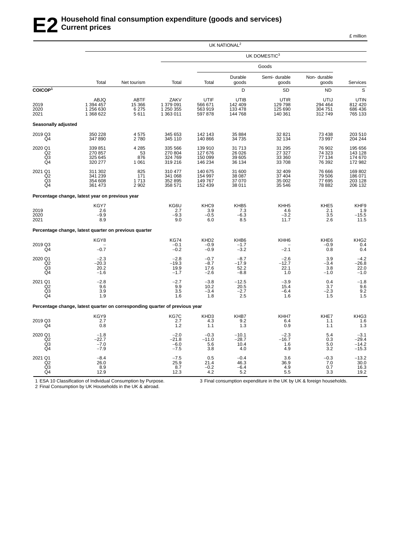|                                                   |                                                                             |                                          |                                             |                                          | UK NATIONAL <sup>2</sup>                     |                                           |                                       |                                              |
|---------------------------------------------------|-----------------------------------------------------------------------------|------------------------------------------|---------------------------------------------|------------------------------------------|----------------------------------------------|-------------------------------------------|---------------------------------------|----------------------------------------------|
|                                                   |                                                                             |                                          |                                             |                                          |                                              | UK DOMESTIC <sup>3</sup>                  |                                       |                                              |
|                                                   |                                                                             |                                          |                                             |                                          |                                              | Goods                                     |                                       |                                              |
|                                                   | Total                                                                       | Net tourism                              | Total                                       | Total                                    | Durable<br>goods                             | Semi-durable<br>goods                     | Non-durable<br>goods                  | Services                                     |
| COICOP <sup>1</sup>                               |                                                                             |                                          |                                             |                                          | D                                            | <b>SD</b>                                 | <b>ND</b>                             | S                                            |
| 2019<br>2020<br>2021                              | ABJQ<br>1 394 457<br>1 256 630<br>1 368 622                                 | <b>ABTF</b><br>15 366<br>6 2 7 5<br>5611 | ZAKV<br>1 379 091<br>1 250 355<br>1 363 011 | UTIF<br>566 671<br>563 919<br>597 878    | <b>UTIB</b><br>142 409<br>133 478<br>144 768 | UTIR<br>129 798<br>125 690<br>140 361     | UTIJ<br>294 464<br>304 751<br>312749  | <b>UTIN</b><br>812 420<br>686 436<br>765 133 |
| Seasonally adjusted                               |                                                                             |                                          |                                             |                                          |                                              |                                           |                                       |                                              |
| 2019 Q3<br>Q <sub>4</sub>                         | 350 228<br>347 890                                                          | 4575<br>2780                             | 345 653<br>345 110                          | 142 143<br>140 866                       | 35 884<br>34 735                             | 32 821<br>32 134                          | 73 4 38<br>73 997                     | 203 510<br>204 244                           |
| 2020 Q1<br>Q2<br>Q <sub>3</sub><br>Q4             | 339 851<br>270 857<br>325 645<br>320 277                                    | 4 2 8 5<br>53<br>876<br>1 0 6 1          | 335 566<br>270 804<br>324 769<br>319 216    | 139 910<br>127 676<br>150 099<br>146 234 | 31 713<br>26 0 26<br>39 605<br>36 134        | 31 295<br>27 327<br>33 360<br>33 708      | 76 902<br>74 323<br>77 134<br>76 392  | 195 656<br>143 128<br>174 670<br>172 982     |
| 2021 Q1<br>Q <sub>2</sub><br>Q <sub>3</sub><br>Q4 | 311 302<br>341 239<br>354 608<br>361 473                                    | 825<br>171<br>1713<br>2 9 0 2            | 310 477<br>341 068<br>352 895<br>358 571    | 140 675<br>154 997<br>149 767<br>152 439 | 31 600<br>38 087<br>37 070<br>38 011         | 32 409<br>37 404<br>35 002<br>35 546      | 76 666<br>79 506<br>77 695<br>78 882  | 169802<br>186 071<br>203 128<br>206 132      |
|                                                   | Percentage change, latest year on previous year                             |                                          |                                             |                                          |                                              |                                           |                                       |                                              |
| 2019<br>2020<br>2021                              | KGY7<br>2.6<br>$-9.9$<br>8.9                                                |                                          | KG6U<br>2.7<br>$-9.3$<br>9.0                | KHC <sub>9</sub><br>3.9<br>$-0.5$<br>6.0 | KHB <sub>5</sub><br>7.3<br>$-6.3$<br>8.5     | KHH <sub>5</sub><br>4.6<br>$-3.2$<br>11.7 | KHE <sub>5</sub><br>2.1<br>3.5<br>2.6 | KHF9<br>1.9<br>$-15.5$<br>11.5               |
|                                                   | Percentage change, latest quarter on previous quarter                       |                                          |                                             |                                          |                                              |                                           |                                       |                                              |
| 2019 Q3<br>Q4                                     | KGY8<br>$-0.7$                                                              |                                          | <b>KG74</b><br>$-0.1$<br>$-0.2$             | KHD <sub>2</sub><br>$-0.9$<br>$-0.9$     | KHB6<br>$-1.7$<br>$-3.2$                     | KHH <sub>6</sub><br>$-2.1$                | KHE6<br>$-0.9$<br>0.8                 | KHG2<br>0.4<br>0.4                           |
| 2020 Q1<br>Q <sub>2</sub><br>Q <sub>3</sub><br>Q4 | $-2.3$<br>$-20.3$<br>20.2<br>$-1.6$                                         |                                          | $-2.8$<br>$-19.3$<br>19.9<br>$-1.7$         | $-0.7$<br>$-8.7$<br>17.6<br>$-2.6$       | $-8.7$<br>$-17.9$<br>52.2<br>$-8.8$          | $-2.6$<br>$-12.7$<br>22.1<br>1.0          | 3.9<br>$-3.4$<br>3.8<br>$-1.0$        | $-4.2$<br>$-26.8$<br>22.0<br>$-1.0$          |
| 2021 Q1<br>Q <sub>2</sub><br>Q3<br>Q4             | $-2.8$<br>9.6<br>3.9<br>1.9                                                 |                                          | $-2.7$<br>9.9<br>3.5<br>1.6                 | $-3.8$<br>10.2<br>$-3.4$<br>1.8          | $-12.5$<br>20.5<br>$-2.7$<br>2.5             | $-3.9$<br>15.4<br>$-6.4$<br>1.6           | 0.4<br>3.7<br>$-2.3$<br>1.5           | $-1.8$<br>9.6<br>9.2<br>1.5                  |
|                                                   | Percentage change, latest quarter on corresponding quarter of previous year |                                          |                                             |                                          |                                              |                                           |                                       |                                              |
| 2019 Q3<br>Q4                                     | KGY9<br>2.7<br>0.8                                                          |                                          | KG7C<br>2.7<br>1.2                          | KHD3<br>4.3<br>1.1                       | KHB7<br>9.2<br>1.3                           | KHH7<br>6.4<br>0.9                        | KHE7<br>1.1<br>1.1                    | KHG3<br>1.6<br>1.3                           |
| 2020 Q1<br>Q <sub>2</sub><br>Q <sub>3</sub><br>Q4 | $-1.8$<br>$-22.7$<br>$-7.0$<br>$-7.9$                                       |                                          | $-2.0$<br>$-21.8$<br>$-6.0$<br>$-7.5$       | $-0.3$<br>$-11.0$<br>5.6<br>3.8          | $-10.1$<br>$-28.7$<br>10.4<br>4.0            | $-2.3$<br>$-16.7$<br>1.6<br>4.9           | 5.4<br>0.3<br>5.0<br>3.2              | $-3.1$<br>$-29.4$<br>$-14.2$<br>$-15.3$      |
| 2021 Q1<br>Q <sub>2</sub><br>Q3<br>Q4             | $-8.4$<br>26.0<br>8.9<br>12.9                                               |                                          | $-7.5$<br>25.9<br>8.7<br>12.3               | 0.5<br>21.4<br>$-0.2$<br>4.2             | $-0.4$<br>46.3<br>$-6.4$<br>5.2              | 3.6<br>36.9<br>4.9<br>5.5                 | $-0.3$<br>7.0<br>0.7<br>3.3           | $-13.2$<br>30.0<br>16.3<br>19.2              |

1 ESA 10 Classification of Individual Consumption by Purpose.

3 Final consumption expenditure in the UK by UK & foreign households.

2 Final Consumption by UK Households in the UK & abroad.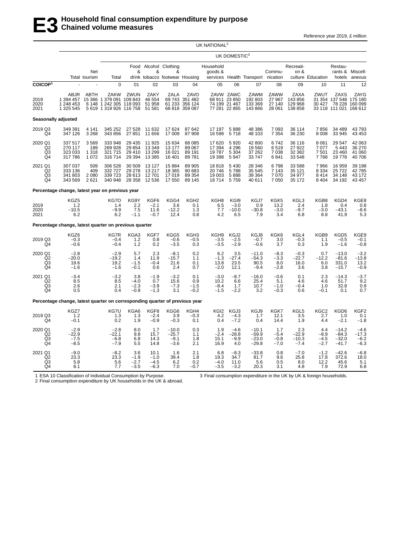Reference year 2019, £ million

|                                       |                                                                             |                                   |                                                                                               |                                       |                                      |                                                              |                                                     | UK NATIONAL <sup>2</sup>            |                                                              |                                          |                                       |                                       |                                    |                                                                 |                                       |
|---------------------------------------|-----------------------------------------------------------------------------|-----------------------------------|-----------------------------------------------------------------------------------------------|---------------------------------------|--------------------------------------|--------------------------------------------------------------|-----------------------------------------------------|-------------------------------------|--------------------------------------------------------------|------------------------------------------|---------------------------------------|---------------------------------------|------------------------------------|-----------------------------------------------------------------|---------------------------------------|
|                                       |                                                                             |                                   |                                                                                               |                                       |                                      |                                                              |                                                     |                                     | UK DOMESTIC <sup>3</sup>                                     |                                          |                                       |                                       |                                    |                                                                 |                                       |
|                                       |                                                                             | Net<br>Total tourism              | Total                                                                                         | &                                     | &                                    | Food Alcohol Clothing<br>&<br>drink tobacco footwear Housing |                                                     | Household<br>goods &                |                                                              | services Health Transport nication       | Commu-                                | Recreati-<br>on &                     | culture Education                  | Restau-<br>hotels                                               | rants & Miscell-<br>aneous            |
| COICOP <sup>1</sup>                   |                                                                             |                                   | $\Omega$                                                                                      | 01                                    | 02                                   | 03                                                           | 04                                                  | 05                                  | 06                                                           | 07                                       | 08                                    | 09                                    | 10                                 | 11                                                              | 12                                    |
| 2019<br>2020<br>2021                  | ABJR<br>1 394 457<br>1 248 453<br>1 325 545                                 | ABTH                              | <b>ZAKW</b><br>15 366 1 379 091 109 843<br>6 148 1 242 305 118 093<br>5 619 1 319 926 116 758 | ZWUN                                  | ZAKY<br>46 554<br>51 958<br>51 581   | <b>ZALA</b><br>69 743                                        | ZAVO<br>351 482<br>61 233 356 124<br>68 818 359 087 |                                     | ZAVW ZAWC<br>68 911 23 850<br>74 199 21 467<br>77 281 22 865 | ZAWM<br>192 803<br>133 369<br>143 866    | ZAWW<br>27 967<br>27 140<br>28 061    | ZAXA<br>143 856<br>129 968<br>138 858 | ZWUT<br>30 427                     | <b>ZAXS</b><br>31 354 137 548 175 180<br>33 118 111 021 168 612 | ZAYG<br>78 228 160 099                |
| Seasonally adjusted                   |                                                                             |                                   |                                                                                               |                                       |                                      |                                                              |                                                     |                                     |                                                              |                                          |                                       |                                       |                                    |                                                                 |                                       |
| 2019 Q3<br>Q4                         | 349 391<br>347 126                                                          | 4 1 4 1<br>3 2 6 8                | 345 252<br>343 856                                                                            | 27 528<br>27 851                      | 11 632<br>11 656                     | 17 624<br>17 009                                             | 87 642<br>87 908                                    | 17 197<br>16 598                    | 5888<br>5718                                                 | 48 386<br>48 103                         | 7 0 9 3<br>7 3 5 4                    | 36 114<br>36 230                      | 7856<br>8008                       | 34 489<br>33 945                                                | 43793<br>43 453                       |
| 2020 Q1<br>Q2<br>Q3<br>Q4             | 337 517<br>270 117<br>323 033<br>317 786                                    | 3569<br>189<br>1 3 1 8<br>1 0 7 2 | 333 948<br>269 928<br>321 715<br>316714                                                       | 29 435<br>29 854<br>29 410<br>29 3 94 | 11 925<br>13 349<br>13 299<br>13 385 | 15 634<br>13 177<br>16 021<br>16 401                         | 88 085<br>89 067<br>89 191<br>89781                 | 17 620<br>17 394<br>19787<br>19 398 | 5920<br>4 2 9 6<br>5 3 0 4<br>5947                           | 42 800<br>19560<br>37 262<br>33747       | 6742<br>6519<br>7 0 38<br>6841        | 36 116<br>27 922<br>32 382<br>33 548  | 8 0 61<br>7077<br>7501<br>7788     | 29 547<br>5 4 4 3<br>23 460<br>19778                            | 42 063<br>36 270<br>41 060<br>40 706  |
| 2021 Q1<br>Q2<br>Q3<br>Q4             | 307 037<br>333 136<br>341 803<br>343 569                                    | 509<br>409<br>2 0 8 0<br>2621     | 306 528<br>332 727<br>339 723<br>340 948                                                      | 30 509<br>29 278<br>28 613<br>28 358  | 13 127<br>13 217<br>12701<br>12 536  | 15 8 84<br>18 3 65<br>17 019<br>17 550                       | 89 905<br>90 683<br>89 354<br>89 145                | 18818<br>20746<br>19 003<br>18714   | 5 4 3 0<br>5788<br>5888<br>5759                              | 28 346<br>35 545<br>39 364<br>40 611     | 6798<br>7 1 4 3<br>7 0 7 0<br>7 0 5 0 | 33 588<br>35 121<br>34 977<br>35 172  | 7966<br>8 3 3 4<br>8414<br>8 4 0 4 | 16 959<br>25722<br>34 148<br>34 192                             | 39 198<br>42785<br>43 172<br>43 457   |
|                                       | Percentage change, latest year on previous year                             |                                   |                                                                                               |                                       |                                      |                                                              |                                                     |                                     |                                                              |                                          |                                       |                                       |                                    |                                                                 |                                       |
| 2019<br>2020<br>2021                  | KGZ5<br>1.2<br>$-10.5$<br>6.2                                               |                                   | KG7O<br>1.4<br>$-9.9$<br>6.2                                                                  | KG9Y<br>2.2<br>7.5<br>$-1.1$          | KGF6<br>$-2.1$<br>11.6<br>$-0.7$     | KGG4<br>3.6<br>$-12.2$<br>12.4                               | KGH <sub>2</sub><br>0.1<br>1.3<br>0.8               | KGH8<br>6.5<br>7.7<br>4.2           | KGI9<br>$-3.0$<br>$-10.0$<br>6.5                             | KGJ7<br>0.9<br>$-30.8$<br>7.9            | KGK5<br>13.2<br>$-3.0$<br>3.4         | KGL3<br>2.4<br>$-9.7$<br>6.8          | KGB8<br>1.8<br>$-3.0$<br>8.8       | KGD4<br>0.4<br>$-43.1$<br>41.9                                  | KGE8<br>0.8<br>$-8.6$<br>5.3          |
|                                       | Percentage change, latest quarter on previous quarter                       |                                   |                                                                                               |                                       |                                      |                                                              |                                                     |                                     |                                                              |                                          |                                       |                                       |                                    |                                                                 |                                       |
| 2019 Q3<br>Q4                         | KGZ6<br>$-0.3$<br>$-0.6$                                                    |                                   | KG7R<br>$-0.4$<br>$-0.4$                                                                      | KGA3<br>1.2<br>1.2                    | KGF7<br>0.8<br>0.2                   | KGG5<br>$-0.6$<br>$-3.5$                                     | KGH <sub>3</sub><br>$-0.5$<br>0.3                   | KGH9<br>$-3.5$<br>$-3.5$            | KGJ2<br>$-2.5$<br>$-2.9$                                     | KGJ8<br>$-0.7$<br>$-0.6$                 | KGK6<br>3.0<br>3.7                    | KGL4<br>$-0.3$<br>0.3                 | KGB9<br>1.1<br>1.9                 | KGD5<br>$-0.5$<br>$-1.6$                                        | KGE9<br>$-0.1$<br>$-0.8$              |
| 2020 Q1<br>Q2<br>Q <sub>3</sub><br>Q4 | $-2.8$<br>$-20.0$<br>19.6<br>$-1.6$                                         |                                   | $-2.9$<br>$-19.2$<br>19.2<br>$-1.6$                                                           | 5.7<br>1.4<br>$-1.5$<br>$-0.1$        | 2.3<br>11.9<br>$-0.4$<br>0.6         | $-8.1$<br>$-15.7$<br>21.6<br>2.4                             | 0.2<br>1.1<br>0.1<br>0.7                            | 6.2<br>$-1.3$<br>13.8<br>$-2.0$     | 3.5<br>$-27.4$<br>23.5<br>12.1                               | $-11.0$<br>$-54.3$<br>90.5<br>$-9.4$     | $-8.3$<br>$-3.3$<br>8.0<br>$-2.8$     | $-0.3$<br>$-22.7$<br>16.0<br>3.6      | 0.7<br>$-12.2$<br>6.0<br>3.8       | $-13.0$<br>$-81.6$<br>331.0<br>$-15.7$                          | $-3.2$<br>$-13.8$<br>13.2<br>$-0.9$   |
| 2021 Q1<br>Q <sub>2</sub><br>Q3<br>Q4 | $-3.4$<br>8.5<br>2.6<br>0.5                                                 |                                   | $-3.2$<br>8.5<br>2.1<br>0.4                                                                   | 3.8<br>$-4.0$<br>$-2.3$<br>$-0.9$     | $-1.9$<br>0.7<br>$-3.9$<br>$-1.3$    | $-3.2$<br>15.6<br>$-7.3$<br>3.1                              | 0.1<br>0.9<br>$-1.5$<br>$-0.2$                      | $-3.0$<br>10.2<br>$-8.4$<br>$-1.5$  | $-8.7$<br>6.6<br>1.7<br>$-2.2$                               | $-16.0$<br>25.4<br>10.7<br>3.2           | $-0.6$<br>5.1<br>$-1.0$<br>$-0.3$     | 0.1<br>4.6<br>$-0.4$<br>0.6           | 2.3<br>4.6<br>1.0<br>$-0.1$        | $-14.3$<br>51.7<br>32.8<br>0.1                                  | $-3.7$<br>9.2<br>$0.9$<br>$0.7$       |
|                                       | Percentage change, latest quarter on corresponding quarter of previous year |                                   |                                                                                               |                                       |                                      |                                                              |                                                     |                                     |                                                              |                                          |                                       |                                       |                                    |                                                                 |                                       |
| 2019 Q3<br>Q4                         | KGZ7<br>1.2<br>$-0.1$                                                       |                                   | KG7U<br>1.3<br>0.2                                                                            | KGA6<br>1.3<br>1.9                    | KGF8<br>$-2.4$<br>$-0.9$             | KGG6<br>3.9<br>$-0.3$                                        | KGH4<br>$-0.3$<br>0.1                               | KGI2<br>4.2<br>0.4                  | KGJ3<br>$-4.3$<br>$-7.2$                                     | KGJ9<br>1.7<br>0.4                       | KGK7<br>12.1<br>14.4                  | KGL5<br>3.5<br>1.9                    | KGC2<br>2.7<br>4.4                 | KGD6<br>1.0<br>$-2.1$                                           | KGF2<br>0.1<br>$-1.8$                 |
| 2020 Q1<br>Q <sub>2</sub><br>Q3<br>Q4 | $-2.9$<br>$-22.9$<br>$-7.5$<br>$-8.5$                                       |                                   | $-2.8$<br>$-22.1$<br>$-6.8$<br>$-7.9$                                                         | 8.0<br>9.8<br>6.8<br>5.5              | 1.7<br>15.7<br>14.3<br>14.8          | $-10.0$<br>$-25.7$<br>$-9.1$<br>$-3.6$                       | 0.3<br>1.1<br>1.8<br>2.1                            | 1.9<br>$-2.4$<br>15.1<br>16.9       | $-4.6$<br>$-28.8$<br>$-9.9$<br>4.0                           | $-10.1$<br>$-59.9$<br>$-23.0$<br>$-29.8$ | 1.7<br>$-5.4$<br>$-0.8$<br>$-7.0$     | 2.3<br>$-22.9$<br>$-10.3$<br>$-7.4$   | 4.4<br>$-8.9$<br>$-4.5$<br>$-2.7$  | $-14.2$<br>$-84.3$<br>$-32.0$<br>$-41.7$                        | $-4.6$<br>$-17.3$<br>$-6.2$<br>$-6.3$ |
| 2021 Q1<br>Q2<br>Q3<br>Q4             | $-9.0$<br>23.3<br>5.8<br>8.1                                                |                                   | $-8.2$<br>23.3<br>5.6<br>7.7                                                                  | 3.6<br>$-1.9$<br>$-2.7$<br>$-3.5$     | 10.1<br>$-1.0$<br>$-4.5$<br>$-6.3$   | 1.6<br>39.4<br>6.2<br>7.0                                    | 2.1<br>1.8<br>0.2<br>$-0.7$                         | 6.8<br>19.3<br>$-4.0$<br>$-3.5$     | $-8.3$<br>34.7<br>11.0<br>$-3.2$                             | $-33.8$<br>81.7<br>5.6<br>20.3           | 0.8<br>9.6<br>0.5<br>3.1              | $-7.0$<br>25.8<br>8.0<br>4.8          | $-1.2$<br>17.8<br>12.2<br>7.9      | $-42.6$<br>372.6<br>45.6<br>72.9                                | $-6.8$<br>18.0<br>5.1<br>6.8          |

1 ESA 10 Classification of Individual Consumption by Purpose. 2 Final consumption expenditure by UK households in the UK & abroad. 3 Final consumption expenditure in the UK by UK & foreign households.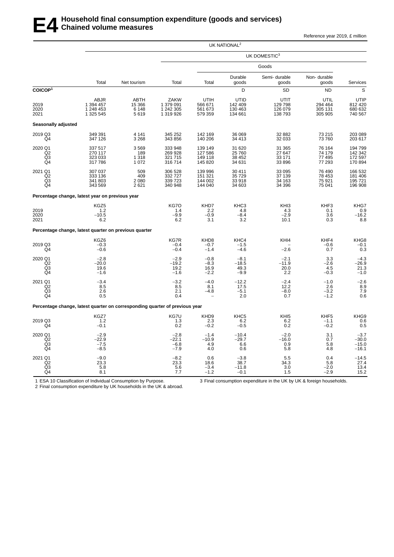Reference year 2019, £ million

|                                                               |                                                                             | UK NATIONAL <sup>2</sup>          |                                             |                                          |                                              |                                           |                                       |                                                   |  |  |  |  |
|---------------------------------------------------------------|-----------------------------------------------------------------------------|-----------------------------------|---------------------------------------------|------------------------------------------|----------------------------------------------|-------------------------------------------|---------------------------------------|---------------------------------------------------|--|--|--|--|
|                                                               |                                                                             |                                   |                                             |                                          |                                              | UK DOMESTIC <sup>3</sup>                  |                                       |                                                   |  |  |  |  |
|                                                               |                                                                             |                                   |                                             |                                          |                                              | Goods                                     |                                       |                                                   |  |  |  |  |
|                                                               | Total                                                                       | Net tourism                       | Total                                       | Total                                    | Durable<br>goods                             | Semi-durable<br>goods                     | Non-durable<br>goods                  | Services                                          |  |  |  |  |
| COICOP <sup>1</sup>                                           |                                                                             |                                   |                                             |                                          | D                                            | <b>SD</b>                                 | <b>ND</b>                             | S                                                 |  |  |  |  |
| 2019<br>2020<br>2021                                          | ABJR<br>1 394 457<br>1 248 453<br>1 325 545                                 | ABTH<br>15 366<br>6 1 4 8<br>5619 | ZAKW<br>1 379 091<br>1 242 305<br>1 319 926 | UTIH<br>566 671<br>561 673<br>579 359    | <b>UTID</b><br>142 409<br>130 463<br>134 661 | UTIT<br>129 798<br>126 079<br>138 793     | UTIL<br>294 464<br>305 131<br>305 905 | UTIP<br>812 420<br>680 632<br>740 567             |  |  |  |  |
| Seasonally adjusted                                           |                                                                             |                                   |                                             |                                          |                                              |                                           |                                       |                                                   |  |  |  |  |
| 2019 Q3<br>Q4                                                 | 349 391<br>347 126                                                          | 4 1 4 1<br>3 2 6 8                | 345 252<br>343 856                          | 142 169<br>140 206                       | 36 069<br>34 413                             | 32 882<br>32 033                          | 73 215<br>73760                       | 203 089<br>203 617                                |  |  |  |  |
| 2020 Q1<br>Q2<br>Q3<br>Q4                                     | 337 517<br>270 117<br>323 033<br>317 786                                    | 3569<br>189<br>1 3 1 8<br>1 0 7 2 | 333 948<br>269 928<br>321 715<br>316 714    | 139 149<br>127 586<br>149 118<br>145 820 | 31 620<br>25 760<br>38 452<br>34 631         | 31 365<br>27 647<br>33 171<br>33 896      | 76 164<br>74 179<br>77 495<br>77 293  | 194 799<br>142 342<br>172 597<br>170 894          |  |  |  |  |
| 2021 Q1<br>Q <sub>2</sub><br>Q <sub>3</sub><br>Q <sub>4</sub> | 307 037<br>333 136<br>341 803<br>343 569                                    | 509<br>409<br>2 0 8 0<br>2621     | 306 528<br>332 727<br>339 723<br>340 948    | 139 996<br>151 321<br>144 002<br>144 040 | 30 411<br>35 729<br>33 918<br>34 603         | 33 095<br>37 139<br>34 163<br>34 396      | 76 490<br>78 453<br>75 921<br>75 041  | 166 532<br>181 406<br>195 721<br>196 908          |  |  |  |  |
|                                                               | Percentage change, latest year on previous year                             |                                   |                                             |                                          |                                              |                                           |                                       |                                                   |  |  |  |  |
| 2019<br>2020<br>2021                                          | KGZ5<br>1.2<br>$-10.5$<br>6.2                                               |                                   | KG7O<br>1.4<br>$-9.9$<br>6.2                | KHD7<br>2.2<br>$-0.9$<br>3.1             | KHC <sub>3</sub><br>4.8<br>$-8.4$<br>3.2     | KH <sub>13</sub><br>4.3<br>$-2.9$<br>10.1 | KHF3<br>0.1<br>3.6<br>0.3             | KHG7<br>$-16.2$<br>8.8                            |  |  |  |  |
|                                                               | Percentage change, latest quarter on previous quarter                       |                                   |                                             |                                          |                                              |                                           |                                       |                                                   |  |  |  |  |
| 2019 Q3<br>Q4                                                 | KGZ6<br>$-0.3$<br>$-0.6$                                                    |                                   | KG7R<br>$-0.4$<br>$-0.4$                    | KHD8<br>$-0.7$<br>$-1.4$                 | KHC4<br>$-1.5$<br>$-4.6$                     | KHI4<br>$-2.6$                            | KHF4<br>$-0.6$<br>0.7                 | KHG8<br>$-0.1$<br>0.3                             |  |  |  |  |
| 2020 Q1<br>Q2<br>Q3<br>Q4                                     | $-2.8$<br>$-20.0$<br>19.6<br>$-1.6$                                         |                                   | $-2.9$<br>$-19.2$<br>19.2<br>$-1.6$         | $-0.8$<br>$-8.3$<br>16.9<br>$-2.2$       | $-8.1$<br>$-18.5$<br>49.3<br>$-9.9$          | $-2.1$<br>$-11.9$<br>20.0<br>2.2          | 3.3<br>$-2.6$<br>4.5<br>$-0.3$        | $-4.3$<br>$-26.9$<br>$21.3$<br>$-1.0$             |  |  |  |  |
| 2021 Q1<br>Q2<br>Q3<br>Q4                                     | $-3.4$<br>8.5<br>2.6<br>0.5                                                 |                                   | $-3.2$<br>8.5<br>2.1<br>0.4                 | $-4.0$<br>8.1<br>$-4.8$                  | $-12.2$<br>17.5<br>$-5.1$<br>2.0             | $-2.4$<br>12.2<br>$-8.0$<br>0.7           | $-1.0$<br>2.6<br>$-3.2$<br>$-1.2$     | $^{-2.6}_{8.9}$<br>7.9<br>0.6                     |  |  |  |  |
|                                                               | Percentage change, latest quarter on corresponding quarter of previous year |                                   |                                             |                                          |                                              |                                           |                                       |                                                   |  |  |  |  |
| 2019 Q3<br>Q4                                                 | KGZ7<br>1.2<br>$-0.1$                                                       |                                   | KG7U<br>1.3<br>0.2                          | KHD9<br>2.3<br>$-0.2$                    | KHC <sub>5</sub><br>6.2<br>$-0.5$            | KHI <sub>5</sub><br>6.2<br>0.2            | KHF5<br>$-1.1$<br>$-0.2$              | KHG9<br>$\begin{array}{c} 0.6 \\ 0.5 \end{array}$ |  |  |  |  |
| 2020 Q1<br>Q2<br>Q3<br>Q4                                     | $-2.9$<br>$-22.9$<br>$-7.5$<br>$-8.5$                                       |                                   | $-2.8$<br>$-22.1$<br>$-6.8$<br>$-7.9$       | $-1.4$<br>$-10.9$<br>4.9<br>4.0          | $-10.4$<br>$-29.7$<br>6.6<br>0.6             | $-2.0$<br>$-16.0$<br>0.9<br>5.8           | 3.1<br>0.7<br>5.8<br>4.8              | $-3.7$<br>$-30.0$<br>$-15.0$<br>$-16.1$           |  |  |  |  |
| 2021 Q1<br>Q2<br>$^{Q3}_{Q4}$                                 | $-9.0$<br>23.3<br>5.8<br>8.1                                                |                                   | $-8.2$<br>23.3<br>5.6<br>7.7                | 0.6<br>18.6<br>$-3.4$<br>$-1.2$          | $-3.8$<br>38.7<br>$-11.8$<br>$-0.1$          | 5.5<br>34.3<br>3.0<br>1.5                 | 0.4<br>5.8<br>$-2.0$<br>$-2.9$        | $-14.5$<br>27.4<br>13.4<br>15.2                   |  |  |  |  |

1 ESA 10 Classification of Individual Consumption by Purpose.

3 Final consumption expenditure in the UK by UK & foreign households.

2 Final consumption expenditure by UK households in the UK & abroad.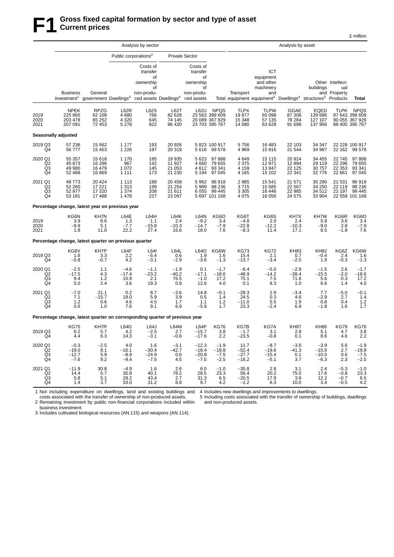|                                       | Analysis by sector                                                                                             |                                      |                                      |                                                             |                                      |                                                                           |                                                                   |                                          |                                                                                                                                            | Analysis by asset                     |                                        |                                                     |                                                                   |
|---------------------------------------|----------------------------------------------------------------------------------------------------------------|--------------------------------------|--------------------------------------|-------------------------------------------------------------|--------------------------------------|---------------------------------------------------------------------------|-------------------------------------------------------------------|------------------------------------------|--------------------------------------------------------------------------------------------------------------------------------------------|---------------------------------------|----------------------------------------|-----------------------------------------------------|-------------------------------------------------------------------|
|                                       |                                                                                                                |                                      | Public corporations <sup>2</sup>     |                                                             |                                      | <b>Private Sector</b>                                                     |                                                                   |                                          |                                                                                                                                            |                                       |                                        |                                                     |                                                                   |
|                                       | <b>Business</b><br>investment <sup>1</sup> government Dwellings <sup>4</sup> ced assets Dwellings <sup>4</sup> | General                              |                                      | Costs of<br>transfer<br>of<br>ownership<br>of<br>non-produ- |                                      | Costs of<br>transfer<br>οf<br>ownership<br>οf<br>non-produ-<br>ced assets |                                                                   | Transport                                | ICT<br>equipment<br>and other<br>machinery<br>and<br>Total equipment equipment <sup>3</sup> Dwellings <sup>4</sup> structures <sup>5</sup> |                                       | buildings                              | Other Intellect-<br>ual<br>and Property<br>Products | Total                                                             |
| 2019<br>2020<br>2021                  | <b>NPEK</b><br>225 865<br>203 478<br>207 091                                                                   | RPZG<br>62 108<br>65 25 2<br>72 453  | L62R<br>4680<br>4 3 2 0<br>5 2 7 8   | L62S<br>766<br>645<br>822                                   | L62T<br>82 628<br>74 145<br>86 420   | <b>L62U</b>                                                               | <b>NPQS</b><br>23 563 399 609<br>20 089 367 929<br>23 703 395 767 | <b>TLPX</b><br>19877<br>15 348<br>14 080 | <b>TLPW</b><br>65 098<br>57 135<br>63 628                                                                                                  | GGAE<br>87 306<br>78 284<br>91 698    | EQED<br>139 686<br>127 107<br>137 956  | <b>TLPK</b>                                         | <b>NPQS</b><br>87 643 399 609<br>90 055 367 929<br>88 405 395 767 |
|                                       | <b>Seasonally adjusted</b>                                                                                     |                                      |                                      |                                                             |                                      |                                                                           |                                                                   |                                          |                                                                                                                                            |                                       |                                        |                                                     |                                                                   |
| 2019 Q3<br>Q4                         | 57 236<br>56777                                                                                                | 15 5 62<br>15 4 53                   | 1 1 7 7<br>1 2 2 6                   | 193<br>187                                                  | 20 9 26<br>20 319                    | 5 6 1 6                                                                   | 5 823 100 917<br>99 578                                           | 5756<br>4 9 6 9                          | 16 483<br>15916                                                                                                                            | 22 103<br>21 544                      | 34 347<br>34 987                       | 22 162                                              | 22 228 100 917<br>99 578                                          |
| 2020 Q1<br>Q <sub>2</sub><br>Q3<br>Q4 | 55 357<br>45 673<br>49 980<br>52 4 68                                                                          | 15618<br>16 28 6<br>16 479<br>16869  | 1 1 7 0<br>967<br>1 0 7 2<br>1 1 1 1 | 185<br>142<br>145<br>173                                    | 19 935<br>11 927<br>21 053<br>21 230 | 5 6 2 3<br>4 6 6 0<br>4612<br>5 1 9 4                                     | 97 888<br>79 655<br>93 341<br>97 045                              | 4649<br>2 3 7 5<br>4 1 5 9<br>4 1 6 5    | 15 1 15<br>12 971<br>13947<br>15 102                                                                                                       | 20 9 24<br>12894<br>22 1 25<br>22 341 | 34 455<br>29 119<br>30 757<br>32 776   | 22745<br>22 29 6<br>22 353<br>22 661                | 97888<br>79 655<br>93 341<br>97 045                               |
| 2021 Q1<br>Q <sub>2</sub><br>Q3<br>Q4 | 48 773<br>52 260<br>52 877<br>53 181                                                                           | 20 4 24<br>17 221<br>17 320<br>17488 | 1 1 1 3<br>1313<br>1 3 7 4<br>1478   | 188<br>199<br>208<br>227                                    | 20 458<br>21 254<br>21 611<br>23 097 | 5962<br>5989<br>6 0 5 5                                                   | 96 918<br>98 236<br>99 445<br>5 697 101 168                       | 2985<br>3715<br>3 3 0 5<br>4 0 7 5       | 15 541<br>15 5 85<br>16 4 46<br>16 056                                                                                                     | 21 571<br>22 567<br>22 985<br>24 575  | 35 290<br>34 250<br>34 512<br>33 904   | 21 531<br>22 119<br>22 197                          | 96918<br>98 236<br>99 4 45<br>22 558 101 168                      |
|                                       | Percentage change, latest year on previous year                                                                |                                      |                                      |                                                             |                                      |                                                                           |                                                                   |                                          |                                                                                                                                            |                                       |                                        |                                                     |                                                                   |
| 2019<br>2020<br>2021                  | KG6N<br>3.9<br>$-9.9$<br>1.8                                                                                   | KH7N<br>8.6<br>5.1<br>11.0           | L64E<br>1.3<br>$-7.7$<br>22.2        | L64H<br>1.1<br>$-15.8$<br>27.4                              | L64K<br>2.4<br>$-10.3$<br>16.6       | L64N<br>$-9.2$<br>$-14.7$<br>18.0                                         | KG6O<br>3.4<br>-7.9<br>7.6                                        | KG6T<br>$-4.8$<br>$-22.8$<br>$-8.3$      | KG6S<br>2.0<br>$-12.2$<br>11.4                                                                                                             | KH7X<br>2.4<br>$-10.3$<br>17.1        | KH7W<br>5.9<br>-9.0<br>8.5             | KG6R<br>3.6<br>2.8<br>$-1.8$                        | KG6O<br>3.4<br>$-7.9$<br>7.6                                      |
|                                       | Percentage change, latest quarter on previous quarter                                                          |                                      |                                      |                                                             |                                      |                                                                           |                                                                   |                                          |                                                                                                                                            |                                       |                                        |                                                     |                                                                   |
| 2019 Q3<br>Q4                         | KG6V<br>1.6<br>$-0.8$                                                                                          | KH7P<br>3.3<br>$-0.7$                | L64F<br>2.2<br>4.2                   | L64I<br>$-5.4$<br>$-3.1$                                    | L64L<br>0.6<br>$-2.9$                | L64O<br>1.9<br>$-3.6$                                                     | KG6W<br>1.6<br>$-1.3$                                             | <b>KG73</b><br>15.4<br>$-13.7$           | <b>KG72</b><br>2.1<br>$-3.4$                                                                                                               | <b>KH83</b><br>0.7<br>$-2.5$          | <b>KH82</b><br>$-0.4$<br>1.9           | KG6Z<br>2.4<br>$-0.3$                               | KG6W<br>1.6<br>$-1.3$                                             |
| 2020 Q1<br>Q <sub>2</sub><br>Q3<br>Q4 | $-2.5$<br>$-17.5$<br>9.4<br>5.0                                                                                | 1.1<br>4.3<br>1.2<br>2.4             | $-4.6$<br>$-17.4$<br>10.9<br>3.6     | $-1.1$<br>$-23.2$<br>2.1<br>19.3                            | $-1.9$<br>$-40.2$<br>76.5<br>0.8     | 0.1<br>$-17.1$<br>$-1.0$<br>12.6                                          | $-1.7$<br>$-18.6$<br>17.2<br>4.0                                  | $-6.4$<br>$-48.9$<br>75.1<br>0.1         | $-5.0$<br>$-14.2$<br>7.5<br>8.3                                                                                                            | $-2.9$<br>$-38.4$<br>71.6<br>1.0      | $-1.5$<br>$-15.5$<br>5.6<br>6.6        | 2.6<br>$-2.0$<br>0.3<br>1.4                         | $-1.7$<br>$-18.6$<br>17.2<br>4.0                                  |
| 2021 Q1<br>Q2<br>Q3<br>Q4             | $-7.0$<br>7.1<br>$1.2$<br>0.6                                                                                  | 21.1<br>$-15.7$<br>0.6<br>1.0        | 0.2<br>18.0<br>4.6<br>7.6            | 8.7<br>5.9<br>4.5<br>9.1                                    | $-3.6$<br>3.9<br>1.7<br>6.9          | 14.8<br>0.5<br>1.1<br>$-5.9$                                              | $-0.1$<br>1.4<br>1.2<br>1.7                                       | $-28.3$<br>24.5<br>$-11.0$<br>23.3       | 2.9<br>0.3<br>5.5<br>$-2.4$                                                                                                                | $-3.4$<br>4.6<br>1.9<br>6.9           | 7.7<br>$-2.9$<br>0.8<br>$-1.8$         | $-5.0$<br>2.7<br>0.4<br>1.6                         | $-0.1$<br>1.4<br>1.2<br>1.7                                       |
|                                       | Percentage change, latest quarter on corresponding quarter of previous year                                    |                                      |                                      |                                                             |                                      |                                                                           |                                                                   |                                          |                                                                                                                                            |                                       |                                        |                                                     |                                                                   |
| 2019 Q3<br>Q4                         | <b>KG75</b><br>6.2<br>4.4                                                                                      | KH7R<br>5.7<br>6.3                   | L64G<br>4.2<br>14.3                  | L64J<br>$-2.5$<br>$-3.1$                                    | L64M<br>2.7<br>$-0.6$                | L64P<br>$-15.7$<br>$-1/6$                                                 | <b>KG76</b><br>3.8<br>2.2                                         | KG7B<br>$-1.7$<br>-23.5                  | KG7A<br>3.1<br>$-0.8$                                                                                                                      | <b>KH87</b><br>2.8<br>0.1             | <b>KH86</b><br>5.1<br>გ.               | <b>KG79</b><br>4.7<br>4.6                           | KG76<br>3.8<br>2.2                                                |
| 2020 Q1<br>Q2<br>Q3<br>Q4             | $-0.3$<br>$-19.0$<br>$-12.7$<br>$-7.6$                                                                         | $-2.5$<br>8.1<br>5.9<br>9.2          | 4.0<br>$-16.1$<br>$-8.9$<br>$-9.4$   | 1.6<br>$-30.4$<br>$-24.9$<br>$-7.5$                         | $-3.1$<br>$-42.7$<br>0.6<br>4.5      | $-12.3$<br>$-18.4$<br>$-20.8$<br>$-7.5$                                   | $-1.9$<br>$-19.8$<br>$-7.5$<br>$-2.5$                             | 11.7<br>$-52.4$<br>$-27.7$<br>$-16.2$    | $-8.7$<br>$-19.6$<br>$-15.4$<br>$-5.1$                                                                                                     | $-3.6$<br>$-41.3$<br>0.1<br>3.7       | $-3.9$<br>$-15.6$<br>$-10.5$<br>$-6.3$ | 5.6<br>2.7<br>0.6<br>2.3                            | $-1.9$<br>$-19.8$<br>$-7.5$<br>$-2.5$                             |
| 2021 Q1<br>Q2<br>Q <sub>3</sub><br>Q4 | $-11.9$<br>14.4<br>5.8<br>1.4                                                                                  | 30.8<br>5.7<br>5.1<br>3.7            | $-4.9$<br>35.8<br>28.2<br>33.0       | 1.6<br>40.1<br>43.4<br>31.2                                 | 2.6<br>$^{78.2}_{2.7}$<br>8.8        | 6.0<br>28.5<br>31.3<br>9.7                                                | $-1.0$<br>23.3<br>6.5<br>4.2                                      | $-35.8$<br>56.4<br>$-20.5$<br>$-2.2$     | 2.8<br>20.2<br>17.9<br>6.3                                                                                                                 | 3.1<br>75.0<br>$\frac{3.9}{10.0}$     | 2.4<br>17.6<br>12.2<br>3.4             | $-5.3$<br>$-0.8$<br>$-0.7$<br>$-0.5$                | $-1.0$<br>23.3<br>$6.5$<br>$4.2$                                  |

1 Not including expenditure on dwellings, land and existing buildings and Not including expenditure on dwellings, land and existing buildings and 4 Includes new dwellings and improvements to dwellings.<br>costs associated with the transfer of ownership of non-produced assets.  $5$  Including costs as

2 Remaining investment by public non-financial corporations included within business investment.

5 Including costs associated with the transfer of ownership of buildings, dwellings and non-produced assets.

£ million

3 Includes cultivated biological resources (AN.115) and weapons (AN.114).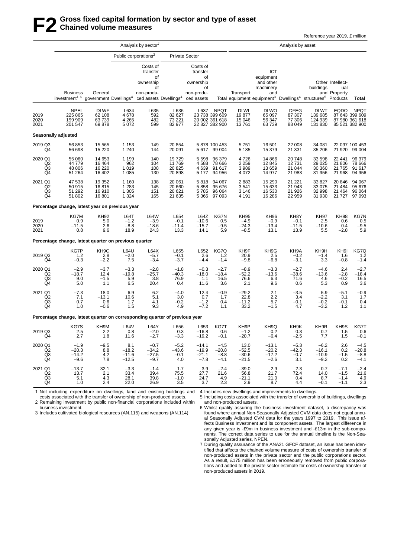## **F2 Gross fixed capital formation by sector and type of asset Chained volume measures**

Reference year 2019, £ million

| Analysis by sector'                          |                                          |                               |                                                                                                                                                                                                                                                                                |                                                                                                                                                                       |                                         |                                                                                                                                                                                                                                                                                                                                                                                     | Analysis by asset                                                                                                       |                                          |                                                                                                                                            |                              |                                      |                                                                                                                                                                                                                                                                                                                                              |
|----------------------------------------------|------------------------------------------|-------------------------------|--------------------------------------------------------------------------------------------------------------------------------------------------------------------------------------------------------------------------------------------------------------------------------|-----------------------------------------------------------------------------------------------------------------------------------------------------------------------|-----------------------------------------|-------------------------------------------------------------------------------------------------------------------------------------------------------------------------------------------------------------------------------------------------------------------------------------------------------------------------------------------------------------------------------------|-------------------------------------------------------------------------------------------------------------------------|------------------------------------------|--------------------------------------------------------------------------------------------------------------------------------------------|------------------------------|--------------------------------------|----------------------------------------------------------------------------------------------------------------------------------------------------------------------------------------------------------------------------------------------------------------------------------------------------------------------------------------------|
|                                              |                                          |                               |                                                                                                                                                                                                                                                                                |                                                                                                                                                                       |                                         |                                                                                                                                                                                                                                                                                                                                                                                     |                                                                                                                         |                                          |                                                                                                                                            |                              |                                      |                                                                                                                                                                                                                                                                                                                                              |
|                                              |                                          |                               | Costs of<br>transfer                                                                                                                                                                                                                                                           |                                                                                                                                                                       | Costs of<br>transfer                    |                                                                                                                                                                                                                                                                                                                                                                                     |                                                                                                                         |                                          |                                                                                                                                            |                              |                                      |                                                                                                                                                                                                                                                                                                                                              |
| <b>Business</b><br>investment <sup>16</sup>  | General                                  |                               | ownership<br>οf<br>non-produ-                                                                                                                                                                                                                                                  |                                                                                                                                                                       | ownership<br>οf<br>non-produ-           |                                                                                                                                                                                                                                                                                                                                                                                     | Transport                                                                                                               | machinery<br>and                         |                                                                                                                                            |                              | ual                                  | Total                                                                                                                                                                                                                                                                                                                                        |
| <b>NPEL</b><br>225 865<br>199 909<br>201 547 | <b>DLWF</b><br>62 108<br>63739<br>69 878 |                               | L635<br>592<br>482<br>599                                                                                                                                                                                                                                                      | 82 627<br>73 221<br>82 977                                                                                                                                            |                                         | <b>NPQT</b>                                                                                                                                                                                                                                                                                                                                                                         | <b>DLWL</b><br>19877<br>15 046<br>13761                                                                                 | <b>DLWO</b><br>65 097<br>56 347<br>63739 | <b>DFEG</b><br>87 307<br>77 306<br>88 049                                                                                                  | DLWT<br>139 685<br>124 939   | <b>EQDO</b>                          | <b>NPQT</b><br>87 643 399 609<br>87 980 361 618<br>85 521 382 900                                                                                                                                                                                                                                                                            |
|                                              |                                          |                               |                                                                                                                                                                                                                                                                                |                                                                                                                                                                       |                                         |                                                                                                                                                                                                                                                                                                                                                                                     |                                                                                                                         |                                          |                                                                                                                                            |                              |                                      |                                                                                                                                                                                                                                                                                                                                              |
| 56 853<br>56 698                             | 15 5 65<br>15 2 20                       | 1 2 4 0                       | 149<br>144                                                                                                                                                                                                                                                                     | 20 091                                                                                                                                                                |                                         |                                                                                                                                                                                                                                                                                                                                                                                     | 5751<br>5 1 8 5                                                                                                         | 16 501<br>15 379                         | 22 008<br>21 331                                                                                                                           | 34 081<br>35 206             |                                      | 22 097 100 453<br>99 004                                                                                                                                                                                                                                                                                                                     |
| 55 060<br>44 779<br>48 806<br>51 264         | 14 653<br>16 4 64<br>16 220<br>16 402    | 1 1 9 9<br>1019<br>1 0 8 5    | 140<br>104<br>108<br>130                                                                                                                                                                                                                                                       | 19729<br>11769<br>20 8 25<br>20 898                                                                                                                                   | 5 5 9 8<br>4588<br>4639                 | 96 379<br>78 666<br>91 617<br>94 956                                                                                                                                                                                                                                                                                                                                                | 4726<br>2 2 5 9<br>3989<br>4 0 7 2                                                                                      | 14 866<br>12 845<br>13 659<br>14 977     | 20748<br>12731<br>21844<br>21 983                                                                                                          | 33 598<br>29 0 25<br>31 956  | 22 441<br>21 806<br>21 765<br>21 968 | 96 379<br>78 666<br>91 617<br>94 956                                                                                                                                                                                                                                                                                                         |
| 47 538<br>50 915<br>51 292<br>51 802         | 19 352<br>16815<br>16910<br>16 801       | 1 1 6 0<br>1 2 8 3<br>1 3 0 5 | 138<br>145<br>151<br>165                                                                                                                                                                                                                                                       | 20 061<br>20 660<br>20 621<br>21 635                                                                                                                                  | 5818<br>5858<br>5785                    | 94 067<br>95 676<br>96 064<br>97 093                                                                                                                                                                                                                                                                                                                                                | 2883<br>3541<br>3 1 4 6<br>4 1 9 1                                                                                      | 15 290<br>15 633<br>16 530<br>16 286     | 21 221<br>21 943<br>21926<br>22 959                                                                                                        | 33 827<br>33 075             | 20 846<br>21 484                     | 94 067<br>95 676<br>96 064<br>21 727 97 093                                                                                                                                                                                                                                                                                                  |
|                                              |                                          |                               |                                                                                                                                                                                                                                                                                |                                                                                                                                                                       |                                         |                                                                                                                                                                                                                                                                                                                                                                                     |                                                                                                                         |                                          |                                                                                                                                            |                              |                                      |                                                                                                                                                                                                                                                                                                                                              |
| KG7M<br>0.9<br>$-11.5$<br>0.8                | <b>KH92</b><br>5.0<br>2.6<br>9.6         |                               | <b>L64W</b><br>$-3.9$<br>$-18.6$<br>24.3                                                                                                                                                                                                                                       | $-0.1$                                                                                                                                                                | $-10.6$<br>$-15.7$<br>14.1              | KG7N<br>0.5<br>$-9.5$<br>5.9                                                                                                                                                                                                                                                                                                                                                        | <b>KH95</b><br>$-4.9$<br>$-24.3$<br>$-8.5$                                                                              | $-0.9$<br>$-13.4$<br>13.1                | KH8Y<br>$-0.1$<br>$-11.5$<br>13.9                                                                                                          | <b>KH97</b><br>2.5           | <b>KH98</b><br>0.6<br>0.4<br>$-2.8$  | KG7N<br>0.5<br>$-9.5$<br>5.9                                                                                                                                                                                                                                                                                                                 |
|                                              |                                          |                               |                                                                                                                                                                                                                                                                                |                                                                                                                                                                       |                                         |                                                                                                                                                                                                                                                                                                                                                                                     |                                                                                                                         |                                          |                                                                                                                                            |                              |                                      |                                                                                                                                                                                                                                                                                                                                              |
| KG7P<br>$1.2$<br>$-0.3$                      | KH <sub>9</sub> C<br>2.8<br>$-2.2$       | 7.5                           | L64X<br>$-5.7$<br>$-3.4$                                                                                                                                                                                                                                                       | L655<br>$-0.1$<br>$-3.7$                                                                                                                                              | L652<br>2.6<br>$-4.4$                   | KG7Q<br>1.2<br>$-1.4$                                                                                                                                                                                                                                                                                                                                                               | KH9F<br>20.9<br>$-9.8$                                                                                                  | KH9G<br>2.5<br>$-6.8$                    | KH9A<br>$-0.2$<br>$-3.1$                                                                                                                   |                              | KH <sub>9</sub><br>1.6<br>$-0.8$     | KG7Q<br>1.2<br>$-1.4$                                                                                                                                                                                                                                                                                                                        |
| $-2.9$<br>$-18.7$<br>9.0<br>5.0              | $-3.7$<br>12.4<br>$-1.5$<br>1.1          |                               | $-2.8$<br>$-25.7$<br>3.8<br>20.4                                                                                                                                                                                                                                               | 76.9                                                                                                                                                                  | $-0.3$<br>$-18.0$<br>1.1<br>11.6        | $-2.7$<br>$-18.4$<br>16.5<br>3.6                                                                                                                                                                                                                                                                                                                                                    | $-8.9$<br>-52.2<br>76.6<br>2.1                                                                                          | 9.6                                      | $-2.7$<br>-38.6<br>71.6<br>0.6                                                                                                             |                              | 2.4<br>$-2.8$<br>$-0.2$<br>0.9       | $-2.7$<br>$-18.4$<br>16.5<br>3.6                                                                                                                                                                                                                                                                                                             |
| $-7.3$<br>7.1<br>0.7<br>1.0                  | 18.0<br>$-13.1$<br>0.6<br>$-0.6$         |                               | 6.2<br>5.1<br>4.1<br>9.3                                                                                                                                                                                                                                                       |                                                                                                                                                                       | 12.4<br>0.7<br>$-1.2$<br>-7.2           | $-0.9$<br>1.7<br>0.4<br>1.1                                                                                                                                                                                                                                                                                                                                                         | $-29.2$<br>22.8<br>$-11.2$<br>33.2                                                                                      | 2.1<br>2.2                               | $-3.5$<br>3.4<br>$-0.1$<br>4.7                                                                                                             | $-2.2$                       | $-5.1$<br>3.1<br>$-0.1$<br>1.2       | $-0.9$<br>1.7<br>0.4<br>1.1                                                                                                                                                                                                                                                                                                                  |
|                                              |                                          |                               |                                                                                                                                                                                                                                                                                |                                                                                                                                                                       |                                         |                                                                                                                                                                                                                                                                                                                                                                                     |                                                                                                                         |                                          |                                                                                                                                            |                              |                                      |                                                                                                                                                                                                                                                                                                                                              |
| KG7S<br>2.5<br>2.7                           | KH9M<br>2.2<br>1.8                       |                               | L64Y<br>$-2.0$<br>$-2.7$                                                                                                                                                                                                                                                       |                                                                                                                                                                       | L653<br>$-16.8$<br>$-19.2$              | KG7T<br>0.6<br>$-0.1$                                                                                                                                                                                                                                                                                                                                                               | KH9P<br>$-1.2$<br>$-20.7$                                                                                               | 0.2<br>$-6.4$                            | KH9K<br>0.3<br>$-2.5$                                                                                                                      | KH9R<br>0.7<br>7.7           | KH9S<br>1.5<br>1.5                   | KG7T<br>0.6<br>$-0.1$                                                                                                                                                                                                                                                                                                                        |
| $-1.9$<br>$-20.3$<br>$-14.2$<br>$-9.6$       | $-9.5$<br>8.8<br>4.2<br>7.8              |                               | $-0.7$<br>$-34.2$<br>$-27.5$<br>$-9.7$                                                                                                                                                                                                                                         | $-0.1$<br>4.0                                                                                                                                                         | $-14.1$<br>$-19.9$<br>$-21.1$<br>$-7.8$ | $-4.5$<br>$-20.8$<br>$-8.8$<br>$-4.1$                                                                                                                                                                                                                                                                                                                                               | 13.0<br>$-52.5$<br>$-30.6$<br>$-21.5$                                                                                   |                                          | $-5.3$<br>$-42.3$<br>$-0.7$<br>3.1                                                                                                         | -16.1<br>$-10.9$<br>$-9.2$   | 2.6<br>0.2<br>$-1.5$<br>0.2          | $-4.5$<br>$-20.8$<br>$-8.8$<br>$-4.1$                                                                                                                                                                                                                                                                                                        |
| $-13.7$<br>13.7<br>5.1<br>1.0                | 32.1<br>2.1<br>4.3                       |                               | $-1.4$<br>39.4<br>39.8<br>26.9                                                                                                                                                                                                                                                 |                                                                                                                                                                       | 3.9<br>27.7<br>24.7<br>3.7              | $-2.4$<br>21.6<br>4.9<br>2.3                                                                                                                                                                                                                                                                                                                                                        | $-39.0$<br>56.8<br>$-21.1$<br>2.9                                                                                       | 2.9                                      | 2.3<br>72.4<br>0.4<br>4.4                                                                                                                  | 0.7<br>14.0<br>8.7<br>$-0.1$ | $-7.1$<br>$-1.5$<br>$-1.4$<br>$-1.1$ | $-2.4$<br>21.6<br>4.9<br>2.3                                                                                                                                                                                                                                                                                                                 |
|                                              | <b>Seasonally adjusted</b>               |                               | 4678<br>4 2 6 5<br>5072<br>1 1 5 3<br>962<br>1 3 2 4<br>L64T<br>$-1.2$<br>$-8.8$<br>18.9<br><b>L64U</b><br>$-2.0$<br>$-3.3$<br>$-19.8$<br>5.9<br>6.5<br>6.9<br>10.6<br>1.7<br>1.5<br>L64V<br>0.8<br>11.6<br>8.1<br>$-11.6$<br>$-12.5$<br>$-3.3$<br>33.4<br>28.1<br>2.4<br>22.0 | Public corporations <sup>2</sup><br>of<br>L634<br>Percentage change, latest year on previous year<br>Percentage change, latest quarter on previous quarter<br>$-18.2$ |                                         | <b>Private Sector</b><br>οf<br>government Dwellings <sup>4</sup> ced assets Dwellings <sup>4</sup> ced assets<br>L636<br>20 854<br>L654<br>$-11.4$<br>13.3<br>$-1.8$<br>-40.3<br>0.4<br>$-4.0$<br>3.0<br>$-0.2$<br>4.9<br>Percentage change, latest quarter on corresponding quarter of previous year<br>L656<br>0.3<br>$-3.3$<br>$-5.2$<br>$-43.6$<br>1.7<br>75.5<br>$-1.0$<br>3.5 | L637<br>23 738 399 609<br>20 002 361 618<br>22 827 382 900<br>5 878 100 453<br>5 617 99 004<br>5 177<br>5 3 6 6<br>L64Z |                                          | ICT<br>equipment<br>and other<br>KH <sub>96</sub><br>$-3.3$<br>$-13.6$<br>6.3<br>5.7<br>$-1.5$<br>KH9Q<br>$-17.2$<br>$-2.6$<br>21.7<br>8.7 | $-13.1$<br>$-20.2$<br>21.0   |                                      | Other Intellect-<br>buildings<br>and Property<br>Total equipment equipment <sup>3</sup> Dwellings <sup>4</sup> structures <sup>5</sup> Products<br>131 830<br>21 9 20<br>30 360<br>32 998<br>21 4 64<br>31 930<br>$-10.6$<br>5.5<br>KH <sub>9</sub> H<br>$-1.4$<br>3.3<br>$-4.6$<br>-13.6<br>4.6<br>5.3<br>5.9<br>$-0.2$<br>$-3.2$<br>$-6.2$ |

1 Not including expenditure on dwellings, land and existing buildings and 4 Includes new dwellings and improvements to dwellings.

costs associated with the transfer of ownership of non-produced assets. 2 Remaining investment by public non-financial corporations included within business investment.

3 Includes cultivated biological resources (AN.115) and weapons (AN.114)

5 Including costs associated with the transfer of ownership of buildings, dwellings and non-produced assets.

6 Whilst quality assuring the business investment dataset, a discrepancy was found where annual Non-Seasonally Adjusted CVM data does not equal annual Seasonally Adjusted CVM data for the years 1997 to 2019. This issue affects Business Investment and its component assets. The largest difference in any given year is -£9m in business investment and -£13m in the sub-components. The correct data series to use for the annual timeline is the Non-Seasonally Adjusted series, NPEN.

7 During quality assurance of the ANA21 GFCF dataset, an issue has been identified that affects the chained volume measure of costs of ownership transfer of non-produced assets in the private sector and the public corporations sector. As a result, £175 million has been erroneously removed from public corporations and added to the private sector estimate for costs of ownership transfer of non-produced assets in 2019.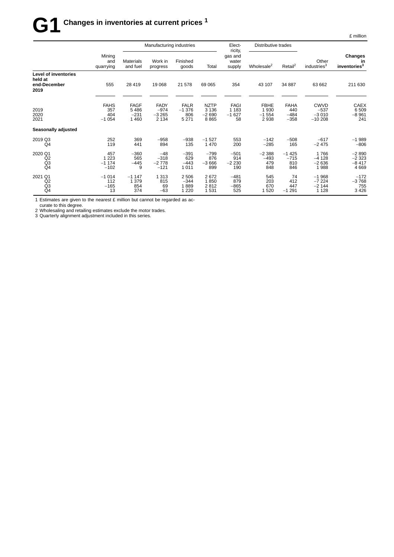# $G1$  Changes in inventories at current prices <sup>1</sup>

|                                                                |                                      |                                          | Manufacturing industries                    |                                          |                                           | Elect-                                  | Distributive trades                    |                                        |                                              |                                           |
|----------------------------------------------------------------|--------------------------------------|------------------------------------------|---------------------------------------------|------------------------------------------|-------------------------------------------|-----------------------------------------|----------------------------------------|----------------------------------------|----------------------------------------------|-------------------------------------------|
|                                                                | Mining<br>and<br>quarrying           | <b>Materials</b><br>and fuel             | Work in<br>progress                         | Finished<br>goods                        | Total                                     | ricity,<br>gas and<br>water<br>supply   | Wholesale <sup>2</sup>                 | Retail <sup>2</sup>                    | Other<br>industries <sup>3</sup>             | Changes<br>in<br>inventories <sup>3</sup> |
| <b>Level of inventories</b><br>held at<br>end-December<br>2019 | 555                                  | 28 4 19                                  | 19 0 68                                     | 21 578                                   | 69 065                                    | 354                                     | 43 107                                 | 34 887                                 | 63 662                                       | 211 630                                   |
| 2019<br>2020<br>2021                                           | <b>FAHS</b><br>357<br>404<br>$-1054$ | <b>FAGF</b><br>5486<br>$-231$<br>1 4 6 0 | <b>FADY</b><br>$-974$<br>$-3265$<br>2 1 3 4 | <b>FALR</b><br>$-1376$<br>806<br>5 2 7 1 | <b>NZTP</b><br>3 1 3 6<br>$-2690$<br>8865 | <b>FAGI</b><br>1 1 8 3<br>$-1627$<br>58 | <b>FBHE</b><br>1930<br>$-1554$<br>2938 | <b>FAHA</b><br>440<br>$-484$<br>$-358$ | <b>CWVD</b><br>$-537$<br>$-3010$<br>$-10208$ | <b>CAEX</b><br>6509<br>$-8961$<br>241     |
| Seasonally adjusted                                            |                                      |                                          |                                             |                                          |                                           |                                         |                                        |                                        |                                              |                                           |
| 2019 Q3<br>Q4                                                  | 252<br>119                           | 369<br>441                               | $-958$<br>894                               | $-938$<br>135                            | $-1527$<br>1470                           | 553<br>200                              | $-142$<br>$-285$                       | $-508$<br>165                          | $-617$<br>$-2475$                            | $-1989$<br>$-806$                         |
| 2020 Q1<br>Q2<br>Q <sub>3</sub><br>Q4                          | 457<br>1 2 2 3<br>$-1174$<br>$-102$  | $-360$<br>565<br>$-445$<br>9             | $-48$<br>$-318$<br>$-2778$<br>$-121$        | $-391$<br>629<br>$-443$<br>1011          | $-799$<br>876<br>$-3666$<br>899           | $-501$<br>914<br>$-2230$<br>190         | $-2388$<br>$-493$<br>479<br>848        | $-1425$<br>$-715$<br>810<br>846        | 1766<br>$-4128$<br>$-2636$<br>1988           | $-2890$<br>$-2323$<br>$-8417$<br>4669     |
| 2021 Q1<br>Q <sub>2</sub><br>Q3<br>Q <sub>4</sub>              | $-1014$<br>112<br>$-165$<br>13       | $-1147$<br>1 3 7 9<br>854<br>374         | 1 3 1 3<br>815<br>69<br>$-63$               | 2506<br>$-344$<br>1889<br>1 2 2 0        | 2672<br>1850<br>2812<br>1531              | $-481$<br>879<br>$-865$<br>525          | 545<br>203<br>670<br>1520              | 74<br>412<br>447<br>$-1291$            | $-1968$<br>$-7224$<br>$-2144$<br>1 1 2 8     | $-172$<br>$-3768$<br>755<br>3426          |

1 Estimates are given to the nearest £ million but cannot be regarded as ac-

curate to this degree.

2 Wholesaling and retailing estimates exclude the motor trades. 3 Quarterly alignment adjustment included in this series.

£ million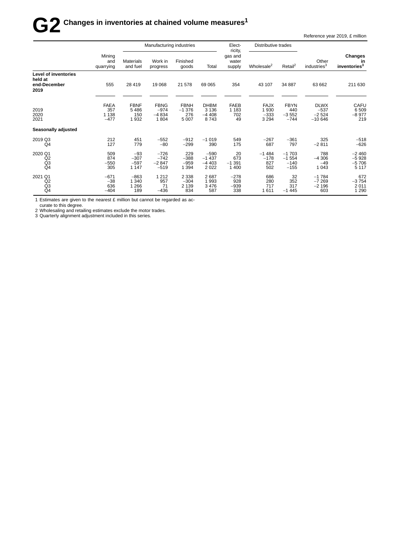# $\mathbf{G2}$  Changes in inventories at chained volume measures<sup>1</sup>

Reference year 2019, £ million

|                                                   |                                         |                                      | Manufacturing industries                 |                                           |                                           | Elect-<br>ricity,                   | Distributive trades                      |                                         |                                              |                                           |
|---------------------------------------------------|-----------------------------------------|--------------------------------------|------------------------------------------|-------------------------------------------|-------------------------------------------|-------------------------------------|------------------------------------------|-----------------------------------------|----------------------------------------------|-------------------------------------------|
|                                                   | Mining<br>and<br>quarrying              | <b>Materials</b><br>and fuel         | Work in<br>progress                      | Finished<br>goods                         | Total                                     | gas and<br>water<br>supply          | Wholesale <sup>2</sup>                   | Retail <sup>2</sup>                     | Other<br>industries <sup>3</sup>             | Changes<br>in<br>inventories <sup>3</sup> |
| Level of inventories<br>held at                   |                                         |                                      |                                          |                                           |                                           |                                     |                                          |                                         |                                              |                                           |
| end-December<br>2019                              | 555                                     | 28 4 19                              | 19 0 68                                  | 21 578                                    | 69 0 65                                   | 354                                 | 43 107                                   | 34 887                                  | 63 662                                       | 211 630                                   |
| 2019<br>2020<br>2021                              | <b>FAEA</b><br>357<br>1 1 3 8<br>$-477$ | <b>FBNF</b><br>5486<br>150<br>1932   | <b>FBNG</b><br>$-974$<br>$-4834$<br>1804 | <b>FBNH</b><br>$-1.376$<br>276<br>5 0 0 7 | <b>DHBM</b><br>3 1 3 6<br>$-4408$<br>8743 | <b>FAEB</b><br>1 1 8 3<br>702<br>49 | <b>FAJX</b><br>1930<br>$-333$<br>3 2 9 4 | <b>FBYN</b><br>440<br>$-3552$<br>$-744$ | <b>DLWX</b><br>$-537$<br>$-2524$<br>$-10646$ | CAFU<br>6509<br>$-8977$<br>219            |
| Seasonally adjusted                               |                                         |                                      |                                          |                                           |                                           |                                     |                                          |                                         |                                              |                                           |
| 2019 Q3<br>Q4                                     | 212<br>127                              | 451<br>779                           | $-552$<br>$-80$                          | $-912$<br>$-299$                          | $-1019$<br>390                            | 549<br>175                          | $-267$<br>687                            | $-361$<br>797                           | 325<br>$-2811$                               | $-518$<br>$-626$                          |
| 2020 Q1<br>Q <sub>2</sub><br>Q3<br>Q <sub>4</sub> | 509<br>874<br>$-550$<br>305             | $-93$<br>$-307$<br>$-597$<br>1 1 4 7 | $-726$<br>$-742$<br>$-2847$<br>$-519$    | 229<br>$-388$<br>$-959$<br>1 3 9 4        | $-590$<br>$-1437$<br>$-4403$<br>2022      | 20<br>673<br>$-1391$<br>1 4 0 0     | $-1484$<br>$-178$<br>827<br>502          | $-1703$<br>$-1554$<br>$-140$<br>$-155$  | 788<br>$-4306$<br>$-49$<br>1 0 4 3           | $-2460$<br>$-5928$<br>$-5706$<br>5 1 1 7  |
| 2021 Q1<br>Q2<br>Q3<br>Q4                         | $-671$<br>$-38$<br>636<br>$-404$        | $-863$<br>1 3 4 0<br>1 2 6 6<br>189  | 1 2 1 2<br>957<br>71<br>$-436$           | 2 3 3 8<br>$-304$<br>2 1 3 9<br>834       | 2687<br>1993<br>3476<br>587               | $-278$<br>928<br>$-939$<br>338      | 686<br>280<br>717<br>1611                | 32<br>352<br>317<br>$-1445$             | $-1784$<br>$-7269$<br>$-2196$<br>603         | 672<br>$-3754$<br>2011<br>1 2 9 0         |

1 Estimates are given to the nearest £ million but cannot be regarded as ac-

curate to this degree.

2 Wholesaling and retailing estimates exclude the motor trades. 3 Quarterly alignment adjustment included in this series.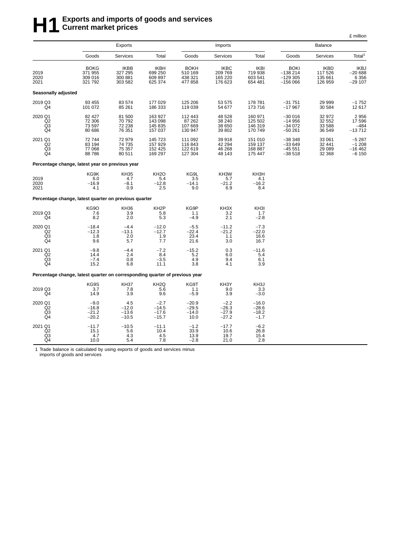# **H**1<sup>2</sup> Exports and imports of goods and services<br> **H**1<sup>2</sup> Current market prices **Current market prices**

|                                              |                                                                             |                                              |                                              |                                             |                                              |                                              |                                                    |                                              | £ million                                     |
|----------------------------------------------|-----------------------------------------------------------------------------|----------------------------------------------|----------------------------------------------|---------------------------------------------|----------------------------------------------|----------------------------------------------|----------------------------------------------------|----------------------------------------------|-----------------------------------------------|
|                                              |                                                                             | Exports                                      |                                              |                                             | Imports                                      |                                              |                                                    | Balance                                      |                                               |
|                                              | Goods                                                                       | Services                                     | Total                                        | Goods                                       | <b>Services</b>                              | Total                                        | Goods                                              | Services                                     | Total <sup>1</sup>                            |
| 2019<br>2020<br>2021                         | <b>BOKG</b><br>371 955<br>309 016<br>321 792                                | <b>IKBB</b><br>327 295<br>300 881<br>303 582 | <b>IKBH</b><br>699 250<br>609 897<br>625 374 | <b>BOKH</b><br>510 169<br>438 321<br>477858 | <b>IKBC</b><br>209 769<br>165 220<br>176 623 | <b>IKBI</b><br>719 938<br>603 541<br>654 481 | <b>BOKI</b><br>$-138214$<br>$-129305$<br>$-156066$ | <b>IKBD</b><br>117 526<br>135 661<br>126 959 | <b>IKBJ</b><br>$-20688$<br>6 3 5 6<br>-29 107 |
| Seasonally adjusted                          |                                                                             |                                              |                                              |                                             |                                              |                                              |                                                    |                                              |                                               |
| 2019 Q3<br>Q4                                | 93 455<br>101 072                                                           | 83 574<br>85 261                             | 177 029<br>186 333                           | 125 206<br>119 039                          | 53 575<br>54 677                             | 178 781<br>173716                            | $-31751$<br>$-17967$                               | 29 999<br>30 584                             | -1 752<br>12 617                              |
| 2020 Q1<br>Q <sub>2</sub><br>Q3<br>Q4        | 82 427<br>72 306<br>73 597<br>80 686                                        | 81 500<br>70 792<br>72 238<br>76 351         | 163 927<br>143 098<br>145 835<br>157 037     | 112 443<br>87 262<br>107 669<br>130 947     | 48 528<br>38 240<br>38 650<br>39 802         | 160 971<br>125 502<br>146 319<br>170 749     | $-300016$<br>$-14956$<br>$-34072$<br>$-50261$      | 32 972<br>32 552<br>33 588<br>36 549         | 2956<br>17596<br>$-484$<br>$-13712$           |
| 2021 Q1<br>Q <sub>2</sub><br>Q3<br>Q4        | 72744<br>83 194<br>77 068<br>88786                                          | 72979<br>74 735<br>75 357<br>80 511          | 145 723<br>157 929<br>152 425<br>169 297     | 111 092<br>116 843<br>122 619<br>127 304    | 39 918<br>42 294<br>46 268<br>48 143         | 151 010<br>159 137<br>168 887<br>175 447     | $-38348$<br>$-33649$<br>$-45551$<br>$-38518$       | 33 061<br>32 441<br>29 089<br>32 368         | $-5287$<br>$-1208$<br>$-16462$<br>$-6150$     |
|                                              | Percentage change, latest year on previous year                             |                                              |                                              |                                             |                                              |                                              |                                                    |                                              |                                               |
| 2019<br>2020<br>2021                         | KG9K<br>6.0<br>$-16.9$<br>4.1                                               | <b>KH35</b><br>4.7<br>$-8.1$<br>0.9          | KH <sub>2</sub> O<br>5.4<br>$-12.8$<br>2.5   | KG9L<br>3.5<br>$-14.1$<br>9.0               | KH3W<br>5.7<br>$-21.2$<br>6.9                | KH3H<br>4.1<br>$-16.2$<br>8.4                |                                                    |                                              |                                               |
|                                              | Percentage change, latest quarter on previous quarter                       |                                              |                                              |                                             |                                              |                                              |                                                    |                                              |                                               |
| 2019 Q3<br>Q4                                | KG9O<br>7.6<br>8.2                                                          | KH36<br>3.9<br>2.0                           | KH <sub>2</sub> P<br>5.8<br>5.3              | KG9P<br>1.1<br>$-4.9$                       | KH3X<br>$\frac{10}{3.2}$<br>2.1              | KH3I<br>1.7<br>$-2.8$                        |                                                    |                                              |                                               |
| 2020 Q1<br>Q <sub>2</sub><br>$\frac{Q3}{Q4}$ | $-18.4$<br>$-12.3$<br>1.8<br>9.6                                            | $-4.4$<br>$-13.1$<br>2.0<br>5.7              | $-12.0$<br>$-12.7$<br>1.9<br>7.7             | $-5.5$<br>$-22.4$<br>23.4<br>21.6           | $-11.2$<br>$-21.2$<br>1.1<br>3.0             | $-7.3$<br>$-22.0$<br>16.6<br>16.7            |                                                    |                                              |                                               |
| 2021 Q1<br>Q <sub>2</sub><br>Q3<br>Q4        | $-9.8$<br>14.4<br>$-7.4$<br>15.2                                            | $-4.4$<br>2.4<br>0.8<br>6.8                  | $-7.2$<br>8.4<br>$-3.5$<br>11.1              | $-15.2$<br>5.2<br>4.9<br>3.8                | 0.3<br>6.0<br>9.4<br>4.1                     | $-11.6$<br>5.4<br>6.1<br>3.9                 |                                                    |                                              |                                               |
|                                              | Percentage change, latest quarter on corresponding quarter of previous year |                                              |                                              |                                             |                                              |                                              |                                                    |                                              |                                               |
| 2019 Q3<br>Q4                                | KG9S<br>3.7<br>14.9                                                         | <b>KH37</b><br>7.8<br>3.9                    | KH <sub>2</sub> Q<br>5.6<br>9.6              | KG9T<br>1.1<br>$-5.9$                       | KH3Y<br>9.0<br>3.9                           | KH3J<br>3.3<br>$-3.0$                        |                                                    |                                              |                                               |
| 2020 Q1<br>Q2<br>Q3<br>Q4                    | $-9.0$<br>$-16.8$<br>$-21.2$<br>$-20.2$                                     | $4.5 - 12.0$<br>$-13.6$<br>$-10.5$           | $-2.7$<br>$-14.5$<br>$-17.6$<br>$-15.7$      | $-20.9$<br>$-29.5$<br>$-14.0$<br>10.0       | $-2.2$<br>$-26.3$<br>$-27.9$<br>$-27.2$      | $-16.0$<br>$-28.6$<br>$-18.2$<br>$-1.7$      |                                                    |                                              |                                               |
| 2021 Q1<br>Q2<br>Q3<br>$\overline{Q4}$       | $-11.7$<br>15.1<br>4.7<br>10.0                                              | $-10.5$<br>5.6<br>4.3<br>5.4                 | $-11.1$<br>10.4<br>4.5<br>7.8                | $-1.2$<br>33.9<br>13.9<br>$-2.8$            | $-17.7$<br>10.6<br>19.7<br>21.0              | $-6.2$<br>26.8<br>15.4<br>2.8                |                                                    |                                              |                                               |

1 Trade balance is calculated by using exports of goods and services minus imports of goods and services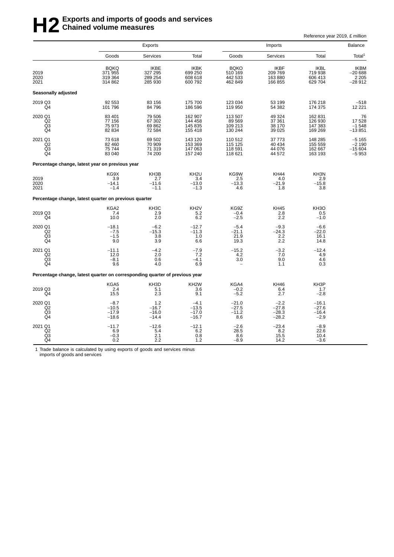# **H2** Exports and imports of goods and services<br> **H2** Chained volume measures **Chained volume measures**

Reference year 2019, £ million

|                                                                             | Exports                                      |                                              |                                              |                                              |                                              | Balance                                      |                                                |
|-----------------------------------------------------------------------------|----------------------------------------------|----------------------------------------------|----------------------------------------------|----------------------------------------------|----------------------------------------------|----------------------------------------------|------------------------------------------------|
|                                                                             | Goods                                        | Services                                     | Total                                        | Goods                                        | Services                                     | Total                                        | Total <sup>1</sup>                             |
| 2019<br>2020<br>2021                                                        | <b>BQKQ</b><br>371 955<br>319 364<br>314 862 | <b>IKBE</b><br>327 295<br>289 254<br>285 930 | IKBK<br>699 250<br>608 618<br>600 792        | <b>BQKO</b><br>510 169<br>442 533<br>462 849 | <b>IKBF</b><br>209 769<br>163 880<br>166 855 | <b>IKBL</b><br>719 938<br>606 413<br>629 704 | <b>IKBM</b><br>$-20688$<br>2 2 0 5<br>$-28912$ |
| Seasonally adjusted                                                         |                                              |                                              |                                              |                                              |                                              |                                              |                                                |
| 2019 Q3<br>Q <sub>4</sub>                                                   | 92 553<br>101 796                            | 83 156<br>84 796                             | 175 700<br>186 596                           | 123 034<br>119 950                           | 53 199<br>54 382                             | 176 218<br>174 375                           | $-518$<br>12 2 2 1                             |
| 2020 Q1<br>Q <sub>2</sub><br>Q <sub>3</sub><br>Q4                           | 83 401<br>77 156<br>75973<br>82 834          | 79 506<br>67 302<br>69 862<br>72 584         | 162 907<br>144 458<br>145 835<br>155 418     | 113 507<br>89 569<br>109 213<br>130 244      | 49 324<br>37 361<br>38 170<br>39 025         | 162 831<br>126 930<br>147 383<br>169 269     | 76<br>17 528<br>$-1548$<br>$-13851$            |
| 2021 Q1<br>Q <sub>2</sub><br>Q <sub>3</sub><br>Q4                           | 73618<br>82 460<br>75744<br>83 040           | 69 502<br>70 909<br>71 319<br>74 200         | 143 120<br>153 369<br>147 063<br>157 240     | 110512<br>115 125<br>118 591<br>118 621      | 37 773<br>40 434<br>44 076<br>44 572         | 148 285<br>155 559<br>162 667<br>163 193     | $-5165$<br>$-2190$<br>$-15604$<br>$-5953$      |
| Percentage change, latest year on previous year                             |                                              |                                              |                                              |                                              |                                              |                                              |                                                |
| 2019<br>2020<br>2021                                                        | KG9X<br>3.9<br>$-14.1$<br>$-1.4$             | KH3B<br>2.7<br>$-11.6$<br>$-1.1$             | KH <sub>2U</sub><br>3.4<br>$-13.0$<br>$-1.3$ | KG9W<br>2.5<br>$-13.3$<br>4.6                | <b>KH44</b><br>4.0<br>$-21.9$<br>1.8         | KH3N<br>2.9<br>$-15.8$<br>3.8                |                                                |
| Percentage change, latest quarter on previous quarter                       |                                              |                                              |                                              |                                              |                                              |                                              |                                                |
| 2019 Q3<br>Q <sub>4</sub>                                                   | KGA2<br>7.4<br>10.0                          | KH <sub>3</sub> C<br>2.9<br>2.0              | KH <sub>2</sub> V<br>5.2<br>6.2              | KG9Z<br>$-0.4$<br>$-2.5$                     | <b>KH45</b><br>2.8<br>2.2                    | KH <sub>3</sub> O<br>0.5<br>$-1.0$           |                                                |
| 2020 Q1<br>Q <sub>2</sub><br>Q <sub>3</sub><br>Q4                           | $-18.1$<br>$-7.5$<br>$-1.5$<br>9.0           | $-6.2$<br>$-15.3$<br>3.8<br>3.9              | $-12.7$<br>$-11.3$<br>1.0<br>6.6             | $-5.4$<br>$-21.1$<br>21.9<br>19.3            | $-9.3$<br>$-24.3$<br>2.2<br>2.2              | $-6.6$<br>$-22.0$<br>16.1<br>14.8            |                                                |
| 2021 Q1<br>Q <sub>2</sub><br>Q <sub>3</sub><br>Q4                           | $-11.1$<br>12.0<br>$-8.1$<br>9.6             | $-4.2$<br>2.0<br>0.6<br>4.0                  | $-7.9$<br>7.2<br>$-4.1$<br>6.9               | $-15.2$<br>$\overline{4.2}$<br>3.0<br>L.     | $-3.2$<br>7.0<br>9.0<br>1.1                  | $-12.4$<br>4.9<br>4.6<br>0.3                 |                                                |
| Percentage change, latest quarter on corresponding quarter of previous year |                                              |                                              |                                              |                                              |                                              |                                              |                                                |
| 2019 Q3<br>Q4                                                               | KGA5<br>2.4<br>15.5                          | KH3D<br>5.1<br>2.3                           | KH <sub>2</sub> W<br>3.6<br>9.1              | KGA4<br>$-0.2$<br>$-5.2$                     | <b>KH46</b><br>6.4<br>2.7                    | KH3P<br>1.7<br>$-2.8$                        |                                                |
| 2020 Q1<br>Q2<br>Q3<br>Q <sub>4</sub>                                       | $-8.7$<br>$-10.5$<br>$-17.9$<br>$-18.6$      | 1.2<br>$-16.7$<br>$-16.0$<br>$-14.4$         | $-4.1$<br>$-13.5$<br>$-17.0$<br>$-16.7$      | $-21.0$<br>$-27.5$<br>$-11.2$<br>8.6         | $-2.2$<br>$-27.8$<br>$-28.3$<br>$-28.2$      | $-16.1$<br>$-27.6$<br>$-16.4$<br>$-2.9$      |                                                |
| 2021 Q1<br>Q2<br>Q3<br>Q4                                                   | $-11.7$<br>6.9<br>$-0.3$<br>0.2              | $-12.6$<br>5.4<br>2.1<br>2.2                 | $-12.1$<br>6.2<br>0.8<br>1.2                 | $-2.6$<br>28.5<br>8.6<br>$-8.9$              | $-23.4$<br>8.2<br>15.5<br>14.2               | $-8.9$<br>22.6<br>10.4<br>$-3.6$             |                                                |

1 Trade balance is calculated by using exports of goods and services minus imports of goods and services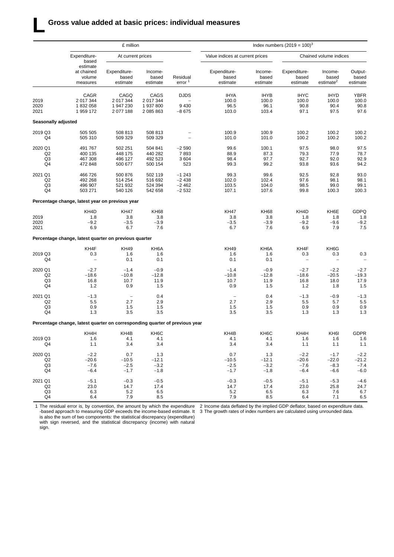### **L Gross value added at basic prices: individual measures**

|                     |                                                                             | £ million                         |                              |                                | Index numbers $(2019 = 100)^3$    |                              |                                   |                                           |                              |  |  |
|---------------------|-----------------------------------------------------------------------------|-----------------------------------|------------------------------|--------------------------------|-----------------------------------|------------------------------|-----------------------------------|-------------------------------------------|------------------------------|--|--|
|                     | Expenditure-<br>based                                                       | At current prices                 |                              |                                | Value indices at current prices   |                              |                                   | Chained volume indices                    |                              |  |  |
|                     | estimate<br>at chained<br>volume<br>measures                                | Expenditure-<br>based<br>estimate | Income-<br>based<br>estimate | Residual<br>error <sup>1</sup> | Expenditure-<br>based<br>estimate | Income-<br>based<br>estimate | Expenditure-<br>based<br>estimate | Income-<br>based<br>estimate <sup>2</sup> | Output-<br>based<br>estimate |  |  |
|                     | CAGR                                                                        | CAGQ                              | CAGS                         | <b>DJDS</b>                    | <b>IHYA</b>                       | <b>IHYB</b>                  | <b>IHYC</b>                       | <b>IHYD</b>                               | YBFR                         |  |  |
| 2019                | 2 017 344                                                                   | 2 017 344                         | 2 017 344                    |                                | 100.0                             | 100.0                        | 100.0                             | 100.0                                     | 100.0                        |  |  |
| 2020                | 1832058                                                                     | 1 947 230                         | 1937800                      | 9 4 3 0                        | 96.5                              | 96.1                         | 90.8                              | 90.4                                      | 90.8                         |  |  |
| 2021                | 1959 172                                                                    | 2 077 188                         | 2 085 863                    | $-8675$                        | 103.0                             | 103.4                        | 97.1                              | 97.5                                      | 97.6                         |  |  |
| Seasonally adjusted |                                                                             |                                   |                              |                                |                                   |                              |                                   |                                           |                              |  |  |
| 2019 Q3             | 505 505                                                                     | 508 813                           | 508 813                      |                                | 100.9                             | 100.9                        | 100.2                             | 100.2                                     | 100.2                        |  |  |
| Q4                  | 505 310                                                                     | 509 329                           | 509 329                      |                                | 101.0                             | 101.0                        | 100.2                             | 100.2                                     | 100.2                        |  |  |
| 2020 Q1             | 491 767                                                                     | 502 251                           | 504 841                      | $-2590$                        | 99.6                              | 100.1                        | 97.5                              | 98.0                                      | 97.5                         |  |  |
| Q <sub>2</sub>      | 400 135                                                                     | 448 175                           | 440 282                      | 7893                           | 88.9                              | 87.3                         | 79.3                              | 77.9                                      | 78.7                         |  |  |
| Q3                  | 467 308                                                                     | 496 127                           | 492 523                      | 3604                           | 98.4                              | 97.7                         | 92.7                              | 92.0                                      | 92.9                         |  |  |
| Q4                  | 472 848                                                                     | 500 677                           | 500 154                      | 523                            | 99.3                              | 99.2                         | 93.8                              | 93.6                                      | 94.2                         |  |  |
| 2021 Q1             | 466 726                                                                     | 500 876                           | 502 119                      | $-1243$                        | 99.3                              | 99.6                         | 92.5                              | 92.8                                      | 93.0                         |  |  |
| Q2                  | 492 268                                                                     | 514 254                           | 516 692                      | $-2438$                        | 102.0                             | 102.4                        | 97.6                              | 98.1                                      | 98.1                         |  |  |
| Q3                  | 496 907                                                                     | 521 932                           | 524 394                      | $-2462$                        | 103.5                             | 104.0                        | 98.5                              | 99.0                                      | 99.1                         |  |  |
| Q4                  | 503 271                                                                     | 540 126                           | 542 658                      | $-2532$                        | 107.1                             | 107.6                        | 99.8                              | 100.3                                     | 100.3                        |  |  |
|                     | Percentage change, latest year on previous year                             |                                   |                              |                                |                                   |                              |                                   |                                           |                              |  |  |
|                     | KH4D                                                                        | <b>KH47</b>                       | <b>KH68</b>                  |                                | <b>KH47</b>                       | KH68                         | KH4D                              | KH6E                                      | <b>GDPQ</b>                  |  |  |
| 2019                | 1.8                                                                         | 3.8                               | 3.8                          |                                | 3.8                               | 3.8                          | 1.8                               | 1.8                                       | 1.8                          |  |  |
| 2020                | $-9.2$                                                                      | $-3.5$                            | $-3.9$                       |                                | $-3.5$                            | $-3.9$                       | $-9.2$                            | $-9.6$                                    | $-9.2$                       |  |  |
| 2021                | 6.9                                                                         | 6.7                               | 7.6                          |                                | 6.7                               | 7.6                          | 6.9                               | 7.9                                       | 7.5                          |  |  |
|                     | Percentage change, latest quarter on previous quarter                       |                                   |                              |                                |                                   |                              |                                   |                                           |                              |  |  |
|                     | KH4F                                                                        | <b>KH49</b>                       | KH6A                         |                                | <b>KH49</b>                       | KH6A                         | KH4F                              | KH6G                                      |                              |  |  |
| 2019 Q3             | 0.3                                                                         | 1.6                               | 1.6                          |                                | 1.6                               | 1.6                          | 0.3                               | 0.3                                       | 0.3                          |  |  |
| Q4                  | $\overline{\phantom{0}}$                                                    | 0.1                               | 0.1                          |                                | 0.1                               | 0.1                          | $\overline{\phantom{0}}$          | $\overline{a}$                            |                              |  |  |
| 2020 Q1             | $-2.7$                                                                      | $-1.4$                            | $-0.9$                       |                                | $-1.4$                            | $-0.9$                       | $-2.7$                            | $-2.2$                                    | $-2.7$                       |  |  |
| Q2                  | $-18.6$                                                                     | $-10.8$                           | $-12.8$                      |                                | $-10.8$                           | $-12.8$                      | $-18.6$                           | $-20.5$                                   | $-19.3$                      |  |  |
| Q3                  | 16.8                                                                        | 10.7                              | 11.9                         |                                | 10.7                              | 11.9                         | 16.8                              | 18.0                                      | 17.9                         |  |  |
| Q4                  | $1.2$                                                                       | 0.9                               | 1.5                          |                                | 0.9                               | 1.5                          | 1.2                               | 1.8                                       | 1.5                          |  |  |
| 2021 Q1             | $-1.3$                                                                      | $\overline{\phantom{m}}$          | 0.4                          |                                | $\overline{\phantom{m}}$          | 0.4                          | $-1.3$                            | $-0.9$                                    | $-1.3$                       |  |  |
| Q <sub>2</sub>      | 5.5                                                                         | 2.7                               | 2.9                          |                                | 2.7                               | 2.9                          | 5.5                               | 5.7                                       | 5.5                          |  |  |
| Q3                  | 0.9                                                                         | 1.5                               | 1.5                          |                                | 1.5                               | 1.5                          | 0.9                               | 0.9                                       | 0.9                          |  |  |
| Q4                  | 1.3                                                                         | 3.5                               | 3.5                          |                                | 3.5                               | 3.5                          | 1.3                               | 1.3                                       | 1.3                          |  |  |
|                     | Percentage change, latest quarter on corresponding quarter of previous year |                                   |                              |                                |                                   |                              |                                   |                                           |                              |  |  |
|                     | KH4H                                                                        | KH4B                              | KH <sub>6</sub> C            |                                | KH4B                              | KH6C                         | KH4H                              | KH <sub>6</sub>                           | <b>GDPR</b>                  |  |  |
| 2019 Q3             | 1.6                                                                         | 4.1                               | 4.1                          |                                | 4.1                               | 4.1                          | 1.6                               | 1.6                                       | 1.6                          |  |  |
| Q4                  | 1.1                                                                         | 3.4                               | 3.4                          |                                | 3.4                               | 3.4                          | 1.1                               | 1.1                                       | 1.1                          |  |  |
| 2020 Q1             | $-2.2$                                                                      | 0.7                               | 1.3                          |                                | 0.7                               | 1.3                          | $-2.2$                            | $-1.7$                                    | $-2.2$                       |  |  |
| Q2                  | $-20.6$                                                                     | $-10.5$                           | $-12.1$                      |                                | $-10.5$                           | $-12.1$                      | $-20.6$                           | $-22.0$                                   | $-21.2$                      |  |  |
| Q <sub>3</sub>      | $-7.6$                                                                      | $-2.5$                            | $-3.2$                       |                                | $-2.5$                            | $-3.2$                       | $-7.6$                            | $-8.3$                                    | $-7.4$                       |  |  |
| Q4                  | $-6.4$                                                                      | $-1.7$                            | $-1.8$                       |                                | $-1.7$                            | $-1.8$                       | $-6.4$                            | $-6.6$                                    | $-6.0$                       |  |  |
| 2021 Q1             | $-5.1$                                                                      | $-0.3$                            | $-0.5$                       |                                | $-0.3$                            | $-0.5$                       | $-5.1$                            | $-5.3$                                    | $-4.6$                       |  |  |
| Q <sub>2</sub>      | 23.0                                                                        | 14.7                              | 17.4                         |                                | 14.7                              | 17.4                         | 23.0                              | 25.8                                      | 24.7                         |  |  |
| Q3                  | 6.3                                                                         | 5.2                               | 6.5                          |                                | 5.2                               | 6.5                          | 6.3                               | 7.6                                       | 6.7                          |  |  |
| Q4                  | 6.4                                                                         | 7.9                               | 8.5                          |                                | 7.9                               | 8.5                          | 6.4                               | 7.1                                       | 6.5                          |  |  |

1 The residual error is, by convention, the amount by which the expenditure -based approach to measuring GDP exceeds the income-based estimate. It is also the sum of two components: the statistical discrepancy (expenditure) with sign reversed, and the statistical discrepancy (income) with natural sign.

2 Income data deflated by the implied GDP deflator, based on expenditure data. 3 The growth rates of index numbers are calculated using unrounded data.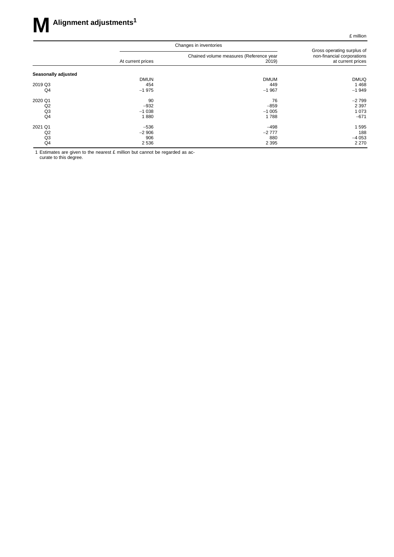|                     |                   | Changes in inventories                           |                                                                               |
|---------------------|-------------------|--------------------------------------------------|-------------------------------------------------------------------------------|
|                     | At current prices | Chained volume measures (Reference year<br>2019) | Gross operating surplus of<br>non-financial corporations<br>at current prices |
| Seasonally adjusted | <b>DMUN</b>       | <b>DMUM</b>                                      | <b>DMUQ</b>                                                                   |
| 2019 Q3             | 454               | 449                                              | 1468                                                                          |
| Q4                  | $-1975$           | $-1967$                                          | $-1949$                                                                       |
| 2020 Q1             | 90                | 76                                               | $-2799$                                                                       |
| Q2                  | $-932$            | $-859$                                           | 2 3 9 7                                                                       |
| Q <sub>3</sub>      | $-1038$           | $-1005$                                          | 1 0 7 3                                                                       |
| Q4                  | 1880              | 1788                                             | $-671$                                                                        |
| 2021 Q1             | $-536$            | $-498$                                           | 595                                                                           |
| Q <sub>2</sub>      | $-2906$           | $-2777$                                          | 188                                                                           |
| Q <sub>3</sub>      | 906               | 880                                              | $-4053$                                                                       |
| Q4                  | 2 5 3 6           | 2 3 9 5                                          | 2 2 7 0                                                                       |

1 Estimates are given to the nearest  $E$  million but cannot be regarded as accurate to this degree.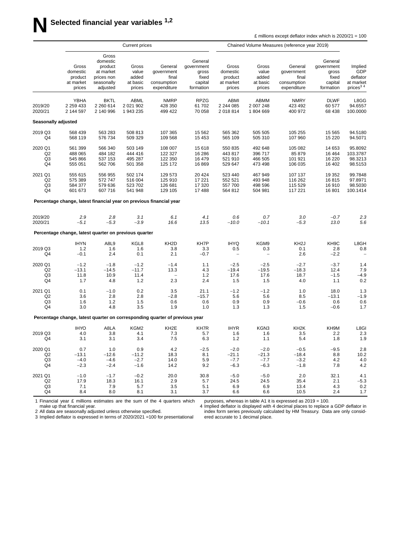|                                       |                                                       |                                                                                   | <b>Current prices</b>                         |                                                                             |                                                                 | Chained Volume Measures (reference year 2019)       |                                               |                                                              |                                                                 |                                                                 |
|---------------------------------------|-------------------------------------------------------|-----------------------------------------------------------------------------------|-----------------------------------------------|-----------------------------------------------------------------------------|-----------------------------------------------------------------|-----------------------------------------------------|-----------------------------------------------|--------------------------------------------------------------|-----------------------------------------------------------------|-----------------------------------------------------------------|
|                                       | Gross<br>domestic<br>product<br>at market<br>prices   | Gross<br>domestic<br>product<br>at market<br>prices non<br>seasonally<br>adjusted | Gross<br>value<br>added<br>at basic<br>prices | General<br>government<br>final<br>consumption<br>expenditure                | General<br>government<br>gross<br>fixed<br>capital<br>formation | Gross<br>domestic<br>product<br>at market<br>prices | Gross<br>value<br>added<br>at basic<br>prices | General<br>government<br>final<br>consumption<br>expenditure | General<br>government<br>gross<br>fixed<br>capital<br>formation | Implied<br>GDP<br>deflator<br>at market<br>prices <sup>34</sup> |
| 2019/20<br>2020/21                    | YBHA<br>2 2 5 9 4 3 3<br>2 144 597                    | <b>BKTL</b><br>2 2 6 0 6 1 4<br>2 140 996                                         | ABML<br>2 0 21 9 0 2<br>1 943 235             | <b>NMRP</b><br>428 350<br>499 422                                           | <b>RPZG</b><br>61702<br>70 058                                  | ABMI<br>2 244 085<br>2 018 814                      | ABMM<br>2 007 248<br>1804669                  | <b>NMRY</b><br>423 492<br>400 972                            | <b>DLWF</b><br>60 577<br>68 438                                 | L8GG<br>94.6557<br>100.0000                                     |
| <b>Seasonally adjusted</b>            |                                                       |                                                                                   |                                               |                                                                             |                                                                 |                                                     |                                               |                                                              |                                                                 |                                                                 |
| 2019 Q3<br>Q4                         | 568 439<br>568 119                                    | 563 283<br>576 734                                                                | 508 813<br>509 329                            | 107 365<br>109 568                                                          | 15 5 62<br>15 4 53                                              | 565 362<br>565 109                                  | 505 505<br>505 310                            | 105 255<br>107 960                                           | 15 5 65<br>15 2 20                                              | 94.5180<br>94.5071                                              |
| 2020 Q1<br>Q2<br>Q3<br>Q4             | 561 399<br>488 065<br>545 866<br>555 051              | 566 340<br>484 182<br>537 153<br>562 706                                          | 503 149<br>444 416<br>495 287<br>501 358      | 108 007<br>122 327<br>122 350<br>125 172                                    | 15618<br>16 28 6<br>16 479<br>16869                             | 550 835<br>443 817<br>521 910<br>529 647            | 492 648<br>396 717<br>466 505<br>473 498      | 105 082<br>85 879<br>101 921<br>106 035                      | 14 653<br>16 4 64<br>16 2 20<br>16 402                          | 95.8092<br>103.3787<br>98.3213<br>98.5153                       |
| 2021 Q1<br>Q2<br>Q3<br>Q4             | 555 615<br>575 389<br>584 377<br>601 673              | 556 955<br>572 747<br>579 636<br>607 716                                          | 502 174<br>516 004<br>523 702<br>541 948      | 129 573<br>125 910<br>126 681<br>129 105                                    | 20 4 24<br>17 221<br>17 3 20<br>17488                           | 523 440<br>552 521<br>557 700<br>564 812            | 467949<br>493 948<br>498 596<br>504 981       | 107 137<br>116 262<br>115 529<br>117 221                     | 19 3 5 2<br>16815<br>16910<br>16801                             | 99.7848<br>97.8971<br>98.5030<br>100.1414                       |
|                                       |                                                       |                                                                                   |                                               | Percentage change, latest financial year on previous financial year         |                                                                 |                                                     |                                               |                                                              |                                                                 |                                                                 |
| 2019/20<br>2020/21                    | 2.9<br>$-5.1$                                         | 2.8<br>$-5.3$                                                                     | 3.1<br>$-3.9$                                 | 6.1<br>16.6                                                                 | 4.1<br>13.5                                                     | 0.6<br>$-10.0$                                      | 0.7<br>$-10.1$                                | 3.0<br>$-5.3$                                                | $-0.7$<br>13.0                                                  | 2.3<br>5.6                                                      |
|                                       | Percentage change, latest quarter on previous quarter |                                                                                   |                                               |                                                                             |                                                                 |                                                     |                                               |                                                              |                                                                 |                                                                 |
| 2019 Q3<br>Q4                         | <b>IHYN</b><br>1.2<br>$-0.1$                          | A8L9<br>1.6<br>2.4                                                                | KGL8<br>1.6<br>0.1                            | KH <sub>2</sub> D<br>3.8<br>2.1                                             | KH7P<br>3.3<br>$-0.7$                                           | <b>IHYQ</b><br>0.5<br>$\overline{\phantom{0}}$      | KGM9<br>0.3<br>$\overline{\phantom{a}}$       | KH <sub>2</sub> J<br>0.1<br>2.6                              | KH9C<br>2.8<br>$-2.2$                                           | L8GH<br>0.8                                                     |
| 2020 Q1<br>Q2<br>Q3<br>Q4             | $-1.2$<br>$-13.1$<br>11.8<br>1.7                      | $-1.8$<br>$-14.5$<br>10.9<br>4.8                                                  | $-1.2$<br>$-11.7$<br>11.4<br>1.2              | $-1.4$<br>13.3<br>$\qquad \qquad -$<br>2.3                                  | 1.1<br>4.3<br>1.2<br>2.4                                        | $-2.5$<br>$-19.4$<br>17.6<br>1.5                    | $-2.5$<br>$-19.5$<br>17.6<br>1.5              | $-2.7$<br>$-18.3$<br>18.7<br>4.0                             | $-3.7$<br>12.4<br>$-1.5$<br>1.1                                 | 1.4<br>7.9<br>$-4.9$<br>0.2                                     |
| 2021 Q1<br>Q2<br>Q3<br>Q4             | 0.1<br>3.6<br>1.6<br>3.0                              | $-1.0$<br>2.8<br>1.2<br>4.8                                                       | 0.2<br>2.8<br>1.5<br>3.5                      | 3.5<br>$-2.8$<br>0.6<br>1.9                                                 | 21.1<br>$-15.7$<br>0.6<br>1.0                                   | $-1.2$<br>5.6<br>0.9<br>1.3                         | $-1.2$<br>5.6<br>0.9<br>1.3                   | 1.0<br>8.5<br>$-0.6$<br>1.5                                  | 18.0<br>$-13.1$<br>0.6<br>$-0.6$                                | 1.3<br>$-1.9$<br>0.6<br>1.7                                     |
|                                       |                                                       |                                                                                   |                                               | Percentage change, latest quarter on corresponding quarter of previous year |                                                                 |                                                     |                                               |                                                              |                                                                 |                                                                 |
| 2019 Q3<br>Q4                         | <b>IHYO</b><br>4.0<br>3.1                             | A8LA<br>3.8<br>3.1                                                                | KGM2<br>4.1<br>3.4                            | KH <sub>2</sub> E<br>7.3<br>7.5                                             | KH7R<br>5.7<br>6.3                                              | <b>IHYR</b><br>1.6<br>1.2                           | KGN3<br>1.6<br>1.1                            | KH <sub>2</sub> K<br>3.5<br>5.4                              | KH9M<br>2.2<br>1.8                                              | L8GI<br>2.3<br>1.9                                              |
| 2020 Q1<br>Q2<br>Q <sub>3</sub><br>Q4 | 0.7<br>$-13.1$<br>$-4.0$<br>$-2.3$                    | 1.0<br>$-12.6$<br>$-4.6$<br>$-2.4$                                                | 0.9<br>$-11.2$<br>$-2.7$<br>$-1.6$            | 4.2<br>18.3<br>14.0<br>14.2                                                 | $-2.5$<br>8.1<br>5.9<br>9.2                                     | $-2.0$<br>$-21.1$<br>$-7.7$<br>$-6.3$               | $-2.0$<br>$-21.3$<br>$-7.7$<br>$-6.3$         | $-0.5$<br>$-18.4$<br>$-3.2$<br>$-1.8$                        | $-9.5$<br>8.8<br>4.2<br>7.8                                     | 2.8<br>10.2<br>4.0<br>4.2                                       |
| 2021 Q1<br>Q2<br>Q3<br>Q4             | $-1.0$<br>17.9<br>7.1<br>8.4                          | $-1.7$<br>18.3<br>7.9<br>8.0                                                      | $-0.2$<br>16.1<br>5.7<br>8.1                  | 20.0<br>2.9<br>3.5<br>3.1                                                   | 30.8<br>5.7<br>5.1<br>3.7                                       | $-5.0$<br>24.5<br>6.9<br>6.6                        | $-5.0$<br>24.5<br>6.9<br>6.6                  | 2.0<br>35.4<br>13.4<br>10.5                                  | 32.1<br>2.1<br>4.3<br>2.4                                       | 4.1<br>$-5.3$<br>0.2<br>1.7                                     |

1 Financial year £ millions estimates are the sum of the 4 quarters which make up that financial year.

pur poses, whereas in table A1 it is expressed as  $2019 = 100$ .

2 All data are seasonally adjusted unless otherwise specified. 3 Implied deflator is expressed in terms of 2020/2021 =100 for presentational

4 Implied deflator is displayed with 4 decimal places to replace a GDP deflator in index form series previously calculated by HM Treasury. Data are only considered accurate to 1 decimal place.

£ millions except deflator index which is  $2020/21 = 100$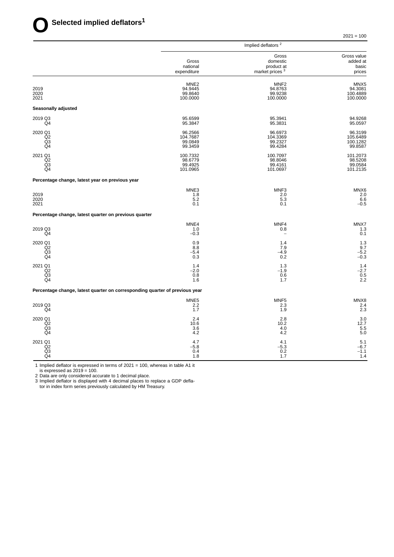|                                                                             | Implied deflators <sup>2</sup>                     |                                                               |                                            |  |  |  |
|-----------------------------------------------------------------------------|----------------------------------------------------|---------------------------------------------------------------|--------------------------------------------|--|--|--|
|                                                                             | Gross<br>national<br>expenditure                   | Gross<br>domestic<br>product at<br>market prices <sup>3</sup> | Gross value<br>added at<br>basic<br>prices |  |  |  |
| 2019<br>2020<br>2021                                                        | MNE <sub>2</sub><br>94.9445<br>99.8640<br>100.0000 | MNF <sub>2</sub><br>94.8763<br>99.9238<br>100.0000            | MNX5<br>94.3081<br>100.4889<br>100.0000    |  |  |  |
| Seasonally adjusted                                                         |                                                    |                                                               |                                            |  |  |  |
| 2019 Q3<br>Q4                                                               | 95.6599<br>95.3847                                 | 95.3941<br>95.3831                                            | 94.9268<br>95.0597                         |  |  |  |
| 2020 Q1<br>Q2<br>Q <sub>3</sub><br>Q4                                       | 96.2566<br>104.7687<br>99.0849<br>99.3459          | 96.6973<br>104.3369<br>99.2327<br>99.4284                     | 96.3199<br>105.6489<br>100.1282<br>99.8587 |  |  |  |
| 2021 Q1<br>Q2<br>$\overline{Q3}$<br>Q4                                      | 100.7332<br>98.6779<br>99.4925<br>101.0965         | 100.7097<br>98.8046<br>99.4161<br>101.0697                    | 101.2073<br>98.5208<br>99.0584<br>101.2135 |  |  |  |
| Percentage change, latest year on previous year                             |                                                    |                                                               |                                            |  |  |  |
| 2019<br>2020<br>2021                                                        | MNE3<br>1.8<br>5.2<br>0.1                          | MNF3<br>2.0<br>5.3<br>0.1                                     | MNX6<br>2.0<br>6.6<br>$-0.5$               |  |  |  |
| Percentage change, latest quarter on previous quarter                       |                                                    |                                                               |                                            |  |  |  |
| 2019 Q3<br>Q4                                                               | MNE4<br>1.0<br>$-0.3$                              | MNF4<br>0.8                                                   | MNX7<br>1.3<br>0.1                         |  |  |  |
| 2020 Q1<br>Q2<br>Q <sub>3</sub><br>Q <sub>4</sub>                           | 0.9<br>8.8<br>$-5.4$<br>0.3                        | 1.4<br>7.9<br>$-4.9$<br>0.2                                   | 1.3<br>9.7<br>$-5.2$<br>$-0.3$             |  |  |  |
| 2021 Q1<br>Q2<br>$\frac{Q3}{Q4}$                                            | 1.4<br>$-2.0$<br>0.8<br>1.6                        | 1.3<br>$-1.9$<br>0.6<br>1.7                                   | 1.4<br>$-2.7$<br>0.5<br>2.2                |  |  |  |
| Percentage change, latest quarter on corresponding quarter of previous year |                                                    |                                                               |                                            |  |  |  |
| 2019 Q3<br>Q4                                                               | MNE <sub>5</sub><br>2.2<br>1.7                     | MNF <sub>5</sub><br>2.3<br>1.9                                | MNX8<br>2.4<br>2.3                         |  |  |  |
| 2020 Q1<br>Q2<br>Q <sub>3</sub><br>Q4                                       | 2.4<br>10.6<br>3.6<br>4.2                          | 2.8<br>10.2<br>4.0<br>4.2                                     | 3.0<br>12.7<br>5.5<br>5.0                  |  |  |  |
| 2021 Q1<br>Q2<br>Q3<br>Q4                                                   | 4.7<br>$-5.8$<br>0.4<br>1.8                        | 4.1<br>$-5.3$<br>0.2<br>1.7                                   | 5.1<br>$-6.7$<br>$-1.1$<br>1.4             |  |  |  |

1 Implied deflator is expressed in terms of 2021 = 100, whereas in table A1 it

is expressed as 2019 = 100.

2 Data are only considered accurate to 1 decimal place.

3 Implied deflator is displayed with 4 decimal places to replace a GDP defla-

tor in index form series previously calculated by HM Treasury.

 $2021 = 100$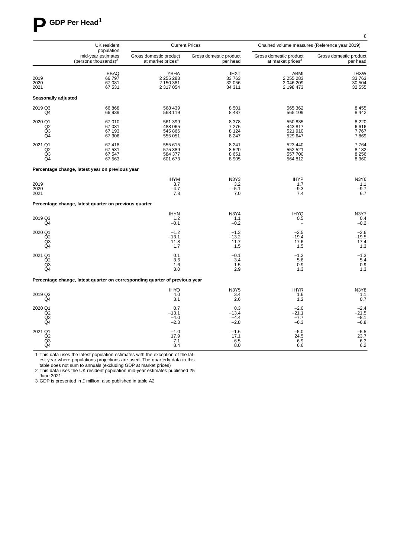

|                                       | UK resident<br>population                                                   |                                                         | <b>Current Prices</b>                     | Chained volume measures (Reference year 2019)           |                                          |  |  |
|---------------------------------------|-----------------------------------------------------------------------------|---------------------------------------------------------|-------------------------------------------|---------------------------------------------------------|------------------------------------------|--|--|
|                                       | mid-year estimates<br>(persons thousands) $^2$                              | Gross domestic product<br>at market prices <sup>3</sup> | Gross domestic product<br>per head        | Gross domestic product<br>at market prices <sup>3</sup> | Gross domestic product<br>per head       |  |  |
| 2019<br>2020<br>2021                  | EBAQ<br>66 797<br>67 081<br>67 531                                          | YBHA<br>2 255 283<br>2 150 381<br>2 317 054             | <b>IHXT</b><br>33 763<br>32 056<br>34 311 | ABMI<br>2 255 283<br>2 046 209<br>2 198 473             | <b>IHXW</b><br>33763<br>30 504<br>32 555 |  |  |
| <b>Seasonally adjusted</b>            |                                                                             |                                                         |                                           |                                                         |                                          |  |  |
| 2019 Q3<br>Q4                         | 66 868<br>66 939                                                            | 568 439<br>568 119                                      | 8501<br>8 4 8 7                           | 565 362<br>565 109                                      | 8 4 5 5<br>8 4 4 2                       |  |  |
| 2020 Q1<br>Q <sub>2</sub><br>Q3<br>Q4 | 67 010<br>67 081<br>67 193<br>67 30 6                                       | 561 399<br>488 065<br>545 866<br>555 051                | 8 3 7 8<br>7 2 7 6<br>8 1 2 4<br>8 2 4 7  | 550 835<br>443 817<br>521 910<br>529 647                | 8 2 2 0<br>6616<br>7767<br>7869          |  |  |
| 2021 Q1<br>Q2<br>Q <sub>3</sub><br>Q4 | 67418<br>67 531<br>67 547<br>67 563                                         | 555 615<br>575 389<br>584 377<br>601 673                | 8 2 4 1<br>8520<br>8651<br>8 9 0 5        | 523 440<br>552 521<br>557 700<br>564 812                | 7764<br>8 1 8 2<br>8 2 5 6<br>8 3 6 0    |  |  |
|                                       | Percentage change, latest year on previous year                             |                                                         |                                           |                                                         |                                          |  |  |
| 2019<br>2020<br>2021                  |                                                                             | <b>IHYM</b><br>3.7<br>$-4.7$<br>7.8                     | N3Y3<br>3.2<br>$-5.1$<br>7.0              | <b>IHYP</b><br>1.7<br>$-9.3$<br>7.4                     | N3Y6<br>$1.1 - 9.7$<br>6.7               |  |  |
|                                       | Percentage change, latest quarter on previous quarter                       |                                                         |                                           |                                                         |                                          |  |  |
| 2019 Q3<br>Q4                         |                                                                             | <b>IHYN</b><br>1.2<br>$-0.1$                            | <b>N3Y4</b><br>1.1<br>$-0.2$              | <b>IHYQ</b><br>0.5<br>$\overline{\phantom{a}}$          | <b>N3Y7</b><br>0.4<br>$-0.2$             |  |  |
| 2020 Q1<br>Q <sub>2</sub><br>Q3<br>Q4 |                                                                             | $-1.2$<br>$-13.1$<br>11.8<br>1.7                        | $-1.3$<br>$-13.2$<br>11.7<br>1.5          | $-2.5$<br>$-19.4$<br>17.6<br>1.5                        | $-2.6$<br>-19.5<br>17.4<br>1.3           |  |  |
| 2021 Q1<br>Q2<br>Q <sub>3</sub><br>Q4 |                                                                             | 0.1<br>3.6<br>1.6<br>3.0                                | $-0.1$<br>3.4<br>1.5<br>2.9               | $-1.2$<br>5.6<br>0.9<br>1.3                             | $-1.3$<br>5.4<br>0.9<br>1.3              |  |  |
|                                       | Percentage change, latest quarter on corresponding quarter of previous year |                                                         |                                           |                                                         |                                          |  |  |
| 2019 Q3<br>Q4                         |                                                                             | <b>IHYO</b><br>4.0<br>3.1                               | N3Y5<br>3.4<br>2.6                        | <b>IHYR</b><br>1.6<br>1.2                               | N3Y8<br>1.1<br>0.7                       |  |  |
| 2020 Q1<br>Q2<br>Q3<br>Q4             |                                                                             | 0.7<br>$-13.1$<br>$-4.0$<br>$-2.3$                      | 0.3<br>$-13.4$<br>$-4.4$<br>$-2.8$        | $-2.0$<br>$-21.1$<br>$-7.7$<br>$-6.3$                   | $-2.4$<br>$-21.5$<br>$-8.1$<br>$-6.8$    |  |  |
| 2021 Q1<br>Q <sub>2</sub><br>Q3<br>Q4 |                                                                             | $-1.0$<br>17.9<br>7.1<br>8.4                            | $-1.6$<br>17.1<br>6.5<br>8.0              | $^{-5.0}_{24.5}$<br>6.9<br>6.6                          | $\frac{-5.5}{23.7}$<br>6.3<br>6.2        |  |  |

1 This data uses the latest population estimates with the exception of the latest year where populations projections are used. The quarterly data in this

table does not sum to annuals (excluding GDP at market prices) 2 This data uses the UK resident population mid-year estimates published 25

June 2021

3 GDP is presented in £ million; also published in table A2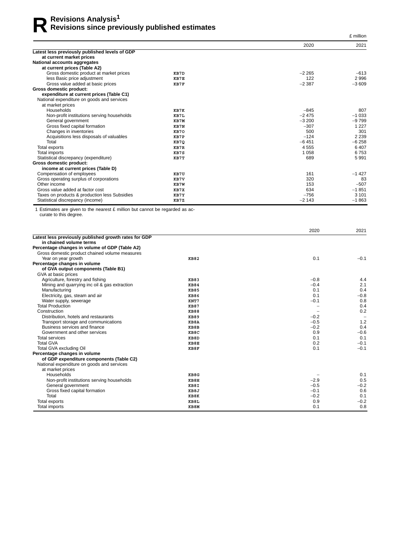|                                                |      |          | £ million |
|------------------------------------------------|------|----------|-----------|
|                                                |      | 2020     | 2021      |
| Latest less previously published levels of GDP |      |          |           |
| at current market prices                       |      |          |           |
| National accounts aggregates                   |      |          |           |
| at current prices (Table A2)                   |      |          |           |
| Gross domestic product at market prices        | KB7D | $-2265$  | $-613$    |
| less Basic price adjustment                    | KB7E | 122      | 2996      |
| Gross value added at basic prices              | KB7F | $-2387$  | $-3609$   |
| <b>Gross domestic product:</b>                 |      |          |           |
| expenditure at current prices (Table C1)       |      |          |           |
| National expenditure on goods and services     |      |          |           |
| at market prices                               |      |          |           |
| Households                                     | KB7K | $-845$   | 807       |
| Non-profit institutions serving households     | KB7L | $-2475$  | $-1033$   |
| General government                             | KB7M | $-3200$  | $-9799$   |
| Gross fixed capital formation                  | KB7N | $-307$   | 1 2 2 7   |
| Changes in inventories                         | KB70 | 500      | 301       |
| Acquisitions less disposals of valuables       | KB7P | $-124$   | 2 2 3 9   |
| Total                                          | KB70 | $-6451$  | $-6258$   |
| Total exports                                  | KB7R | 4 5 5 5  | 6 4 0 7   |
| Total imports                                  | KB7S | 1 0 5 8  | 6753      |
| Statistical discrepancy (expenditure)          | KB7T | 689      | 5 9 9 1   |
| Gross domestic product:                        |      |          |           |
| income at current prices (Table D)             |      |          |           |
| Compensation of employees                      | KB7U | 161      | $-1427$   |
| Gross operating surplus of corporations        | KB7V | 320      | 83        |
| Other income                                   | KB7W | 153      | $-507$    |
| Gross value added at factor cost               | KB7X | 634      | $-1851$   |
| Taxes on products & production less Subsidies  | KB7Y | $-756$   | 3 1 0 1   |
| Statistical discrepancy (income)               | KB7Z | $-2$ 143 | $-1863$   |

1 Estimates are given to the nearest £ million but cannot be regarded as accurate to this degree.

|                                                       |             | 2020   | 2021                     |
|-------------------------------------------------------|-------------|--------|--------------------------|
| Latest less previously published growth rates for GDP |             |        |                          |
| in chained volume terms                               |             |        |                          |
| Percentage changes in volume of GDP (Table A2)        |             |        |                          |
| Gross domestic product chained volume measures        |             |        |                          |
| Year on year growth                                   | <b>KB82</b> | 0.1    | $-0.1$                   |
| Percentage changes in volume                          |             |        |                          |
| of GVA output components (Table B1)                   |             |        |                          |
| GVA at basic prices                                   |             |        |                          |
| Agriculture, forestry and fishing                     | <b>KB83</b> | $-0.8$ | 4.4                      |
| Mining and quarrying inc oil & gas extraction         | <b>KB84</b> | $-0.4$ | 2.1                      |
| Manufacturing                                         | <b>KB85</b> | 0.1    | 0.4                      |
| Electricity, gas, steam and air                       | <b>KB86</b> | 0.1    | $-0.8$                   |
| Water supply, sewerage                                | KNT7        | $-0.1$ | 0.8                      |
| <b>Total Production</b>                               | <b>KB87</b> |        | 0.4                      |
| Construction                                          | <b>KB88</b> |        | 0.2                      |
| Distribution, hotels and restaurants                  | <b>KB89</b> | $-0.2$ | $\overline{\phantom{0}}$ |
| Transport storage and communications                  | KB8A        | $-0.5$ | 1.2                      |
| Business services and finance                         | KB8B        | $-0.2$ | 0.4                      |
| Government and other services                         | KB8C        | 0.9    | $-0.6$                   |
| <b>Total services</b>                                 | KB8D        | 0.1    | 0.1                      |
| <b>Total GVA</b>                                      | KB8E        | 0.2    | $-0.1$                   |
| Total GVA excluding Oil                               | KB8F        | 0.1    | $-0.1$                   |
| Percentage changes in volume                          |             |        |                          |
| of GDP expenditure components (Table C2)              |             |        |                          |
| National expenditure on goods and services            |             |        |                          |
| at market prices                                      |             |        |                          |
| Households                                            | KB8G        |        | 0.1                      |
| Non-profit institutions serving households            | KB8H        | $-2.9$ | 0.5                      |
| General government                                    | KB8I        | $-0.5$ | $-0.2$                   |
| Gross fixed capital formation                         | KB8J        | $-0.1$ | 0.6                      |
| Total                                                 | KB8K        | $-0.2$ | 0.1                      |
| <b>Total exports</b>                                  | KB8L        | 0.9    | $-0.2$                   |
| Total imports                                         | KB8M        | 0.1    | 0.8                      |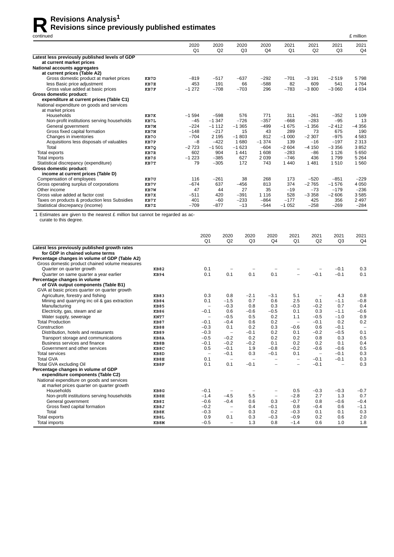# **Revisions Analysis<sup>1</sup>**<br>Revisions since prev

#### **Revisions since previously published estimates**

| continued                                      |      |                        |            |                        |                        |                        |            |                        | £ million              |
|------------------------------------------------|------|------------------------|------------|------------------------|------------------------|------------------------|------------|------------------------|------------------------|
|                                                |      | 2020<br>Q <sub>1</sub> | 2020<br>Q2 | 2020<br>Q <sub>3</sub> | 2020<br>Q <sub>4</sub> | 2021<br>Q <sub>1</sub> | 2021<br>Q2 | 2021<br>Q <sub>3</sub> | 2021<br>Q <sub>4</sub> |
| Latest less previously published levels of GDP |      |                        |            |                        |                        |                        |            |                        |                        |
| at current market prices                       |      |                        |            |                        |                        |                        |            |                        |                        |
| National accounts aggregates                   |      |                        |            |                        |                        |                        |            |                        |                        |
| at current prices (Table A2)                   |      |                        |            |                        |                        |                        |            |                        |                        |
| Gross domestic product at market prices        | KB7D | $-819$                 | $-517$     | $-637$                 | $-292$                 | $-701$                 | $-3191$    | $-2519$                | 5798                   |
| less Basic price adjustment                    | KB7E | 453                    | 191        | 66                     | $-588$                 | 82                     | 609        | 541                    | 1764                   |
| Gross value added at basic prices              | KB7F | $-1272$                | $-708$     | $-703$                 | 296                    | $-783$                 | $-3800$    | $-3060$                | 4 0 34                 |
| Gross domestic product:                        |      |                        |            |                        |                        |                        |            |                        |                        |
| expenditure at current prices (Table C1)       |      |                        |            |                        |                        |                        |            |                        |                        |
| National expenditure on goods and services     |      |                        |            |                        |                        |                        |            |                        |                        |
| at market prices                               |      |                        |            |                        |                        |                        |            |                        |                        |
| Households                                     | KB7K | $-1594$                | $-598$     | 576                    | 771                    | 311                    | $-261$     | $-352$                 | 1 1 0 9                |
| Non-profit institutions serving households     | KB7L | $-45$                  | $-1.347$   | $-726$                 | $-357$                 | $-668$                 | $-283$     | $-95$                  | 13                     |
| General government                             | KB7M | $-224$                 | $-1112$    | $-1.365$               | $-499$                 | $-1675$                | $-1.356$   | $-2412$                | $-4356$                |
| Gross fixed capital formation                  | KB7N | $-148$                 | $-217$     | 15                     | 43                     | 289                    | 73         | 675                    | 190                    |
| Changes in inventories                         | KB70 | $-704$                 | 2 1 9 5    | $-1803$                | 812                    | $-1000$                | $-2307$    | $-975$                 | 4583                   |
| Acquisitions less disposals of valuables       | KB7P | $-8$                   | $-422$     | 680<br>1               | $-1.374$               | 139                    | $-16$      | $-197$                 | 2 3 1 3                |
| Total                                          | KB7Q | $-2723$                | $-1501$    | $-1623$                | $-604$                 | $-2604$                | $-4150$    | $-3356$                | 3852                   |
| Total exports                                  | KB7R | 602                    | 904        | 1 4 4 1                | 1 608                  | $-283$                 | $-86$      | 1 1 2 6                | 5 6 5 0                |
| <b>Total imports</b>                           | KB7S | $-1223$                | $-385$     | 627                    | 2 0 3 9                | $-746$                 | 436        | 1799                   | 5 2 6 4                |
| Statistical discrepancy (expenditure)          | KB7T | 79                     | $-305$     | 172                    | 743                    | 1440                   | 1481       | 1510                   | 1560                   |
| Gross domestic product:                        |      |                        |            |                        |                        |                        |            |                        |                        |
| income at current prices (Table D)             |      |                        |            |                        |                        |                        |            |                        |                        |
| Compensation of employees                      | KB7U | 116                    | $-261$     | 38                     | 268                    | 173                    | $-520$     | $-851$                 | $-229$                 |
| Gross operating surplus of corporations        | KB7V | $-674$                 | 637        | $-456$                 | 813                    | 374                    | $-2765$    | $-1576$                | 4 0 5 0                |
| Other income                                   | KB7W | 47                     | 44         | 27                     | 35                     | $-19$                  | $-73$      | $-179$                 | $-236$                 |
| Gross value added at factor cost               | KB7X | $-511$                 | 420        | $-391$                 | 1 1 1 6                | 528                    | $-3358$    | $-2606$                | 3585                   |
| Taxes on products & production less Subsidies  | KB7Y | 401                    | $-60$      | $-233$                 | $-864$                 | $-177$                 | 425        | 356                    | 2 4 9 7                |
| Statistical discrepancy (income)               | KB7Z | $-709$                 | $-877$     | $-13$                  | $-544$                 | $-1052$                | $-258$     | $-269$                 | $-284$                 |

1 Estimates are given to the nearest £ million but cannot be regarded as accurate to this degree.

|                                                |             | 2020<br>Q <sub>1</sub>   | 2020<br>Q2               | 2020<br>Q <sub>3</sub>   | 2020<br>Q <sub>4</sub>   | 2021<br>Q <sub>1</sub>   | 2021<br>Q2               | 2021<br>Q <sub>3</sub>   | 2021<br>Q <sub>4</sub>   |
|------------------------------------------------|-------------|--------------------------|--------------------------|--------------------------|--------------------------|--------------------------|--------------------------|--------------------------|--------------------------|
| Latest less previously published growth rates  |             |                          |                          |                          |                          |                          |                          |                          |                          |
| for GDP in chained volume terms                |             |                          |                          |                          |                          |                          |                          |                          |                          |
| Percentage changes in volume of GDP (Table A2) |             |                          |                          |                          |                          |                          |                          |                          |                          |
| Gross domestic product chained volume measures |             |                          |                          |                          |                          |                          |                          |                          |                          |
| Quarter on quarter growth                      | <b>KB82</b> | 0.1                      |                          |                          |                          |                          |                          | $-0.1$                   | 0.3                      |
| Quarter on same quarter a year earlier         | <b>KB94</b> | 0.1                      | 0.1                      | 0.1                      | 0.1                      | $\overline{\phantom{0}}$ | $-0.1$                   | $-0.1$                   | 0.1                      |
| Percentage changes in volume                   |             |                          |                          |                          |                          |                          |                          |                          |                          |
| of GVA output components (Table B1)            |             |                          |                          |                          |                          |                          |                          |                          |                          |
| GVA at basic prices quarter on quarter growth  |             |                          |                          |                          |                          |                          |                          |                          |                          |
| Agriculture, forestry and fishing              | <b>KB83</b> | 0.3                      | 0.8                      | $-2.1$                   | $-3.1$                   | 5.1                      | $\qquad \qquad -$        | 4.3                      | 0.8                      |
| Mining and quarrying inc oil & gas extraction  | <b>KB84</b> | 0.1                      | $-1.5$                   | 0.7                      | 0.6                      | 2.5                      | 0.1                      | $-1.1$                   | $-0.8$                   |
| Manufacturing                                  | <b>KB85</b> | $\overline{\phantom{m}}$ | $-0.3$                   | 0.8                      | 0.3                      | $-0.3$                   | $-0.2$                   | 0.7                      | 0.4                      |
| Electricity, gas, steam and air                | <b>KB86</b> | $-0.1$                   | 0.6                      | $-0.6$                   | $-0.5$                   | 0.1                      | 0.3                      | $-1.1$                   | $-0.6$                   |
| Water supply, sewerage                         | KNT7        | $\overline{\phantom{0}}$ | $-0.5$                   | 0.5                      | 0.2                      | 1.1                      | $-0.5$                   | $-1.0$                   | 0.9                      |
| <b>Total Production</b>                        | <b>KB87</b> | $-0.1$                   | $-0.4$                   | 0.6                      | 0.2                      | $\overline{\phantom{m}}$ | $-0.1$                   | 0.2                      | 0.2                      |
| Construction                                   | <b>KB88</b> | $-0.3$                   | 0.1                      | 0.2                      | 0.3                      | $-0.6$                   | 0.6                      | $-0.1$                   | $\overline{\phantom{m}}$ |
| Distribution, hotels and restaurants           | <b>KB89</b> | $-0.3$                   | $\overline{\phantom{0}}$ | $-0.1$                   | 0.2                      | 0.1                      | $-0.2$                   | $-0.5$                   | 0.1                      |
| Transport storage and communications           | KB8A        | $-0.5$                   | $-0.2$                   | 0.2                      | 0.2                      | 0.2                      | 0.8                      | 0.3                      | 0.5                      |
| Business services and finance                  | KB8B        | $-0.1$                   | $-0.2$                   | $-0.2$                   | 0.1                      | 0.2                      | 0.2                      | 0.1                      | 0.4                      |
| Government and other services                  | KB8C        | 0.5                      | $-0.1$                   | 1.9                      | $-0.8$                   | $-0.2$                   | $-0.6$                   | $-0.6$                   | 0.5                      |
| <b>Total services</b>                          | KB8D        | $\overline{\phantom{m}}$ | $-0.1$                   | 0.3                      | $-0.1$                   | 0.1                      | $\overline{\phantom{m}}$ | $-0.1$                   | 0.3                      |
| <b>Total GVA</b>                               | KB8E        | 0.1                      | $\overline{\phantom{a}}$ | $\overline{\phantom{a}}$ | $\overline{\phantom{0}}$ | $\overline{\phantom{0}}$ | $-0.1$                   | $-0.1$                   | 0.3                      |
| Total GVA excluding Oil                        | KB8F        | 0.1                      | 0.1                      | $-0.1$                   |                          | $\overline{\phantom{0}}$ | $-0.1$                   | $\overline{\phantom{m}}$ | 0.3                      |
| Percentage changes in volume of GDP            |             |                          |                          |                          |                          |                          |                          |                          |                          |
| expenditure components (Table C2)              |             |                          |                          |                          |                          |                          |                          |                          |                          |
| National expenditure on goods and services     |             |                          |                          |                          |                          |                          |                          |                          |                          |
| at market prices quarter on quarter growth     |             |                          |                          |                          |                          |                          |                          |                          |                          |
| Households                                     | KB8G        | $-0.1$                   |                          | -                        | -                        | 0.5                      | $-0.3$                   | $-0.3$                   | $-0.7$                   |
| Non-profit institutions serving households     | KB8H        | $-1.4$                   | $-4.5$                   | 5.5                      | $\overline{\phantom{0}}$ | $-2.8$                   | 2.7                      | 1.3                      | 0.7                      |
| General government                             | KB8I        | $-0.6$                   | $-0.4$                   | 0.6                      | 0.3                      | $-0.7$                   | 0.8                      | $-0.6$                   | $-0.4$                   |
| Gross fixed capital formation                  | KB8J        | $-0.2$                   | -                        | 0.4                      | $-0.1$                   | 0.8                      | $-0.4$                   | 0.6                      | $-1.1$                   |
| Total                                          | KB8K        | $-0.3$                   | $\overline{\phantom{0}}$ | 0.3                      | 0.2                      | $-0.3$                   | 0.1                      | 0.1                      | 0.3                      |
| Total exports                                  | KB8L        | 0.9                      | 0.1                      | 0.3                      | $-0.3$                   | $-0.9$                   | 0.2                      | 0.6                      | 2.0                      |
| <b>Total imports</b>                           | KB8M        | $-0.5$                   | -                        | 1.3                      | 0.8                      | $-1.4$                   | 0.6                      | 1.0                      | 1.8                      |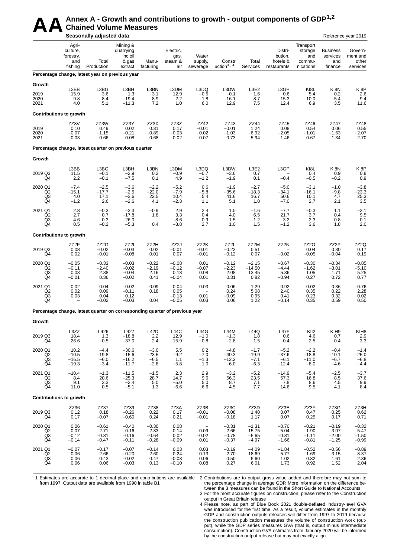# AA Annex A - Growth and contributions to growth - output components of GDP<sup>1,2</sup><br>Seasonally adjusted data **Chained Volume Measures**

|                                                    |                                                  | Seasonally adjusted data                                                    |                                                      |                                          |                                       |                                    |                                          |                                           |                                               |                                                    |                                               | Reference year 2019                      |
|----------------------------------------------------|--------------------------------------------------|-----------------------------------------------------------------------------|------------------------------------------------------|------------------------------------------|---------------------------------------|------------------------------------|------------------------------------------|-------------------------------------------|-----------------------------------------------|----------------------------------------------------|-----------------------------------------------|------------------------------------------|
|                                                    | Agri-<br>culture,<br>forestry,<br>and<br>fishing | Total<br>Production                                                         | Mining &<br>quarrying<br>inc oil<br>& gas<br>extract | Manu-<br>facturing                       | Electric,<br>gas,<br>steam &<br>air   | Water<br>supply,<br>sewerage       | Constr<br>uction $3, 4$                  | Total<br>Services                         | Distri-<br>bution,<br>hotels &<br>restaurants | Transport<br>storage<br>and<br>commu-<br>nications | <b>Business</b><br>services<br>and<br>finance | Govern-<br>ment and<br>other<br>services |
|                                                    |                                                  | Percentage change, latest year on previous year                             |                                                      |                                          |                                       |                                    |                                          |                                           |                                               |                                                    |                                               |                                          |
| Growth<br>2019<br>2020<br>2021                     | L3BB<br>15.9<br>$-9.8$<br>4.0                    | L3BG<br>3.6<br>$-8.4$<br>5.1                                                | L3BH<br>1.3<br>$-19.4$<br>$-11.3$                    | L3BN<br>3.1<br>-8.9<br>7.2               | L3DM<br>12.9<br>$^{-2.2}_{1.0}$       | L3DQ<br>$-0.5$<br>$-1.8$<br>6.0    | L3DW<br>$-0.1$<br>$-16.1$<br>12.9        | L3E2<br>1.6<br>$-8.7$<br>7.5              | L3GP<br>0.6<br>$-15.3$<br>12.4                | KI8L<br>5.4<br>$-10.0$<br>6.9                      | KI8N<br>0.2<br>$-5.4$<br>3.5                  | KI8P<br>2.6<br>$-9.4$<br>11.6            |
| <b>Contributions to growth</b>                     |                                                  |                                                                             |                                                      |                                          |                                       |                                    |                                          |                                           |                                               |                                                    |                                               |                                          |
| 2019<br>2020<br>2021                               | ZZ3V<br>0.10<br>$-0.07$<br>0.03                  | ZZ3W<br>0.49<br>$-1.15$<br>0.66                                             | ZZ3Y<br>0.02<br>$-0.21$<br>$-0.08$                   | ZZ3X<br>0.31<br>$-0.89$<br>0.68          | ZZ3Z<br>0.17<br>$-0.03$<br>0.02       | ZZ42<br>$-0.01$<br>$-0.02$<br>0.07 | ZZ43<br>$-0.01$<br>$-1.03$<br>0.73       | ZZ44<br>1.24<br>$-6.92$<br>5.94           | ZZ45<br>0.08<br>$-2.05$<br>1.46               | ZZ46<br>0.54<br>$-1.01$<br>0.67                    | ZZ47<br>0.06<br>$-1.63$<br>1.34               | ZZ48<br>$0.55$<br>-2.07<br>2.70          |
|                                                    |                                                  | Percentage change, latest quarter on previous quarter                       |                                                      |                                          |                                       |                                    |                                          |                                           |                                               |                                                    |                                               |                                          |
| Growth                                             |                                                  |                                                                             |                                                      |                                          |                                       |                                    |                                          |                                           |                                               |                                                    |                                               |                                          |
| 2019 Q3<br>Q4                                      | L3BB<br>11.5<br>2.2                              | L3BG<br>$-0.1$<br>$-0.1$                                                    | L3BH<br>$-2.9$<br>$-7.5$                             | L3BN<br>0.2<br>0.1                       | L3DM<br>$-0.9$<br>4.9                 | L3DQ<br>$-0.7$<br>$-1.2$           | L3DW<br>$-3.6$<br>$-1.9$                 | L3E2<br>0.7<br>0.1                        | L3GP<br>$-0.4$                                | KI8L<br>0.4<br>$-0.5$                              | KI8N<br>0.9<br>$-0.2$                         | KI8P<br>0.8<br>0.9                       |
| 2020 Q1<br>Q2<br>Q3<br>Q4                          | $-7.4$<br>$-15.1$<br>4.0<br>$-1.2$               | $-2.5$<br>$-17.7$<br>17.1<br>2.6                                            | $-3.6$<br>$-2.5$<br>$-3.6$<br>$-2.6$                 | $-2.2$<br>$-22.0$<br>22.5<br>4.1         | $-5.2$<br>$-7.9$<br>10.4<br>$-2.3$    | 0.6<br>$-5.8$<br>5.4<br>1.1        | $-1.9$<br>$-35.6$<br>41.6<br>5.1         | $-2.7$<br>$-18.3$<br>16.7<br>1.0          | $-5.0$<br>$-34.1$<br>50.6<br>$-7.0$           | $-3.1$<br>$-16.1$<br>10.1<br>2.7                   | $-1.0$<br>$-9.8$<br>4.7<br>2.1                | $-3.8$<br>$-23.3$<br>25.3<br>3.5         |
| 2021 Q1<br>Q2<br>Q3<br>$\overline{Q4}$             | 2.8<br>2.7<br>4.6<br>0.5                         | $-0.3$<br>0.7<br>0.3<br>$-0.2$                                              | $-3.3$<br>$-17.8$<br>26.0<br>$-5.3$                  | $-0.9$<br>1.8<br>0.4                     | 2.9<br>3.3<br>$-8.6$<br>$-3.8$        | 2.4<br>0.4<br>$\frac{0.9}{2.7}$    | 1.0<br>4.0<br>$-1.5$<br>1.0              | $-1.6$<br>6.5<br>$\frac{1.2}{1.5}$        | $-7.7$<br>21.7<br>3.2<br>$-1.2$               | $-0.3$<br>3.7<br>2.3<br>3.6                        | 1.1<br>0.4<br>0.8<br>1.8                      | $-3.1$<br>9.5<br>0.1<br>2.0              |
| <b>Contributions to growth</b>                     |                                                  |                                                                             |                                                      |                                          |                                       |                                    |                                          |                                           |                                               |                                                    |                                               |                                          |
| 2019 Q3<br>Q4                                      | ZZ2F<br>0.08<br>0.02                             | ZZ2G<br>$-0.02$<br>$-0.01$                                                  | ZZ2I<br>$-0.03$<br>$-0.08$                           | ZZ2H<br>0.02<br>0.01                     | ZZ2J<br>$-0.01$<br>0.07               | ZZ2K<br>$-0.01$<br>$-0.01$         | ZZ2L<br>$-0.23$<br>$-0.12$               | ZZ2M<br>0.51<br>0.07                      | ZZ2N<br>$-0.02$                               | ZZ <sub>20</sub><br>0.04<br>$-0.05$                | ZZ2P<br>0.30<br>$-0.04$                       | ZZ2Q<br>0.17<br>0.19                     |
| 2020 Q1<br>Q <sub>2</sub><br>Q <sub>3</sub><br>Q4  | $-0.05$<br>$-0.11$<br>0.03<br>$-0.01$            | $-0.33$<br>$-2.40$<br>2.38<br>0.36                                          | $-0.03$<br>$-0.02$<br>$-0.04$<br>$-0.02$             | $-0.22$<br>$-2.19$<br>2.16<br>0.41       | $-0.08$<br>$-0.12$<br>0.18<br>$-0.04$ | 0.01<br>$-0.07$<br>0.08<br>0.01    | $-0.12$<br>$-2.23$<br>2.08<br>0.31       | $-2.15$<br>$-14.50$<br>13.45<br>0.82      | $-0.67$<br>$-4.44$<br>5.36<br>$-0.94$         | $-0.30$<br>$-1.62$<br>1.05<br>0.27                 | $-0.34$<br>$-3.01$<br>1.71<br>0.72            | $-0.85$<br>$-5.10$<br>5.25<br>0.77       |
| 2021 Q1<br>Q2<br>Q3<br>Q4                          | 0.02<br>0.02<br>0.03                             | $-0.04$<br>0.09<br>0.04<br>$-0.02$                                          | $-0.02$<br>$-0.11$<br>0.12<br>$-0.03$                | $-0.09$<br>0.18<br>0.04                  | 0.04<br>0.05<br>$-0.13$<br>$-0.05$    | 0.03<br>0.01<br>0.03               | 0.06<br>0.24<br>$-0.09$<br>0.06          | $-1.29$<br>5.08<br>0.95<br>1.22           | $-0.92$<br>2.40<br>0.41<br>$-0.14$            | $-0.02$<br>0.35<br>0.23<br>0.35                    | 0.36<br>0.22<br>0.32<br>0.59                  | $-0.76$<br>2.28<br>0.02<br>0.50          |
|                                                    |                                                  | Percentage change, latest quarter on corresponding quarter of previous year |                                                      |                                          |                                       |                                    |                                          |                                           |                                               |                                                    |                                               |                                          |
| Growth                                             |                                                  |                                                                             |                                                      |                                          |                                       |                                    |                                          |                                           |                                               |                                                    |                                               |                                          |
| 2019 Q3<br>Q4                                      | L3ZZ<br>18.4<br>26.6                             | L426<br>1.3<br>$-0.5$                                                       | L427<br>$-18.8$<br>$-37.0$                           | L42D<br>2.2<br>2.4                       | <b>L44C</b><br>12.9<br>15.9           | <b>L44G</b><br>$-1.0$<br>$-0.8$    | L44M<br>$-1.3$<br>$-2.8$                 | L44Q<br>1.8<br>1.5                        | L47F<br>0.6<br>0.4                            | KII <sub>2</sub><br>4.6<br>2.5                     | KIH <sub>9</sub><br>0.7<br>0.4                | KIH <sub>8</sub><br>2.9<br>3.3           |
| 2020 Q1<br>Q <sub>2</sub><br>$^{Q3}_{Q4}$          | 10.2<br>$-10.5$<br>$-16.5$<br>$-19.3$            | $-4.4$<br>$-19.8$<br>$-6.0$<br>$-3.4$                                       | $-30.6$<br>$-15.6$<br>$-16.2$<br>$-11.7$             | $-3.0$<br>$-23.5$<br>$-6.5$<br>$-2.8$    | 5.5<br>$-9.2$<br>1.1<br>$-5.8$        | 0.2<br>$-7.0$<br>$-1.3$<br>1.0     | $-4.8$<br>$-40.3$<br>$-12.2$<br>$-6.0$   | $-1.7$<br>$-19.9$<br>$-7.1$<br>$-6.3$     | $-5.2$<br>$-37.6$<br>$-6.1$<br>$-12.4$        | $-2.2$<br>$-18.8$<br>$-11.0$<br>$-8.0$             | $-0.4$<br>$-10.1$<br>$-6.7$<br>$-4.6$         | $-1.4$<br>$-25.0$<br>$-6.8$<br>$-4.4$    |
| 2021 Q1<br>Q <sub>2</sub><br>Q3<br>Q4              | $-10.4$<br>8.4<br>9.1<br>11.0                    | $-1.3$<br>20.6<br>3.3<br>0.5                                                | $-11.5$<br>$-25.3$<br>$-2.4$<br>$-5.1$               | $-1.5$<br>28.7<br>5.0<br>1.3             | 2.3<br>14.7<br>$-5.0$<br>$-6.6$       | 2.9<br>9.6<br>5.0<br>6.6           | $-3.2$<br>56.3<br>8.7<br>4.5             | $-5.2$<br>23.5<br>7.1<br>7.7              | $-14.9$<br>57.3<br>7.8<br>14.6                | $-5.4$<br>16.8<br>8.6<br>9.5                       | $-2.5$<br>8.5<br>4.5<br>4.1                   | $-3.7$<br>37.6<br>9.9<br>8.4             |
| <b>Contributions to growth</b>                     |                                                  |                                                                             |                                                      |                                          |                                       |                                    |                                          |                                           |                                               |                                                    |                                               |                                          |
| 2019 Q3<br>Q4                                      | ZZ36<br>0.12<br>0.17                             | ZZ37<br>0.18<br>$-0.07$                                                     | ZZ39<br>$-0.26$<br>$-0.60$                           | ZZ38<br>0.22<br>0.24                     | ZZ3A<br>0.17<br>0.21                  | ZZ3B<br>$-0.01$<br>$-0.01$         | ZZ3C<br>$-0.08$<br>$-0.18$               | ZZ3D<br>1.40<br>1.17                      | ZZ3E<br>0.07<br>0.07                          | ZZ3F<br>0.47<br>0.25                               | ZZ3G<br>0.25<br>0.17                          | ZZ3H<br>0.62<br>0.71                     |
| 2020 Q1<br>Q <sub>2</sub><br>$\overline{Q3}$<br>Q4 | 0.06<br>$-0.07$<br>$-0.12$<br>$-0.14$            | $-0.61$<br>$-2.71$<br>$-0.81$<br>$-0.47$                                    | $-0.40$<br>$-0.16$<br>$-0.16$<br>$-0.11$             | $-0.30$<br>$-2.33$<br>$-0.64$<br>$-0.28$ | 0.08<br>$-0.14$<br>0.02<br>$-0.09$    | $-0.09$<br>$-0.02$<br>0.01         | $-0.31$<br>$-2.66$<br>$-0.78$<br>$-0.37$ | $-1.31$<br>$-15.75$<br>$-5.65$<br>$-4.97$ | $-0.70$<br>$-5.04$<br>$-0.81$<br>$-1.66$      | $-0.21$<br>$-1.90$<br>$-1.11$<br>$-0.81$           | $-0.19$<br>$-3.07$<br>$-2.00$<br>$-1.25$      | $-0.32$<br>$-5.47$<br>$-1.50$<br>$-0.99$ |
| 2021 Q1<br>Q2<br>$^{Q3}_{Q4}$                      | $-0.07$<br>0.06<br>0.06<br>0.06                  | $-0.17$<br>2.66<br>0.43<br>0.06                                             | $-0.07$<br>$-0.20$<br>$-0.02$<br>$-0.03$             | $-0.14$<br>2.60<br>0.47<br>0.13          | 0.03<br>0.24<br>$-0.08$<br>$-0.10$    | 0.03<br>0.13<br>0.06<br>0.08       | $-0.19$<br>2.70<br>0.50<br>0.27          | $-4.09$<br>18.69<br>5.60<br>6.01          | $-1.84$<br>5.77<br>1.02<br>1.73               | $-0.52$<br>1.69<br>0.82<br>0.92                    | $-0.56$<br>3.15<br>1.61<br>1.52               | $-0.89$<br>8.37<br>2.36<br>2.04          |

1 Estimates are accurate to 1 decimal place and contributions are available from 1997. Output data are available from 1990 in table B1

2 Contributions are to output gross value added and therefore may not sum to the percentage change in average GDP. More information on the difference between the 3 measures can be found in the Short Guide to National Accounts

3 For the most accurate figures on construction, please refer to the Construction output in Great Britain release

4 Please note, as part of Blue Book 2021 double-deflated industry-level GVA was introduced for the first time. As a result, volume estimates in the monthly GDP and construction outputs releases will differ from 1997 to 2019 because the construction publication measures the volume of construction work (output), while the GDP series measures GVA (that is, output minus intermediate consumption). Construction GVA estimates from January 2020 will be informed by the construction output release but may not exactly align.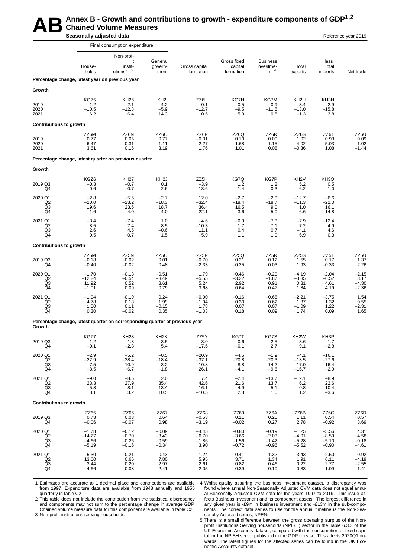#### **Annex B - Growth and contributions to growth - expenditure components of GDP<sup>1,2</sup><br>Chained Volume Measures<br>Seasonally adjusted data Chained Volume Measures Seasonally adjusted data**

|                                       |                                                 | Final consumption expenditure                                               |                                          |                                       |                                          |                                                 |                                              |                                          |                                       |
|---------------------------------------|-------------------------------------------------|-----------------------------------------------------------------------------|------------------------------------------|---------------------------------------|------------------------------------------|-------------------------------------------------|----------------------------------------------|------------------------------------------|---------------------------------------|
|                                       | House-<br>holds                                 | Non-prof-<br>it<br>instit-<br>utions $3, 5$                                 | General<br>govern-<br>ment               | Gross capital<br>formation            | Gross fixed<br>capital<br>formation      | <b>Business</b><br>investme-<br>nt <sup>4</sup> | Total<br>exports                             | less<br>Total<br>imports                 | Net trade                             |
|                                       | Percentage change, latest year on previous year |                                                                             |                                          |                                       |                                          |                                                 |                                              |                                          |                                       |
| Growth                                |                                                 |                                                                             |                                          |                                       |                                          |                                                 |                                              |                                          |                                       |
| 2019<br>2020<br>2021                  | KGZ5<br>1.2<br>$-10.5$<br>6.2                   | <b>KH26</b><br>2.1<br>$-12.8$<br>6.4                                        | KH <sub>2</sub><br>4.2<br>$-5.9$<br>14.3 | ZZ6H<br>$-0.1$<br>$-12.7$<br>10.5     | <b>KG7N</b><br>0.5<br>$-9.5$<br>5.9      | KG7M<br>0.9<br>$-11.5$<br>0.8                   | KH <sub>2U</sub><br>3.4<br>$-13.0$<br>$-1.3$ | KH3N<br>2.9<br>$-15.8$<br>3.8            |                                       |
| <b>Contributions to growth</b>        |                                                 |                                                                             |                                          |                                       |                                          |                                                 |                                              |                                          |                                       |
| 2019<br>2020<br>2021                  | ZZ6M<br>0.77<br>-6.47<br>3.61                   | ZZ6N<br>0.05<br>$-0.31$<br>0.16                                             | ZZ6O<br>0.77<br>$-1.11$<br>3.19          | ZZ6P<br>$-0.01$<br>$-2.27$<br>1.76    | ZZ6Q<br>0.10<br>$-1.68$<br>1.01          | ZZ6R<br>0.09<br>$-1.15$<br>0.08                 | ZZ6S<br>1.02<br>$-4.02$<br>$-0.36$           | ZZ6T<br>0.93<br>$-5.03$<br>1.08          | ZZ6U<br>0.09<br>1.02<br>$-1.44$       |
|                                       |                                                 | Percentage change, latest quarter on previous quarter                       |                                          |                                       |                                          |                                                 |                                              |                                          |                                       |
| Growth                                |                                                 |                                                                             |                                          |                                       |                                          |                                                 |                                              |                                          |                                       |
| 2019 Q3<br>Q4                         | KGZ6<br>$-0.3$<br>$-0.6$                        | KH27<br>$-0.7$<br>$-0.7$                                                    | KH <sub>2</sub> J<br>0.1<br>2.6          | ZZ5H<br>$-3.9$<br>$-13.6$             | KG7Q<br>1.2<br>$-1.4$                    | KG7P<br>1.2<br>$-0.3$                           | KH <sub>2</sub> V<br>5.2<br>6.2              | KH <sub>3</sub> O<br>0.5<br>$-1.0$       |                                       |
| 2020 Q1<br>Q <sub>2</sub><br>Q3<br>Q4 | $-2.8$<br>$-20.0$<br>19.6<br>$-1.6$             | $-5.5$<br>$-23.2$<br>23.6<br>4.0                                            | $-2.7$<br>$-18.3$<br>18.7<br>4.0         | 12.0<br>$-32.4$<br>36.4<br>22.1       | $-2.7$<br>$-18.4$<br>16.5<br>3.6         | $-2.9$<br>$-18.7$<br>9.0<br>5.0                 | $-12.7$<br>$-11.3$<br>1.0<br>6.6             | $-6.6$<br>$-22.0$<br>16.1<br>14.8        |                                       |
| 2021 Q1<br>Q <sub>2</sub><br>Q3<br>Q4 | $-3.4$<br>8.5<br>2.6<br>0.5                     | $-7.4$<br>7.4<br>4.5<br>$-0.7$                                              | 1.0<br>8.5<br>$-0.6$<br>1.5              | $-4.6$<br>$-10.3$<br>11.1<br>$-5.9$   | $-0.9$<br>1.7<br>0.4<br>1.1              | $-7.3$<br>7.1<br>0.7<br>1.0                     | $-7.9$<br>7.2<br>$-4.1$<br>6.9               | $-12.4$<br>4.9<br>4.6<br>0.3             |                                       |
| <b>Contributions to growth</b>        |                                                 |                                                                             |                                          |                                       |                                          |                                                 |                                              |                                          |                                       |
| 2019 Q3<br>Q4                         | ZZ5M<br>$-0.18$<br>$-0.40$                      | ZZ5N<br>$-0.02$<br>$-0.02$                                                  | ZZ5O<br>0.01<br>0.48                     | ZZ5P<br>$-0.70$<br>$-2.33$            | ZZ5Q<br>0.21<br>$-0.25$                  | ZZ5R<br>0.12<br>$-0.03$                         | ZZ5S<br>1.55<br>1.93                         | ZZ5T<br>0.17<br>$-0.33$                  | ZZ5U<br>1.37<br>2.26                  |
| 2020 Q1<br>Q2<br>Q3<br>Q4             | $-1.70$<br>$-12.24$<br>11.92<br>$-1.01$         | $-0.13$<br>$-0.54$<br>0.52<br>0.09                                          | $-0.51$<br>$-3.49$<br>3.61<br>0.79       | 1.79<br>$-5.55$<br>5.24<br>3.68       | $-0.46$<br>$-3.22$<br>2.92<br>0.64       | $-0.29$<br>-1.87<br>0.91<br>0.47                | $-4.19$<br>$-3.35$<br>0.31<br>1.84           | $-2.04$<br>$-6.52$<br>4.61<br>4.19       | $-2.15$<br>3.17<br>$-4.30$<br>$-2.36$ |
| 2021 Q1<br>Q <sub>2</sub><br>Q3<br>Q4 | $-1.94$<br>4.78<br>1.50<br>0.30                 | $-0.19$<br>0.18<br>0.11<br>$-0.02$                                          | 0.24<br>1.99<br>$-0.15$<br>0.35          | $-0.90$<br>$-1.94$<br>1.78<br>$-1.03$ | $-0.16$<br>0.30<br>0.07<br>0.18          | $-0.68$<br>0.62<br>0.07<br>0.09                 | $-2.21$<br>1.87<br>$-1.09$<br>1.74           | $-3.75$<br>1.32<br>1.22<br>0.09          | 1.54<br>0.55<br>$-2.31$<br>1.65       |
| Growth                                |                                                 | Percentage change, latest quarter on corresponding quarter of previous year |                                          |                                       |                                          |                                                 |                                              |                                          |                                       |
| 2019 Q3<br>Q4                         | KGZ7<br>1.2<br>$-0.1$                           | KH <sub>28</sub><br>1.3<br>$-2.\overline{8}$                                | KH <sub>2</sub> K<br>$\frac{3.5}{5.4}$   | ZZ5Y<br>$-3.0$<br>$-17.6$             | KG7T<br>0.6<br>$-0.1$                    | KG7S<br>$2.5$<br>$2.7$                          | KH <sub>2</sub> W<br>3.6<br>9.1              | KH3P<br>1.7<br>$-2.8$                    |                                       |
| 2020 Q1<br>Q2<br>Q3<br>Q4             | $-2.9$<br>$-22.9$<br>$-7.5$<br>$-8.5$           | $-5.2$<br>$-28.4$<br>$-10.9$<br>$-6.7$                                      | $-0.5$<br>$-18.4$<br>$-3.2$<br>$-1.8$    | $-20.9$<br>$-37.1$<br>$-10.8$<br>26.1 | $-4.5$<br>$-20.8$<br>$-8.8$<br>$-4.1$    | $-1.9$<br>$-20.3$<br>$-14.2$<br>$-9.6$          | $-4.1$<br>$-13.5$<br>$-17.0$<br>$-16.7$      | $-16.1$<br>$-27.6$<br>$-16.4$<br>$-2.9$  |                                       |
| 2021 Q1<br>$^{Q2}_{Q3}$<br>Q4         | $-9.0$<br>$^{23.3}_{5.8}$<br>8.1                | $-8.5$<br>27.9<br>8.1<br>3.2                                                | 2.0<br>35.4<br>13.4<br>10.5              | 7.4<br>42.6<br>16.1<br>$-10.5$        | $-2.4$<br>21.6<br>4.9<br>2.3             | $-13.7$<br>$13.7$<br>5.1<br>1.0                 | $-12.1$<br>6.2<br>0.8<br>$1.2$               | $-8.9$<br>22.6<br>10.4<br>$-3.6$         |                                       |
| <b>Contributions to growth</b>        |                                                 |                                                                             |                                          |                                       |                                          |                                                 |                                              |                                          |                                       |
| 2019 Q3<br>Q4                         | ZZ65<br>0.73<br>$-0.06$                         | ZZ66<br>0.03<br>$-0.07$                                                     | ZZ67<br>0.64<br>0.98                     | ZZ68<br>$-0.53$<br>$-3.19$            | ZZ69<br>0.11<br>$-0.02$                  | ZZ6A<br>0.25<br>0.27                            | ZZ6B<br>1.11<br>2.78                         | ZZ6C<br>0.54<br>$-0.92$                  | ZZ6D<br>0.57<br>3.69                  |
| 2020 Q1<br>Q2<br>$^{Q3}_{Q4}$         | $-1.78$<br>$-14.27$<br>$-4.66$<br>$-5.19$       | $-0.12$<br>$-0.70$<br>$-0.26$<br>$-0.16$                                    | $-0.09$<br>$-3.43$<br>$-0.59$<br>$-0.34$ | $-4.45$<br>$-6.70$<br>$-1.86$<br>3.90 | $-0.80$<br>$-3.66$<br>$-1.56$<br>$-0.72$ | $-0.19$<br>$-2.03$<br>$-1.42$<br>$-0.96$        | $-1.25$<br>$-4.01$<br>$-5.28$<br>$-5.52$     | $-5.56$<br>$-8.59$<br>$-5.10$<br>$-0.90$ | 4.31<br>4.58<br>$-0.18$<br>$-4.61$    |
| 2021 Q1<br>Q <sub>2</sub><br>Q3<br>Q4 | $-5.30$<br>13.60<br>3.44<br>4.66                | $-0.21$<br>0.66<br>0.20<br>0.08                                             | 0.43<br>7.80<br>2.97<br>2.41             | 1.24<br>5.95<br>2.61<br>$-2.05$       | $-0.41$<br>3.71<br>0.82<br>0.39          | $-1.32$<br>1.34<br>0.46<br>0.10                 | $-3.43$<br>1.91<br>0.22<br>0.33              | $-2.50$<br>6.11<br>2.77<br>$-1.09$       | $-0.92$<br>$-4.19$<br>$-2.55$<br>1.41 |

1 Estimates are accurate to 1 decimal place and contributions are available from 1997. Expenditure data are available from 1948 annually and 1955 quarterly in table C2 2 This table does not include the contribution from the statistical discrepancy 4 Whilst quality assuring the business investment dataset, a discrepancy was found where annual Non-Seasonally Adjusted CVM data does not equal annual Seasonally Adjusted CVM data for the years 1997 to 2019. This issue af-

and components may not sum to the percentage change in average GDP. Chained volume measure data for this component are available in table C2 3 Non-profit institutions serving households

fects Business Investment and its component assets. The largest difference in any given year is -£9m in business investment and -£13m in the sub-components. The correct data series to use for the annual timeline is the Non-Seasonally Adjusted series, NPEN. 5 There is a small difference between the gross operating surplus of the Non-

profit Institutions Serving households (NPISH) sector in the Table 6.3.3 of the UK Economic Accounts dataset, compared with the consumption of fixed capital for the NPISH sector published in the GDP release. This affects 2020Q1 onwards. The latest figures for the affected series can be found in the UK Economic Accounts dataset.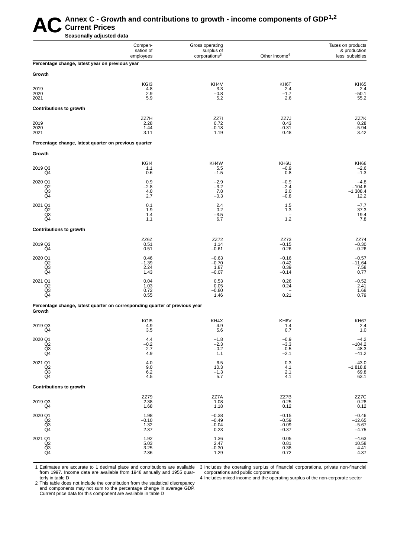# AC Annex C - Growth and contributions to growth - income components of GDP<sup>1,2</sup><br>Seasonally adjusted data **Current Prices**

**Seasonally adjusted data**

|                                                        | Compen-<br>sation of<br>employees                                           | Gross operating<br>surplus of<br>corporations <sup>3</sup> | Other income <sup>4</sup>                | Taxes on products<br>& production<br>less subsidies |
|--------------------------------------------------------|-----------------------------------------------------------------------------|------------------------------------------------------------|------------------------------------------|-----------------------------------------------------|
| Percentage change, latest year on previous year        |                                                                             |                                                            |                                          |                                                     |
| Growth                                                 |                                                                             |                                                            |                                          |                                                     |
| 2019<br>2020<br>2021                                   | KGI3<br>4.8<br>2.9<br>5.9                                                   | KH4V<br>3.3<br>$-0.8$<br>5.2                               | KH6T<br>2.4<br>$-1.7$<br>2.6             | <b>KH65</b><br>2.4<br>$-50.1$<br>55.2               |
| <b>Contributions to growth</b>                         |                                                                             |                                                            |                                          |                                                     |
| 2019<br>2020<br>2021                                   | ZZ7H<br>2.28<br>1.44<br>3.11                                                | ZZ7I<br>0.72<br>$-0.18$<br>1.19                            | ZZ7J<br>0.43<br>$-0.31$<br>0.48          | ZZ7K<br>0.28<br>$-5.94$<br>3.42                     |
| Percentage change, latest quarter on previous quarter  |                                                                             |                                                            |                                          |                                                     |
| Growth                                                 |                                                                             |                                                            |                                          |                                                     |
| 2019 Q3<br>Q4                                          | KGI4<br>1.1<br>0.6                                                          | KH4W<br>5.5<br>$-1.5$                                      | KH6U<br>$-0.9$<br>0.8                    | <b>KH66</b><br>$-2.6$<br>$-1.\overline{3}$          |
| 2020 Q1<br>Q2<br>Q3<br>Q4                              | 0.9<br>$-2.8$<br>4.0<br>2.7                                                 | $-2.9$<br>$-3.2$<br>7.8<br>$-0.3$                          | $-0.9$<br>$-2.4$<br>2.0<br>$-0.8$        | $-4.8$<br>$-104.6$<br>$-1$ 308.4<br>12.2            |
| 2021 Q1<br>$_{\tiny{\textrm{Q3}}}^{\mathsf{Q2}}$<br>Q4 | 0.1<br>1.9<br>1.4<br>1.1                                                    | 2.4<br>0.2<br>$-3.5$<br>6.7                                | 1.5<br>1.3<br>$\qquad \qquad -$<br>1.2   | $-7.7$<br>37.3<br>19.4<br>7.8                       |
| <b>Contributions to growth</b>                         |                                                                             |                                                            |                                          |                                                     |
| 2019 Q3<br>Q4                                          | ZZ6Z<br>0.51<br>0.51                                                        | ZZ72<br>1.14<br>$-0.61$                                    | ZZ73<br>$-0.15$<br>0.26                  | ZZ74<br>$-0.30$<br>$-0.26$                          |
| 2020 Q1<br>Q <sub>2</sub><br>Q3<br>Q4                  | 0.46<br>$-1.39$<br>2.24<br>1.43                                             | $-0.63$<br>$-0.70$<br>1.87<br>$-0.07$                      | $-0.16$<br>$-0.42$<br>0.39<br>$-0.14$    | $-0.57$<br>$-11.64$<br>7.58<br>0.77                 |
| 2021 Q1<br>Q <sub>2</sub><br>Q3<br>Q4                  | 0.04<br>1.03<br>0.72<br>0.55                                                | 0.53<br>0.05<br>$-0.80$<br>1.46                            | 0.26<br>0.24<br>0.21                     | $-0.52$<br>2.41<br>1.68<br>0.79                     |
|                                                        | Percentage change, latest quarter on corresponding quarter of previous year |                                                            |                                          |                                                     |
| Growth                                                 | KGI5                                                                        | KH4X                                                       | KH6V                                     | <b>KH67</b>                                         |
| 2019 Q3<br>Q4                                          | 4.9<br>3.5                                                                  | 4.9<br>5.6                                                 | 1.4<br>0.7                               | 2.4<br>1.0                                          |
| 2020 Q1<br>Q2<br>$_{\mathsf{Q4}}^{\mathsf{Q3}}$        | 4.4<br>$^{-0.2}_{2.7}$<br>4.9                                               | $-1.8$<br>$-2.3$<br>$-0.2$<br>1.1                          | $-0.9$<br>$-3.3$<br>$-0.5$<br>$-2.1$     | $-4.2$<br>$-104.2$<br>$-48.3$<br>$-41.2$            |
| 2021 Q1<br>Q <sub>2</sub><br>$\frac{Q3}{Q4}$           | 4.0<br>9.0<br>6.2<br>4.5                                                    | 6.5<br>10.3<br>$-1.3$<br>5.7                               | 0.3<br>4.1<br>2.1<br>4.1                 | $-43.0$<br>$-1818.8$<br>69.8<br>63.1                |
| <b>Contributions to growth</b>                         |                                                                             |                                                            |                                          |                                                     |
| 2019 Q3<br>Q4                                          | ZZ79<br>2.38<br>1.68                                                        | ZZ7A<br>1.08<br>1.18                                       | ZZ7B<br>0.25<br>0.12                     | ZZ7C<br>0.28<br>0.12                                |
| 2020 Q1<br>Q2<br>$\overline{Q3}$<br>Q4                 | 1.98<br>$-0.10$<br>$\frac{1.32}{2.37}$                                      | $-0.38$<br>$-0.49$<br>$-0.04$<br>0.23                      | $-0.15$<br>$-0.59$<br>$-0.09$<br>$-0.37$ | $-0.46$<br>$-12.65$<br>$-5.67$<br>$-4.75$           |
| 2021 Q1<br>Q2<br>Q3<br>Q4                              | $1.92$<br>$5.03$<br>$3.25$<br>$2.36$                                        | 1.36<br>2.47<br>$-0.30$<br>1.29                            | 0.05<br>0.81<br>0.38<br>0.72             | $-4.63$<br>10.58<br>4.41<br>4.37                    |

1 Estimates are accurate to 1 decimal place and contributions are available from 1997. Income data are available from 1948 annually and 1955 quar-

Current price data for this component are available in table D

3 Includes the operating surplus of financial corporations, private non-financial corporations and public corporations

terly in table D 2 This table does not include the contribution from the statistical discrepancy and components may not sum to the percentage change in average GDP.

4 Includes mixed income and the operating surplus of the non-corporate sector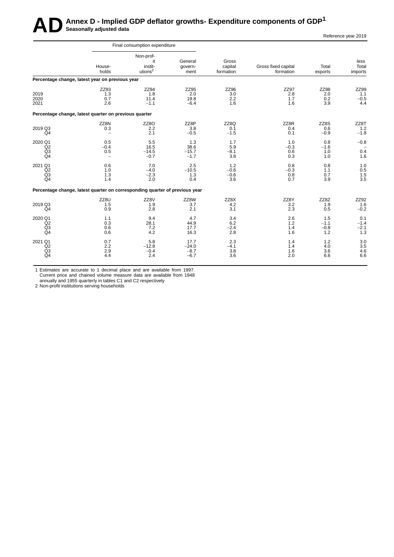# **AD** Annex D - Implied GDP deflator growths- Expenditure components of GDP<sup>1</sup> Reference year 2019

|                                                                             |                                         | Final consumption expenditure                     |                                     |                                |                                  |                                  |                                |
|-----------------------------------------------------------------------------|-----------------------------------------|---------------------------------------------------|-------------------------------------|--------------------------------|----------------------------------|----------------------------------|--------------------------------|
|                                                                             | House-<br>holds                         | Non-prof-<br>it<br>instit-<br>utions <sup>2</sup> | General<br>govern-<br>ment          | Gross<br>capital<br>formation  | Gross fixed capital<br>formation | Total<br>exports                 | less<br>Total<br>imports       |
| Percentage change, latest year on previous year                             |                                         |                                                   |                                     |                                |                                  |                                  |                                |
| 2019<br>2020<br>2021                                                        | ZZ93<br>1.3<br>0.7<br>2.6               | ZZ94<br>1.8<br>11.4<br>$-1.1$                     | ZZ95<br>2.0<br>19.8<br>$-6.4$       | ZZ96<br>3.0<br>2.2<br>1.6      | <b>ZZ97</b><br>2.8<br>1.7<br>1.6 | <b>ZZ98</b><br>2.0<br>0.2<br>3.9 | ZZ99<br>1.1<br>$-0.5$<br>4.4   |
| Percentage change, latest quarter on previous quarter                       |                                         |                                                   |                                     |                                |                                  |                                  |                                |
| 2019 Q3<br>Q4                                                               | ZZ8N<br>0.3<br>$\overline{\phantom{0}}$ | ZZ8O<br>2.2<br>2.1                                | ZZ8P<br>3.8<br>$-0.5$               | ZZ8Q<br>0.1<br>$-1.5$          | ZZ8R<br>0.4<br>0.1               | ZZ8S<br>0.6<br>$-0.9$            | ZZ8T<br>1.2<br>$-1.8$          |
| 2020 Q1<br>Q2<br>Q <sub>3</sub><br>Q <sub>4</sub>                           | 0.5<br>$-0.4$<br>0.5<br>$\overline{a}$  | 5.5<br>16.5<br>$-14.5$<br>$-0.7$                  | 1.3<br>38.6<br>$-15.7$<br>$-1.7$    | 1.7<br>5.9<br>$-8.1$<br>3.8    | 1.0<br>$-0.3$<br>0.6<br>0.3      | 0.8<br>$-1.6$<br>1.0<br>1.0      | $-0.8$<br>0.4<br>1.6           |
| 2021 Q1<br>Q2<br>Q3<br>Q <sub>4</sub>                                       | 0.6<br>1.0<br>1.3<br>1.4                | 7.0<br>$-4.0$<br>$-2.3$<br>2.0                    | 2.5<br>$-10.5$<br>1.3<br>0.4        | 1.2<br>$-0.6$<br>$-0.6$<br>3.6 | 0.8<br>$-0.3$<br>0.8<br>0.7      | 0.8<br>1.1<br>0.7<br>3.9         | 1.0<br>0.5<br>1.5<br>3.5       |
| Percentage change, latest quarter on corresponding quarter of previous year |                                         |                                                   |                                     |                                |                                  |                                  |                                |
| 2019 Q3<br>Q <sub>4</sub>                                                   | ZZ8U<br>1.5<br>0.9                      | ZZ8V<br>1.9<br>2.8                                | ZZ8W<br>3.7<br>2.1                  | ZZ8X<br>4.2<br>3.1             | ZZ8Y<br>3.2<br>2.3               | ZZ8Z<br>1.9<br>0.5               | ZZ92<br>1.6<br>$-0.2$          |
| 2020 Q1<br>Q2<br>Q <sub>3</sub><br>Q <sub>4</sub>                           | 1.1<br>0.3<br>0.6<br>0.6                | 9.4<br>28.1<br>7.2<br>4.2                         | 4.7<br>44.9<br>17.7<br>16.3         | 3.4<br>6.2<br>$-2.4$<br>2.8    | 2.6<br>1.2<br>1.4<br>1.6         | 1.5<br>$-1.1$<br>$-0.8$<br>1.2   | 0.1<br>$-1.4$<br>$-2.1$<br>1.3 |
| 2021 Q1<br>Q2<br>Q3<br>Q <sub>4</sub>                                       | 0.7<br>2.2<br>2.9<br>4.4                | 5.8<br>$-12.8$<br>$-0.4$<br>2.4                   | 17.7<br>$-24.0$<br>$-8.7$<br>$-6.7$ | 2.3<br>$-4.1$<br>3.8<br>3.6    | 1.4<br>1.4<br>1.6<br>2.0         | 1.2<br>4.0<br>3.6<br>6.6         | 3.0<br>3.5<br>4.6<br>6.6       |

1 Estimates are accurate to 1 decimal place and are available from 1997. Current price and chained volume measure data are available from 1948

annually and 1955 quarterly in tables C1 and C2 respectively

2 Non-profit institutions serving households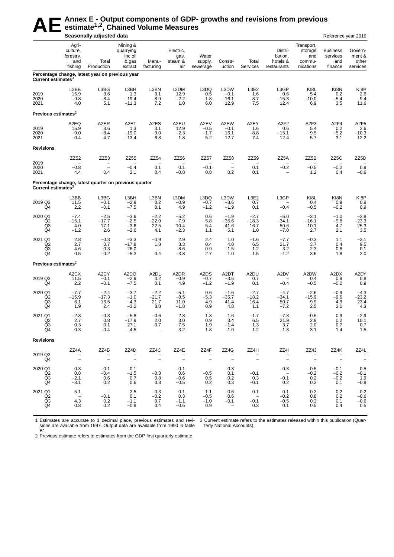# AE<sup>Annex E - Output components of GDP- growths and revisions from previous<br>seasonally adjusted data</sup> **estimate1,2, Chained Volume Measures**

|                                       |                                                  | Seasonally adjusted data                                     |                                                      |                                                     |                                     |                                 |                                                     |                                  |                                               |                                                     | Reference year 2019                           |                                                   |
|---------------------------------------|--------------------------------------------------|--------------------------------------------------------------|------------------------------------------------------|-----------------------------------------------------|-------------------------------------|---------------------------------|-----------------------------------------------------|----------------------------------|-----------------------------------------------|-----------------------------------------------------|-----------------------------------------------|---------------------------------------------------|
|                                       | Agri-<br>culture,<br>forestry,<br>and<br>fishing | Total<br>Production                                          | Mining &<br>quarrying<br>inc oil<br>& gas<br>extract | Manu-<br>facturing                                  | Electric,<br>gas,<br>steam &<br>air | Water<br>supply,<br>sewerage    | Constr-<br>uction                                   | Total<br>Services                | Distri-<br>bution,<br>hotels &<br>restaurants | Transport,<br>storage<br>and<br>commu-<br>nications | <b>Business</b><br>services<br>and<br>finance | Govern-<br>ment &<br>other<br>services            |
| Current estimates <sup>3</sup>        |                                                  | Percentage change, latest year on previous year              |                                                      |                                                     |                                     |                                 |                                                     |                                  |                                               |                                                     |                                               |                                                   |
| 2019<br>2020<br>2021                  | L3BB<br>15.9<br>$-9.8$<br>4.0                    | L3BG<br>3.6<br>$-8.4$<br>5.1                                 | L3BH<br>1.3<br>$-19.4$<br>$-11.3$                    | L3BN<br>3.1<br>$-8.9$<br>7.2                        | L3DM<br>12.9<br>$-2.2$<br>1.0       | L3DQ<br>$-0.5$<br>$-1.8$<br>6.0 | L3DW<br>$-0.1$<br>$-16.1$<br>12.9                   | L3E2<br>1.6<br>$-8.7$<br>7.5     | L3GP<br>0.6<br>$-15.3$<br>12.4                | KI8L<br>5.4<br>$-10.0$<br>6.9                       | KI8N<br>0.2<br>-5.4<br>3.5                    | KI8P<br>2.6<br>$-9.4$<br>11.6                     |
| Previous estimates $2$                |                                                  |                                                              |                                                      |                                                     |                                     |                                 |                                                     |                                  |                                               |                                                     |                                               |                                                   |
| 2019<br>2020<br>2021                  | A2EQ<br>15.9<br>$-9.0$<br>$-0.4$                 | A <sub>2</sub> ER<br>3.6<br>$-8.4$<br>4.7                    | A <sub>2</sub> ET<br>1.3<br>$-19.0$<br>$-13.4$       | A2ES<br>3.1<br>$-9.0$<br>6.8                        | A2EU<br>12.9<br>$-2.3$<br>1.8       | A2EV<br>$-0.5$<br>$-1.7$<br>5.2 | A2EW<br>$-0.1$<br>$-16.1$<br>12.7                   | A2EY<br>1.6<br>$-8.8$<br>7.4     | A <sub>2F2</sub><br>0.6<br>$-15.1$<br>12.4    | A <sub>2F3</sub><br>5.4<br>$-9.5$<br>5.7            | A <sub>2F4</sub><br>0.2<br>$-5.2$<br>3.1      | A <sub>2F5</sub><br>$2.6 - 10.3$<br>12.2          |
| <b>Revisions</b>                      |                                                  |                                                              |                                                      |                                                     |                                     |                                 |                                                     |                                  |                                               |                                                     |                                               |                                                   |
| 2019<br>2020                          | ZZ52<br>$-0.8$                                   | ZZ53<br>$\overline{\phantom{0}}$                             | ZZ55<br>$-0.4$                                       | ZZ54<br>0.1                                         | ZZ56<br>0.1                         | ZZ57<br>$-0.1$                  | ZZ58<br>$\overline{\phantom{m}}$                    | ZZ59<br>0.1                      | ZZ5A<br>$-0.2$                                | ZZ5B<br>$-0.5$                                      | ZZ5C<br>$-0.2$                                | ZZ5D<br>0.9                                       |
| 2021                                  | 4.4                                              | 0.4<br>Percentage change, latest quarter on previous quarter | 2.1                                                  | 0.4                                                 | $-0.8$                              | 0.8                             | 0.2                                                 | 0.1                              |                                               | 1.2                                                 | 0.4                                           | $-0.6$                                            |
| Current estimates <sup>3</sup>        |                                                  |                                                              |                                                      |                                                     |                                     |                                 |                                                     |                                  |                                               |                                                     |                                               |                                                   |
| 2019 Q3<br>Q4                         | L3BB<br>11.5<br>2.2                              | L3BG<br>$-0.1$<br>$-0.1$                                     | L3BH<br>$-2.9$<br>$-7.5$                             | L3BN<br>0.2<br>0.1                                  | L3DM<br>$-0.9$<br>4.9               | L3DQ<br>$-0.7$<br>$-1.2$        | L3DW<br>$-3.6$<br>$-1.9$                            | L3E2<br>0.7<br>0.1               | L3GP<br>$-0.4$                                | KI8L<br>0.4<br>$-0.5$                               | KI8N<br>0.9<br>$-0.2$                         | KI8P<br>0.8<br>0.9                                |
| 2020 Q1<br>Q2<br>Q3<br>Q4             | $-7.4$<br>$-15.1$<br>4.0<br>$-1.2$               | $-2.5$<br>$-17.7$<br>17.1<br>2.6                             | $-3.6$<br>$-2.5$<br>$-3.6$<br>$-2.6$                 | $-2.2$<br>$-22.0$<br>22.5<br>4.1                    | $-5.2$<br>$-7.9$<br>10.4<br>$-2.3$  | 0.6<br>$-5.8$<br>5.4<br>1.1     | $-1.9$<br>$-35.6$<br>41.6<br>5.1                    | $-2.7$<br>$-18.3$<br>16.7<br>1.0 | $-5.0$<br>$-34.1$<br>50.6<br>$-7.0$           | $-3.1$<br>$-16.1$<br>10.1<br>2.7                    | $-1.0$<br>$-9.8$<br>4.7<br>2.1                | $-3.8$<br>$-23.3$<br>25.3<br>3.5                  |
| 2021 Q1<br>Q <sub>2</sub><br>Q3<br>Q4 | 2.8<br>2.7<br>4.6<br>0.5                         | $-0.3$<br>0.7<br>0.3<br>$-0.2$                               | $-3.3$<br>$-17.8$<br>26.0<br>$-5.3$                  | $-0.9$<br>1.8<br>$\overline{\phantom{a}}$<br>0.4    | 2.9<br>3.3<br>$-8.6$<br>$-3.8$      | 2.4<br>0.4<br>0.9<br>2.7        | 1.0<br>4.0<br>$-1.5$<br>1.0                         | $-1.6$<br>6.5<br>$1.2$<br>1.5    | $-7.7$<br>21.7<br>3.2<br>$-1.2$               | $-0.3$<br>3.7<br>2.3<br>3.6                         | 1.1<br>0.4<br>0.8<br>1.8                      | $-3.1$<br>9.5<br>0.1<br>2.0                       |
| Previous estimates $2$                |                                                  |                                                              |                                                      |                                                     |                                     |                                 |                                                     |                                  |                                               |                                                     |                                               |                                                   |
| 2019 Q3<br>Q4                         | A <sub>2</sub> CX<br>11.5<br>2.2                 | A2CY<br>$-0.1$<br>$-0.1$                                     | A <sub>2</sub> DO<br>$-2.9$<br>$-7.5$                | A2DL<br>0.2<br>0.1                                  | A2DR<br>-0.9<br>4.9                 | A2DS<br>$-0.7$<br>$-1.2$        | A <sub>2</sub> DT<br>$-3.6$<br>$-1.9$               | A2DU<br>0.7<br>0.1               | A2DV<br>$-0.4$                                | A2DW<br>0.4<br>$-0.5$                               | A2DX<br>0.9<br>$-0.2$                         | A2DY<br>0.8<br>0.9                                |
| 2020 Q1<br>Q <sub>2</sub><br>Q3<br>Q4 | $-7.7$<br>$-15.9$<br>6.1<br>1.9                  | $-2.4$<br>$-17.3$<br>16.5<br>2.4                             | $-3.7$<br>$-1.0$<br>$-4.3$<br>$-3.2$                 | $-2.2$<br>$-21.7$<br>21.7<br>3.8                    | $-5.1$<br>$-8.5$<br>11.0<br>$-1.8$  | 0.6<br>$-5.3$<br>4.9<br>0.9     | $-1.6$<br>$-35.7$<br>41.4<br>4.8                    | $-2.7$<br>$-18.2$<br>16.4<br>1.1 | $-4.7$<br>$-34.1$<br>50.7<br>$-7.2$           | $-2.6$<br>$-15.9$<br>9.9<br>2.5                     | $-0.9$<br>$-9.6$<br>4.9<br>2.0                | $-4.3$<br>$-23.2$<br>23.4<br>4.3                  |
| 2021 Q1<br>Q <sub>2</sub><br>Q3<br>Q4 | $-2.3$<br>2.7<br>0.3<br>$-0.3$                   | $-0.3$<br>0.8<br>0.1<br>$-0.4$                               | $-5.8$<br>-17.9<br>27.1<br>$-4.5$                    | $-0.6$<br>2.0<br>$-0.7$<br>$\overline{\phantom{m}}$ | 2.8<br>3.0<br>$-7.5$<br>$-3.2$      | 1.3<br>0.9<br>1.9<br>1.8        | 1.6<br>3.4<br>$-1.4$<br>1.0                         | $-1.7$<br>6.5<br>1.3<br>1.2      | $-7.8$<br>21.9<br>3.7<br>$-1.3$               | $-0.5$<br>2.9<br>2.0<br>3.1                         | 0.9<br>0.2<br>0.7<br>1.4                      | $-2.9$<br>10.1<br>0.7<br>1.5                      |
| <b>Revisions</b>                      |                                                  |                                                              |                                                      |                                                     |                                     |                                 |                                                     |                                  |                                               |                                                     |                                               |                                                   |
| 2019 Q3<br>Q4                         | ZZ4A<br>$\sim$ $-$<br>$\sim$ $-$                 | ZZ4B<br>$\Box$ $\Box$                                        | ZZ4D<br>$\sim$ $-$                                   | ZZ4C<br>$\sim$ $-$                                  | ZZ4E<br>$\sim$ $-$                  | ZZ4F<br>$\sim$ $-$              | ZZ4G<br>$\sim$ $-$                                  | ZZ4H<br>$\sim$ $-$               | ZZ4I<br>$\sim$                                | ZZ4J<br>$\sim$ $-$<br>$\sim$ $-$                    | ZZ4K<br>$\sim$                                | ZZ4L<br>$\hspace{0.1mm}-\hspace{0.1mm}$<br>$\sim$ |
| 2020 Q1<br>Q2<br>Q3<br>Q4             | 0.3<br>0.8<br>$-2.1$<br>$-3.1$                   | $-0.1$<br>$-0.4$<br>0.6<br>0.2                               | 0.1<br>$-1.5$<br>0.7<br>0.6                          | $-0.3$<br>0.8<br>0.3                                | $-0.1$<br>0.6<br>$-0.6$<br>$-0.5$   | $\sim$<br>$-0.5$<br>0.5<br>0.2  | $-0.3$<br>0.1<br>0.2<br>0.3                         | $-0.1$<br>0.3<br>$-0.1$          | $-0.3$<br>$\sim$ $-$<br>$-0.1$<br>$0.2\,$     | $-0.5$<br>$-0.2$<br>0.2<br>0.2                      | $-0.1$<br>$-0.2$<br>$-0.2$<br>0.1             | 0.5<br>$-0.1$<br>1.9<br>$-0.8$                    |
| 2021 Q1<br>Q2<br>Q3<br>Q4             | 5.1<br>$\sim$<br>4.3<br>0.8                      | $\sim$<br>$-0.1$<br>0.2<br>0.2                               | 2.5<br>0.1<br>$-1.1$<br>$-0.8$                       | $-0.3$<br>$-0.2$<br>0.7<br>0.4                      | 0.1<br>0.3<br>$-1.1$<br>$-0.6$      | 1.1<br>$-0.5$<br>$-1.0$<br>0.9  | $-0.6$<br>0.6<br>$-0.1$<br>$\overline{\phantom{0}}$ | 0.1<br>$\sim$<br>$-0.1$<br>0.3   | 0.1<br>$-0.2$<br>$-0.5$<br>0.1                | 0.2<br>0.8<br>0.3<br>0.5                            | 0.2<br>0.2<br>0.1<br>0.4                      | $-0.2$<br>$-0.6$<br>$-0.6$<br>0.5                 |

1 Estimates are accurate to 1 decimal place, previous estimates and revisions are available from 1997. Output data are available from 1990 in table  $\overline{B1}$ 

3 Current estimate refers to the estimates released within this publication (Quarterly National Accounts)

2 Previous estimate refers to estimates from the GDP first quarterly estimate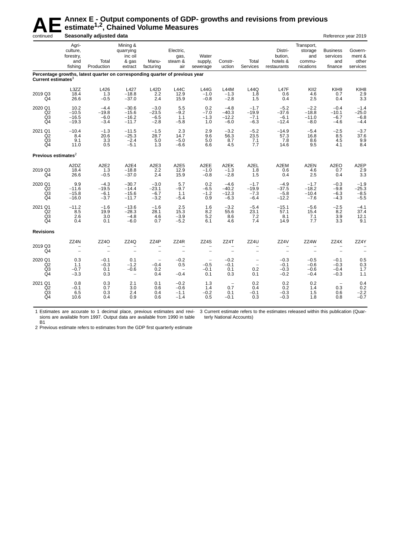# **AE** Annex E - Output components of GDP- growths and revisions from previous estimate<sup>1,2</sup>, Chained Volume Measures<br>Seasonally adjusted data **estimate1,2, Chained Volume Measures**

| continued                                         |                                                  | Seasonally adjusted data                                                     |                                                      |                                       |                                                     |                                 |                                                  |                                                                    |                                               |                                                     | Reference year 2019                                  |                                        |
|---------------------------------------------------|--------------------------------------------------|------------------------------------------------------------------------------|------------------------------------------------------|---------------------------------------|-----------------------------------------------------|---------------------------------|--------------------------------------------------|--------------------------------------------------------------------|-----------------------------------------------|-----------------------------------------------------|------------------------------------------------------|----------------------------------------|
|                                                   | Agri-<br>culture,<br>forestry,<br>and<br>fishing | Total<br>Production                                                          | Mining &<br>quarrying<br>inc oil<br>& gas<br>extract | Manu-<br>facturing                    | Electric,<br>gas,<br>steam &<br>air                 | Water<br>supply,<br>sewerage    | Constr-<br>uction                                | Total<br><b>Services</b>                                           | Distri-<br>bution,<br>hotels &<br>restaurants | Transport,<br>storage<br>and<br>commu-<br>nications | <b>Business</b><br>services<br>and<br>finance        | Govern-<br>ment &<br>other<br>services |
| Current estimates <sup>3</sup>                    |                                                  | Percentage growths, latest quarter on corresponding quarter of previous year |                                                      |                                       |                                                     |                                 |                                                  |                                                                    |                                               |                                                     |                                                      |                                        |
| 2019 Q3<br>Q4                                     | L3ZZ<br>18.4<br>26.6                             | L426<br>1.3<br>$-0.5$                                                        | L427<br>$-18.8$<br>$-37.0$                           | L42D<br>2.2<br>2.4                    | L44C<br>12.9<br>15.9                                | <b>L44G</b><br>$-1.0$<br>$-0.8$ | <b>L44M</b><br>$-1.3$<br>$-2.8$                  | L44Q<br>1.8<br>1.5                                                 | L47F<br>0.6<br>0.4                            | KII <sub>2</sub><br>4.6<br>2.5                      | KIH9<br>0.7<br>0.4                                   | KIH <sub>8</sub><br>2.9<br>3.3         |
| 2020 Q1<br>Q2<br>Q3<br>Q <sub>4</sub>             | 10.2<br>$-10.5$<br>$-16.5$<br>$-19.3$            | $-4.4$<br>$-19.8$<br>$-6.0$<br>$-3.4$                                        | $-30.6$<br>$-15.6$<br>$-16.2$<br>$-11.7$             | $-3.0$<br>$-23.5$<br>$-6.5$<br>$-2.8$ | 5.5<br>$-9.2$<br>1.1<br>$-5.8$                      | 0.2<br>$-7.0$<br>$-1.3$<br>1.0  | $-4.8$<br>$-40.3$<br>$-12.2$<br>$-6.0$           | $-1.7$<br>$-19.9$<br>$-7.1$<br>$-6.3$                              | $-5.2$<br>$-37.6$<br>$-6.1$<br>$-12.4$        | $-2.2$<br>$-18.8$<br>$-11.0$<br>$-8.0$              | $-0.4$<br>$-10.1$<br>$-6.7$<br>$-4.6$                | $-1.4$<br>$-25.0$<br>$-6.8$<br>$-4.4$  |
| 2021 Q1<br>Q2<br>Q <sub>3</sub><br>Q <sub>4</sub> | $-10.4$<br>8.4<br>9.1<br>11.0                    | $-1.3$<br>20.6<br>3.3<br>0.5                                                 | $-11.5$<br>$-25.3$<br>$-2.4$<br>$-5.1$               | $-1.5$<br>28.7<br>5.0<br>1.3          | 2.3<br>14.7<br>$-5.0$<br>$-6.6$                     | 2.9<br>9.6<br>5.0<br>6.6        | $-3.2$<br>56.3<br>8.7<br>4.5                     | $-5.2$<br>23.5<br>7.1<br>7.7                                       | $-14.9$<br>57.3<br>7.8<br>14.6                | $-5.4$<br>16.8<br>8.6<br>9.5                        | $-2.5$<br>8.5<br>4.5<br>4.1                          | $-3.7$<br>37.6<br>9.9<br>8.4           |
| Previous estimates <sup>2</sup>                   |                                                  |                                                                              |                                                      |                                       |                                                     |                                 |                                                  |                                                                    |                                               |                                                     |                                                      |                                        |
| 2019 Q3<br>Q4                                     | A2DZ<br>18.4<br>26.6                             | A <sub>2</sub> E <sub>2</sub><br>1.3<br>$-0.5$                               | A <sub>2E4</sub><br>$-18.8$<br>$-37.0$               | A2E3<br>2.2<br>2.4                    | A2E5<br>12.9<br>15.9                                | A2EE<br>$-1.0$<br>$-0.8$        | A2EK<br>$-1.3$<br>$-2.8$                         | A2EL<br>1.8<br>1.5                                                 | A2EM<br>0.6<br>0.4                            | A2EN<br>4.6<br>2.5                                  | A2EO<br>0.7<br>0.4                                   | A <sub>2</sub> EP<br>2.9<br>3.3        |
| 2020 Q1<br>Q2<br>Q3<br>Q4                         | 9.9<br>$-11.6$<br>$-15.8$<br>$-16.0$             | $-4.3$<br>$-19.5$<br>$-6.1$<br>$-3.7$                                        | $-30.7$<br>$-14.4$<br>$-15.6$<br>$-11.7$             | $-3.0$<br>$-23.1$<br>$-6.7$<br>$-3.2$ | 5.7<br>$-9.7$<br>1.1<br>$-5.4$                      | 0.2<br>$-6.5$<br>$-1.2$<br>0.9  | $-4.6$<br>$-40.2$<br>$-12.3$<br>$-6.3$           | $-1.7$<br>$-19.9$<br>$-7.3$<br>$-6.4$                              | $-4.9$<br>$-37.5$<br>$-5.8$<br>$-12.2$        | $-1.7$<br>$-18.2$<br>$-10.4$<br>$-7.6$              | $-0.3$<br>$-9.8$<br>$-6.3$<br>$-4.3$                 | $-1.9$<br>$-25.3$<br>$-8.5$<br>$-5.5$  |
| 2021 Q1<br>Q2<br>Q3<br>Q <sub>4</sub>             | $-11.2$<br>8.5<br>2.6<br>0.4                     | $-1.6$<br>19.9<br>3.0<br>0.1                                                 | $-13.6$<br>$-28.3$<br>$-4.8$<br>$-6.0$               | $-1.6$<br>28.1<br>4.6<br>0.7          | 2.5<br>15.3<br>$-3.9$<br>$-5.2$                     | 1.6<br>8.2<br>5.2<br>6.1        | $-3.2$<br>55.6<br>8.6<br>4.6                     | $-5.4$<br>23.1<br>7.2<br>7.4                                       | $-15.1$<br>57.1<br>8.1<br>14.9                | $-5.6$<br>15.4<br>7.1<br>7.7                        | $-2.5$<br>8.2<br>3.9<br>3.3                          | $-4.1$<br>37.4<br>12.1<br>9.1          |
| <b>Revisions</b>                                  |                                                  |                                                                              |                                                      |                                       |                                                     |                                 |                                                  |                                                                    |                                               |                                                     |                                                      |                                        |
| 2019 Q3<br>Q4                                     | ZZ4N<br>$\overline{\phantom{0}}$                 | ZZ4O<br>$\overline{\phantom{0}}$                                             | ZZ4Q<br>$\equiv$                                     | ZZ4P<br>$\sim$                        | ZZ4R<br>$\equiv$                                    | ZZ4S<br>$\equiv$                | ZZ4T<br>$\equiv$                                 | ZZ4U<br>$\overline{\phantom{0}}$                                   | ZZ4V<br>$\overline{\phantom{0}}$              | ZZ4W<br>$\overline{\phantom{a}}$                    | ZZ4X<br>$\overline{\phantom{a}}$                     | ZZ4Y<br>L,                             |
| 2020 Q1<br>Q2<br>Q3<br>Q <sub>4</sub>             | 0.3<br>1.1<br>$-0.7$<br>$-3.3$                   | $-0.1$<br>$-0.3$<br>0.1<br>0.3                                               | 0.1<br>$-1.2$<br>$-0.6$<br>$\overline{\phantom{m}}$  | $-0.4$<br>0.2<br>0.4                  | $-0.2$<br>0.5<br>$\overline{\phantom{a}}$<br>$-0.4$ | $-0.5$<br>$-0.1$<br>0.1         | $-0.2$<br>$-0.1$<br>0.1<br>0.3                   | $\overline{\phantom{a}}$<br>$\overline{\phantom{a}}$<br>0.2<br>0.1 | $-0.3$<br>$-0.1$<br>$-0.3$<br>$-0.2$          | $-0.5$<br>$-0.6$<br>$-0.6$<br>$-0.4$                | $-0.1$<br>$-0.3$<br>$-0.4$<br>$-0.3$                 | 0.5<br>0.3<br>1.7<br>1.1               |
| 2021 Q1<br>Q2<br>Q <sub>3</sub><br>Q <sub>4</sub> | 0.8<br>$-0.1$<br>6.5<br>10.6                     | 0.3<br>0.7<br>0.3<br>0.4                                                     | 2.1<br>3.0<br>2.4<br>0.9                             | 0.1<br>0.6<br>0.4<br>0.6              | $-0.2$<br>$-0.6$<br>$-1.1$<br>$-1.4$                | 1.3<br>1.4<br>$-0.2$<br>0.5     | $\overline{\phantom{a}}$<br>0.7<br>0.1<br>$-0.1$ | 0.2<br>0.4<br>$-0.1$<br>0.3                                        | 0.2<br>0.2<br>$-0.3$<br>$-0.3$                | 0.2<br>1.4<br>1.5<br>1.8                            | $\hspace{0.1mm}-\hspace{0.1mm}$<br>0.3<br>0.6<br>0.8 | 0.4<br>0.2<br>$-2.2$<br>$-0.7$         |

1 Estimates are accurate to 1 decimal place, previous estimates and revisions are available from 1997. Output data are available from 1990 in table B1 3 Current estimate refers to the estimates released within this publication (Quarterly National Accounts)

2 Previous estimate refers to estimates from the GDP first quarterly estimate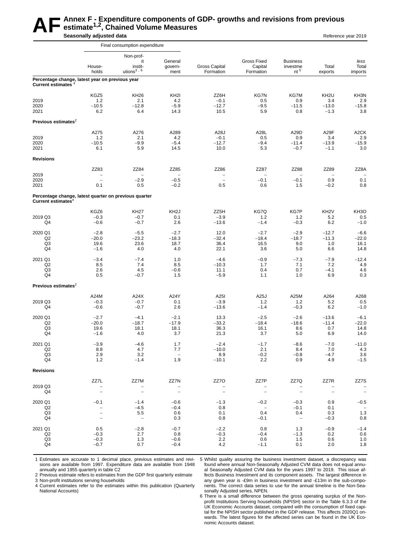#### AF Annex F - Expenditure components of GDP- growths and revisions from previous<br>
Seasonally adjusted data **estimate1,2, Chained Volume Measures Seasonally adjusted data Reference year 2019 Reference year 2019**

|                                 |                                                       | Final consumption expenditure   |                                        |                            |                                            |                                       |                          |                          |
|---------------------------------|-------------------------------------------------------|---------------------------------|----------------------------------------|----------------------------|--------------------------------------------|---------------------------------------|--------------------------|--------------------------|
|                                 |                                                       | Non-prof-                       |                                        |                            |                                            |                                       |                          |                          |
|                                 | House-<br>holds                                       | it<br>instit-<br>utions $3, 6$  | General<br>govern-<br>ment             | Gross Capital<br>Formation | <b>Gross Fixed</b><br>Capital<br>Formation | <b>Business</b><br>investme<br>$nt^5$ | Total<br>exports         | less<br>Total<br>imports |
| <b>Current estimates</b>        | Percentage change, latest year on previous year       |                                 |                                        |                            |                                            |                                       |                          |                          |
|                                 | KGZ5                                                  | <b>KH26</b>                     | KH <sub>2</sub>                        | ZZ6H                       | KG7N                                       | KG7M                                  | KH <sub>2U</sub>         | KH3N                     |
| 2019                            | 1.2                                                   | 2.1                             | 4.2                                    | $-0.1$                     | 0.5                                        | 0.9                                   | 3.4                      | 2.9                      |
| 2020                            | $-10.5$                                               | $-12.8$                         | $-5.9$                                 | $-12.7$                    | $-9.5$                                     | $-11.5$                               | $-13.0$                  | $-15.8$                  |
| 2021                            | 6.2                                                   | 6.4                             | 14.3                                   | 10.5                       | 5.9                                        | 0.8                                   | $-1.3$                   | 3.8                      |
| Previous estimates $2$          |                                                       |                                 |                                        |                            |                                            |                                       |                          |                          |
|                                 | A275                                                  | A276                            | A289                                   | A28J                       | A28L                                       | A29D                                  | A29F                     | A <sub>2</sub> CK        |
| 2019<br>2020                    | 1.2<br>$-10.5$                                        | 2.1<br>$-9.9$                   | 4.2<br>$-5.4$                          | $-0.1$<br>$-12.7$          | 0.5<br>$-9.4$                              | 0.9<br>$-11.4$                        | 3.4<br>$-13.9$           | 2.9<br>$-15.9$           |
| 2021                            | 6.1                                                   | 5.9                             | 14.5                                   | 10.0                       | 5.3                                        | $-0.7$                                | $-1.1$                   | 3.0                      |
| <b>Revisions</b>                |                                                       |                                 |                                        |                            |                                            |                                       |                          |                          |
|                                 | ZZ83                                                  | ZZ84                            | ZZ85                                   | ZZ86                       | ZZ87                                       | ZZ88                                  | ZZ89                     | ZZ8A                     |
| 2019                            | $\qquad \qquad -$                                     |                                 | -                                      | $\qquad \qquad -$          | $\overline{\phantom{0}}$                   | $\overline{\phantom{0}}$              |                          |                          |
| 2020<br>2021                    | $\overline{\phantom{a}}$<br>0.1                       | $-2.9$<br>0.5                   | $-0.5$<br>$-0.2$                       | $\equiv$<br>0.5            | $-0.1$<br>0.6                              | $-0.1$<br>1.5                         | 0.9<br>$-0.2$            | 0.1<br>0.8               |
| Current estimates <sup>4</sup>  | Percentage change, latest quarter on previous quarter |                                 |                                        |                            |                                            |                                       |                          |                          |
|                                 |                                                       |                                 |                                        |                            |                                            |                                       |                          |                          |
| 2019 Q3                         | KGZ6<br>$-0.3$                                        | <b>KH27</b><br>$-0.7$           | KH <sub>2</sub> J<br>0.1               | ZZ5H<br>$-3.9$             | KG7Q<br>1.2                                | KG7P<br>1.2                           | KH <sub>2</sub> V<br>5.2 | KH <sub>3</sub> O<br>0.5 |
| Q4                              | $-0.6$                                                | $-0.7$                          | 2.6                                    | $-13.6$                    | $-1.4$                                     | $-0.3$                                | 6.2                      | $-1.0$                   |
| 2020 Q1                         | $-2.8$                                                | $-5.5$                          | $-2.7$                                 | 12.0                       | $-2.7$                                     | $-2.9$                                | $-12.7$                  | $-6.6$                   |
| Q2                              | $-20.0$                                               | $-23.2$                         | $-18.3$                                | $-32.4$                    | $-18.4$                                    | $-18.7$                               | $-11.3$                  | $-22.0$                  |
| Q3                              | 19.6                                                  | 23.6                            | 18.7                                   | 36.4                       | 16.5                                       | 9.0                                   | 1.0                      | 16.1                     |
| Q4                              | $-1.6$                                                | 4.0                             | 4.0                                    | 22.1                       | 3.6                                        | 5.0                                   | 6.6                      | 14.8                     |
| 2021 Q1                         | $-3.4$                                                | $-7.4$                          | 1.0                                    | $-4.6$                     | $-0.9$                                     | $-7.3$                                | $-7.9$                   | $-12.4$                  |
| Q <sub>2</sub>                  | 8.5                                                   | 7.4                             | 8.5                                    | $-10.3$                    | 1.7                                        | 7.1                                   | 7.2                      | 4.9                      |
| Q3<br>Q4                        | 2.6<br>0.5                                            | 4.5<br>$-0.7$                   | $-0.6$<br>1.5                          | 11.1<br>$-5.9$             | 0.4<br>1.1                                 | 0.7<br>1.0                            | $-4.1$<br>6.9            | 4.6<br>0.3               |
| Previous estimates <sup>2</sup> |                                                       |                                 |                                        |                            |                                            |                                       |                          |                          |
|                                 | A24M                                                  | A24X                            | A24Y                                   | A25I                       | A25J                                       | A25M                                  | A264                     | A268                     |
| 2019 Q3                         | $-0.3$                                                | $-0.7$                          | 0.1                                    | $-3.9$                     | 1.2                                        | 1.2                                   | 5.2                      | 0.5                      |
| Q4                              | $-0.6$                                                | $-0.7$                          | 2.6                                    | $-13.6$                    | $-1.4$                                     | $-0.3$                                | 6.2                      | $-1.0$                   |
| 2020 Q1                         | $-2.7$                                                | $-4.1$                          | $-2.1$                                 | 13.3                       | $-2.5$                                     | $-2.6$                                | $-13.6$                  | $-6.1$                   |
| Q2                              | $-20.0$                                               | $-18.7$                         | $-17.9$                                | $-33.2$                    | $-18.4$                                    | $-18.6$                               | $-11.4$                  | $-22.0$                  |
| Q3                              | 19.6                                                  | 18.1                            | 18.1                                   | 36.3                       | 16.1                                       | 8.6                                   | 0.7                      | 14.8                     |
| Q4                              | $-1.6$                                                | 4.0                             | 3.7                                    | 21.3                       | 3.7                                        | 5.0                                   | 6.9                      | 14.0                     |
| 2021 Q1                         | $-3.9$                                                | $-4.6$                          | 1.7                                    | $-2.4$                     | $-1.7$                                     | $-8.6$                                | $-7.0$                   | $-11.0$                  |
| Q2                              | 8.8                                                   | 4.7                             | 7.7                                    | $-10.0$                    | 2.1                                        | 8.4                                   | 7.0                      | 4.3                      |
| Q3<br>Q4                        | 2.9<br>1.2                                            | 3.2<br>$-1.4$                   | $\hspace{0.1mm}-\hspace{0.1mm}$<br>1.9 | 8.9<br>$-10.1$             | $-0.2$<br>2.2                              | $-0.8$<br>0.9                         | $-4.7$<br>4.9            | 3.6<br>$-1.5$            |
| <b>Revisions</b>                |                                                       |                                 |                                        |                            |                                            |                                       |                          |                          |
|                                 | ZZ7L                                                  | ZZ7M                            | ZZ7N                                   | ZZ7O                       | ZZ7P                                       | ZZ7Q                                  | ZZ7R                     | ZZ7S                     |
| 2019 Q3                         | $\qquad \qquad -$                                     |                                 |                                        |                            |                                            |                                       |                          |                          |
| Q4                              | $\overline{\phantom{0}}$                              | $\qquad \qquad -$               | $\overline{\phantom{a}}$               | $\qquad \qquad -$          | $\overline{\phantom{a}}$                   | $\overline{\phantom{a}}$              | $\overline{\phantom{m}}$ | $\overline{a}$           |
| 2020 Q1                         | $-0.1$                                                | $-1.4$                          | $-0.6$                                 | $-1.3$                     | $-0.2$                                     | $-0.3$                                | 0.9                      | $-0.5$                   |
| Q2                              | $\hspace{1.0cm} - \hspace{1.0cm}$                     | $-4.5$                          | $-0.4$                                 | 0.8                        | $\overline{\phantom{m}}$                   | $-0.1$                                | 0.1                      |                          |
| Q <sub>3</sub><br>Q4            | $\overline{\phantom{0}}$<br>$\overline{\phantom{a}}$  | 5.5<br>$\overline{\phantom{a}}$ | 0.6<br>0.3                             | 0.1<br>0.8                 | 0.4<br>$-0.1$                              | 0.4<br>$\bar{\mathcal{A}}$            | 0.3<br>$-0.3$            | 1.3<br>0.8               |
|                                 |                                                       |                                 |                                        |                            |                                            |                                       |                          |                          |
| 2021 Q1                         | 0.5                                                   | $-2.8$                          | $-0.7$                                 | $-2.2$                     | 0.8                                        | 1.3                                   | $-0.9$                   | $-1.4$                   |
| Q2<br>Q3                        | $-0.3$<br>$-0.3$                                      | 2.7<br>1.3                      | 0.8<br>$-0.6$                          | $-0.3$<br>2.2              | $-0.4$<br>0.6                              | $-1.3$<br>1.5                         | 0.2<br>0.6               | 0.6<br>1.0               |
| Q4                              | $-0.7$                                                | 0.7                             | $-0.4$                                 | 4.2                        | $-1.1$                                     | 0.1                                   | 2.0                      | 1.8                      |
|                                 |                                                       |                                 |                                        |                            |                                            |                                       |                          |                          |

1 Estimates are accurate to 1 decimal place, previous estimates and revisions are available from 1997. Expenditure data are available from 1948 annually and 1955 quarterly in table C2

2 Previous estimate refers to estimates from the GDP first quarterly estimate

3 Non-profit institutions serving households

4 Current estimates refer to the estimates within this publication (Quarterly National Accounts)

5 Whilst quality assuring the business investment dataset, a discrepancy was found where annual Non-Seasonally Adjusted CVM data does not equal annual Seasonally Adjusted CVM data for the years 1997 to 2019. This issue affects Business Investment and its component assets. The largest difference in any given year is -£9m in business investment and -£13m in the sub-components. The correct data series to use for the annual timeline is the Non-Seasonally Adjusted series, NPEN.

6 There is a small difference between the gross operating surplus of the Nonprofit Institutions Serving households (NPISH) sector in the Table 6.3.3 of the UK Economic Accounts dataset, compared with the consumption of fixed capital for the NPISH sector published in the GDP release. This affects 2020Q1 onwards. The latest figures for the affected series can be found in the UK Economic Accounts dataset.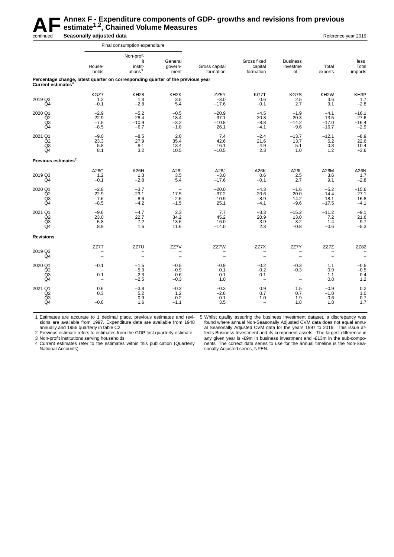

# **AF** Annex F - Expenditure components of GDP- growths and revisions from previous<br>estimate<sup>1,2</sup>, Chained Volume Measures<br>Reference **estimate1,2, Chained Volume Measures**

continued **Seasonally adjusted data Reference year 2019** Continued **Seasonally adjusted data** 

|                                                   |                                                                                 | Final consumption expenditure                     |                                                         |                                       |                                                     |                                                                          |                                         |                                         |
|---------------------------------------------------|---------------------------------------------------------------------------------|---------------------------------------------------|---------------------------------------------------------|---------------------------------------|-----------------------------------------------------|--------------------------------------------------------------------------|-----------------------------------------|-----------------------------------------|
|                                                   | House-<br>holds                                                                 | Non-prof-<br>it<br>instit-<br>utions <sup>3</sup> | General<br>qovern-<br>ment                              | Gross capital<br>formation            | Gross fixed<br>capital<br>formation                 | <b>Business</b><br>investme<br>$nt^5$                                    | Total<br>exports                        | less<br>Total<br>imports                |
| Current estimates $4$                             | Percentage change, latest quarter on corresponding quarter of the previous year |                                                   |                                                         |                                       |                                                     |                                                                          |                                         |                                         |
| 2019 Q3<br>Q4                                     | KGZ7<br>1.2<br>$-0.1$                                                           | <b>KH28</b><br>1.3<br>$-2.8$                      | KH <sub>2</sub> K<br>3.5<br>5.4                         | ZZ5Y<br>$-3.0$<br>$-17.6$             | KG7T<br>0.6<br>$-0.1$                               | KG7S<br>2.5<br>2.7                                                       | KH <sub>2</sub> W<br>3.6<br>9.1         | KH3P<br>1.7<br>$-2.8$                   |
| 2020 Q1<br>Q2<br>Q <sub>3</sub><br>Q <sub>4</sub> | $-2.9$<br>$-22.9$<br>$-7.5$<br>$-8.5$                                           | $-5.2$<br>$-28.4$<br>$-10.9$<br>$-6.7$            | $-0.5$<br>$-18.4$<br>$-3.2$<br>$-1.8$                   | $-20.9$<br>$-37.1$<br>$-10.8$<br>26.1 | $-4.5$<br>$-20.8$<br>$-8.8$<br>$-4.1$               | $-1.9$<br>$-20.3$<br>$-14.2$<br>$-9.6$                                   | $-4.1$<br>$-13.5$<br>$-17.0$<br>$-16.7$ | $-16.1$<br>$-27.6$<br>$-16.4$<br>$-2.9$ |
| 2021 Q1<br>Q2<br>Q3<br>Q <sub>4</sub>             | $-9.0$<br>23.3<br>5.8<br>8.1                                                    | $-8.5$<br>27.9<br>8.1<br>3.2                      | 2.0<br>35.4<br>13.4<br>10.5                             | 7.4<br>42.6<br>16.1<br>$-10.5$        | $-2.4$<br>21.6<br>4.9<br>2.3                        | $-13.7$<br>13.7<br>5.1<br>1.0                                            | $-12.1$<br>6.2<br>0.8<br>1.2            | $-8.9$<br>22.6<br>10.4<br>$-3.6$        |
| Previous estimates $2$                            |                                                                                 |                                                   |                                                         |                                       |                                                     |                                                                          |                                         |                                         |
| 2019 Q3<br>Q4                                     | A26C<br>1.2<br>$-0.1$                                                           | A <sub>26</sub> H<br>1.3<br>$-2.8$                | A26I<br>3.5<br>5.4                                      | A26J<br>$-3.0$<br>$-17.6$             | A26K<br>0.6<br>$-0.1$                               | A26L<br>2.5<br>2.7                                                       | A26M<br>3.6<br>9.1                      | A26N<br>1.7<br>$-2.8$                   |
| 2020 Q1<br>Q2<br>Q3<br>Q4                         | $-2.8$<br>$-22.9$<br>$-7.6$<br>$-8.5$                                           | $-3.7$<br>$-23.1$<br>$-8.6$<br>$-4.2$             | $\overline{\phantom{0}}$<br>$-17.5$<br>$-2.6$<br>$-1.5$ | $-20.0$<br>$-37.2$<br>$-10.9$<br>25.1 | $-4.3$<br>$-20.6$<br>$-8.9$<br>$-4.1$               | $-1.6$<br>$-20.0$<br>$-14.2$<br>$-9.6$                                   | $-5.2$<br>$-14.4$<br>$-18.1$<br>$-17.5$ | $-15.6$<br>$-27.1$<br>$-16.8$<br>$-4.1$ |
| 2021 Q1<br>Q2<br>Q <sub>3</sub><br>Q <sub>4</sub> | $-9.6$<br>23.0<br>5.8<br>8.9                                                    | $-4.7$<br>22.7<br>7.2<br>1.6                      | 2.3<br>34.2<br>13.6<br>11.6                             | 7.7<br>45.2<br>16.0<br>$-14.0$        | $-3.3$<br>20.9<br>$3.9\,$<br>2.3                    | $-15.2$<br>13.0<br>3.2<br>$-0.8$                                         | $-11.2$<br>7.2<br>1.4<br>$-0.6$         | $-9.1$<br>21.6<br>$\frac{9.7}{-5.3}$    |
| <b>Revisions</b>                                  |                                                                                 |                                                   |                                                         |                                       |                                                     |                                                                          |                                         |                                         |
| 2019 Q3<br>Q4                                     | ZZ7T                                                                            | ZZ7U                                              | ZZ7V                                                    | ZZ7W                                  | ZZ7X                                                | ZZ7Y                                                                     | ZZ7Z<br>$\overline{\phantom{0}}$        | ZZ82                                    |
| 2020 Q1<br>Q2<br>Q3<br>Q <sub>4</sub>             | $-0.1$<br>0.1<br>$\overline{\phantom{m}}$                                       | $-1.5$<br>$-5.3$<br>$-2.3$<br>$-2.5$              | $-0.5$<br>$-0.9$<br>$-0.6$<br>$-0.3$                    | $-0.9$<br>0.1<br>0.1<br>1.0           | $-0.2$<br>$-0.2$<br>0.1<br>$\overline{\phantom{m}}$ | $-0.3$<br>$-0.3$<br>$\overline{\phantom{0}}$<br>$\overline{\phantom{a}}$ | 1.1<br>0.9<br>1.1<br>0.8                | $-0.5$<br>$-0.5$<br>0.4<br>1.2          |
| 2021 Q1<br>Q2<br>$^{Q3}_{Q4}$                     | 0.6<br>0.3<br>$-0.8$                                                            | $-3.8$<br>5.2<br>0.9<br>1.6                       | $-0.3$<br>1.2<br>$-0.2$<br>$-1.1$                       | $-0.3$<br>$-2.6$<br>0.1<br>3.5        | 0.9<br>0.7<br>1.0<br>$\overline{\phantom{a}}$       | 1.5<br>0.7<br>1.9<br>1.8                                                 | $-0.9$<br>$-1.0$<br>$-0.6$<br>1.8       | 0.2<br>1.0<br>0.7<br>1.7                |

1 Estimates are accurate to 1 decimal place, previous estimates and revisions are available from 1997. Expenditure data are available from 1948 annually and 1955 quarterly in table C2

2 Previous estimate refers to estimates from the GDP first quarterly estimate

3 Non-profit institutions serving households

4 Current estimates refer to the estimates within this publication (Quarterly National Accounts)

5 Whilst quality assuring the business investment dataset, a discrepancy was found where annual Non-Seasonally Adjusted CVM data does not equal annual Seasonally Adjusted CVM data for the years 1997 to 2019. This issue affects Business Investment and its component assets. The largest difference in any given year is -£9m in business investment and -£13m in the sub-components. The correct data series to use for the annual timeline is the Non-Seasonally Adjusted series, NPEN.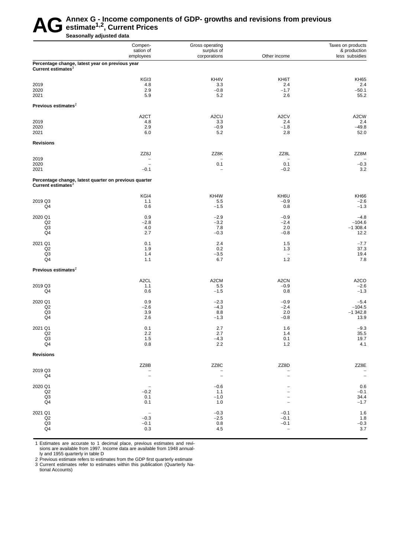# AG Annex G - Income components of GDP- growths and revisions from previous<br>Seasonally adjusted data **estimate1,2, Current Prices**

**Seasonally adjusted data**

|                                                                                   | Compen-<br>sation of<br>employees  | Gross operating<br>surplus of<br>corporations | Other income                    | Taxes on products<br>& production<br>less subsidies |
|-----------------------------------------------------------------------------------|------------------------------------|-----------------------------------------------|---------------------------------|-----------------------------------------------------|
| Percentage change, latest year on previous year<br>Current estimates <sup>3</sup> |                                    |                                               |                                 |                                                     |
|                                                                                   | KGI3                               | KH4V                                          | KH6T                            | <b>KH65</b>                                         |
| 2019                                                                              | 4.8                                | 3.3                                           | 2.4                             | 2.4                                                 |
| 2020                                                                              | 2.9                                | $-0.8$                                        | $-1.7$                          | $-50.1$                                             |
| 2021                                                                              | 5.9                                | 5.2                                           | 2.6                             | 55.2                                                |
| Previous estimates <sup>2</sup>                                                   |                                    |                                               |                                 |                                                     |
|                                                                                   | A <sub>2</sub> CT                  | A <sub>2</sub> CU                             | A2CV                            | A2CW                                                |
| 2019                                                                              | 4.8                                | 3.3                                           | 2.4                             | 2.4                                                 |
| 2020                                                                              | 2.9                                | $-0.9$                                        | $-1.8$                          | $-49.8$                                             |
| 2021                                                                              | 6.0                                | 5.2                                           | 2.8                             | 52.0                                                |
| <b>Revisions</b>                                                                  |                                    |                                               |                                 |                                                     |
|                                                                                   | ZZ8J                               | ZZ8K                                          | ZZ8L                            | ZZ8M                                                |
| 2019                                                                              | $\qquad \qquad -$                  | -                                             | $\qquad \qquad -$               |                                                     |
| 2020<br>2021                                                                      | $\overline{\phantom{a}}$<br>$-0.1$ | 0.1<br>$\overline{\phantom{0}}$               | 0.1<br>$-0.2$                   | $-0.3$<br>3.2                                       |
| Percentage change, latest quarter on previous quarter                             |                                    |                                               |                                 |                                                     |
| Current estimates <sup>3</sup>                                                    |                                    |                                               |                                 |                                                     |
|                                                                                   | KGI4                               | KH4W                                          | KH6U                            | <b>KH66</b>                                         |
| 2019 Q3                                                                           | 1.1                                | 5.5                                           | $-0.9$                          | $-2.6$                                              |
| Q4                                                                                | 0.6                                | $-1.5$                                        | 0.8                             | $-1.3$                                              |
| 2020 Q1                                                                           | 0.9                                | $-2.9$                                        | $-0.9$                          | $-4.8$                                              |
| Q2                                                                                | $-2.8$                             | $-3.2$                                        | $-2.4$                          | $-104.6$                                            |
| Q3<br>Q4                                                                          | 4.0<br>2.7                         | 7.8<br>$-0.3$                                 | 2.0<br>$-0.8$                   | $-1$ 308.4<br>12.2                                  |
|                                                                                   |                                    |                                               |                                 |                                                     |
| 2021 Q1                                                                           | 0.1                                | 2.4                                           | 1.5                             | $-7.7$                                              |
| Q2                                                                                | 1.9                                | 0.2                                           | 1.3                             | 37.3                                                |
| Q3<br>Q4                                                                          | 1.4<br>1.1                         | $-3.5$<br>6.7                                 | $\overline{\phantom{a}}$<br>1.2 | 19.4<br>7.8                                         |
| Previous estimates <sup>2</sup>                                                   |                                    |                                               |                                 |                                                     |
|                                                                                   |                                    | A <sub>2</sub> CM                             |                                 |                                                     |
| 2019 Q3                                                                           | A <sub>2</sub> CL<br>1.1           | 5.5                                           | A <sub>2</sub> CN<br>$-0.9$     | A <sub>2</sub> CO<br>$-2.6$                         |
| Q4                                                                                | 0.6                                | $-1.5$                                        | 0.8                             | $-1.3$                                              |
| 2020 Q1                                                                           | 0.9                                | $-2.3$                                        | $-0.9$                          | $-5.4$                                              |
| Q2                                                                                | $-2.6$                             | $-4.3$                                        | $-2.4$                          | $-104.5$                                            |
| Q3                                                                                | 3.9                                | 8.8                                           | 2.0                             | $-1$ 342.8                                          |
| Q4                                                                                | 2.6                                | $-1.3$                                        | $-0.8$                          | 13.9                                                |
| 2021 Q1                                                                           | 0.1                                | 2.7                                           | 1.6                             | $-9.3$                                              |
| Q2                                                                                | 2.2                                | 2.7                                           | 1.4                             | 35.5                                                |
| Q3                                                                                | $1.5$                              | $-4.3$                                        | 0.1                             | 19.7                                                |
| Q4                                                                                | 0.8                                | 2.2                                           | $1.2$                           | 4.1                                                 |
| <b>Revisions</b>                                                                  |                                    |                                               |                                 |                                                     |
|                                                                                   | ZZ8B                               | ZZ8C                                          | ZZ8D                            | ZZ8E                                                |
| 2019 Q3                                                                           |                                    |                                               |                                 | $\qquad \qquad -$                                   |
| Q4                                                                                | $\overline{\phantom{a}}$           | $\overline{\phantom{a}}$                      |                                 | $\overline{\phantom{a}}$                            |
| 2020 Q1                                                                           | $\overline{\phantom{a}}$           | $-0.6$                                        |                                 | 0.6                                                 |
| Q2                                                                                | $-0.2$                             | 1.1                                           |                                 | $-0.1$                                              |
| Q3                                                                                | 0.1                                | $-1.0$                                        |                                 | 34.4                                                |
| Q4                                                                                | 0.1                                | 1.0                                           | $\overline{\phantom{a}}$        | $-1.7$                                              |
| 2021 Q1                                                                           | $\overline{\phantom{a}}$           | $-0.3$                                        | $-0.1$                          | 1.6                                                 |
| $_{\mathsf{Q3}}^{\mathsf{Q2}}$                                                    | $-0.3$                             | $-2.5$                                        | $-0.1$                          | 1.8                                                 |
|                                                                                   | $-0.1$                             | 0.8                                           | $-0.1$                          | $-0.3$                                              |
| Q4                                                                                | 0.3                                | 4.5                                           | $\overline{\phantom{a}}$        | 3.7                                                 |

1 Estimates are accurate to 1 decimal place, previous estimates and revisions are available from 1997. Income data are available from 1948 annually and 1955 quarterly in table D

2 Previous estimate refers to estimates from the GDP first quarterly estimate 3 Current estimates refer to estimates within this publication (Quarterly National Accounts)